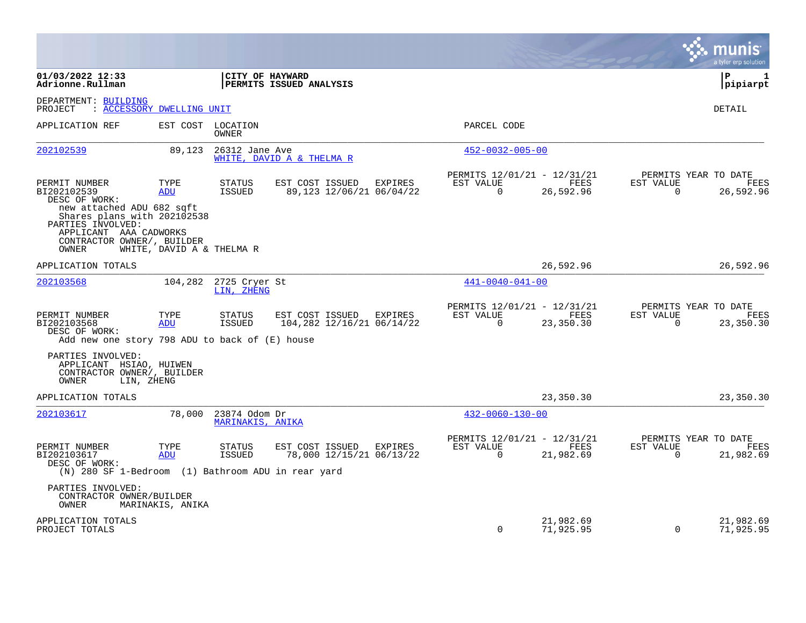|                                                                                                                                |                           |                                   |                                              |         |                                                            |                        |                          | a tyler erp solution                             |
|--------------------------------------------------------------------------------------------------------------------------------|---------------------------|-----------------------------------|----------------------------------------------|---------|------------------------------------------------------------|------------------------|--------------------------|--------------------------------------------------|
| 01/03/2022 12:33<br>Adrionne.Rullman                                                                                           |                           | CITY OF HAYWARD                   | PERMITS ISSUED ANALYSIS                      |         |                                                            |                        |                          | l P<br>1<br> pipiarpt                            |
| DEPARTMENT: BUILDING<br>PROJECT<br>: ACCESSORY DWELLING UNIT                                                                   |                           |                                   |                                              |         |                                                            |                        |                          | DETAIL                                           |
| APPLICATION REF                                                                                                                | EST COST                  | LOCATION<br>OWNER                 |                                              |         | PARCEL CODE                                                |                        |                          |                                                  |
| 202102539                                                                                                                      | 89,123                    | 26312 Jane Ave                    | WHITE, DAVID A & THELMA R                    |         | $452 - 0032 - 005 - 00$                                    |                        |                          |                                                  |
| PERMIT NUMBER<br>BI202102539<br>DESC OF WORK:<br>new attached ADU 682 sqft<br>Shares plans with 202102538<br>PARTIES INVOLVED: | TYPE<br>ADU               | <b>STATUS</b><br><b>ISSUED</b>    | EST COST ISSUED<br>89,123 12/06/21 06/04/22  | EXPIRES | PERMITS 12/01/21 - 12/31/21<br>EST VALUE<br>$\overline{0}$ | FEES<br>26,592.96      | EST VALUE<br>$\mathbf 0$ | PERMITS YEAR TO DATE<br>FEES<br>26,592.96        |
| APPLICANT AAA CADWORKS<br>CONTRACTOR OWNER/, BUILDER<br>OWNER                                                                  | WHITE, DAVID A & THELMA R |                                   |                                              |         |                                                            |                        |                          |                                                  |
| APPLICATION TOTALS                                                                                                             |                           |                                   |                                              |         |                                                            | 26,592.96              |                          | 26,592.96                                        |
| 202103568                                                                                                                      | 104,282                   | 2725 Cryer St<br>LIN, ZHENG       |                                              |         | $441 - 0040 - 041 - 00$                                    |                        |                          |                                                  |
| PERMIT NUMBER<br>BI202103568<br>DESC OF WORK:<br>Add new one story 798 ADU to back of $(E)$ house                              | TYPE<br>ADU               | <b>STATUS</b><br>ISSUED           | EST COST ISSUED<br>104,282 12/16/21 06/14/22 | EXPIRES | PERMITS 12/01/21 - 12/31/21<br>EST VALUE<br>0              | FEES<br>23,350.30      | EST VALUE<br>0           | PERMITS YEAR TO DATE<br><b>FEES</b><br>23,350.30 |
| PARTIES INVOLVED:<br>APPLICANT HSIAO, HUIWEN<br>CONTRACTOR OWNER/, BUILDER<br>OWNER<br>LIN, ZHENG                              |                           |                                   |                                              |         |                                                            |                        |                          |                                                  |
| APPLICATION TOTALS                                                                                                             |                           |                                   |                                              |         |                                                            | 23,350.30              |                          | 23,350.30                                        |
| 202103617                                                                                                                      | 78,000                    | 23874 Odom Dr<br>MARINAKIS, ANIKA |                                              |         | $432 - 0060 - 130 - 00$                                    |                        |                          |                                                  |
| PERMIT NUMBER<br>BI202103617<br>DESC OF WORK:<br>(N) 280 SF 1-Bedroom (1) Bathroom ADU in rear yard                            | TYPE<br>ADU               | <b>STATUS</b><br><b>ISSUED</b>    | EST COST ISSUED<br>78,000 12/15/21 06/13/22  | EXPIRES | PERMITS 12/01/21 - 12/31/21<br>EST VALUE<br>$\Omega$       | FEES<br>21,982.69      | EST VALUE<br>$\Omega$    | PERMITS YEAR TO DATE<br>FEES<br>21,982.69        |
| PARTIES INVOLVED:<br>CONTRACTOR OWNER/BUILDER<br>OWNER                                                                         | MARINAKIS, ANIKA          |                                   |                                              |         |                                                            |                        |                          |                                                  |
| APPLICATION TOTALS<br>PROJECT TOTALS                                                                                           |                           |                                   |                                              |         | $\Omega$                                                   | 21,982.69<br>71,925.95 | $\Omega$                 | 21,982.69<br>71,925.95                           |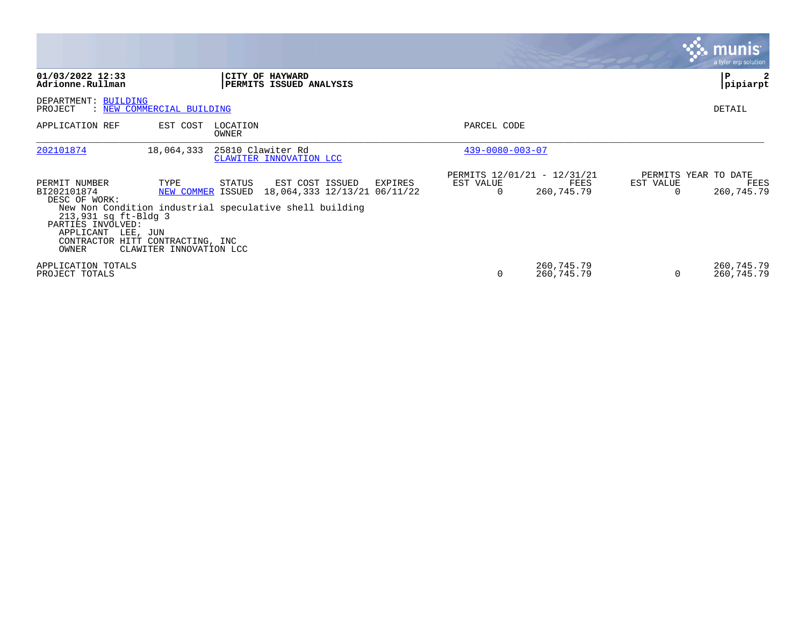|                                                                                                                                                               |                                 |                   |                                                                                                                                         |                         |                                                   |           | <b>munis</b><br>a tyler erp solution       |
|---------------------------------------------------------------------------------------------------------------------------------------------------------------|---------------------------------|-------------------|-----------------------------------------------------------------------------------------------------------------------------------------|-------------------------|---------------------------------------------------|-----------|--------------------------------------------|
| 01/03/2022 12:33<br>Adrionne.Rullman                                                                                                                          |                                 |                   | CITY OF HAYWARD<br>PERMITS ISSUED ANALYSIS                                                                                              |                         |                                                   |           | l P<br> pipiarpt                           |
| DEPARTMENT: BUILDING<br>PROJECT                                                                                                                               | : NEW COMMERCIAL BUILDING       |                   |                                                                                                                                         |                         |                                                   |           | DETAIL                                     |
| APPLICATION REF                                                                                                                                               | EST COST                        | LOCATION<br>OWNER |                                                                                                                                         | PARCEL CODE             |                                                   |           |                                            |
| 202101874                                                                                                                                                     | 18,064,333                      | 25810 Clawiter Rd | CLAWITER INNOVATION LCC                                                                                                                 | $439 - 0080 - 003 - 07$ |                                                   |           |                                            |
| PERMIT NUMBER<br>BI202101874<br>DESC OF WORK:<br>213,931 sq ft-Bldg 3<br>PARTIES INVOLVED:<br>APPLICANT LEE, JUN<br>CONTRACTOR HITT CONTRACTING, INC<br>OWNER | TYPE<br>CLAWITER INNOVATION LCC | STATUS            | EST COST ISSUED<br>EXPIRES<br>NEW COMMER ISSUED 18,064,333 12/13/21 06/11/22<br>New Non Condition industrial speculative shell building | EST VALUE               | PERMITS 12/01/21 - 12/31/21<br>FEES<br>260,745.79 | EST VALUE | PERMITS YEAR TO DATE<br>FEES<br>260,745.79 |
| APPLICATION TOTALS<br>PROJECT TOTALS                                                                                                                          |                                 |                   |                                                                                                                                         | O                       | 260,745.79<br>260,745.79                          |           | 260,745.79<br>260,745.79                   |

and the contract of the contract of the contract of the contract of the contract of the contract of the contract of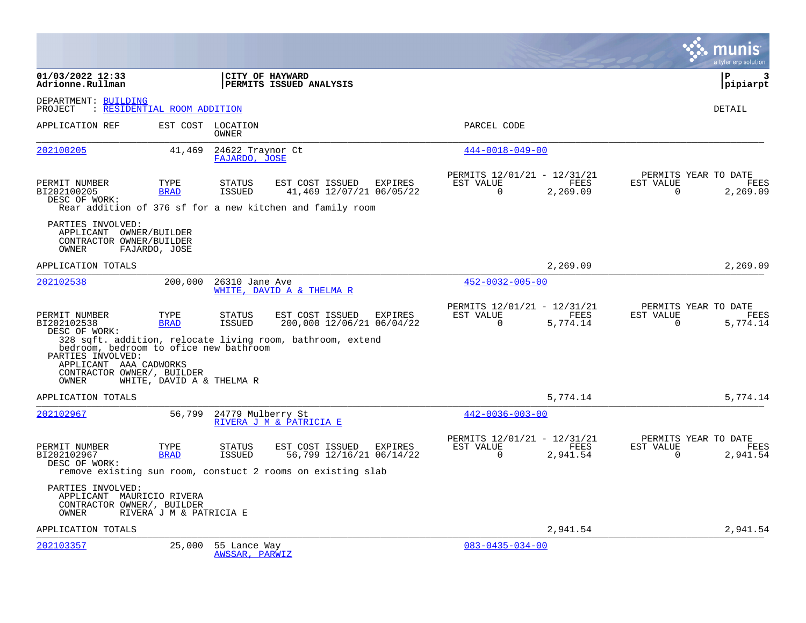|                                                                                                              |                             |                                   |                                                                                                            |         |                                                         |                  |                       | a tyler erp solution                     |
|--------------------------------------------------------------------------------------------------------------|-----------------------------|-----------------------------------|------------------------------------------------------------------------------------------------------------|---------|---------------------------------------------------------|------------------|-----------------------|------------------------------------------|
| 01/03/2022 12:33<br>Adrionne.Rullman                                                                         |                             |                                   | CITY OF HAYWARD<br>PERMITS ISSUED ANALYSIS                                                                 |         |                                                         |                  |                       | $\mathbf{P}$<br>3<br> pipiarpt           |
| DEPARTMENT: BUILDING<br>PROJECT                                                                              | : RESIDENTIAL ROOM ADDITION |                                   |                                                                                                            |         |                                                         |                  |                       | DETAIL                                   |
| APPLICATION REF                                                                                              |                             | EST COST LOCATION<br>OWNER        |                                                                                                            |         | PARCEL CODE                                             |                  |                       |                                          |
| 202100205                                                                                                    | 41,469                      | 24622 Traynor Ct<br>FAJARDO, JOSE |                                                                                                            |         | $444 - 0018 - 049 - 00$                                 |                  |                       |                                          |
| PERMIT NUMBER<br>BI202100205<br>DESC OF WORK:                                                                | TYPE<br><b>BRAD</b>         | <b>STATUS</b><br>ISSUED           | EST COST ISSUED<br>41,469 12/07/21 06/05/22<br>Rear addition of 376 sf for a new kitchen and family room   | EXPIRES | PERMITS 12/01/21 - 12/31/21<br>EST VALUE<br>$\mathbf 0$ | FEES<br>2,269.09 | EST VALUE<br>$\Omega$ | PERMITS YEAR TO DATE<br>FEES<br>2,269.09 |
| PARTIES INVOLVED:<br>APPLICANT OWNER/BUILDER<br>CONTRACTOR OWNER/BUILDER<br>OWNER                            | FAJARDO, JOSE               |                                   |                                                                                                            |         |                                                         |                  |                       |                                          |
| APPLICATION TOTALS                                                                                           |                             |                                   |                                                                                                            |         |                                                         | 2,269.09         |                       | 2,269.09                                 |
| 202102538                                                                                                    | 200,000                     | 26310 Jane Ave                    | WHITE, DAVID A & THELMA R                                                                                  |         | $452 - 0032 - 005 - 00$                                 |                  |                       |                                          |
| PERMIT NUMBER<br>BI202102538<br>DESC OF WORK:<br>bedroom, bedroom to ofice new bathroom<br>PARTIES INVOLVED: | TYPE<br><b>BRAD</b>         | <b>STATUS</b><br><b>ISSUED</b>    | EST COST ISSUED<br>200,000 12/06/21 06/04/22<br>328 sqft. addition, relocate living room, bathroom, extend | EXPIRES | PERMITS 12/01/21 - 12/31/21<br>EST VALUE<br>$\Omega$    | FEES<br>5,774.14 | EST VALUE<br>$\Omega$ | PERMITS YEAR TO DATE<br>FEES<br>5,774.14 |
| APPLICANT AAA CADWORKS<br>CONTRACTOR OWNER/, BUILDER<br>OWNER                                                | WHITE, DAVID A & THELMA R   |                                   |                                                                                                            |         |                                                         |                  |                       |                                          |
| APPLICATION TOTALS                                                                                           |                             |                                   |                                                                                                            |         |                                                         | 5,774.14         |                       | 5,774.14                                 |
| 202102967                                                                                                    | 56,799                      | 24779 Mulberry St                 | RIVERA J M & PATRICIA E                                                                                    |         | $442 - 0036 - 003 - 00$                                 |                  |                       |                                          |
| PERMIT NUMBER<br>BI202102967<br>DESC OF WORK:                                                                | TYPE<br><b>BRAD</b>         | <b>STATUS</b><br>ISSUED           | EST COST ISSUED<br>56,799 12/16/21 06/14/22<br>remove existing sun room, constuct 2 rooms on existing slab | EXPIRES | PERMITS 12/01/21 - 12/31/21<br>EST VALUE<br>$\Omega$    | FEES<br>2,941.54 | EST VALUE<br>$\Omega$ | PERMITS YEAR TO DATE<br>FEES<br>2,941.54 |
| PARTIES INVOLVED:<br>APPLICANT MAURICIO RIVERA<br>CONTRACTOR OWNER/, BUILDER<br>OWNER                        | RIVERA J M & PATRICIA E     |                                   |                                                                                                            |         |                                                         |                  |                       |                                          |
| APPLICATION TOTALS                                                                                           |                             |                                   |                                                                                                            |         |                                                         | 2,941.54         |                       | 2,941.54                                 |
| 202103357                                                                                                    | 25,000                      | 55 Lance Way<br>AWSSAR, PARWIZ    |                                                                                                            |         | $083 - 0435 - 034 - 00$                                 |                  |                       |                                          |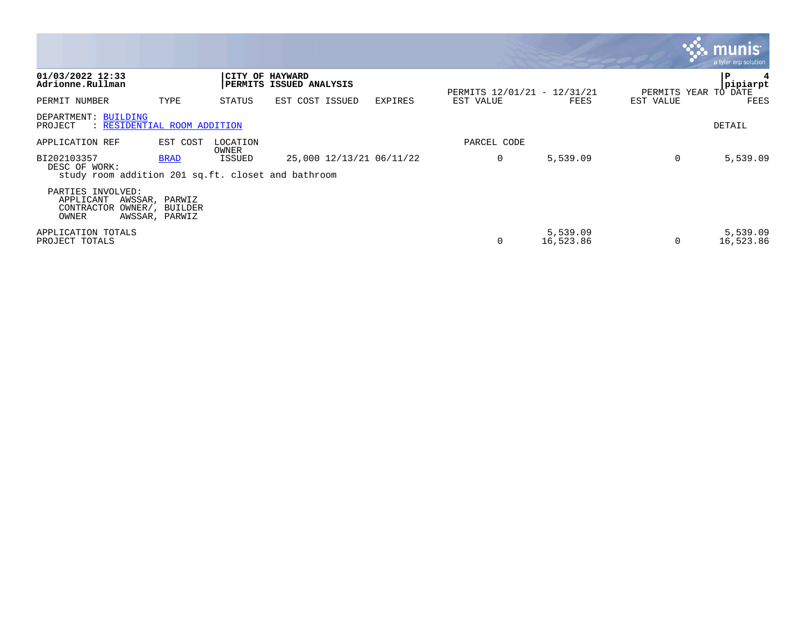|                                                                                    |                                                     |                   |                          |         |                                          |                       |           | a tyler erp solution         |
|------------------------------------------------------------------------------------|-----------------------------------------------------|-------------------|--------------------------|---------|------------------------------------------|-----------------------|-----------|------------------------------|
| 01/03/2022 12:33<br>Adrionne.Rullman                                               |                                                     | CITY OF HAYWARD   | PERMITS ISSUED ANALYSIS  |         |                                          |                       |           | P<br>pipiarpt                |
| PERMIT NUMBER                                                                      | TYPE                                                | STATUS            | EST COST ISSUED          | EXPIRES | PERMITS 12/01/21 - 12/31/21<br>EST VALUE | FEES                  | EST VALUE | PERMITS YEAR TO DATE<br>FEES |
| DEPARTMENT: BUILDING<br>: RESIDENTIAL ROOM ADDITION<br>PROJECT                     |                                                     |                   |                          |         |                                          |                       |           | DETAIL                       |
| APPLICATION REF                                                                    | EST COST                                            | LOCATION<br>OWNER |                          |         | PARCEL CODE                              |                       |           |                              |
| BI202103357<br>DESC OF WORK:<br>study room addition 201 sq.ft. closet and bathroom | <b>BRAD</b>                                         | ISSUED            | 25,000 12/13/21 06/11/22 |         | 0                                        | 5,539.09              | 0         | 5,539.09                     |
| PARTIES INVOLVED:<br>APPLICANT<br>CONTRACTOR<br>OWNER                              | AWSSAR, PARWIZ<br>OWNER/, BUILDER<br>AWSSAR, PARWIZ |                   |                          |         |                                          |                       |           |                              |
| APPLICATION TOTALS<br>PROJECT TOTALS                                               |                                                     |                   |                          |         | 0                                        | 5,539.09<br>16,523.86 | $\Omega$  | 5,539.09<br>16,523.86        |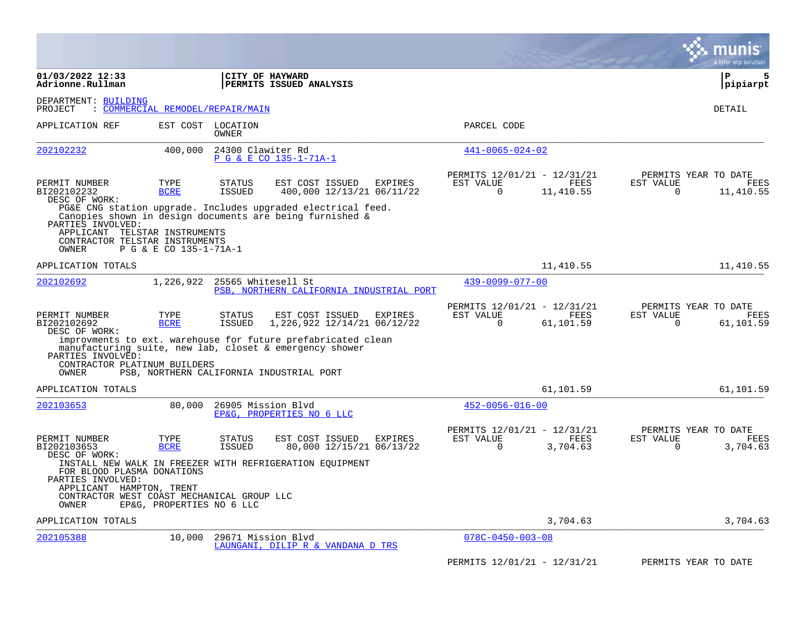|                                                                                                                                    |                                  |                                |                                                                                                                                                                     |                                                            |                   |                                               | munis<br>a tyler erp solution |
|------------------------------------------------------------------------------------------------------------------------------------|----------------------------------|--------------------------------|---------------------------------------------------------------------------------------------------------------------------------------------------------------------|------------------------------------------------------------|-------------------|-----------------------------------------------|-------------------------------|
| 01/03/2022 12:33<br>Adrionne.Rullman                                                                                               |                                  |                                | CITY OF HAYWARD<br><b>PERMITS ISSUED ANALYSIS</b>                                                                                                                   |                                                            |                   |                                               | P<br>5<br>pipiarpt            |
| DEPARTMENT: BUILDING<br>PROJECT                                                                                                    | : COMMERCIAL REMODEL/REPAIR/MAIN |                                |                                                                                                                                                                     |                                                            |                   |                                               | DETAIL                        |
| APPLICATION REF                                                                                                                    |                                  | EST COST LOCATION<br>OWNER     |                                                                                                                                                                     | PARCEL CODE                                                |                   |                                               |                               |
| 202102232                                                                                                                          | 400,000                          | 24300 Clawiter Rd              | P G & E CO 135-1-71A-1                                                                                                                                              | $441 - 0065 - 024 - 02$                                    |                   |                                               |                               |
| PERMIT NUMBER<br>BI202102232<br>DESC OF WORK:                                                                                      | TYPE<br><b>BCRE</b>              | <b>STATUS</b><br><b>ISSUED</b> | EST COST ISSUED<br>EXPIRES<br>400,000 12/13/21 06/11/22<br>PG&E CNG station upgrade. Includes upgraded electrical feed.                                             | PERMITS 12/01/21 - 12/31/21<br>EST VALUE<br>$\overline{0}$ | FEES<br>11,410.55 | PERMITS YEAR TO DATE<br>EST VALUE<br>0        | FEES<br>11,410.55             |
| PARTIES INVOLVED:<br>APPLICANT TELSTAR INSTRUMENTS<br>CONTRACTOR TELSTAR INSTRUMENTS<br>OWNER                                      | P G & E CO 135-1-71A-1           |                                | Canopies shown in design documents are being furnished &                                                                                                            |                                                            |                   |                                               |                               |
| APPLICATION TOTALS                                                                                                                 |                                  |                                |                                                                                                                                                                     |                                                            | 11,410.55         |                                               | 11,410.55                     |
| 202102692                                                                                                                          | 1,226,922                        | 25565 Whitesell St             | PSB, NORTHERN CALIFORNIA INDUSTRIAL PORT                                                                                                                            | $439 - 0099 - 077 - 00$                                    |                   |                                               |                               |
| PERMIT NUMBER<br>BI202102692<br>DESC OF WORK:                                                                                      | TYPE<br><b>BCRE</b>              | <b>STATUS</b><br>ISSUED        | EST COST ISSUED<br>EXPIRES<br>1, 226, 922 12/14/21 06/12/22                                                                                                         | PERMITS 12/01/21 - 12/31/21<br>EST VALUE<br>$\Omega$       | FEES<br>61,101.59 | PERMITS YEAR TO DATE<br>EST VALUE<br>$\Omega$ | FEES<br>61,101.59             |
| PARTIES INVOLVED:<br>CONTRACTOR PLATINUM BUILDERS<br>OWNER                                                                         |                                  |                                | improvments to ext. warehouse for future prefabricated clean<br>manufacturing suite, new lab, closet & emergency shower<br>PSB, NORTHERN CALIFORNIA INDUSTRIAL PORT |                                                            |                   |                                               |                               |
| APPLICATION TOTALS                                                                                                                 |                                  |                                |                                                                                                                                                                     |                                                            | 61,101.59         |                                               | 61,101.59                     |
| 202103653                                                                                                                          | 80,000                           | 26905 Mission Blvd             | EP&G, PROPERTIES NO 6 LLC                                                                                                                                           | $452 - 0056 - 016 - 00$                                    |                   |                                               |                               |
| PERMIT NUMBER<br>BI202103653<br>DESC OF WORK:                                                                                      | TYPE<br><b>BCRE</b>              | STATUS<br><b>ISSUED</b>        | EST COST ISSUED<br>EXPIRES<br>80,000 12/15/21 06/13/22                                                                                                              | PERMITS 12/01/21 - 12/31/21<br>EST VALUE<br>$\Omega$       | FEES<br>3,704.63  | PERMITS YEAR TO DATE<br>EST VALUE<br>$\Omega$ | FEES<br>3,704.63              |
| FOR BLOOD PLASMA DONATIONS<br>PARTIES INVOLVED:<br>APPLICANT HAMPTON, TRENT<br>CONTRACTOR WEST COAST MECHANICAL GROUP LLC<br>OWNER | EP&G, PROPERTIES NO 6 LLC        |                                | INSTALL NEW WALK IN FREEZER WITH REFRIGERATION EQUIPMENT                                                                                                            |                                                            |                   |                                               |                               |
| APPLICATION TOTALS                                                                                                                 |                                  |                                |                                                                                                                                                                     |                                                            | 3,704.63          |                                               | 3,704.63                      |
| 202105388                                                                                                                          | 10,000                           | 29671 Mission Blvd             | LAUNGANI, DILIP R & VANDANA D TRS                                                                                                                                   | $078C - 0450 - 003 - 08$                                   |                   |                                               |                               |
|                                                                                                                                    |                                  |                                |                                                                                                                                                                     | PERMITS 12/01/21 - 12/31/21                                |                   | PERMITS YEAR TO DATE                          |                               |

**Contract**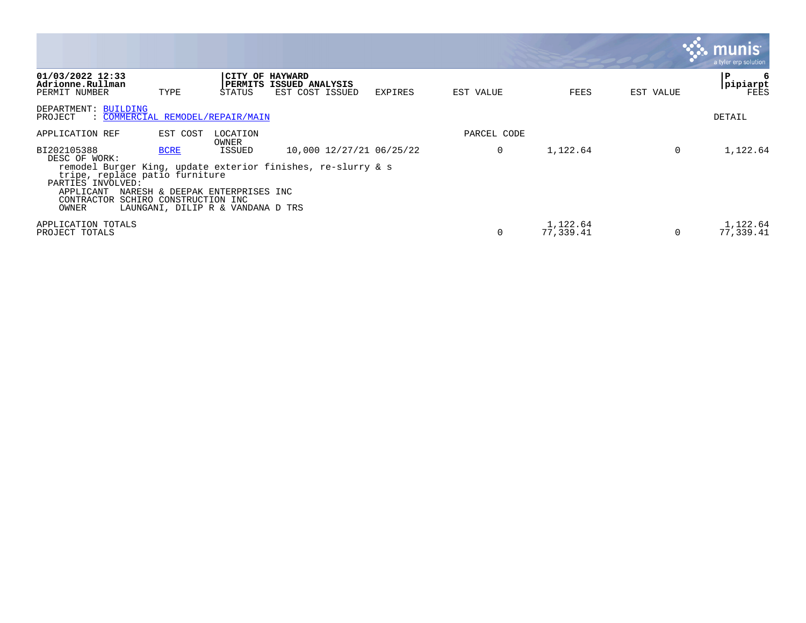|                                                                                                                         |                                        |                                                                                |                                                                                          |         |             |                       |           | munis<br>a tyler erp solution |
|-------------------------------------------------------------------------------------------------------------------------|----------------------------------------|--------------------------------------------------------------------------------|------------------------------------------------------------------------------------------|---------|-------------|-----------------------|-----------|-------------------------------|
| 01/03/2022 12:33<br>Adrionne.Rullman<br>PERMIT NUMBER                                                                   | TYPE                                   | PERMITS<br>STATUS                                                              | CITY OF HAYWARD<br>ISSUED ANALYSIS<br>EST COST ISSUED                                    | EXPIRES | EST VALUE   | FEES                  | EST VALUE | P<br>6<br> pipiarpt<br>FEES   |
| DEPARTMENT: BUILDING<br>: COMMERCIAL REMODEL/REPAIR/MAIN<br>PROJECT                                                     |                                        |                                                                                |                                                                                          |         |             |                       |           | DETAIL                        |
| APPLICATION REF                                                                                                         | EST COST                               | LOCATION<br>OWNER                                                              |                                                                                          |         | PARCEL CODE |                       |           |                               |
| BI202105388<br>DESC OF WORK:<br>tripe, replace patio furniture<br>PARTIES INVOLVED:<br>APPLICANT<br>CONTRACTOR<br>OWNER | <b>BCRE</b><br>SCHIRO CONSTRUCTION INC | ISSUED<br>NARESH & DEEPAK ENTERPRISES INC<br>LAUNGANI, DILIP R & VANDANA D TRS | 10,000 12/27/21 06/25/22<br>remodel Burger King, update exterior finishes, re-slurry & s |         | $\Omega$    | 1,122.64              | $\Omega$  | 1,122.64                      |
| APPLICATION TOTALS<br>PROJECT TOTALS                                                                                    |                                        |                                                                                |                                                                                          |         |             | 1,122.64<br>77,339.41 | $\Omega$  | 1,122.64<br>77,339.41         |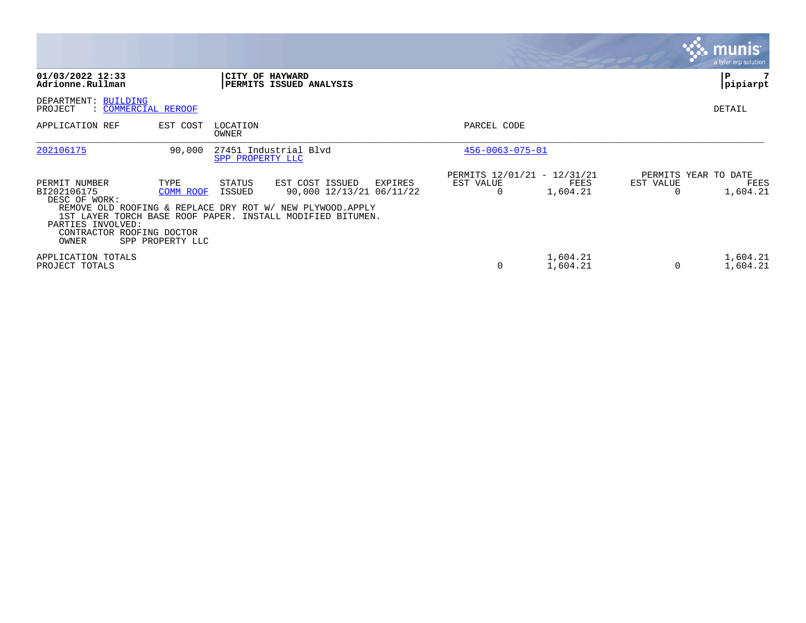|                                                                                                          |                                       |                   |                                                                                                                                                                                    |                                                      |                      |                | <b>munis</b><br>a tyler erp solution     |
|----------------------------------------------------------------------------------------------------------|---------------------------------------|-------------------|------------------------------------------------------------------------------------------------------------------------------------------------------------------------------------|------------------------------------------------------|----------------------|----------------|------------------------------------------|
| 01/03/2022 12:33<br>Adrionne.Rullman                                                                     |                                       |                   | CITY OF HAYWARD<br>PERMITS ISSUED ANALYSIS                                                                                                                                         |                                                      |                      |                | l P<br>pipiarpt                          |
| DEPARTMENT: BUILDING<br>PROJECT<br>: COMMERCIAL REROOF                                                   |                                       |                   |                                                                                                                                                                                    |                                                      |                      |                | <b>DETAIL</b>                            |
| APPLICATION REF                                                                                          | EST COST                              | LOCATION<br>OWNER |                                                                                                                                                                                    | PARCEL CODE                                          |                      |                |                                          |
| 202106175                                                                                                | 90,000                                | SPP PROPERTY LLC  | 27451 Industrial Blvd                                                                                                                                                              | $456 - 0063 - 075 - 01$                              |                      |                |                                          |
| PERMIT NUMBER<br>BI202106175<br>DESC OF WORK:<br>PARTIES INVOLVED:<br>CONTRACTOR ROOFING DOCTOR<br>OWNER | TYPE<br>COMM ROOF<br>SPP PROPERTY LLC | STATUS<br>ISSUED  | EST COST ISSUED<br>EXPIRES<br>90,000 12/13/21 06/11/22<br>REMOVE OLD ROOFING & REPLACE DRY ROT W/ NEW PLYWOOD. APPLY<br>1ST LAYER TORCH BASE ROOF PAPER. INSTALL MODIFIED BITUMEN. | PERMITS 12/01/21 - 12/31/21<br>EST VALUE<br>$\Omega$ | FEES<br>1,604.21     | EST VALUE<br>0 | PERMITS YEAR TO DATE<br>FEES<br>1,604.21 |
| APPLICATION TOTALS<br>PROJECT TOTALS                                                                     |                                       |                   |                                                                                                                                                                                    | 0                                                    | 1,604.21<br>1,604.21 | 0              | 1,604.21<br>1,604.21                     |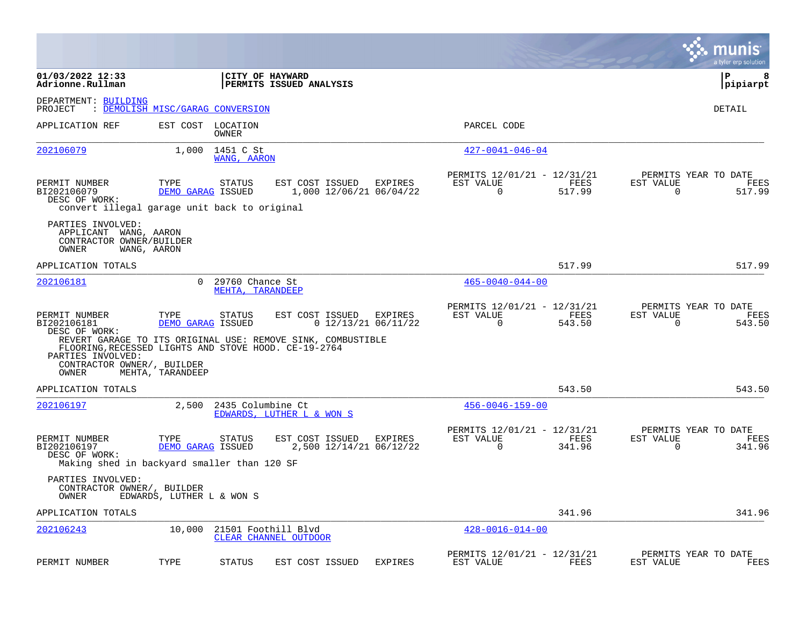|                                                                                                                                                                   |                                  |                                     |                                                                                |                                  |                                                         |                |                          | munis<br>a tyler erp solution          |
|-------------------------------------------------------------------------------------------------------------------------------------------------------------------|----------------------------------|-------------------------------------|--------------------------------------------------------------------------------|----------------------------------|---------------------------------------------------------|----------------|--------------------------|----------------------------------------|
| 01/03/2022 12:33<br>Adrionne.Rullman                                                                                                                              |                                  |                                     | CITY OF HAYWARD<br><b>PERMITS ISSUED ANALYSIS</b>                              |                                  |                                                         |                |                          | l P<br>8<br> pipiarpt                  |
| DEPARTMENT: BUILDING<br>PROJECT                                                                                                                                   | : DEMOLISH MISC/GARAG CONVERSION |                                     |                                                                                |                                  |                                                         |                |                          | DETAIL                                 |
| APPLICATION REF                                                                                                                                                   |                                  | EST COST LOCATION<br><b>OWNER</b>   |                                                                                |                                  | PARCEL CODE                                             |                |                          |                                        |
| 202106079                                                                                                                                                         | 1,000                            | 1451 C St<br>WANG, AARON            |                                                                                |                                  | $427 - 0041 - 046 - 04$                                 |                |                          |                                        |
| PERMIT NUMBER<br>BI202106079<br>DESC OF WORK:<br>convert illegal garage unit back to original                                                                     | TYPE                             | STATUS<br>DEMO GARAG ISSUED         | EST COST ISSUED<br>1,000 12/06/21 06/04/22                                     | EXPIRES                          | PERMITS 12/01/21 - 12/31/21<br>EST VALUE<br>0           | FEES<br>517.99 | EST VALUE<br>0           | PERMITS YEAR TO DATE<br>FEES<br>517.99 |
| PARTIES INVOLVED:<br>APPLICANT WANG, AARON<br>CONTRACTOR OWNER/BUILDER<br>OWNER                                                                                   | WANG, AARON                      |                                     |                                                                                |                                  |                                                         |                |                          |                                        |
| APPLICATION TOTALS                                                                                                                                                |                                  |                                     |                                                                                |                                  |                                                         | 517.99         |                          | 517.99                                 |
| 202106181                                                                                                                                                         | $\Omega$                         | 29760 Chance St<br>MEHTA, TARANDEEP |                                                                                |                                  | $465 - 0040 - 044 - 00$                                 |                |                          |                                        |
| PERMIT NUMBER<br>BI202106181<br>DESC OF WORK:<br>FLOORING, RECESSED LIGHTS AND STOVE HOOD. CE-19-2764<br>PARTIES INVOLVED:<br>CONTRACTOR OWNER/, BUILDER<br>OWNER | TYPE<br>MEHTA, TARANDEEP         | <b>STATUS</b><br>DEMO GARAG ISSUED  | EST COST ISSUED<br>REVERT GARAGE TO ITS ORIGINAL USE: REMOVE SINK, COMBUSTIBLE | EXPIRES<br>$0$ 12/13/21 06/11/22 | PERMITS 12/01/21 - 12/31/21<br>EST VALUE<br>$\mathbf 0$ | FEES<br>543.50 | EST VALUE<br>$\mathbf 0$ | PERMITS YEAR TO DATE<br>FEES<br>543.50 |
| APPLICATION TOTALS                                                                                                                                                |                                  |                                     |                                                                                |                                  |                                                         | 543.50         |                          | 543.50                                 |
| 202106197                                                                                                                                                         | 2,500                            | 2435 Columbine Ct                   | EDWARDS, LUTHER L & WON S                                                      |                                  | $456 - 0046 - 159 - 00$                                 |                |                          |                                        |
| PERMIT NUMBER<br>BI202106197<br>DESC OF WORK:<br>Making shed in backyard smaller than 120 SF                                                                      | TYPE                             | STATUS<br>DEMO GARAG ISSUED         | EST COST ISSUED<br>2,500 12/14/21 06/12/22                                     | EXPIRES                          | PERMITS 12/01/21 - 12/31/21<br>EST VALUE<br>$\mathbf 0$ | FEES<br>341.96 | EST VALUE<br>$\mathbf 0$ | PERMITS YEAR TO DATE<br>FEES<br>341.96 |
| PARTIES INVOLVED:<br>CONTRACTOR OWNER/, BUILDER<br>OWNER                                                                                                          | EDWARDS, LUTHER L & WON S        |                                     |                                                                                |                                  |                                                         |                |                          |                                        |
| APPLICATION TOTALS                                                                                                                                                |                                  |                                     |                                                                                |                                  |                                                         | 341.96         |                          | 341.96                                 |
| 202106243                                                                                                                                                         | 10,000                           |                                     | 21501 Foothill Blvd<br>CLEAR CHANNEL OUTDOOR                                   |                                  | $428 - 0016 - 014 - 00$                                 |                |                          |                                        |
| PERMIT NUMBER                                                                                                                                                     | TYPE                             | <b>STATUS</b>                       | EST COST ISSUED                                                                | EXPIRES                          | PERMITS 12/01/21 - 12/31/21<br>EST VALUE                | FEES           | EST VALUE                | PERMITS YEAR TO DATE<br>FEES           |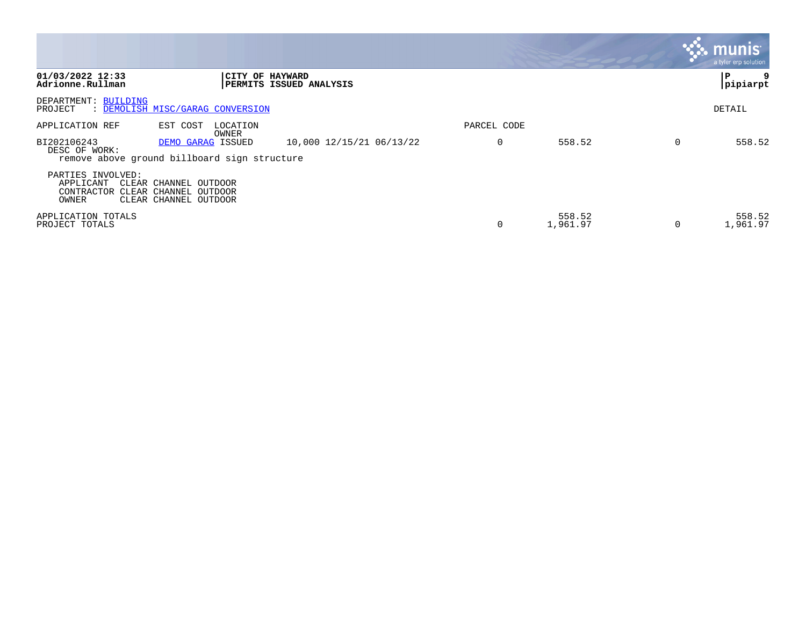|                                                       |                                                                         |                          |             |                    | munis<br>a tyler erp solution |
|-------------------------------------------------------|-------------------------------------------------------------------------|--------------------------|-------------|--------------------|-------------------------------|
| 01/03/2022 12:33<br>Adrionne.Rullman                  | CITY OF HAYWARD                                                         | PERMITS ISSUED ANALYSIS  |             |                    | P<br> pipiarpt                |
| DEPARTMENT: BUILDING<br>PROJECT                       | : DEMOLISH MISC/GARAG CONVERSION                                        |                          |             |                    | DETAIL                        |
| APPLICATION REF                                       | EST COST<br>LOCATION<br>OWNER                                           |                          | PARCEL CODE |                    |                               |
| BI202106243<br>DESC OF WORK:                          | DEMO GARAG ISSUED<br>remove above ground billboard sign structure       | 10,000 12/15/21 06/13/22 |             | 558.52             | 558.52                        |
| PARTIES INVOLVED:<br>APPLICANT<br>CONTRACTOR<br>OWNER | CLEAR CHANNEL OUTDOOR<br>CLEAR CHANNEL OUTDOOR<br>CLEAR CHANNEL OUTDOOR |                          |             |                    |                               |
| APPLICATION TOTALS<br>PROJECT TOTALS                  |                                                                         |                          | 0           | 558.52<br>1,961.97 | 558.52<br>1,961.97            |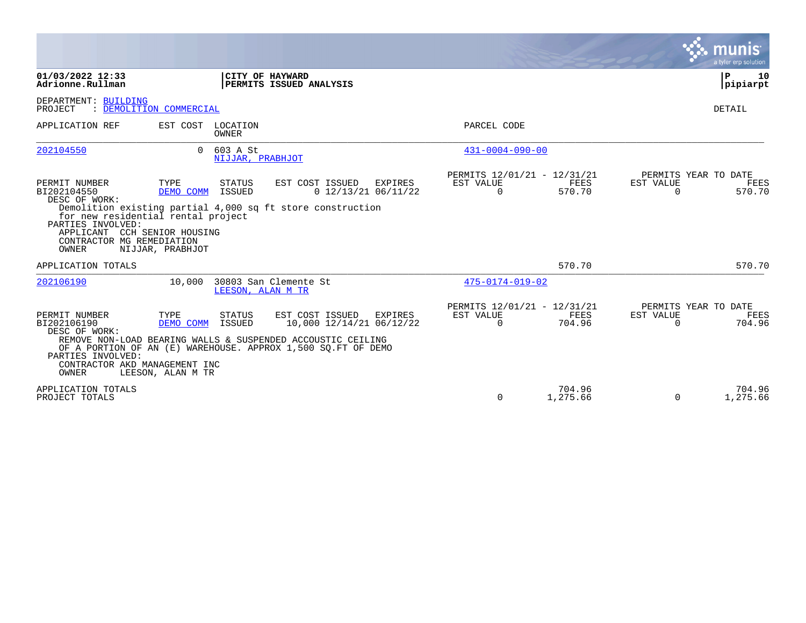|                                                                                                                                                                                       |                                        |                                |                                                                                                                                                                                              |                                                      |                    |                       | a tyler erp solution                   |
|---------------------------------------------------------------------------------------------------------------------------------------------------------------------------------------|----------------------------------------|--------------------------------|----------------------------------------------------------------------------------------------------------------------------------------------------------------------------------------------|------------------------------------------------------|--------------------|-----------------------|----------------------------------------|
| 01/03/2022 12:33<br>Adrionne.Rullman                                                                                                                                                  |                                        |                                | CITY OF HAYWARD<br>PERMITS ISSUED ANALYSIS                                                                                                                                                   |                                                      |                    |                       | 10<br>P<br> pipiarpt                   |
| DEPARTMENT: BUILDING<br>: DEMOLITION COMMERCIAL<br>PROJECT                                                                                                                            |                                        |                                |                                                                                                                                                                                              |                                                      |                    |                       | <b>DETAIL</b>                          |
| APPLICATION REF                                                                                                                                                                       | EST COST LOCATION                      | OWNER                          |                                                                                                                                                                                              | PARCEL CODE                                          |                    |                       |                                        |
| 202104550                                                                                                                                                                             |                                        | 0 603 A St<br>NIJJAR, PRABHJOT |                                                                                                                                                                                              | $431 - 0004 - 090 - 00$                              |                    |                       |                                        |
| PERMIT NUMBER<br>BI202104550<br>DESC OF WORK:<br>for new residential rental project<br>PARTIES INVOLVED:<br>APPLICANT CCH SENIOR HOUSING<br>CONTRACTOR MG REMEDIATION<br><b>OWNER</b> | TYPE<br>DEMO COMM<br>NIJJAR, PRABHJOT  | STATUS<br>ISSUED               | EST COST ISSUED<br>EXPIRES<br>$0$ 12/13/21 06/11/22<br>Demolition existing partial 4,000 sq ft store construction                                                                            | PERMITS 12/01/21 - 12/31/21<br>EST VALUE<br>$\Omega$ | FEES<br>570.70     | EST VALUE<br>$\Omega$ | PERMITS YEAR TO DATE<br>FEES<br>570.70 |
| APPLICATION TOTALS                                                                                                                                                                    |                                        |                                |                                                                                                                                                                                              |                                                      | 570.70             |                       | 570.70                                 |
| 202106190                                                                                                                                                                             | 10,000                                 | LEESON, ALAN M TR              | 30803 San Clemente St                                                                                                                                                                        | $475 - 0174 - 019 - 02$                              |                    |                       |                                        |
| PERMIT NUMBER<br>BI202106190<br>DESC OF WORK:<br>PARTIES INVOLVED:<br>CONTRACTOR AKD MANAGEMENT INC<br>OWNER                                                                          | TYPE<br>DEMO COMM<br>LEESON, ALAN M TR | STATUS<br>ISSUED               | EST COST ISSUED<br><b>EXPIRES</b><br>10,000 12/14/21 06/12/22<br>REMOVE NON-LOAD BEARING WALLS & SUSPENDED ACCOUSTIC CEILING<br>OF A PORTION OF AN (E) WAREHOUSE. APPROX 1,500 SQ.FT OF DEMO | PERMITS 12/01/21 - 12/31/21<br>EST VALUE<br>$\Omega$ | FEES<br>704.96     | EST VALUE<br>$\Omega$ | PERMITS YEAR TO DATE<br>FEES<br>704.96 |
| APPLICATION TOTALS<br>PROJECT TOTALS                                                                                                                                                  |                                        |                                |                                                                                                                                                                                              | $\Omega$                                             | 704.96<br>1,275.66 | $\mathbf 0$           | 704.96<br>1,275.66                     |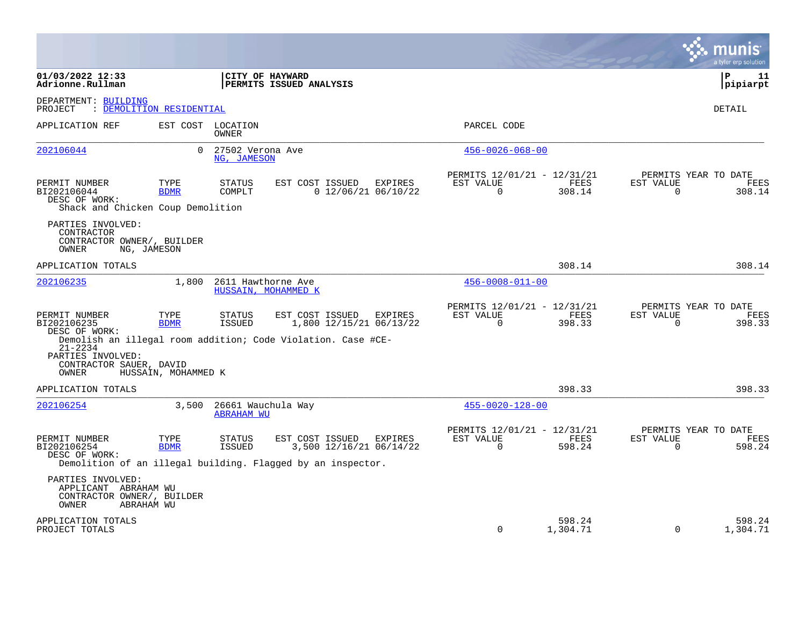|                                                                                                |                     |                                         |                                                                                                           |         |                                                            |                       |                       | munis<br>a tyler erp solution          |
|------------------------------------------------------------------------------------------------|---------------------|-----------------------------------------|-----------------------------------------------------------------------------------------------------------|---------|------------------------------------------------------------|-----------------------|-----------------------|----------------------------------------|
| 01/03/2022 12:33<br>Adrionne.Rullman                                                           |                     |                                         | CITY OF HAYWARD<br>PERMITS ISSUED ANALYSIS                                                                |         |                                                            |                       |                       | l P<br>11<br> pipiarpt                 |
| DEPARTMENT: BUILDING<br>: DEMOLITION RESIDENTIAL<br>PROJECT                                    |                     |                                         |                                                                                                           |         |                                                            |                       |                       | DETAIL                                 |
| APPLICATION REF                                                                                |                     | EST COST LOCATION<br>OWNER              |                                                                                                           |         | PARCEL CODE                                                |                       |                       |                                        |
| 202106044                                                                                      | $\Omega$            | 27502 Verona Ave<br>NG, JAMESON         |                                                                                                           |         | $456 - 0026 - 068 - 00$                                    |                       |                       |                                        |
| PERMIT NUMBER<br>BI202106044<br>DESC OF WORK:<br>Shack and Chicken Coup Demolition             | TYPE<br><b>BDMR</b> | <b>STATUS</b><br>COMPLT                 | EST COST ISSUED<br>$0$ 12/06/21 06/10/22                                                                  | EXPIRES | PERMITS 12/01/21 - 12/31/21<br>EST VALUE<br>$\overline{0}$ | <b>FEES</b><br>308.14 | EST VALUE<br>$\Omega$ | PERMITS YEAR TO DATE<br>FEES<br>308.14 |
| PARTIES INVOLVED:<br>CONTRACTOR<br>CONTRACTOR OWNER/, BUILDER<br>OWNER<br>NG, JAMESON          |                     |                                         |                                                                                                           |         |                                                            |                       |                       |                                        |
| APPLICATION TOTALS                                                                             |                     |                                         |                                                                                                           |         |                                                            | 308.14                |                       | 308.14                                 |
| 202106235                                                                                      | 1,800               | 2611 Hawthorne Ave                      | HUSSAIN, MOHAMMED K                                                                                       |         | $456 - 0008 - 011 - 00$                                    |                       |                       |                                        |
| PERMIT NUMBER<br>BI202106235<br>DESC OF WORK:                                                  | TYPE<br><b>BDMR</b> | <b>STATUS</b><br><b>ISSUED</b>          | EST COST ISSUED<br>1,800 12/15/21 06/13/22                                                                | EXPIRES | PERMITS 12/01/21 - 12/31/21<br>EST VALUE<br>$\Omega$       | FEES<br>398.33        | EST VALUE<br>$\Omega$ | PERMITS YEAR TO DATE<br>FEES<br>398.33 |
| $21 - 2234$<br>PARTIES INVOLVED:<br>CONTRACTOR SAUER, DAVID<br>OWNER                           | HUSSAIN, MOHAMMED K |                                         | Demolish an illegal room addition; Code Violation. Case #CE-                                              |         |                                                            |                       |                       |                                        |
| APPLICATION TOTALS                                                                             |                     |                                         |                                                                                                           |         |                                                            | 398.33                |                       | 398.33                                 |
| 202106254                                                                                      | 3,500               | 26661 Wauchula Way<br><b>ABRAHAM WU</b> |                                                                                                           |         | $455 - 0020 - 128 - 00$                                    |                       |                       |                                        |
| PERMIT NUMBER<br>BI202106254<br>DESC OF WORK:                                                  | TYPE<br><b>BDMR</b> | <b>STATUS</b><br>ISSUED                 | EST COST ISSUED<br>3,500 12/16/21 06/14/22<br>Demolition of an illegal building. Flagged by an inspector. | EXPIRES | PERMITS 12/01/21 - 12/31/21<br>EST VALUE<br>$\Omega$       | FEES<br>598.24        | EST VALUE<br>$\Omega$ | PERMITS YEAR TO DATE<br>FEES<br>598.24 |
| PARTIES INVOLVED:<br>APPLICANT ABRAHAM WU<br>CONTRACTOR OWNER/, BUILDER<br>OWNER<br>ABRAHAM WU |                     |                                         |                                                                                                           |         |                                                            |                       |                       |                                        |
| APPLICATION TOTALS<br>PROJECT TOTALS                                                           |                     |                                         |                                                                                                           |         | $\mathbf 0$                                                | 598.24<br>1,304.71    | $\mathbf 0$           | 598.24<br>1,304.71                     |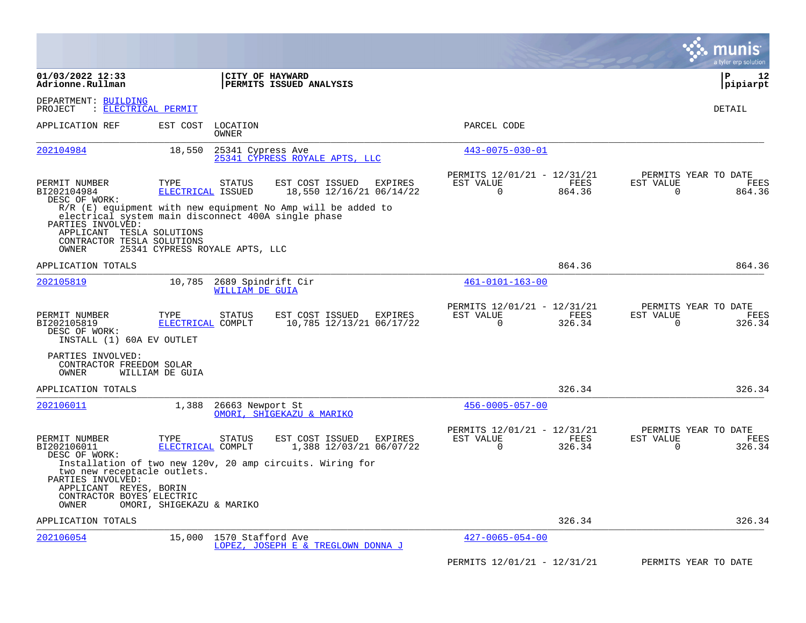|                                                                                                                                              |                                |                                              |                                                                                                                                 |                                                         |                | a tyler erp solution                                                      |
|----------------------------------------------------------------------------------------------------------------------------------------------|--------------------------------|----------------------------------------------|---------------------------------------------------------------------------------------------------------------------------------|---------------------------------------------------------|----------------|---------------------------------------------------------------------------|
| 01/03/2022 12:33<br>Adrionne.Rullman                                                                                                         |                                |                                              | CITY OF HAYWARD<br>PERMITS ISSUED ANALYSIS                                                                                      |                                                         |                | l P<br>12<br> pipiarpt                                                    |
| DEPARTMENT: BUILDING<br>: ELECTRICAL PERMIT<br>PROJECT                                                                                       |                                |                                              |                                                                                                                                 |                                                         |                | DETAIL                                                                    |
| APPLICATION REF                                                                                                                              | EST COST                       | LOCATION<br><b>OWNER</b>                     |                                                                                                                                 | PARCEL CODE                                             |                |                                                                           |
| 202104984                                                                                                                                    | 18,550                         | 25341 Cypress Ave                            | 25341 CYPRESS ROYALE APTS, LLC                                                                                                  | $443 - 0075 - 030 - 01$                                 |                |                                                                           |
| PERMIT NUMBER<br>BI202104984<br>DESC OF WORK:                                                                                                | TYPE<br>ELECTRICAL ISSUED      | <b>STATUS</b>                                | EST COST ISSUED<br><b>EXPIRES</b><br>18,550 12/16/21 06/14/22<br>$R/R$ (E) equipment with new equipment No Amp will be added to | PERMITS 12/01/21 - 12/31/21<br>EST VALUE<br>$\Omega$    | FEES<br>864.36 | PERMITS YEAR TO DATE<br>EST VALUE<br><b>FEES</b><br>$\Omega$<br>864.36    |
| electrical system main disconnect 400A single phase<br>PARTIES INVOLVED:<br>APPLICANT TESLA SOLUTIONS<br>CONTRACTOR TESLA SOLUTIONS<br>OWNER | 25341 CYPRESS ROYALE APTS, LLC |                                              |                                                                                                                                 |                                                         |                |                                                                           |
| APPLICATION TOTALS                                                                                                                           |                                |                                              |                                                                                                                                 |                                                         | 864.36         | 864.36                                                                    |
| 202105819                                                                                                                                    | 10,785                         | 2689 Spindrift Cir<br><b>WILLIAM DE GUIA</b> |                                                                                                                                 | $461 - 0101 - 163 - 00$                                 |                |                                                                           |
| PERMIT NUMBER<br>BI202105819<br>DESC OF WORK:<br>INSTALL (1) 60A EV OUTLET                                                                   | TYPE<br>ELECTRICAL COMPLT      | <b>STATUS</b>                                | EST COST ISSUED<br><b>EXPIRES</b><br>10,785 12/13/21 06/17/22                                                                   | PERMITS 12/01/21 - 12/31/21<br>EST VALUE<br>$\Omega$    | FEES<br>326.34 | PERMITS YEAR TO DATE<br>EST VALUE<br>FEES<br>$\Omega$<br>326.34           |
| PARTIES INVOLVED:<br>CONTRACTOR FREEDOM SOLAR<br>OWNER                                                                                       | WILLIAM DE GUIA                |                                              |                                                                                                                                 |                                                         |                |                                                                           |
| APPLICATION TOTALS                                                                                                                           |                                |                                              |                                                                                                                                 |                                                         | 326.34         | 326.34                                                                    |
| 202106011                                                                                                                                    | 1,388                          | 26663 Newport St                             | OMORI, SHIGEKAZU & MARIKO                                                                                                       | $456 - 0005 - 057 - 00$                                 |                |                                                                           |
| PERMIT NUMBER<br>BI202106011<br>DESC OF WORK:                                                                                                | TYPE<br>ELECTRICAL COMPLT      | <b>STATUS</b>                                | EST COST ISSUED<br>EXPIRES<br>1,388 12/03/21 06/07/22                                                                           | PERMITS 12/01/21 - 12/31/21<br>EST VALUE<br>$\mathbf 0$ | FEES<br>326.34 | PERMITS YEAR TO DATE<br>EST VALUE<br><b>FEES</b><br>$\mathbf 0$<br>326.34 |
| two new receptacle outlets.<br>PARTIES INVOLVED:<br>APPLICANT REYES, BORIN<br>CONTRACTOR BOYES ELECTRIC<br>OWNER                             | OMORI, SHIGEKAZU & MARIKO      |                                              | Installation of two new 120v, 20 amp circuits. Wiring for                                                                       |                                                         |                |                                                                           |
| APPLICATION TOTALS                                                                                                                           |                                |                                              |                                                                                                                                 |                                                         | 326.34         | 326.34                                                                    |
| 202106054                                                                                                                                    | 15,000                         | 1570 Stafford Ave                            | LOPEZ, JOSEPH E & TREGLOWN DONNA J                                                                                              | $427 - 0065 - 054 - 00$                                 |                |                                                                           |
|                                                                                                                                              |                                |                                              |                                                                                                                                 | PERMITS 12/01/21 - 12/31/21                             |                | PERMITS YEAR TO DATE                                                      |

**Contract**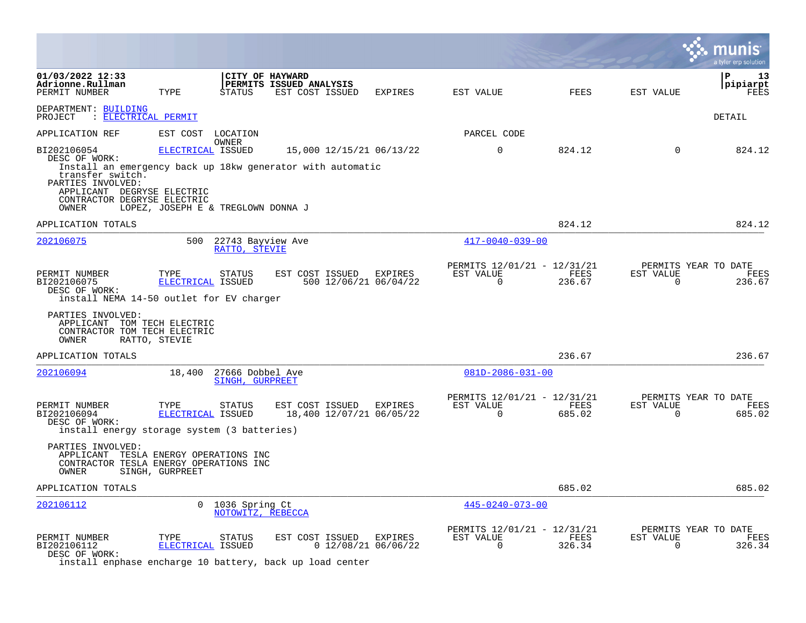|                                                                                                                                             |                                                         |                                            |                                                                                        |                                  |                                                      |                |                       | a tyler erp solution                   |
|---------------------------------------------------------------------------------------------------------------------------------------------|---------------------------------------------------------|--------------------------------------------|----------------------------------------------------------------------------------------|----------------------------------|------------------------------------------------------|----------------|-----------------------|----------------------------------------|
| 01/03/2022 12:33<br>Adrionne.Rullman<br>PERMIT NUMBER                                                                                       | TYPE                                                    | STATUS                                     | CITY OF HAYWARD<br>PERMITS ISSUED ANALYSIS<br>EST COST ISSUED                          | EXPIRES                          | EST VALUE                                            | FEES           | EST VALUE             | l P<br>13<br> pipiarpt<br>FEES         |
| DEPARTMENT: BUILDING<br>PROJECT : ELECTRICAL PERMIT                                                                                         |                                                         |                                            |                                                                                        |                                  |                                                      |                |                       | DETAIL                                 |
| APPLICATION REF                                                                                                                             | EST COST LOCATION                                       |                                            |                                                                                        |                                  | PARCEL CODE                                          |                |                       |                                        |
| BI202106054<br>DESC OF WORK:<br>transfer switch.<br>PARTIES INVOLVED:<br>APPLICANT DEGRYSE ELECTRIC<br>CONTRACTOR DEGRYSE ELECTRIC<br>OWNER | ELECTRICAL ISSUED<br>LOPEZ, JOSEPH E & TREGLOWN DONNA J | OWNER                                      | 15,000 12/15/21 06/13/22<br>Install an emergency back up 18kw generator with automatic |                                  | $\mathbf 0$                                          | 824.12         | $\mathbf 0$           | 824.12                                 |
| APPLICATION TOTALS                                                                                                                          |                                                         |                                            |                                                                                        |                                  |                                                      | 824.12         |                       | 824.12                                 |
| 202106075                                                                                                                                   |                                                         | 500 22743 Bayview Ave<br>RATTO, STEVIE     |                                                                                        |                                  | $417 - 0040 - 039 - 00$                              |                |                       |                                        |
| PERMIT NUMBER<br>BI202106075<br>DESC OF WORK:<br>install NEMA 14-50 outlet for EV charger                                                   | TYPE<br>ELECTRICAL ISSUED                               | <b>STATUS</b>                              | EST COST ISSUED                                                                        | EXPIRES<br>500 12/06/21 06/04/22 | PERMITS 12/01/21 - 12/31/21<br>EST VALUE<br>$\Omega$ | FEES<br>236.67 | EST VALUE<br>$\Omega$ | PERMITS YEAR TO DATE<br>FEES<br>236.67 |
| PARTIES INVOLVED:<br>APPLICANT TOM TECH ELECTRIC<br>CONTRACTOR TOM TECH ELECTRIC<br>OWNER                                                   | RATTO, STEVIE                                           |                                            |                                                                                        |                                  |                                                      |                |                       |                                        |
| APPLICATION TOTALS                                                                                                                          |                                                         |                                            |                                                                                        |                                  |                                                      | 236.67         |                       | 236.67                                 |
| 202106094                                                                                                                                   |                                                         | 18,400 27666 Dobbel Ave<br>SINGH. GURPREET |                                                                                        |                                  | $081D - 2086 - 031 - 00$                             |                |                       |                                        |
| PERMIT NUMBER<br>BI202106094<br>DESC OF WORK:<br>install energy storage system (3 batteries)                                                | TYPE<br>ELECTRICAL ISSUED                               | STATUS                                     | EST COST ISSUED EXPIRES<br>18,400 12/07/21 06/05/22                                    |                                  | PERMITS 12/01/21 - 12/31/21<br>EST VALUE<br>$\Omega$ | FEES<br>685.02 | EST VALUE<br>$\Omega$ | PERMITS YEAR TO DATE<br>FEES<br>685.02 |
| PARTIES INVOLVED:<br>APPLICANT TESLA ENERGY OPERATIONS INC<br>CONTRACTOR TESLA ENERGY OPERATIONS INC<br>OWNER                               | SINGH, GURPREET                                         |                                            |                                                                                        |                                  |                                                      |                |                       |                                        |
| APPLICATION TOTALS                                                                                                                          |                                                         |                                            |                                                                                        |                                  |                                                      | 685.02         |                       | 685.02                                 |
| 202106112                                                                                                                                   |                                                         | 0 1036 Spring Ct<br>NOTOWITZ, REBECCA      |                                                                                        |                                  | $445 - 0240 - 073 - 00$                              |                |                       |                                        |
| PERMIT NUMBER<br>BI202106112<br>DESC OF WORK:                                                                                               | TYPE<br>ELECTRICAL ISSUED                               | STATUS                                     | EST COST ISSUED EXPIRES<br>install enphase encharge 10 battery, back up load center    | 0 12/08/21 06/06/22              | PERMITS 12/01/21 - 12/31/21<br>EST VALUE<br>0        | FEES<br>326.34 | EST VALUE<br>0        | PERMITS YEAR TO DATE<br>FEES<br>326.34 |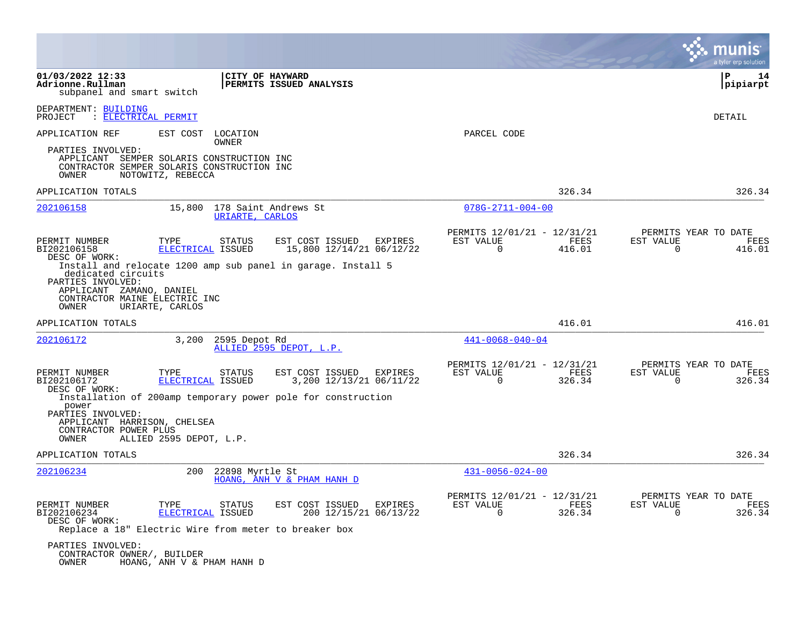|                                                                                                                                            |                                    |                                                                                                                        |                                                      |                |                                               | a tyler erp solution  |
|--------------------------------------------------------------------------------------------------------------------------------------------|------------------------------------|------------------------------------------------------------------------------------------------------------------------|------------------------------------------------------|----------------|-----------------------------------------------|-----------------------|
| 01/03/2022 12:33<br>Adrionne.Rullman<br>subpanel and smart switch                                                                          |                                    | CITY OF HAYWARD<br>PERMITS ISSUED ANALYSIS                                                                             |                                                      |                | l P                                           | 14<br> pipiarpt       |
| DEPARTMENT: BUILDING<br>: ELECTRICAL PERMIT<br>PROJECT                                                                                     |                                    |                                                                                                                        |                                                      |                | <b>DETAIL</b>                                 |                       |
| APPLICATION REF<br>EST COST                                                                                                                | LOCATION<br>OWNER                  |                                                                                                                        | PARCEL CODE                                          |                |                                               |                       |
| PARTIES INVOLVED:<br>APPLICANT SEMPER SOLARIS CONSTRUCTION INC<br>CONTRACTOR SEMPER SOLARIS CONSTRUCTION INC<br>OWNER<br>NOTOWITZ, REBECCA |                                    |                                                                                                                        |                                                      |                |                                               |                       |
| APPLICATION TOTALS                                                                                                                         |                                    |                                                                                                                        |                                                      | 326.34         |                                               | 326.34                |
| 202106158                                                                                                                                  | 15,800<br>URIARTE, CARLOS          | 178 Saint Andrews St                                                                                                   | $078G - 2711 - 004 - 00$                             |                |                                               |                       |
| PERMIT NUMBER<br>TYPE<br>BI202106158<br>DESC OF WORK:<br>dedicated circuits<br>PARTIES INVOLVED:                                           | STATUS<br>ELECTRICAL ISSUED        | EST COST ISSUED<br>EXPIRES<br>15,800 12/14/21 06/12/22<br>Install and relocate 1200 amp sub panel in garage. Install 5 | PERMITS 12/01/21 - 12/31/21<br>EST VALUE<br>$\Omega$ | FEES<br>416.01 | PERMITS YEAR TO DATE<br>EST VALUE<br>$\Omega$ | FEES<br>416.01        |
| APPLICANT ZAMANO, DANIEL<br>CONTRACTOR MAINE ELECTRIC INC<br>OWNER<br>URIARTE, CARLOS                                                      |                                    |                                                                                                                        |                                                      |                |                                               |                       |
| APPLICATION TOTALS                                                                                                                         |                                    |                                                                                                                        |                                                      | 416.01         |                                               | 416.01                |
| 202106172                                                                                                                                  | 3,200<br>2595 Depot Rd             | ALLIED 2595 DEPOT, L.P.                                                                                                | $441 - 0068 - 040 - 04$                              |                |                                               |                       |
| PERMIT NUMBER<br>TYPE<br>BI202106172<br>DESC OF WORK:                                                                                      | <b>STATUS</b><br>ELECTRICAL ISSUED | EST COST ISSUED<br>EXPIRES<br>3,200 12/13/21 06/11/22                                                                  | PERMITS 12/01/21 - 12/31/21<br>EST VALUE<br>$\Omega$ | FEES<br>326.34 | PERMITS YEAR TO DATE<br>EST VALUE<br>$\Omega$ | FEES<br>326.34        |
| power<br>PARTIES INVOLVED:<br>APPLICANT HARRISON, CHELSEA<br>CONTRACTOR POWER PLUS<br>OWNER                                                | ALLIED 2595 DEPOT, L.P.            | Installation of 200amp temporary power pole for construction                                                           |                                                      |                |                                               |                       |
| APPLICATION TOTALS                                                                                                                         |                                    |                                                                                                                        |                                                      | 326.34         |                                               | 326.34                |
| 202106234                                                                                                                                  | 200<br>22898 Myrtle St             | HOANG, ANH V & PHAM HANH D                                                                                             | $431 - 0056 - 024 - 00$                              |                |                                               |                       |
| PERMIT NUMBER<br>TYPE<br>BI202106234<br>DESC OF WORK:<br>Replace a 18" Electric Wire from meter to breaker box                             | STATUS<br>ELECTRICAL ISSUED        | EST COST ISSUED<br>EXPIRES<br>200 12/15/21 06/13/22                                                                    | PERMITS 12/01/21 - 12/31/21<br>EST VALUE<br>$\Omega$ | FEES<br>326.34 | PERMITS YEAR TO DATE<br>EST VALUE<br>$\Omega$ | <b>FEES</b><br>326.34 |
| PARTIES INVOLVED:<br>CONTRACTOR OWNER/, BUILDER<br>OWNER                                                                                   | HOANG, ANH V & PHAM HANH D         |                                                                                                                        |                                                      |                |                                               |                       |

 $\mathcal{L}^{\text{max}}$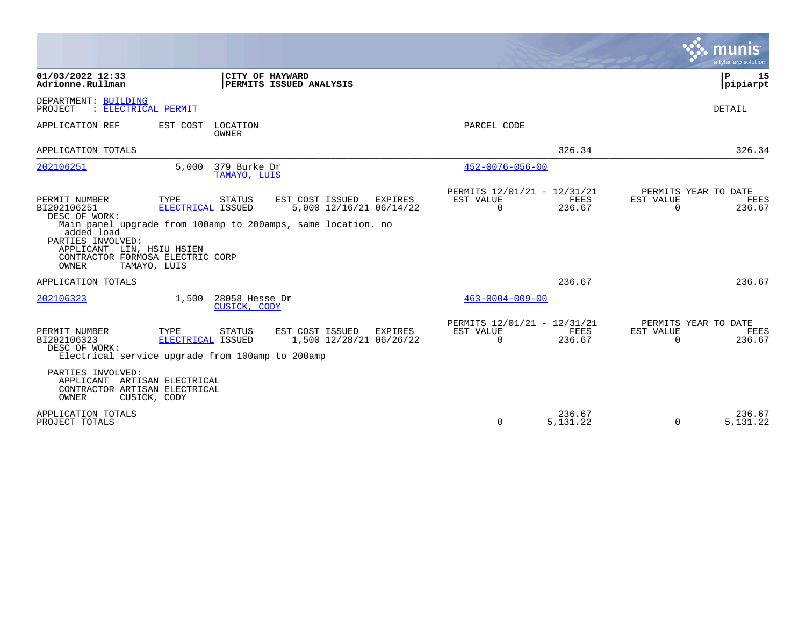|                                                                                                                                                            |                                           |                                |                                                                                                                       |                                               |                      |                          | munis<br>a tyler erp solution          |
|------------------------------------------------------------------------------------------------------------------------------------------------------------|-------------------------------------------|--------------------------------|-----------------------------------------------------------------------------------------------------------------------|-----------------------------------------------|----------------------|--------------------------|----------------------------------------|
| 01/03/2022 12:33<br>Adrionne.Rullman                                                                                                                       |                                           | CITY OF HAYWARD                | PERMITS ISSUED ANALYSIS                                                                                               |                                               |                      |                          | ΙP<br>15<br> pipiarpt                  |
| DEPARTMENT: BUILDING<br>: ELECTRICAL PERMIT<br>PROJECT                                                                                                     |                                           |                                |                                                                                                                       |                                               |                      |                          | <b>DETAIL</b>                          |
| APPLICATION REF                                                                                                                                            | EST COST                                  | LOCATION<br><b>OWNER</b>       |                                                                                                                       | PARCEL CODE                                   |                      |                          |                                        |
| APPLICATION TOTALS                                                                                                                                         |                                           |                                |                                                                                                                       |                                               | 326.34               |                          | 326.34                                 |
| 202106251                                                                                                                                                  | 5,000                                     | 379 Burke Dr<br>TAMAYO, LUIS   |                                                                                                                       | $452 - 0076 - 056 - 00$                       |                      |                          |                                        |
| PERMIT NUMBER<br>BI202106251<br>DESC OF WORK:<br>added load<br>PARTIES INVOLVED:<br>APPLICANT LIN, HSIU HSIEN<br>CONTRACTOR FORMOSA ELECTRIC CORP<br>OWNER | TYPE<br>ELECTRICAL ISSUED<br>TAMAYO, LUIS | STATUS                         | EST COST ISSUED<br>EXPIRES<br>5,000 12/16/21 06/14/22<br>Main panel upgrade from 100amp to 200amps, same location. no | PERMITS 12/01/21 - 12/31/21<br>EST VALUE<br>0 | FEES<br>236.67       | EST VALUE<br>$\mathbf 0$ | PERMITS YEAR TO DATE<br>FEES<br>236.67 |
| APPLICATION TOTALS                                                                                                                                         |                                           |                                |                                                                                                                       |                                               | 236.67               |                          | 236.67                                 |
| 202106323                                                                                                                                                  | 1,500                                     | 28058 Hesse Dr<br>CUSICK, CODY |                                                                                                                       | $463 - 0004 - 009 - 00$                       |                      |                          |                                        |
| PERMIT NUMBER<br>BI202106323<br>DESC OF WORK:<br>Electrical service upgrade from 100amp to 200amp                                                          | TYPE<br>ELECTRICAL ISSUED                 | <b>STATUS</b>                  | EST COST ISSUED<br>EXPIRES<br>1,500 12/28/21 06/26/22                                                                 | PERMITS 12/01/21 - 12/31/21<br>EST VALUE<br>0 | FEES<br>236.67       | EST VALUE<br>$\mathbf 0$ | PERMITS YEAR TO DATE<br>FEES<br>236.67 |
| PARTIES INVOLVED:<br>APPLICANT ARTISAN ELECTRICAL<br>CONTRACTOR ARTISAN ELECTRICAL<br>OWNER                                                                | CUSICK, CODY                              |                                |                                                                                                                       |                                               |                      |                          |                                        |
| APPLICATION TOTALS<br>PROJECT TOTALS                                                                                                                       |                                           |                                |                                                                                                                       | 0                                             | 236.67<br>5, 131. 22 | $\Omega$                 | 236.67<br>5, 131. 22                   |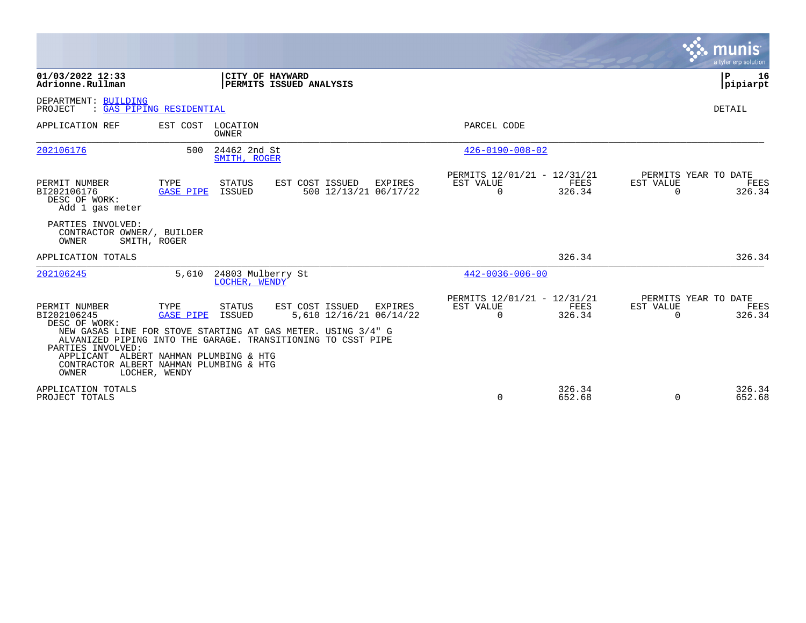|                                                                                                                                     |                                                                           |                                    |                                                                                                                                                                            |                |                                                      |                       |                       | <b>munis</b><br>a tyler erp solution   |
|-------------------------------------------------------------------------------------------------------------------------------------|---------------------------------------------------------------------------|------------------------------------|----------------------------------------------------------------------------------------------------------------------------------------------------------------------------|----------------|------------------------------------------------------|-----------------------|-----------------------|----------------------------------------|
| 01/03/2022 12:33<br>Adrionne.Rullman                                                                                                |                                                                           | CITY OF HAYWARD                    | PERMITS ISSUED ANALYSIS                                                                                                                                                    |                |                                                      |                       |                       | P<br>16<br>pipiarpt                    |
| DEPARTMENT: BUILDING<br>PROJECT                                                                                                     | : GAS PIPING RESIDENTIAL                                                  |                                    |                                                                                                                                                                            |                |                                                      |                       |                       | <b>DETAIL</b>                          |
| APPLICATION REF                                                                                                                     | EST COST                                                                  | LOCATION<br>OWNER                  |                                                                                                                                                                            |                | PARCEL CODE                                          |                       |                       |                                        |
| 202106176                                                                                                                           | 500                                                                       | 24462 2nd St<br>SMITH, ROGER       |                                                                                                                                                                            |                | $426 - 0190 - 008 - 02$                              |                       |                       |                                        |
| PERMIT NUMBER<br>BI202106176<br>DESC OF WORK:<br>Add 1 gas meter                                                                    | TYPE<br><b>GASE PIPE</b>                                                  | <b>STATUS</b><br>ISSUED            | EST COST ISSUED<br>500 12/13/21 06/17/22                                                                                                                                   | <b>EXPIRES</b> | PERMITS 12/01/21 - 12/31/21<br>EST VALUE<br>$\Omega$ | FEES<br>326.34        | EST VALUE<br>$\Omega$ | PERMITS YEAR TO DATE<br>FEES<br>326.34 |
| PARTIES INVOLVED:<br>CONTRACTOR OWNER/, BUILDER<br>OWNER                                                                            | SMITH, ROGER                                                              |                                    |                                                                                                                                                                            |                |                                                      |                       |                       |                                        |
| APPLICATION TOTALS                                                                                                                  |                                                                           |                                    |                                                                                                                                                                            |                |                                                      | 326.34                |                       | 326.34                                 |
| 202106245                                                                                                                           | 5,610                                                                     | 24803 Mulberry St<br>LOCHER, WENDY |                                                                                                                                                                            |                | $442 - 0036 - 006 - 00$                              |                       |                       |                                        |
| PERMIT NUMBER<br>BI202106245<br>DESC OF WORK:<br>PARTIES INVOLVED:<br>APPLICANT<br>CONTRACTOR ALBERT NAHMAN PLUMBING & HTG<br>OWNER | TYPE<br><b>GASE PIPE</b><br>ALBERT NAHMAN PLUMBING & HTG<br>LOCHER, WENDY | STATUS<br>ISSUED                   | EST COST ISSUED<br>5,610 12/16/21 06/14/22<br>NEW GASAS LINE FOR STOVE STARTING AT GAS METER. USING 3/4" G<br>ALVANIZED PIPING INTO THE GARAGE. TRANSITIONING TO CSST PIPE | EXPIRES        | PERMITS 12/01/21 - 12/31/21<br>EST VALUE<br>$\Omega$ | <b>FEES</b><br>326.34 | EST VALUE<br>$\Omega$ | PERMITS YEAR TO DATE<br>FEES<br>326.34 |
| APPLICATION TOTALS<br>PROJECT TOTALS                                                                                                |                                                                           |                                    |                                                                                                                                                                            |                | $\Omega$                                             | 326.34<br>652.68      | $\Omega$              | 326.34<br>652.68                       |

and the contract of the contract of the contract of the contract of the contract of the contract of the contract of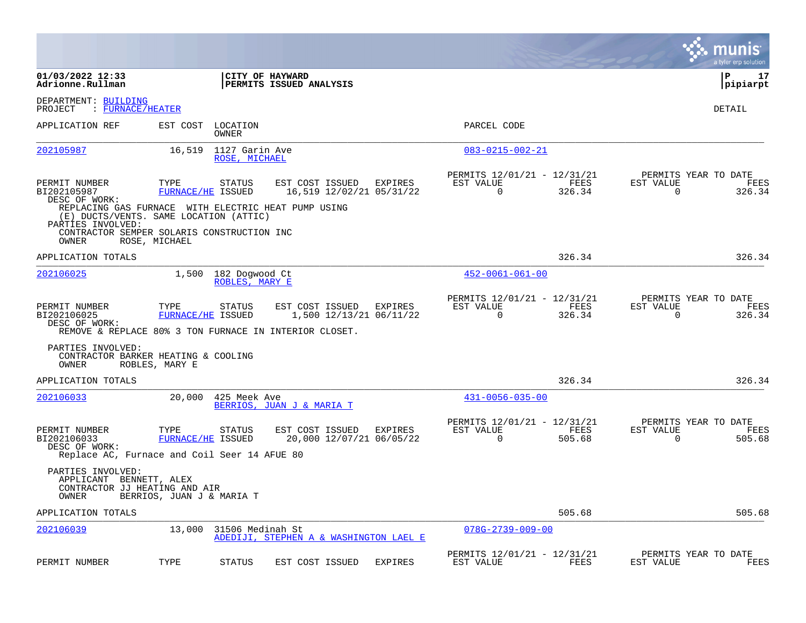|                                                                                                                    |                                  |                                  |                                                        |                |                                                      |                |                          | munis<br>a tyler erp solution          |
|--------------------------------------------------------------------------------------------------------------------|----------------------------------|----------------------------------|--------------------------------------------------------|----------------|------------------------------------------------------|----------------|--------------------------|----------------------------------------|
| 01/03/2022 12:33<br>Adrionne.Rullman                                                                               |                                  |                                  | CITY OF HAYWARD<br>PERMITS ISSUED ANALYSIS             |                |                                                      |                |                          | l P<br>17<br> pipiarpt                 |
| DEPARTMENT: BUILDING<br>: FURNACE/HEATER<br>PROJECT                                                                |                                  |                                  |                                                        |                |                                                      |                |                          | DETAIL                                 |
| APPLICATION REF                                                                                                    | EST COST                         | LOCATION<br><b>OWNER</b>         |                                                        |                | PARCEL CODE                                          |                |                          |                                        |
| 202105987                                                                                                          | 16,519                           | 1127 Garin Ave<br>ROSE, MICHAEL  |                                                        |                | $083 - 0215 - 002 - 21$                              |                |                          |                                        |
| PERMIT NUMBER<br>BI202105987<br>DESC OF WORK:                                                                      | TYPE                             | STATUS<br>FURNACE/HE ISSUED      | EST COST ISSUED<br>16,519 12/02/21 05/31/22            | <b>EXPIRES</b> | PERMITS 12/01/21 - 12/31/21<br>EST VALUE<br>$\Omega$ | FEES<br>326.34 | EST VALUE<br>$\Omega$    | PERMITS YEAR TO DATE<br>FEES<br>326.34 |
| REPLACING GAS FURNACE WITH ELECTRIC HEAT PUMP USING<br>(E) DUCTS/VENTS. SAME LOCATION (ATTIC)<br>PARTIES INVOLVED: |                                  |                                  |                                                        |                |                                                      |                |                          |                                        |
| CONTRACTOR SEMPER SOLARIS CONSTRUCTION INC<br>OWNER                                                                | ROSE, MICHAEL                    |                                  |                                                        |                |                                                      |                |                          |                                        |
| APPLICATION TOTALS                                                                                                 |                                  |                                  |                                                        |                |                                                      | 326.34         |                          | 326.34                                 |
| 202106025                                                                                                          | 1,500                            | 182 Dogwood Ct<br>ROBLES, MARY E |                                                        |                | $452 - 0061 - 061 - 00$                              |                |                          |                                        |
| PERMIT NUMBER<br>BI202106025<br>DESC OF WORK:                                                                      | TYPE<br>FURNACE/HE ISSUED        | STATUS                           | EST COST ISSUED<br>1,500 12/13/21 06/11/22             | <b>EXPIRES</b> | PERMITS 12/01/21 - 12/31/21<br>EST VALUE<br>0        | FEES<br>326.34 | EST VALUE<br>$\mathbf 0$ | PERMITS YEAR TO DATE<br>FEES<br>326.34 |
|                                                                                                                    |                                  |                                  | REMOVE & REPLACE 80% 3 TON FURNACE IN INTERIOR CLOSET. |                |                                                      |                |                          |                                        |
| PARTIES INVOLVED:<br>CONTRACTOR BARKER HEATING & COOLING<br>OWNER                                                  | ROBLES, MARY E                   |                                  |                                                        |                |                                                      |                |                          |                                        |
| APPLICATION TOTALS                                                                                                 |                                  |                                  |                                                        |                |                                                      | 326.34         |                          | 326.34                                 |
| 202106033                                                                                                          | 20,000                           | 425 Meek Ave                     | BERRIOS, JUAN J & MARIA T                              |                | $431 - 0056 - 035 - 00$                              |                |                          |                                        |
| PERMIT NUMBER<br>BI202106033<br>DESC OF WORK:<br>Replace AC, Furnace and Coil Seer 14 AFUE 80                      | TYPE<br><b>FURNACE/HE ISSUED</b> | <b>STATUS</b>                    | EST COST ISSUED<br>20,000 12/07/21 06/05/22            | EXPIRES        | PERMITS 12/01/21 - 12/31/21<br>EST VALUE<br>0        | FEES<br>505.68 | EST VALUE<br>0           | PERMITS YEAR TO DATE<br>FEES<br>505.68 |
| PARTIES INVOLVED:<br>APPLICANT BENNETT, ALEX<br>CONTRACTOR JJ HEATING AND AIR<br>OWNER                             | BERRIOS, JUAN J & MARIA T        |                                  |                                                        |                |                                                      |                |                          |                                        |
| APPLICATION TOTALS                                                                                                 |                                  |                                  |                                                        |                |                                                      | 505.68         |                          | 505.68                                 |
| 202106039                                                                                                          | 13,000                           | 31506 Medinah St                 | ADEDIJI, STEPHEN A & WASHINGTON LAEL E                 |                | $078G - 2739 - 009 - 00$                             |                |                          |                                        |
| PERMIT NUMBER                                                                                                      | TYPE                             | <b>STATUS</b>                    | EST COST ISSUED                                        | <b>EXPIRES</b> | PERMITS 12/01/21 - 12/31/21<br>EST VALUE             | FEES           | EST VALUE                | PERMITS YEAR TO DATE<br>FEES           |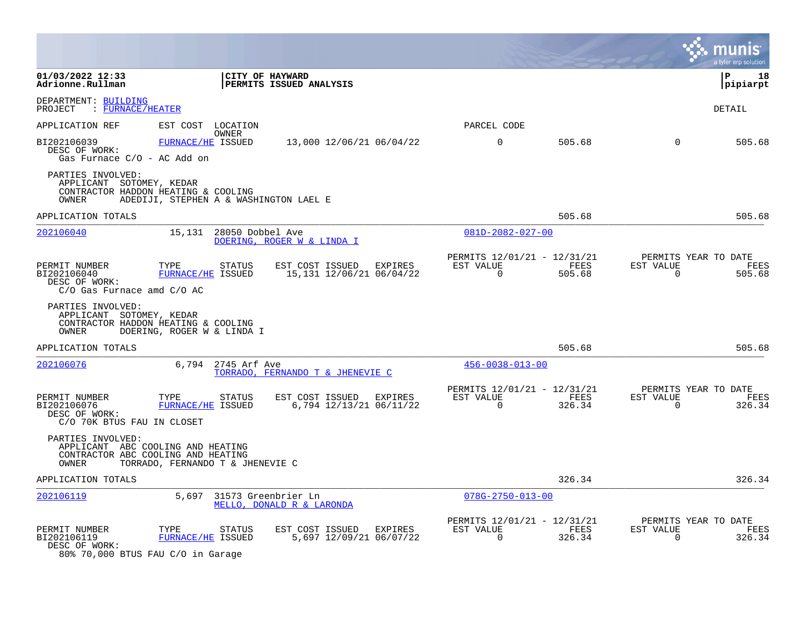|                                                                                 |                                                                                                             |                                                        |                                                      |                |                          | a tyler erp solution                   |
|---------------------------------------------------------------------------------|-------------------------------------------------------------------------------------------------------------|--------------------------------------------------------|------------------------------------------------------|----------------|--------------------------|----------------------------------------|
| 01/03/2022 12:33<br>Adrionne.Rullman                                            |                                                                                                             | CITY OF HAYWARD<br><b>PERMITS ISSUED ANALYSIS</b>      |                                                      |                |                          | l P<br>18<br> pipiarpt                 |
| DEPARTMENT: BUILDING<br>PROJECT : FURNACE/HEATER                                |                                                                                                             |                                                        |                                                      |                |                          | <b>DETAIL</b>                          |
| APPLICATION REF                                                                 | EST COST LOCATION                                                                                           |                                                        | PARCEL CODE                                          |                |                          |                                        |
| BI202106039<br>DESC OF WORK:<br>Gas Furnace C/O - AC Add on                     | OWNER<br>FURNACE/HE ISSUED                                                                                  | 13,000 12/06/21 06/04/22                               | $\mathbf 0$                                          | 505.68         | $\mathbf 0$              | 505.68                                 |
| PARTIES INVOLVED:<br>APPLICANT SOTOMEY, KEDAR<br>OWNER                          | CONTRACTOR HADDON HEATING & COOLING<br>ADEDIJI, STEPHEN A & WASHINGTON LAEL E                               |                                                        |                                                      |                |                          |                                        |
| APPLICATION TOTALS                                                              |                                                                                                             |                                                        |                                                      | 505.68         |                          | 505.68                                 |
| 202106040                                                                       | 15,131<br>28050 Dobbel Ave                                                                                  | DOERING, ROGER W & LINDA I                             | $081D - 2082 - 027 - 00$                             |                |                          |                                        |
| PERMIT NUMBER<br>BI202106040<br>DESC OF WORK:<br>$C/O$ Gas Furnace amd $C/O$ AC | TYPE<br><b>STATUS</b><br>FURNACE/HE ISSUED                                                                  | EST COST ISSUED<br>EXPIRES<br>15,131 12/06/21 06/04/22 | PERMITS 12/01/21 - 12/31/21<br>EST VALUE<br>$\Omega$ | FEES<br>505.68 | EST VALUE<br>$\Omega$    | PERMITS YEAR TO DATE<br>FEES<br>505.68 |
| PARTIES INVOLVED:<br>APPLICANT SOTOMEY, KEDAR<br>OWNER                          | CONTRACTOR HADDON HEATING & COOLING<br>DOERING, ROGER W & LINDA I                                           |                                                        |                                                      |                |                          |                                        |
| APPLICATION TOTALS                                                              |                                                                                                             |                                                        |                                                      | 505.68         |                          | 505.68                                 |
| 202106076                                                                       | 6,794<br>2745 Arf Ave                                                                                       | TORRADO, FERNANDO T & JHENEVIE C                       | $456 - 0038 - 013 - 00$                              |                |                          |                                        |
| PERMIT NUMBER<br>BI202106076<br>DESC OF WORK:<br>C/O 70K BTUS FAU IN CLOSET     | TYPE<br>STATUS<br>FURNACE/HE ISSUED                                                                         | EST COST ISSUED<br>EXPIRES<br>6,794 12/13/21 06/11/22  | PERMITS 12/01/21 - 12/31/21<br>EST VALUE<br>$\Omega$ | FEES<br>326.34 | EST VALUE<br>$\Omega$    | PERMITS YEAR TO DATE<br>FEES<br>326.34 |
| PARTIES INVOLVED:<br>OWNER                                                      | APPLICANT ABC COOLING AND HEATING<br>CONTRACTOR ABC COOLING AND HEATING<br>TORRADO, FERNANDO T & JHENEVIE C |                                                        |                                                      |                |                          |                                        |
| APPLICATION TOTALS                                                              |                                                                                                             |                                                        |                                                      | 326.34         |                          | 326.34                                 |
| 202106119                                                                       | 5,697                                                                                                       | 31573 Greenbrier Ln<br>MELLO, DONALD R & LARONDA       | $078G - 2750 - 013 - 00$                             |                |                          |                                        |
| PERMIT NUMBER<br>BI202106119<br>DESC OF WORK:                                   | TYPE<br>STATUS<br>FURNACE/HE ISSUED                                                                         | EST COST ISSUED<br>EXPIRES<br>5,697 12/09/21 06/07/22  | PERMITS 12/01/21 - 12/31/21<br>EST VALUE<br>0        | FEES<br>326.34 | EST VALUE<br>$\mathbf 0$ | PERMITS YEAR TO DATE<br>FEES<br>326.34 |

80% 70,000 BTUS FAU C/O in Garage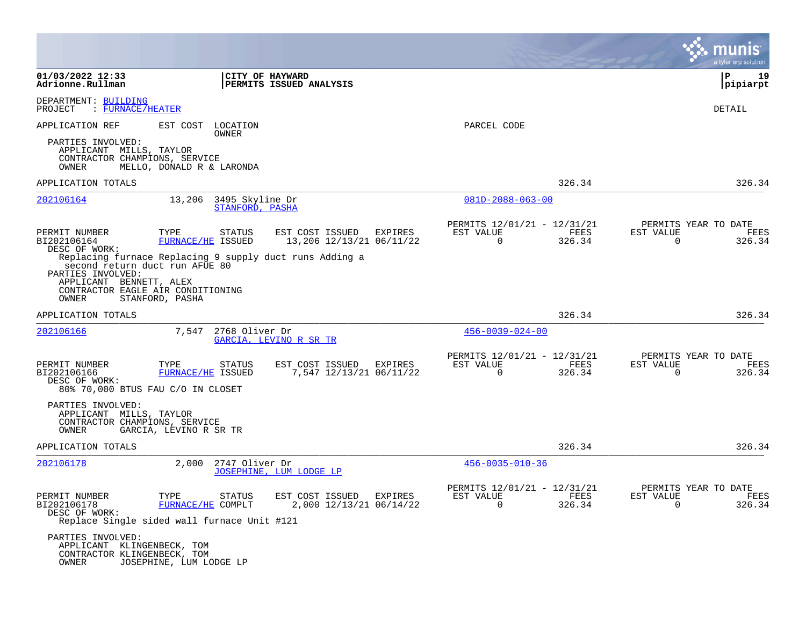|                                                                                                                              |                                  |                 |                                                         |             |                                                              |                          | munis<br>a tyler erp solution          |
|------------------------------------------------------------------------------------------------------------------------------|----------------------------------|-----------------|---------------------------------------------------------|-------------|--------------------------------------------------------------|--------------------------|----------------------------------------|
| $01/03/2022$ 12:33<br>Adrionne.Rullman                                                                                       |                                  | CITY OF HAYWARD | PERMITS ISSUED ANALYSIS                                 |             |                                                              |                          | P<br>19<br> pipiarpt                   |
| DEPARTMENT: BUILDING<br>: FURNACE/HEATER<br>PROJECT                                                                          |                                  |                 |                                                         |             |                                                              |                          | DETAIL                                 |
| APPLICATION REF                                                                                                              | EST COST LOCATION                | OWNER           |                                                         | PARCEL CODE |                                                              |                          |                                        |
| PARTIES INVOLVED:<br>APPLICANT MILLS, TAYLOR<br>CONTRACTOR CHAMPIONS, SERVICE<br>OWNER                                       | MELLO, DONALD R & LARONDA        |                 |                                                         |             |                                                              |                          |                                        |
| APPLICATION TOTALS                                                                                                           |                                  |                 |                                                         |             | 326.34                                                       |                          | 326.34                                 |
| 202106164                                                                                                                    | 13,206 3495 Skyline Dr           | STANFORD, PASHA |                                                         |             | $081D - 2088 - 063 - 00$                                     |                          |                                        |
| PERMIT NUMBER<br>BI202106164<br>DESC OF WORK:                                                                                | TYPE<br>FURNACE/HE ISSUED        | STATUS          | EST COST ISSUED<br>EXPIRES<br>13,206 12/13/21 06/11/22  | EST VALUE   | PERMITS 12/01/21 - 12/31/21<br>FEES<br>$\mathbf 0$<br>326.34 | EST VALUE<br>$\mathbf 0$ | PERMITS YEAR TO DATE<br>FEES<br>326.34 |
| second return duct run AFUE 80<br>PARTIES INVOLVED:<br>APPLICANT BENNETT, ALEX<br>CONTRACTOR EAGLE AIR CONDITIONING<br>OWNER | STANFORD, PASHA                  |                 | Replacing furnace Replacing 9 supply duct runs Adding a |             |                                                              |                          |                                        |
| APPLICATION TOTALS                                                                                                           |                                  |                 |                                                         |             | 326.34                                                       |                          | 326.34                                 |
| 202106166                                                                                                                    | 7,547 2768 Oliver Dr             |                 | GARCIA, LEVINO R SR TR                                  |             | $456 - 0039 - 024 - 00$                                      |                          |                                        |
| PERMIT NUMBER<br>BI202106166<br>DESC OF WORK:<br>80% 70,000 BTUS FAU C/O IN CLOSET                                           | TYPE<br><b>FURNACE/HE ISSUED</b> | STATUS          | EST COST ISSUED<br>EXPIRES<br>7,547 12/13/21 06/11/22   | EST VALUE   | PERMITS 12/01/21 - 12/31/21<br>FEES<br>326.34<br>$\Omega$    | EST VALUE<br>$\Omega$    | PERMITS YEAR TO DATE<br>FEES<br>326.34 |
| PARTIES INVOLVED:<br>APPLICANT MILLS, TAYLOR<br>CONTRACTOR CHAMPIONS, SERVICE<br>OWNER                                       | GARCIA, LEVINO R SR TR           |                 |                                                         |             |                                                              |                          |                                        |
| APPLICATION TOTALS                                                                                                           |                                  |                 |                                                         |             | 326.34                                                       |                          | 326.34                                 |
| 202106178                                                                                                                    | 2,000                            | 2747 Oliver Dr  | JOSEPHINE, LUM LODGE LP                                 |             | $456 - 0035 - 010 - 36$                                      |                          |                                        |
| PERMIT NUMBER<br>BI202106178<br>DESC OF WORK:<br>Replace Single sided wall furnace Unit #121                                 | TYPE<br><b>FURNACE/HE COMPLT</b> | STATUS          | EST COST ISSUED EXPIRES<br>2,000 12/13/21 06/14/22      | EST VALUE   | PERMITS 12/01/21 - 12/31/21<br>FEES<br>$\Omega$<br>326.34    | EST VALUE<br>$\Omega$    | PERMITS YEAR TO DATE<br>FEES<br>326.34 |
| PARTIES INVOLVED:<br>APPLICANT KLINGENBECK, TOM<br>CONTRACTOR KLINGENBECK, TOM<br>OWNER                                      | JOSEPHINE, LUM LODGE LP          |                 |                                                         |             |                                                              |                          |                                        |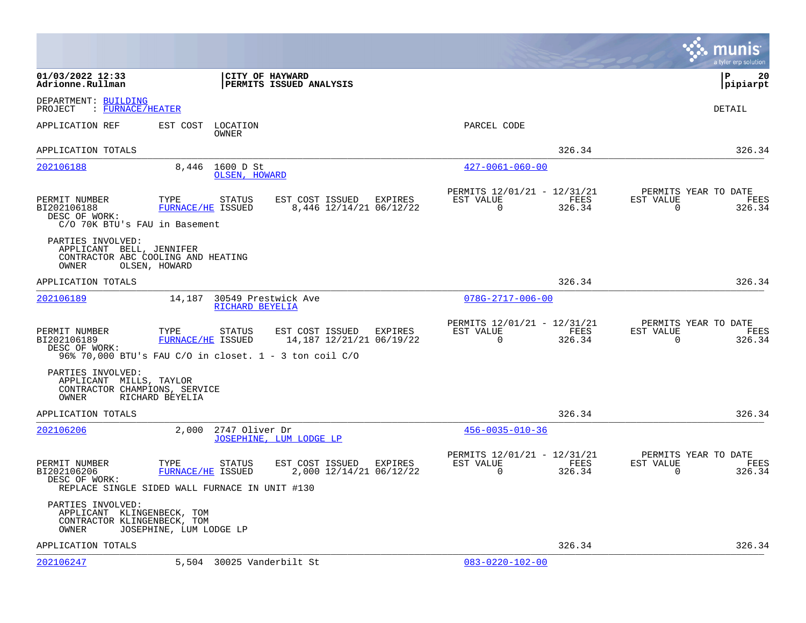|                                                                                                 |                                  |                            |                                                                                                                  |           |                                            |                |                          | munis<br>a tyler erp solution                 |
|-------------------------------------------------------------------------------------------------|----------------------------------|----------------------------|------------------------------------------------------------------------------------------------------------------|-----------|--------------------------------------------|----------------|--------------------------|-----------------------------------------------|
| 01/03/2022 12:33<br>Adrionne.Rullman                                                            |                                  |                            | CITY OF HAYWARD<br>PERMITS ISSUED ANALYSIS                                                                       |           |                                            |                |                          | l P<br>20<br> pipiarpt                        |
| DEPARTMENT: BUILDING<br>: FURNACE/HEATER<br>PROJECT                                             |                                  |                            |                                                                                                                  |           |                                            |                |                          | DETAIL                                        |
| APPLICATION REF                                                                                 | EST COST                         | LOCATION<br>OWNER          |                                                                                                                  |           | PARCEL CODE                                |                |                          |                                               |
| APPLICATION TOTALS                                                                              |                                  |                            |                                                                                                                  |           |                                            | 326.34         |                          | 326.34                                        |
| 202106188                                                                                       | 8,446                            | 1600 D St<br>OLSEN, HOWARD |                                                                                                                  |           | $427 - 0061 - 060 - 00$                    |                |                          |                                               |
| PERMIT NUMBER<br>BI202106188<br>DESC OF WORK:<br>C/O 70K BTU's FAU in Basement                  | TYPE<br>FURNACE/HE ISSUED        | STATUS                     | EST COST ISSUED<br>EXPIRES<br>8,446 12/14/21 06/12/22                                                            | EST VALUE | PERMITS 12/01/21 - 12/31/21<br>$\mathbf 0$ | FEES<br>326.34 | EST VALUE<br>$\mathbf 0$ | PERMITS YEAR TO DATE<br>FEES<br>326.34        |
| PARTIES INVOLVED:<br>APPLICANT BELL, JENNIFER<br>CONTRACTOR ABC COOLING AND HEATING<br>OWNER    | OLSEN, HOWARD                    |                            |                                                                                                                  |           |                                            |                |                          |                                               |
| APPLICATION TOTALS                                                                              |                                  |                            |                                                                                                                  |           |                                            | 326.34         |                          | 326.34                                        |
| <u>202106189</u>                                                                                | 14,187                           | RICHARD BEYELIA            | 30549 Prestwick Ave                                                                                              |           | $078G - 2717 - 006 - 00$                   |                |                          |                                               |
| PERMIT NUMBER<br>BI202106189<br>DESC OF WORK:                                                   | TYPE<br>FURNACE/HE ISSUED        | <b>STATUS</b>              | EST COST ISSUED<br>EXPIRES<br>14,187 12/21/21 06/19/22<br>96% 70,000 BTU's FAU C/O in closet. 1 - 3 ton coil C/O | EST VALUE | PERMITS 12/01/21 - 12/31/21<br>0           | FEES<br>326.34 | EST VALUE<br>0           | PERMITS YEAR TO DATE<br><b>FEES</b><br>326.34 |
| PARTIES INVOLVED:<br>APPLICANT MILLS, TAYLOR<br>CONTRACTOR CHAMPIONS, SERVICE<br>OWNER          | RICHARD BEYELIA                  |                            |                                                                                                                  |           |                                            |                |                          |                                               |
| APPLICATION TOTALS                                                                              |                                  |                            |                                                                                                                  |           |                                            | 326.34         |                          | 326.34                                        |
| 202106206                                                                                       | 2,000                            | 2747 Oliver Dr             | JOSEPHINE, LUM LODGE LP                                                                                          |           | $456 - 0035 - 010 - 36$                    |                |                          |                                               |
| PERMIT NUMBER<br>BI202106206<br>DESC OF WORK:<br>REPLACE SINGLE SIDED WALL FURNACE IN UNIT #130 | TYPE<br><b>FURNACE/HE ISSUED</b> | STATUS                     | EST COST ISSUED<br>EXPIRES<br>2,000 12/14/21 06/12/22                                                            | EST VALUE | PERMITS 12/01/21 - 12/31/21<br>0           | FEES<br>326.34 | EST VALUE<br>0           | PERMITS YEAR TO DATE<br>FEES<br>326.34        |
| PARTIES INVOLVED:<br>APPLICANT KLINGENBECK, TOM<br>CONTRACTOR KLINGENBECK, TOM<br>OWNER         | JOSEPHINE, LUM LODGE LP          |                            |                                                                                                                  |           |                                            |                |                          |                                               |
| APPLICATION TOTALS                                                                              |                                  |                            |                                                                                                                  |           |                                            | 326.34         |                          | 326.34                                        |
| 202106247                                                                                       |                                  | 5,504 30025 Vanderbilt St  |                                                                                                                  |           | $083 - 0220 - 102 - 00$                    |                |                          |                                               |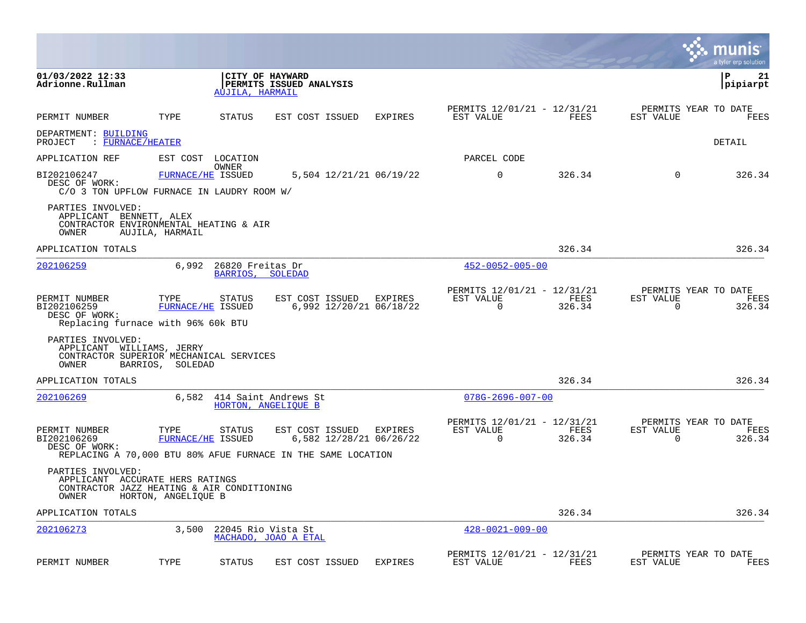|                                                                                                             |                           |                                      |                                                                                                            |         |                                                      |                | a tyler erp solution                                            |
|-------------------------------------------------------------------------------------------------------------|---------------------------|--------------------------------------|------------------------------------------------------------------------------------------------------------|---------|------------------------------------------------------|----------------|-----------------------------------------------------------------|
| 01/03/2022 12:33<br>Adrionne.Rullman                                                                        |                           | AUJILA, HARMAIL                      | CITY OF HAYWARD<br>PERMITS ISSUED ANALYSIS                                                                 |         |                                                      |                | ΙP<br>21<br> pipiarpt                                           |
| PERMIT NUMBER                                                                                               | TYPE                      | STATUS                               | EST COST ISSUED                                                                                            | EXPIRES | PERMITS 12/01/21 - 12/31/21<br>EST VALUE             | FEES           | PERMITS YEAR TO DATE<br>EST VALUE<br>FEES                       |
| DEPARTMENT: BUILDING<br>$:$ FURNACE/HEATER<br>PROJECT                                                       |                           |                                      |                                                                                                            |         |                                                      |                | DETAIL                                                          |
| APPLICATION REF                                                                                             |                           | EST COST LOCATION                    |                                                                                                            |         | PARCEL CODE                                          |                |                                                                 |
| BI202106247<br>DESC OF WORK:<br>$C/O$ 3 TON UPFLOW FURNACE IN LAUDRY ROOM W/                                | FURNACE/HE ISSUED         | OWNER                                | 5,504 12/21/21 06/19/22                                                                                    |         | $\mathbf 0$                                          | 326.34         | 0<br>326.34                                                     |
| PARTIES INVOLVED:<br>APPLICANT BENNETT, ALEX<br>CONTRACTOR ENVIRONMENTAL HEATING & AIR<br>OWNER             | AUJILA, HARMAIL           |                                      |                                                                                                            |         |                                                      |                |                                                                 |
| APPLICATION TOTALS                                                                                          |                           |                                      |                                                                                                            |         |                                                      | 326.34         | 326.34                                                          |
| 202106259                                                                                                   | 6,992                     | 26820 Freitas Dr<br>BARRIOS, SOLEDAD |                                                                                                            |         | $452 - 0052 - 005 - 00$                              |                |                                                                 |
| PERMIT NUMBER<br>BI202106259<br>DESC OF WORK:<br>Replacing furnace with 96% 60k BTU                         | TYPE<br>FURNACE/HE ISSUED | STATUS                               | EST COST ISSUED EXPIRES<br>6,992 12/20/21 06/18/22                                                         |         | PERMITS 12/01/21 - 12/31/21<br>EST VALUE<br>$\Omega$ | FEES<br>326.34 | PERMITS YEAR TO DATE<br>EST VALUE<br>FEES<br>$\Omega$<br>326.34 |
| PARTIES INVOLVED:<br>APPLICANT WILLIAMS, JERRY<br>CONTRACTOR SUPERIOR MECHANICAL SERVICES<br>OWNER          | BARRIOS, SOLEDAD          |                                      |                                                                                                            |         |                                                      |                |                                                                 |
| APPLICATION TOTALS                                                                                          |                           |                                      |                                                                                                            |         |                                                      | 326.34         | 326.34                                                          |
| 202106269                                                                                                   |                           |                                      | 6,582 414 Saint Andrews St<br>HORTON, ANGELIQUE B                                                          |         | $078G - 2696 - 007 - 00$                             |                |                                                                 |
| PERMIT NUMBER<br>BI202106269<br>DESC OF WORK:                                                               | TYPE<br>FURNACE/HE ISSUED | STATUS                               | EST COST ISSUED<br>6,582 12/28/21 06/26/22<br>REPLACING A 70,000 BTU 80% AFUE FURNACE IN THE SAME LOCATION | EXPIRES | PERMITS 12/01/21 - 12/31/21<br>EST VALUE<br>$\Omega$ | FEES<br>326.34 | PERMITS YEAR TO DATE<br>EST VALUE<br>FEES<br>326.34<br>$\Omega$ |
| PARTIES INVOLVED:<br>APPLICANT ACCURATE HERS RATINGS<br>CONTRACTOR JAZZ HEATING & AIR CONDITIONING<br>OWNER | HORTON, ANGELIQUE B       |                                      |                                                                                                            |         |                                                      |                |                                                                 |
| APPLICATION TOTALS                                                                                          |                           |                                      |                                                                                                            |         |                                                      | 326.34         | 326.34                                                          |
| 202106273                                                                                                   | 3,500                     | 22045 Rio Vista St                   | MACHADO, JOAO A ETAL                                                                                       |         | $428 - 0021 - 009 - 00$                              |                |                                                                 |
| PERMIT NUMBER                                                                                               | TYPE                      | STATUS                               | EST COST ISSUED                                                                                            | EXPIRES | PERMITS 12/01/21 - 12/31/21<br>EST VALUE             | FEES           | PERMITS YEAR TO DATE<br>EST VALUE<br>FEES                       |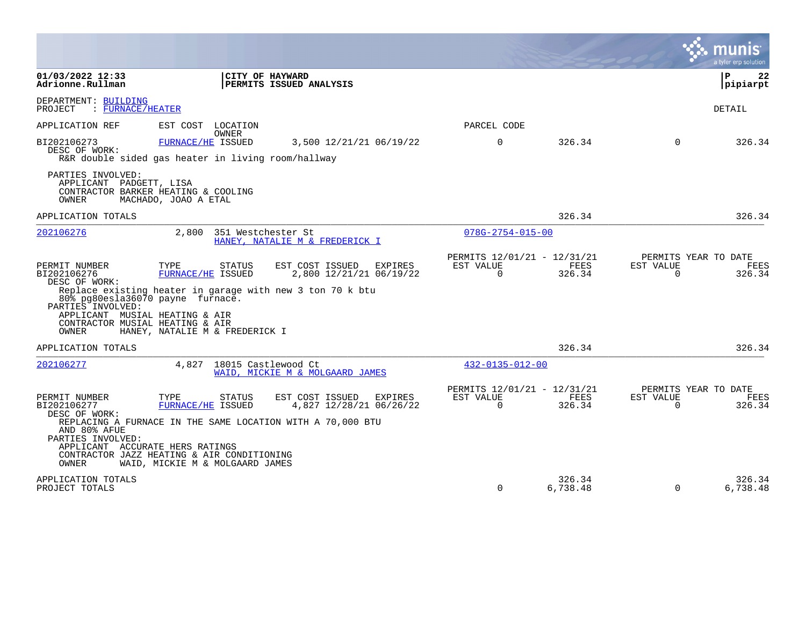|                                                                                                                                                                                                                   |                                                      |                    |                                               | a tyler erp solution  |
|-------------------------------------------------------------------------------------------------------------------------------------------------------------------------------------------------------------------|------------------------------------------------------|--------------------|-----------------------------------------------|-----------------------|
| 01/03/2022 12:33<br>CITY OF HAYWARD<br>PERMITS ISSUED ANALYSIS<br>Adrionne.Rullman                                                                                                                                |                                                      |                    |                                               | l P<br>22<br>pipiarpt |
| DEPARTMENT: BUILDING<br>: FURNACE/HEATER<br>PROJECT                                                                                                                                                               |                                                      |                    |                                               | DETAIL                |
| EST COST<br>APPLICATION REF<br>LOCATION<br>OWNER                                                                                                                                                                  | PARCEL CODE                                          |                    |                                               |                       |
| BI202106273<br>FURNACE/HE ISSUED<br>3,500 12/21/21 06/19/22<br>DESC OF WORK:<br>R&R double sided gas heater in living room/hallway                                                                                | $\Omega$                                             | 326.34             | $\Omega$                                      | 326.34                |
| PARTIES INVOLVED:<br>APPLICANT PADGETT, LISA<br>CONTRACTOR BARKER HEATING & COOLING<br>OWNER<br>MACHADO, JOAO A ETAL                                                                                              |                                                      |                    |                                               |                       |
| APPLICATION TOTALS                                                                                                                                                                                                |                                                      | 326.34             |                                               | 326.34                |
| 2,800<br>351 Westchester St<br>202106276<br>HANEY, NATALIE M & FREDERICK I                                                                                                                                        | $078G - 2754 - 015 - 00$                             |                    |                                               |                       |
| TYPE<br>PERMIT NUMBER<br><b>STATUS</b><br>EST COST ISSUED<br>EXPIRES<br>BI202106276<br>FURNACE/HE ISSUED<br>2,800 12/21/21 06/19/22<br>DESC OF WORK:<br>Replace existing heater in garage with new 3 ton 70 k btu | PERMITS 12/01/21 - 12/31/21<br>EST VALUE<br>$\Omega$ | FEES<br>326.34     | PERMITS YEAR TO DATE<br>EST VALUE<br>$\Omega$ | FEES<br>326.34        |
| 80% pq80esla36070 payne furnace.<br>PARTIES INVOLVED:<br>APPLICANT MUSIAL HEATING & AIR<br>CONTRACTOR MUSIAL HEATING & AIR<br>OWNER<br>HANEY, NATALIE M & FREDERICK I                                             |                                                      |                    |                                               |                       |
| APPLICATION TOTALS                                                                                                                                                                                                |                                                      | 326.34             |                                               | 326.34                |
| 4,827 18015 Castlewood Ct<br>202106277<br>WAID, MICKIE M & MOLGAARD JAMES                                                                                                                                         | $432 - 0135 - 012 - 00$                              |                    |                                               |                       |
| PERMIT NUMBER<br>TYPE<br>EST COST ISSUED<br>STATUS<br>EXPIRES<br>4,827 12/28/21 06/26/22<br>BI202106277<br>FURNACE/HE ISSUED<br>DESC OF WORK:<br>REPLACING A FURNACE IN THE SAME LOCATION WITH A 70,000 BTU       | PERMITS 12/01/21 - 12/31/21<br>EST VALUE<br>$\Omega$ | FEES<br>326.34     | PERMITS YEAR TO DATE<br>EST VALUE<br>$\Omega$ | FEES<br>326.34        |
| AND 80% AFUE<br>PARTIES INVOLVED:<br>APPLICANT ACCURATE HERS RATINGS<br>CONTRACTOR JAZZ HEATING & AIR CONDITIONING<br>OWNER<br>WAID, MICKIE M & MOLGAARD JAMES                                                    |                                                      |                    |                                               |                       |
| APPLICATION TOTALS<br>PROJECT TOTALS                                                                                                                                                                              | $\mathbf 0$                                          | 326.34<br>6,738.48 | $\Omega$                                      | 326.34<br>6,738.48    |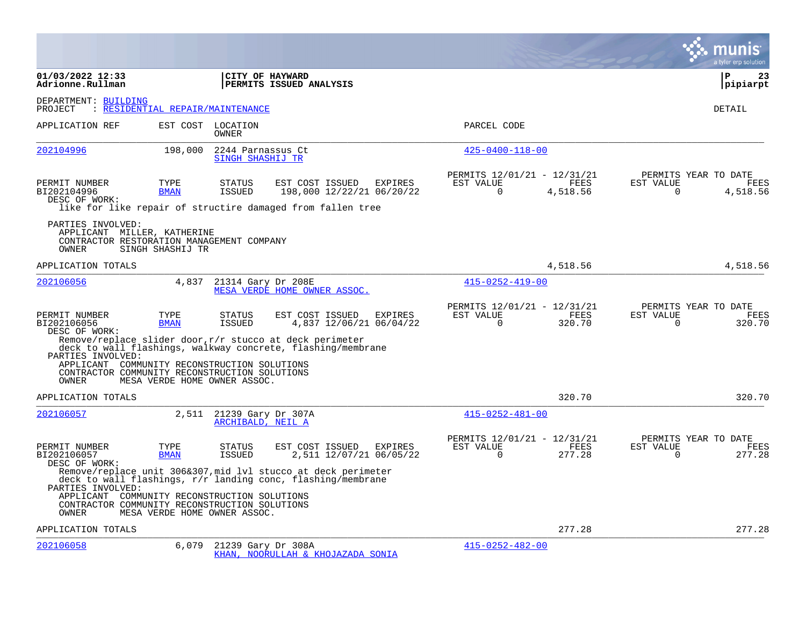|                                                                                                                             |                                  |                                         |                                                                                                                                |                |                                                      |                       |                       | a tyler erp solution                     |
|-----------------------------------------------------------------------------------------------------------------------------|----------------------------------|-----------------------------------------|--------------------------------------------------------------------------------------------------------------------------------|----------------|------------------------------------------------------|-----------------------|-----------------------|------------------------------------------|
| 01/03/2022 12:33<br>Adrionne.Rullman                                                                                        |                                  | CITY OF HAYWARD                         | PERMITS ISSUED ANALYSIS                                                                                                        |                |                                                      |                       |                       | ΙP<br>23<br> pipiarpt                    |
| DEPARTMENT: BUILDING<br>PROJECT                                                                                             | : RESIDENTIAL REPAIR/MAINTENANCE |                                         |                                                                                                                                |                |                                                      |                       |                       | <b>DETAIL</b>                            |
| APPLICATION REF                                                                                                             |                                  | EST COST LOCATION<br><b>OWNER</b>       |                                                                                                                                |                | PARCEL CODE                                          |                       |                       |                                          |
| 202104996                                                                                                                   | 198,000                          | 2244 Parnassus Ct<br>SINGH SHASHIJ TR   |                                                                                                                                |                | $425 - 0400 - 118 - 00$                              |                       |                       |                                          |
| PERMIT NUMBER<br>BI202104996<br>DESC OF WORK:                                                                               | TYPE<br><b>BMAN</b>              | <b>STATUS</b><br><b>ISSUED</b>          | EST COST ISSUED<br>198,000 12/22/21 06/20/22<br>like for like repair of structire damaged from fallen tree                     | <b>EXPIRES</b> | PERMITS 12/01/21 - 12/31/21<br>EST VALUE<br>$\Omega$ | FEES<br>4,518.56      | EST VALUE<br>$\Omega$ | PERMITS YEAR TO DATE<br>FEES<br>4,518.56 |
| PARTIES INVOLVED:<br>APPLICANT MILLER, KATHERINE<br>CONTRACTOR RESTORATION MANAGEMENT COMPANY<br>OWNER                      | SINGH SHASHIJ TR                 |                                         |                                                                                                                                |                |                                                      |                       |                       |                                          |
| APPLICATION TOTALS                                                                                                          |                                  |                                         |                                                                                                                                |                |                                                      | 4,518.56              |                       | 4,518.56                                 |
| 202106056                                                                                                                   | 4,837                            | 21314 Gary Dr 208E                      | MESA VERDE HOME OWNER ASSOC.                                                                                                   |                | $415 - 0252 - 419 - 00$                              |                       |                       |                                          |
| PERMIT NUMBER<br>BI202106056<br>DESC OF WORK:                                                                               | TYPE<br><b>BMAN</b>              | <b>STATUS</b><br><b>ISSUED</b>          | EST COST ISSUED<br>4,837 12/06/21 06/04/22                                                                                     | EXPIRES        | PERMITS 12/01/21 - 12/31/21<br>EST VALUE<br>$\Omega$ | <b>FEES</b><br>320.70 | EST VALUE<br>$\Omega$ | PERMITS YEAR TO DATE<br>FEES<br>320.70   |
| PARTIES INVOLVED:<br>APPLICANT COMMUNITY RECONSTRUCTION SOLUTIONS<br>CONTRACTOR COMMUNITY RECONSTRUCTION SOLUTIONS<br>OWNER | MESA VERDE HOME OWNER ASSOC.     |                                         | Remove/replace slider door, $r/r$ stucco at deck perimeter<br>deck to wall flashings, walkway concrete, flashing/membrane      |                |                                                      |                       |                       |                                          |
| APPLICATION TOTALS                                                                                                          |                                  |                                         |                                                                                                                                |                |                                                      | 320.70                |                       | 320.70                                   |
| 202106057                                                                                                                   | 2,511                            | 21239 Gary Dr 307A<br>ARCHIBALD, NEIL A |                                                                                                                                |                | $415 - 0252 - 481 - 00$                              |                       |                       |                                          |
| PERMIT NUMBER<br>BI202106057<br>DESC OF WORK:                                                                               | TYPE<br><b>BMAN</b>              | <b>STATUS</b><br><b>ISSUED</b>          | EST COST ISSUED<br>2,511 12/07/21 06/05/22                                                                                     | <b>EXPIRES</b> | PERMITS 12/01/21 - 12/31/21<br>EST VALUE<br>$\Omega$ | <b>FEES</b><br>277.28 | EST VALUE<br>$\Omega$ | PERMITS YEAR TO DATE<br>FEES<br>277.28   |
| PARTIES INVOLVED:                                                                                                           |                                  |                                         | Remove/replace unit 306&307, mid lvl stucco at deck perimeter<br>deck to wall flashings, $r/r$ landing conc, flashing/membrane |                |                                                      |                       |                       |                                          |
| APPLICANT COMMUNITY RECONSTRUCTION SOLUTIONS<br>CONTRACTOR COMMUNITY RECONSTRUCTION SOLUTIONS<br>OWNER                      | MESA VERDE HOME OWNER ASSOC.     |                                         |                                                                                                                                |                |                                                      |                       |                       |                                          |
| APPLICATION TOTALS                                                                                                          |                                  |                                         |                                                                                                                                |                |                                                      | 277.28                |                       | 277.28                                   |
| 202106058                                                                                                                   | 6,079                            | 21239 Gary Dr 308A                      | KHAN, NOORULLAH & KHOJAZADA SONIA                                                                                              |                | $415 - 0252 - 482 - 00$                              |                       |                       |                                          |

**College**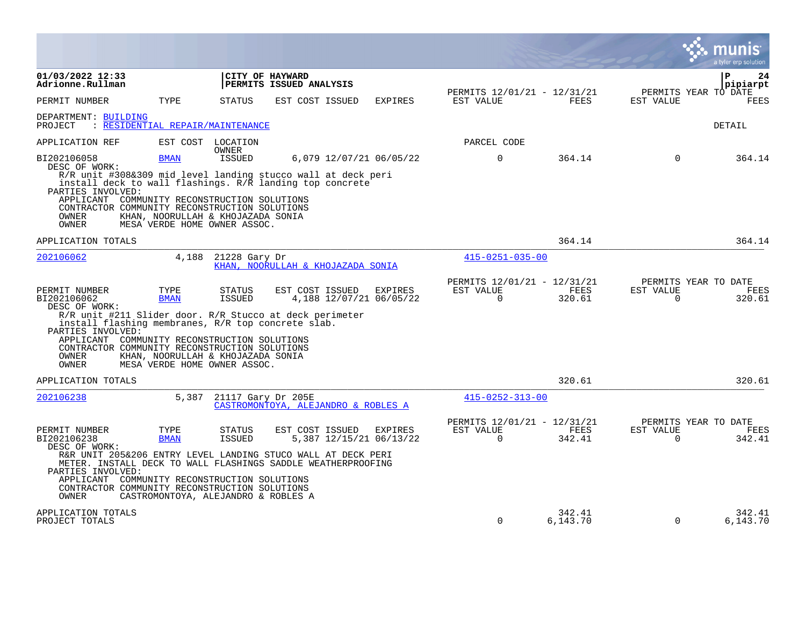|                                                                                          |                                                                                                                                                                                                                                                                                                            |                                |                                            |                                    |                          |                                                      |                       | munis<br>a tyler erp solution          |
|------------------------------------------------------------------------------------------|------------------------------------------------------------------------------------------------------------------------------------------------------------------------------------------------------------------------------------------------------------------------------------------------------------|--------------------------------|--------------------------------------------|------------------------------------|--------------------------|------------------------------------------------------|-----------------------|----------------------------------------|
| 01/03/2022 12:33<br>Adrionne.Rullman                                                     |                                                                                                                                                                                                                                                                                                            |                                | CITY OF HAYWARD<br>PERMITS ISSUED ANALYSIS |                                    |                          |                                                      |                       | P<br>24<br>pipiarpt                    |
| PERMIT NUMBER                                                                            | TYPE                                                                                                                                                                                                                                                                                                       | <b>STATUS</b>                  | EST COST ISSUED                            | EXPIRES                            | EST VALUE                | PERMITS 12/01/21 - 12/31/21<br><b>FEES</b>           | EST VALUE             | PERMITS YEAR TO DATE<br><b>FEES</b>    |
| DEPARTMENT: BUILDING<br>PROJECT                                                          | : RESIDENTIAL REPAIR/MAINTENANCE                                                                                                                                                                                                                                                                           |                                |                                            |                                    |                          |                                                      |                       | <b>DETAIL</b>                          |
| APPLICATION REF                                                                          |                                                                                                                                                                                                                                                                                                            | EST COST LOCATION<br>OWNER     |                                            |                                    | PARCEL CODE              |                                                      |                       |                                        |
| BI202106058<br>DESC OF WORK:                                                             | <b>BMAN</b>                                                                                                                                                                                                                                                                                                | ISSUED                         |                                            | 6,079 12/07/21 06/05/22            | $\mathbf 0$              | 364.14                                               | $\Omega$              | 364.14                                 |
| PARTIES INVOLVED:<br>OWNER<br>OWNER                                                      | R/R unit #308&309 mid level landing stucco wall at deck peri<br>install deck to wall flashings. R/R landing top concrete<br>APPLICANT COMMUNITY RECONSTRUCTION SOLUTIONS<br>CONTRACTOR COMMUNITY RECONSTRUCTION SOLUTIONS<br>KHAN, NOORULLAH & KHOJAZADA SONIA<br>MESA VERDE HOME OWNER ASSOC.             |                                |                                            |                                    |                          |                                                      |                       |                                        |
| APPLICATION TOTALS                                                                       |                                                                                                                                                                                                                                                                                                            |                                |                                            |                                    |                          | 364.14                                               |                       | 364.14                                 |
| 202106062                                                                                | 4,188                                                                                                                                                                                                                                                                                                      | 21228 Gary Dr                  | KHAN, NOORULLAH & KHOJAZADA SONIA          |                                    | $415 - 0251 - 035 - 00$  |                                                      |                       |                                        |
| PERMIT NUMBER<br>BI202106062<br>DESC OF WORK:<br>PARTIES INVOLVED:<br>OWNER<br>OWNER     | TYPE<br><b>BMAN</b><br>R/R unit #211 Slider door. R/R Stucco at deck perimeter<br>install flashing membranes, R/R top concrete slab.<br>APPLICANT COMMUNITY RECONSTRUCTION SOLUTIONS<br>CONTRACTOR COMMUNITY RECONSTRUCTION SOLUTIONS<br>KHAN, NOORULLAH & KHOJAZADA SONIA<br>MESA VERDE HOME OWNER ASSOC. | <b>STATUS</b><br><b>ISSUED</b> | EST COST ISSUED                            | EXPIRES<br>4,188 12/07/21 06/05/22 | EST VALUE<br>$\Omega$    | PERMITS 12/01/21 - 12/31/21<br><b>FEES</b><br>320.61 | EST VALUE<br>$\Omega$ | PERMITS YEAR TO DATE<br>FEES<br>320.61 |
| APPLICATION TOTALS                                                                       |                                                                                                                                                                                                                                                                                                            |                                |                                            |                                    |                          | 320.61                                               |                       | 320.61                                 |
| 202106238                                                                                | 5,387                                                                                                                                                                                                                                                                                                      | 21117 Gary Dr 205E             | CASTROMONTOYA, ALEJANDRO & ROBLES A        |                                    | $415 - 0252 - 313 - 00$  |                                                      |                       |                                        |
| PERMIT NUMBER<br>BI202106238<br>DESC OF WORK:<br>PARTIES INVOLVED:<br>APPLICANT<br>OWNER | TYPE<br><b>BMAN</b><br>R&R UNIT 205&206 ENTRY LEVEL LANDING STUCO WALL AT DECK PERI<br>METER. INSTALL DECK TO WALL FLASHINGS SADDLE WEATHERPROOFING<br>COMMUNITY RECONSTRUCTION SOLUTIONS<br>CONTRACTOR COMMUNITY RECONSTRUCTION SOLUTIONS<br>CASTROMONTOYA, ALEJANDRO & ROBLES A                          | <b>STATUS</b><br><b>ISSUED</b> | EST COST ISSUED                            | EXPIRES<br>5,387 12/15/21 06/13/22 | EST VALUE<br>$\mathbf 0$ | PERMITS 12/01/21 - 12/31/21<br>FEES<br>342.41        | EST VALUE<br>$\Omega$ | PERMITS YEAR TO DATE<br>FEES<br>342.41 |
| APPLICATION TOTALS<br>PROJECT TOTALS                                                     |                                                                                                                                                                                                                                                                                                            |                                |                                            |                                    | $\Omega$                 | 342.41<br>6,143.70                                   | $\Omega$              | 342.41<br>6,143.70                     |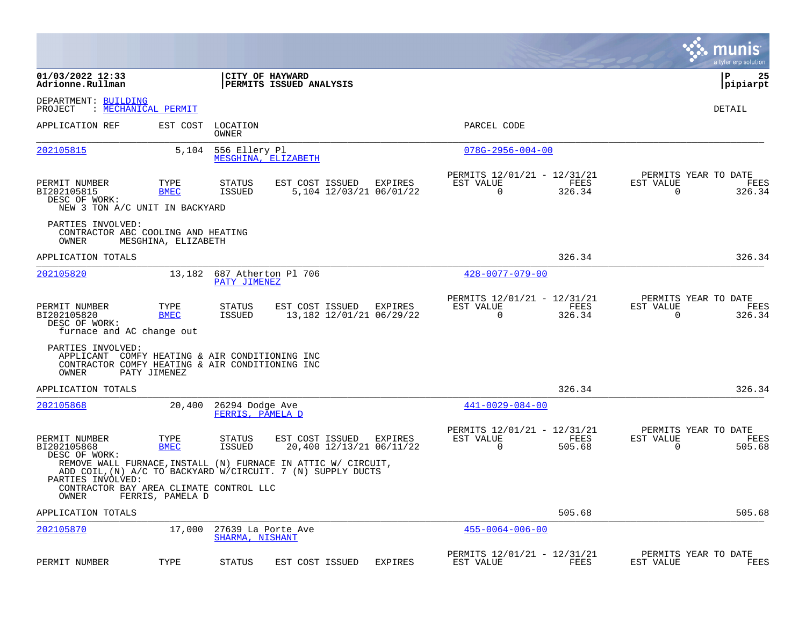|                                                                                                                                 |                     |                                       |                                                                                                                              |                |                                                         |                |                | munis<br>a tyler erp solution          |
|---------------------------------------------------------------------------------------------------------------------------------|---------------------|---------------------------------------|------------------------------------------------------------------------------------------------------------------------------|----------------|---------------------------------------------------------|----------------|----------------|----------------------------------------|
| 01/03/2022 12:33<br>Adrionne.Rullman                                                                                            |                     |                                       | <b>CITY OF HAYWARD</b><br><b>PERMITS ISSUED ANALYSIS</b>                                                                     |                |                                                         |                |                | l P<br>25<br> pipiarpt                 |
| DEPARTMENT: BUILDING<br>PROJECT                                                                                                 | : MECHANICAL PERMIT |                                       |                                                                                                                              |                |                                                         |                |                | DETAIL                                 |
| APPLICATION REF                                                                                                                 | EST COST            | LOCATION<br>OWNER                     |                                                                                                                              |                | PARCEL CODE                                             |                |                |                                        |
| 202105815                                                                                                                       | 5,104               | 556 Ellery Pl                         | MESGHINA, ELIZABETH                                                                                                          |                | $078G - 2956 - 004 - 00$                                |                |                |                                        |
| PERMIT NUMBER<br>BI202105815<br>DESC OF WORK:<br>NEW 3 TON A/C UNIT IN BACKYARD                                                 | TYPE<br><b>BMEC</b> | <b>STATUS</b><br><b>ISSUED</b>        | EST COST ISSUED<br>5,104 12/03/21 06/01/22                                                                                   | EXPIRES        | PERMITS 12/01/21 - 12/31/21<br>EST VALUE<br>$\mathbf 0$ | FEES<br>326.34 | EST VALUE<br>0 | PERMITS YEAR TO DATE<br>FEES<br>326.34 |
| PARTIES INVOLVED:<br>CONTRACTOR ABC COOLING AND HEATING<br>OWNER                                                                | MESGHINA, ELIZABETH |                                       |                                                                                                                              |                |                                                         |                |                |                                        |
| APPLICATION TOTALS                                                                                                              |                     |                                       |                                                                                                                              |                |                                                         | 326.34         |                | 326.34                                 |
| 202105820                                                                                                                       | 13,182              | PATY JIMENEZ                          | 687 Atherton Pl 706                                                                                                          |                | $428 - 0077 - 079 - 00$                                 |                |                |                                        |
| PERMIT NUMBER<br>BI202105820<br>DESC OF WORK:<br>furnace and AC change out                                                      | TYPE<br><b>BMEC</b> | STATUS<br>ISSUED                      | EST COST ISSUED<br>13,182 12/01/21 06/29/22                                                                                  | EXPIRES        | PERMITS 12/01/21 - 12/31/21<br>EST VALUE<br>0           | FEES<br>326.34 | EST VALUE<br>0 | PERMITS YEAR TO DATE<br>FEES<br>326.34 |
| PARTIES INVOLVED:<br>APPLICANT COMFY HEATING & AIR CONDITIONING INC<br>CONTRACTOR COMFY HEATING & AIR CONDITIONING INC<br>OWNER | PATY JIMENEZ        |                                       |                                                                                                                              |                |                                                         |                |                |                                        |
| APPLICATION TOTALS                                                                                                              |                     |                                       |                                                                                                                              |                |                                                         | 326.34         |                | 326.34                                 |
| 202105868                                                                                                                       | 20,400              | 26294 Dodge Ave<br>FERRIS, PAMELA D   |                                                                                                                              |                | $441 - 0029 - 084 - 00$                                 |                |                |                                        |
| PERMIT NUMBER<br>BI202105868<br>DESC OF WORK:                                                                                   | TYPE<br><b>BMEC</b> | <b>STATUS</b><br><b>ISSUED</b>        | EST COST ISSUED<br>20,400 12/13/21 06/11/22                                                                                  | EXPIRES        | PERMITS 12/01/21 - 12/31/21<br>EST VALUE<br>$\mathbf 0$ | FEES<br>505.68 | EST VALUE<br>0 | PERMITS YEAR TO DATE<br>FEES<br>505.68 |
| PARTIES INVOLVED:<br>CONTRACTOR BAY AREA CLIMATE CONTROL LLC                                                                    |                     |                                       | REMOVE WALL FURNACE, INSTALL (N) FURNACE IN ATTIC W/ CIRCUIT,<br>ADD COIL, (N) A/C TO BACKYARD W/CIRCUIT. 7 (N) SUPPLY DUCTS |                |                                                         |                |                |                                        |
| OWNER<br>APPLICATION TOTALS                                                                                                     | FERRIS, PAMELA D    |                                       |                                                                                                                              |                |                                                         | 505.68         |                | 505.68                                 |
| 202105870                                                                                                                       | 17,000              | 27639 La Porte Ave<br>SHARMA, NISHANT |                                                                                                                              |                | $455 - 0064 - 006 - 00$                                 |                |                |                                        |
| PERMIT NUMBER                                                                                                                   | TYPE                | <b>STATUS</b>                         | EST COST ISSUED                                                                                                              | <b>EXPIRES</b> | PERMITS 12/01/21 - 12/31/21<br>EST VALUE                | FEES           | EST VALUE      | PERMITS YEAR TO DATE<br>FEES           |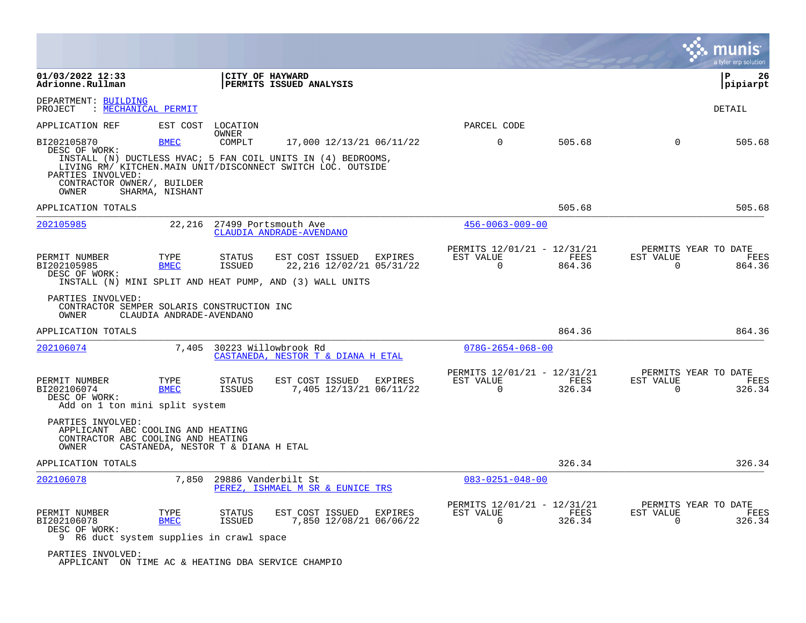|                                                                                                       |                          |                                    |                                                                                          |                                                         |                |                                                  | munis<br>a tyler erp solution |
|-------------------------------------------------------------------------------------------------------|--------------------------|------------------------------------|------------------------------------------------------------------------------------------|---------------------------------------------------------|----------------|--------------------------------------------------|-------------------------------|
| 01/03/2022 12:33<br>Adrionne.Rullman                                                                  |                          | CITY OF HAYWARD                    | PERMITS ISSUED ANALYSIS                                                                  |                                                         |                |                                                  | l P<br>26<br> pipiarpt        |
| DEPARTMENT: BUILDING<br>: MECHANICAL PERMIT<br>PROJECT                                                |                          |                                    |                                                                                          |                                                         |                |                                                  | DETAIL                        |
| APPLICATION REF                                                                                       | EST COST                 | LOCATION                           |                                                                                          | PARCEL CODE                                             |                |                                                  |                               |
| BI202105870<br>DESC OF WORK:                                                                          | BMEC                     | OWNER<br>COMPLT                    | 17,000 12/13/21 06/11/22<br>INSTALL (N) DUCTLESS HVAC; 5 FAN COIL UNITS IN (4) BEDROOMS, | $\mathbf 0$                                             | 505.68         | $\Omega$                                         | 505.68                        |
| PARTIES INVOLVED:<br>CONTRACTOR OWNER/, BUILDER<br>OWNER                                              | SHARMA, NISHANT          |                                    | LIVING RM/ KITCHEN.MAIN UNIT/DISCONNECT SWITCH LOC. OUTSIDE                              |                                                         |                |                                                  |                               |
| APPLICATION TOTALS                                                                                    |                          |                                    |                                                                                          |                                                         | 505.68         |                                                  | 505.68                        |
| 202105985                                                                                             |                          | 22,216 27499 Portsmouth Ave        | CLAUDIA ANDRADE-AVENDANO                                                                 | $456 - 0063 - 009 - 00$                                 |                |                                                  |                               |
| PERMIT NUMBER<br>BI202105985<br>DESC OF WORK:                                                         | TYPE<br><b>BMEC</b>      | STATUS<br>ISSUED                   | EST COST ISSUED<br>EXPIRES<br>22, 216 12/02/21 05/31/22                                  | PERMITS 12/01/21 - 12/31/21<br>EST VALUE<br>$\mathbf 0$ | FEES<br>864.36 | PERMITS YEAR TO DATE<br>EST VALUE<br>$\mathbf 0$ | FEES<br>864.36                |
| PARTIES INVOLVED:<br>CONTRACTOR SEMPER SOLARIS CONSTRUCTION INC<br>OWNER<br>APPLICATION TOTALS        | CLAUDIA ANDRADE-AVENDANO |                                    |                                                                                          |                                                         | 864.36         |                                                  | 864.36                        |
| 202106074                                                                                             |                          | 7,405 30223 Willowbrook Rd         | CASTANEDA, NESTOR T & DIANA H ETAL                                                       | $078G - 2654 - 068 - 00$                                |                |                                                  |                               |
| PERMIT NUMBER<br>BI202106074<br>DESC OF WORK:<br>Add on 1 ton mini split system                       | TYPE<br><b>BMEC</b>      | STATUS<br>ISSUED                   | EST COST ISSUED<br>EXPIRES<br>7,405 12/13/21 06/11/22                                    | PERMITS 12/01/21 - 12/31/21<br>EST VALUE<br>0           | FEES<br>326.34 | PERMITS YEAR TO DATE<br>EST VALUE<br>0           | FEES<br>326.34                |
| PARTIES INVOLVED:<br>APPLICANT ABC COOLING AND HEATING<br>CONTRACTOR ABC COOLING AND HEATING<br>OWNER |                          | CASTANEDA, NESTOR T & DIANA H ETAL |                                                                                          |                                                         |                |                                                  |                               |
| APPLICATION TOTALS                                                                                    |                          |                                    |                                                                                          |                                                         | 326.34         |                                                  | 326.34                        |
| 202106078                                                                                             | 7,850                    | 29886 Vanderbilt St                | PEREZ, ISHMAEL M SR & EUNICE TRS                                                         | $083 - 0251 - 048 - 00$                                 |                |                                                  |                               |
| PERMIT NUMBER<br>BI202106078<br>DESC OF WORK:<br>9 R6 duct system supplies in crawl space             | TYPE<br><b>BMEC</b>      | STATUS<br><b>ISSUED</b>            | EST COST ISSUED<br>EXPIRES<br>7,850 12/08/21 06/06/22                                    | PERMITS 12/01/21 - 12/31/21<br>EST VALUE<br>0           | FEES<br>326.34 | PERMITS YEAR TO DATE<br>EST VALUE<br>$\Omega$    | FEES<br>326.34                |
| PARTIES INVOLVED:<br>APPLICANT ON TIME AC & HEATING DBA SERVICE CHAMPIO                               |                          |                                    |                                                                                          |                                                         |                |                                                  |                               |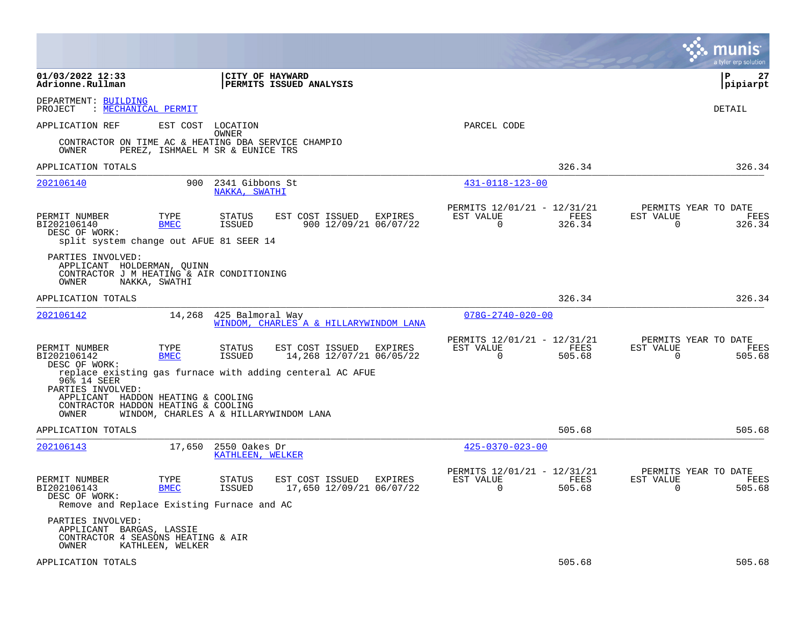|                                                                                                         |                                        |                                                          |                                             |         |                                                            |                |                          | munis<br>a tyler erp solution          |
|---------------------------------------------------------------------------------------------------------|----------------------------------------|----------------------------------------------------------|---------------------------------------------|---------|------------------------------------------------------------|----------------|--------------------------|----------------------------------------|
| 01/03/2022 12:33<br>Adrionne.Rullman                                                                    |                                        | <b>CITY OF HAYWARD</b><br><b>PERMITS ISSUED ANALYSIS</b> |                                             |         |                                                            |                |                          | l P<br>27<br> pipiarpt                 |
| DEPARTMENT: BUILDING<br>: MECHANICAL PERMIT<br>PROJECT                                                  |                                        |                                                          |                                             |         |                                                            |                |                          | DETAIL                                 |
| APPLICATION REF                                                                                         | EST COST                               | LOCATION<br>OWNER                                        |                                             |         | PARCEL CODE                                                |                |                          |                                        |
| CONTRACTOR ON TIME AC & HEATING DBA SERVICE CHAMPIO<br>OWNER                                            | PEREZ, ISHMAEL M SR & EUNICE TRS       |                                                          |                                             |         |                                                            |                |                          |                                        |
| APPLICATION TOTALS                                                                                      |                                        |                                                          |                                             |         |                                                            | 326.34         |                          | 326.34                                 |
| 202106140                                                                                               | 900                                    | 2341 Gibbons St<br>NAKKA, SWATHI                         |                                             |         | 431-0118-123-00                                            |                |                          |                                        |
| PERMIT NUMBER<br>BI202106140<br>DESC OF WORK:<br>split system change out AFUE 81 SEER 14                | TYPE<br><b>BMEC</b>                    | <b>STATUS</b><br>ISSUED                                  | EST COST ISSUED<br>900 12/09/21 06/07/22    | EXPIRES | PERMITS 12/01/21 - 12/31/21<br>EST VALUE<br>$\mathbf 0$    | FEES<br>326.34 | EST VALUE<br>$\mathbf 0$ | PERMITS YEAR TO DATE<br>FEES<br>326.34 |
| PARTIES INVOLVED:<br>APPLICANT HOLDERMAN, QUINN<br>CONTRACTOR J M HEATING & AIR CONDITIONING<br>OWNER   | NAKKA, SWATHI                          |                                                          |                                             |         |                                                            |                |                          |                                        |
| APPLICATION TOTALS                                                                                      |                                        |                                                          |                                             |         |                                                            | 326.34         |                          | 326.34                                 |
| 202106142                                                                                               | 14,268                                 | 425 Balmoral Way                                         | WINDOM, CHARLES A & HILLARYWINDOM LANA      |         | $078G - 2740 - 020 - 00$                                   |                |                          |                                        |
| PERMIT NUMBER<br>BI202106142<br>DESC OF WORK:                                                           | TYPE<br><b>BMEC</b>                    | STATUS<br>ISSUED                                         | EST COST ISSUED<br>14,268 12/07/21 06/05/22 | EXPIRES | PERMITS 12/01/21 - 12/31/21<br>EST VALUE<br>$\overline{0}$ | FEES<br>505.68 | EST VALUE<br>$\mathbf 0$ | PERMITS YEAR TO DATE<br>FEES<br>505.68 |
| replace existing gas furnace with adding centeral AC AFUE<br>96% 14 SEER                                |                                        |                                                          |                                             |         |                                                            |                |                          |                                        |
| PARTIES INVOLVED:<br>APPLICANT HADDON HEATING & COOLING<br>CONTRACTOR HADDON HEATING & COOLING<br>OWNER | WINDOM, CHARLES A & HILLARYWINDOM LANA |                                                          |                                             |         |                                                            |                |                          |                                        |
| APPLICATION TOTALS                                                                                      |                                        |                                                          |                                             |         |                                                            | 505.68         |                          | 505.68                                 |
| 202106143                                                                                               | 17,650                                 | 2550 Oakes Dr<br>KATHLEEN, WELKER                        |                                             |         | $425 - 0370 - 023 - 00$                                    |                |                          |                                        |
| PERMIT NUMBER<br>BI202106143<br>DESC OF WORK:<br>Remove and Replace Existing Furnace and AC             | TYPE<br><b>BMEC</b>                    | STATUS<br>ISSUED                                         | EST COST ISSUED<br>17,650 12/09/21 06/07/22 | EXPIRES | PERMITS 12/01/21 - 12/31/21<br>EST VALUE<br>$\mathbf 0$    | FEES<br>505.68 | EST VALUE<br>$\Omega$    | PERMITS YEAR TO DATE<br>FEES<br>505.68 |
| PARTIES INVOLVED:<br>APPLICANT BARGAS, LASSIE<br>CONTRACTOR 4 SEASONS HEATING & AIR<br>OWNER            | KATHLEEN, WELKER                       |                                                          |                                             |         |                                                            |                |                          |                                        |
| APPLICATION TOTALS                                                                                      |                                        |                                                          |                                             |         |                                                            | 505.68         |                          | 505.68                                 |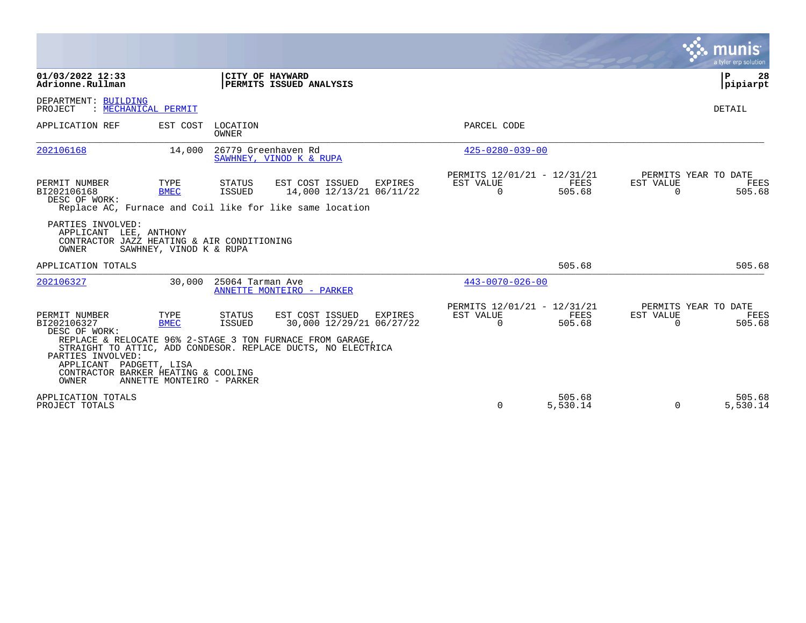|                                                                                                                                               |                                                  |                         |                                                                                                                                                                          |                |                                                      |                       |                       | munis<br>a tyler erp solution                 |
|-----------------------------------------------------------------------------------------------------------------------------------------------|--------------------------------------------------|-------------------------|--------------------------------------------------------------------------------------------------------------------------------------------------------------------------|----------------|------------------------------------------------------|-----------------------|-----------------------|-----------------------------------------------|
| 01/03/2022 12:33<br>Adrionne.Rullman                                                                                                          |                                                  |                         | CITY OF HAYWARD<br>PERMITS ISSUED ANALYSIS                                                                                                                               |                |                                                      |                       |                       | ΙP<br>28<br>pipiarpt                          |
| DEPARTMENT: BUILDING<br>PROJECT                                                                                                               | MECHANICAL PERMIT                                |                         |                                                                                                                                                                          |                |                                                      |                       |                       | DETAIL                                        |
| APPLICATION REF                                                                                                                               | EST COST                                         | LOCATION<br>OWNER       |                                                                                                                                                                          |                | PARCEL CODE                                          |                       |                       |                                               |
| 202106168                                                                                                                                     | 14,000                                           |                         | 26779 Greenhaven Rd<br>SAWHNEY, VINOD K & RUPA                                                                                                                           |                | $425 - 0280 - 039 - 00$                              |                       |                       |                                               |
| PERMIT NUMBER<br>BI202106168<br>DESC OF WORK:                                                                                                 | TYPE<br><b>BMEC</b>                              | STATUS<br><b>ISSUED</b> | EST COST ISSUED<br>14,000 12/13/21 06/11/22<br>Replace AC, Furnace and Coil like for like same location                                                                  | <b>EXPIRES</b> | PERMITS 12/01/21 - 12/31/21<br>EST VALUE<br>$\Omega$ | <b>FEES</b><br>505.68 | EST VALUE<br>$\Omega$ | PERMITS YEAR TO DATE<br>FEES<br>505.68        |
| PARTIES INVOLVED:<br>APPLICANT LEE, ANTHONY<br>CONTRACTOR JAZZ HEATING & AIR CONDITIONING<br>OWNER                                            | SAWHNEY, VINOD K & RUPA                          |                         |                                                                                                                                                                          |                |                                                      |                       |                       |                                               |
| APPLICATION TOTALS                                                                                                                            |                                                  |                         |                                                                                                                                                                          |                |                                                      | 505.68                |                       | 505.68                                        |
| 202106327                                                                                                                                     | 30,000                                           | 25064 Tarman Ave        | ANNETTE MONTEIRO - PARKER                                                                                                                                                |                | $443 - 0070 - 026 - 00$                              |                       |                       |                                               |
| PERMIT NUMBER<br>BI202106327<br>DESC OF WORK:<br>PARTIES INVOLVED:<br>APPLICANT PADGETT, LISA<br>CONTRACTOR BARKER HEATING & COOLING<br>OWNER | TYPE<br><b>BMEC</b><br>ANNETTE MONTEIRO - PARKER | STATUS<br><b>ISSUED</b> | EST COST ISSUED<br>30,000 12/29/21 06/27/22<br>REPLACE & RELOCATE 96% 2-STAGE 3 TON FURNACE FROM GARAGE,<br>STRAIGHT TO ATTIC, ADD CONDESOR. REPLACE DUCTS, NO ELECTRICA | EXPIRES        | PERMITS 12/01/21 - 12/31/21<br>EST VALUE<br>$\Omega$ | FEES<br>505.68        | EST VALUE<br>$\Omega$ | PERMITS YEAR TO DATE<br><b>FEES</b><br>505.68 |
| APPLICATION TOTALS<br>PROJECT TOTALS                                                                                                          |                                                  |                         |                                                                                                                                                                          |                | $\Omega$                                             | 505.68<br>5,530.14    | $\Omega$              | 505.68<br>5,530.14                            |

 $\mathcal{L}^{\text{max}}$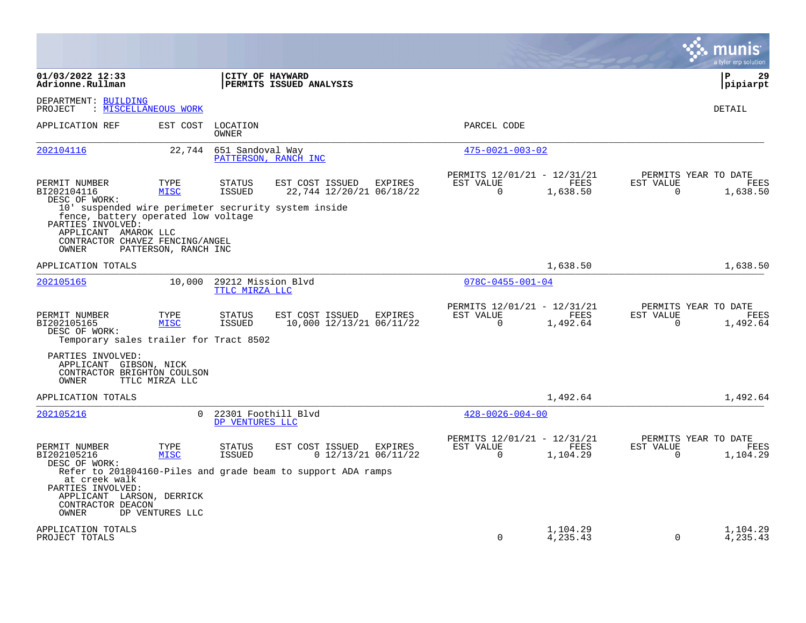|                                                                                                                  |                      |                                        |                                                              |                                                      |                                                 |                       | munis<br>a tyler erp solution            |
|------------------------------------------------------------------------------------------------------------------|----------------------|----------------------------------------|--------------------------------------------------------------|------------------------------------------------------|-------------------------------------------------|-----------------------|------------------------------------------|
| 01/03/2022 12:33<br>Adrionne.Rullman                                                                             |                      | CITY OF HAYWARD                        | PERMITS ISSUED ANALYSIS                                      |                                                      |                                                 |                       | l P<br>29<br>pipiarpt                    |
| DEPARTMENT: BUILDING<br>: MISCELLANEOUS WORK<br>PROJECT                                                          |                      |                                        |                                                              |                                                      |                                                 |                       | <b>DETAIL</b>                            |
| APPLICATION REF                                                                                                  |                      | EST COST LOCATION<br>OWNER             |                                                              | PARCEL CODE                                          |                                                 |                       |                                          |
| 202104116                                                                                                        | 22,744               | 651 Sandoval Way                       | PATTERSON, RANCH INC                                         | $475 - 0021 - 003 - 02$                              |                                                 |                       |                                          |
| PERMIT NUMBER<br>BI202104116<br>DESC OF WORK:                                                                    | TYPE<br><b>MISC</b>  | <b>STATUS</b><br><b>ISSUED</b>         | EST COST ISSUED<br>EXPIRES<br>22,744 12/20/21 06/18/22       | EST VALUE<br>$\Omega$                                | PERMITS 12/01/21 - 12/31/21<br>FEES<br>1,638.50 | EST VALUE<br>$\Omega$ | PERMITS YEAR TO DATE<br>FEES<br>1,638.50 |
| 10' suspended wire perimeter secrurity system inside<br>fence, battery operated low voltage<br>PARTIES INVOLVED: |                      |                                        |                                                              |                                                      |                                                 |                       |                                          |
| APPLICANT AMAROK LLC<br>CONTRACTOR CHAVEZ FENCING/ANGEL<br>OWNER                                                 | PATTERSON, RANCH INC |                                        |                                                              |                                                      |                                                 |                       |                                          |
| APPLICATION TOTALS                                                                                               |                      |                                        |                                                              |                                                      | 1,638.50                                        |                       | 1,638.50                                 |
| 202105165                                                                                                        | 10,000               | 29212 Mission Blvd<br>TTLC MIRZA LLC   |                                                              | $078C - 0455 - 001 - 04$                             |                                                 |                       |                                          |
| PERMIT NUMBER<br>BI202105165<br>DESC OF WORK:<br>Temporary sales trailer for Tract 8502                          | TYPE<br><b>MISC</b>  | STATUS<br>ISSUED                       | EST COST ISSUED<br>EXPIRES<br>10,000 12/13/21 06/11/22       | PERMITS 12/01/21 - 12/31/21<br>EST VALUE<br>$\Omega$ | <b>FEES</b><br>1,492.64                         | EST VALUE<br>$\Omega$ | PERMITS YEAR TO DATE<br>FEES<br>1,492.64 |
| PARTIES INVOLVED:<br>APPLICANT GIBSON, NICK<br>CONTRACTOR BRIGHTON COULSON<br>OWNER                              | TTLC MIRZA LLC       |                                        |                                                              |                                                      |                                                 |                       |                                          |
| APPLICATION TOTALS                                                                                               |                      |                                        |                                                              |                                                      | 1,492.64                                        |                       | 1,492.64                                 |
| 202105216                                                                                                        | $\Omega$             | 22301 Foothill Blvd<br>DP VENTURES LLC |                                                              | $428 - 0026 - 004 - 00$                              |                                                 |                       |                                          |
| PERMIT NUMBER<br>BI202105216<br>DESC OF WORK:                                                                    | TYPE<br><b>MISC</b>  | STATUS<br>ISSUED                       | EST COST ISSUED<br>EXPIRES<br>$0$ 12/13/21 06/11/22          | PERMITS 12/01/21 - 12/31/21<br>EST VALUE<br>$\Omega$ | FEES<br>1,104.29                                | EST VALUE<br>$\Omega$ | PERMITS YEAR TO DATE<br>FEES<br>1,104.29 |
| at creek walk<br>PARTIES INVOLVED:<br>APPLICANT LARSON, DERRICK<br>CONTRACTOR DEACON<br>OWNER                    | DP VENTURES LLC      |                                        | Refer to 201804160-Piles and grade beam to support ADA ramps |                                                      |                                                 |                       |                                          |
| APPLICATION TOTALS<br>PROJECT TOTALS                                                                             |                      |                                        |                                                              | $\Omega$                                             | 1,104.29<br>4,235.43                            | $\Omega$              | 1,104.29<br>4,235.43                     |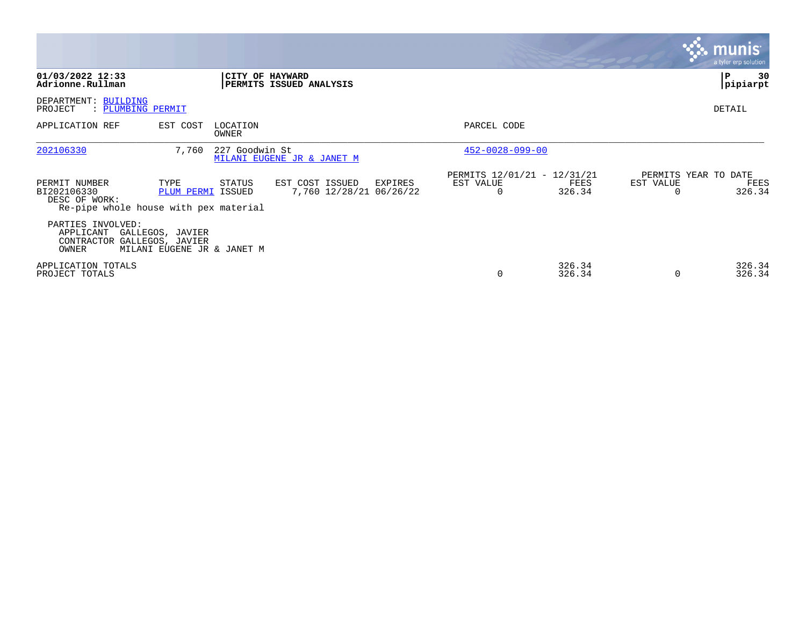|                                                                                         |                            |                                              |                                    |                                                      |                  |                       | <u>munis l</u><br>a tyler erp solution |
|-----------------------------------------------------------------------------------------|----------------------------|----------------------------------------------|------------------------------------|------------------------------------------------------|------------------|-----------------------|----------------------------------------|
| 01/03/2022 12:33<br>Adrionne.Rullman                                                    |                            | CITY OF HAYWARD<br>PERMITS ISSUED ANALYSIS   |                                    |                                                      |                  |                       | 30<br>P<br> pipiarpt                   |
| DEPARTMENT: BUILDING<br>PROJECT<br>: PLUMBING PERMIT                                    |                            |                                              |                                    |                                                      |                  |                       | <b>DETAIL</b>                          |
| APPLICATION REF                                                                         | EST COST                   | LOCATION<br>OWNER                            |                                    | PARCEL CODE                                          |                  |                       |                                        |
| 202106330                                                                               | 7,760                      | 227 Goodwin St<br>MILANI EUGENE JR & JANET M |                                    | $452 - 0028 - 099 - 00$                              |                  |                       |                                        |
| PERMIT NUMBER<br>BI202106330<br>DESC OF WORK:<br>Re-pipe whole house with pex material  | TYPE<br>PLUM PERMI ISSUED  | STATUS<br>EST COST ISSUED                    | EXPIRES<br>7,760 12/28/21 06/26/22 | PERMITS 12/01/21 - 12/31/21<br>EST VALUE<br>$\Omega$ | FEES<br>326.34   | EST VALUE<br>$\Omega$ | PERMITS YEAR TO DATE<br>FEES<br>326.34 |
| PARTIES INVOLVED:<br>APPLICANT GALLEGOS, JAVIER<br>CONTRACTOR GALLEGOS, JAVIER<br>OWNER | MILANI EUGENE JR & JANET M |                                              |                                    |                                                      |                  |                       |                                        |
| APPLICATION TOTALS<br>PROJECT TOTALS                                                    |                            |                                              |                                    | O                                                    | 326.34<br>326.34 | $\Omega$              | 326.34<br>326.34                       |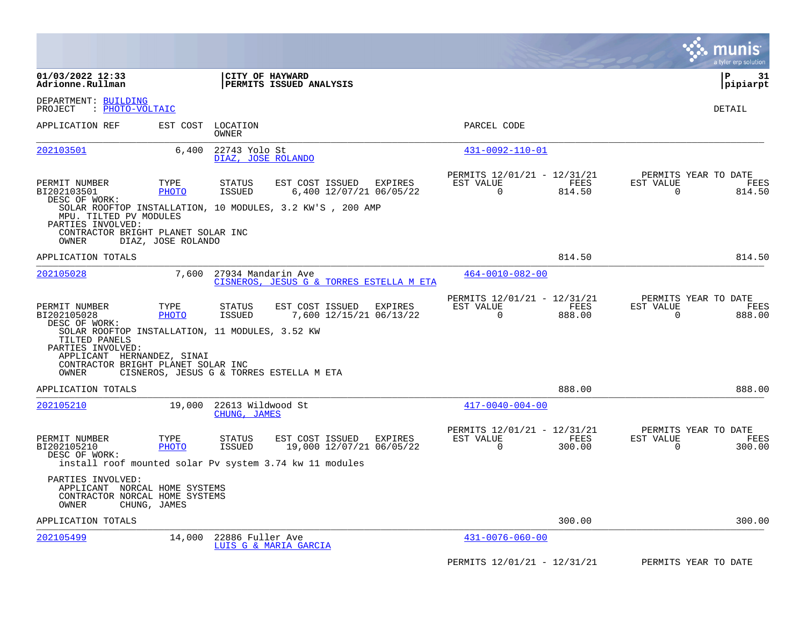|                                                                                                                                                                    |                      |                                     |                                                                                                                    |                                                      |                |                       | munis<br>a tyler erp solution          |
|--------------------------------------------------------------------------------------------------------------------------------------------------------------------|----------------------|-------------------------------------|--------------------------------------------------------------------------------------------------------------------|------------------------------------------------------|----------------|-----------------------|----------------------------------------|
| 01/03/2022 12:33<br>Adrionne.Rullman                                                                                                                               |                      | CITY OF HAYWARD                     | PERMITS ISSUED ANALYSIS                                                                                            |                                                      |                |                       | l P<br>31<br> pipiarpt                 |
| DEPARTMENT: BUILDING<br>: PHOTO-VOLTAIC<br>PROJECT                                                                                                                 |                      |                                     |                                                                                                                    |                                                      |                |                       | DETAIL                                 |
| APPLICATION REF                                                                                                                                                    | EST COST             | LOCATION<br>OWNER                   |                                                                                                                    | PARCEL CODE                                          |                |                       |                                        |
| 202103501                                                                                                                                                          | 6,400                | 22743 Yolo St<br>DIAZ, JOSE ROLANDO |                                                                                                                    | 431-0092-110-01                                      |                |                       |                                        |
| PERMIT NUMBER<br>BI202103501<br>DESC OF WORK:                                                                                                                      | TYPE<br>PHOTO        | <b>STATUS</b><br>ISSUED             | EST COST ISSUED<br>EXPIRES<br>6,400 12/07/21 06/05/22<br>SOLAR ROOFTOP INSTALLATION, 10 MODULES, 3.2 KW'S, 200 AMP | PERMITS 12/01/21 - 12/31/21<br>EST VALUE<br>$\Omega$ | FEES<br>814.50 | EST VALUE<br>$\Omega$ | PERMITS YEAR TO DATE<br>FEES<br>814.50 |
| MPU. TILTED PV MODULES<br>PARTIES INVOLVED:<br>CONTRACTOR BRIGHT PLANET SOLAR INC<br>OWNER                                                                         | DIAZ, JOSE ROLANDO   |                                     |                                                                                                                    |                                                      |                |                       |                                        |
| APPLICATION TOTALS                                                                                                                                                 |                      |                                     |                                                                                                                    |                                                      | 814.50         |                       | 814.50                                 |
| 202105028                                                                                                                                                          | 7,600                | 27934 Mandarin Ave                  | CISNEROS, JESUS G & TORRES ESTELLA M ETA                                                                           | $464 - 0010 - 082 - 00$                              |                |                       |                                        |
| PERMIT NUMBER<br>BI202105028<br>DESC OF WORK:                                                                                                                      | TYPE<br>PHOTO        | STATUS<br>ISSUED                    | EST COST ISSUED<br>EXPIRES<br>7,600 12/15/21 06/13/22                                                              | PERMITS 12/01/21 - 12/31/21<br>EST VALUE<br>$\Omega$ | FEES<br>888.00 | EST VALUE<br>$\Omega$ | PERMITS YEAR TO DATE<br>FEES<br>888.00 |
| SOLAR ROOFTOP INSTALLATION, 11 MODULES, 3.52 KW<br>TILTED PANELS<br>PARTIES INVOLVED:<br>APPLICANT HERNANDEZ, SINAI<br>CONTRACTOR BRIGHT PLANET SOLAR INC<br>OWNER |                      |                                     | CISNEROS, JESUS G & TORRES ESTELLA M ETA                                                                           |                                                      |                |                       |                                        |
| APPLICATION TOTALS                                                                                                                                                 |                      |                                     |                                                                                                                    |                                                      | 888.00         |                       | 888.00                                 |
| 202105210                                                                                                                                                          | 19,000               | 22613 Wildwood St<br>CHUNG, JAMES   |                                                                                                                    | $417 - 0040 - 004 - 00$                              |                |                       |                                        |
| PERMIT NUMBER<br>BI202105210<br>DESC OF WORK:                                                                                                                      | TYPE<br><b>PHOTO</b> | <b>STATUS</b><br>ISSUED             | EST COST ISSUED<br>EXPIRES<br>19,000 12/07/21 06/05/22                                                             | PERMITS 12/01/21 - 12/31/21<br>EST VALUE<br>0        | FEES<br>300.00 | EST VALUE<br>0        | PERMITS YEAR TO DATE<br>FEES<br>300.00 |
| PARTIES INVOLVED:<br>APPLICANT NORCAL HOME SYSTEMS                                                                                                                 |                      |                                     | install roof mounted solar Pv system 3.74 kw 11 modules                                                            |                                                      |                |                       |                                        |
| CONTRACTOR NORCAL HOME SYSTEMS<br>OWNER                                                                                                                            | CHUNG, JAMES         |                                     |                                                                                                                    |                                                      |                |                       |                                        |
| APPLICATION TOTALS                                                                                                                                                 |                      |                                     |                                                                                                                    |                                                      | 300.00         |                       | 300.00                                 |
| 202105499                                                                                                                                                          | 14,000               | 22886 Fuller Ave                    | LUIS G & MARIA GARCIA                                                                                              | $431 - 0076 - 060 - 00$                              |                |                       |                                        |
|                                                                                                                                                                    |                      |                                     |                                                                                                                    | PERMITS 12/01/21 - 12/31/21                          |                |                       | PERMITS YEAR TO DATE                   |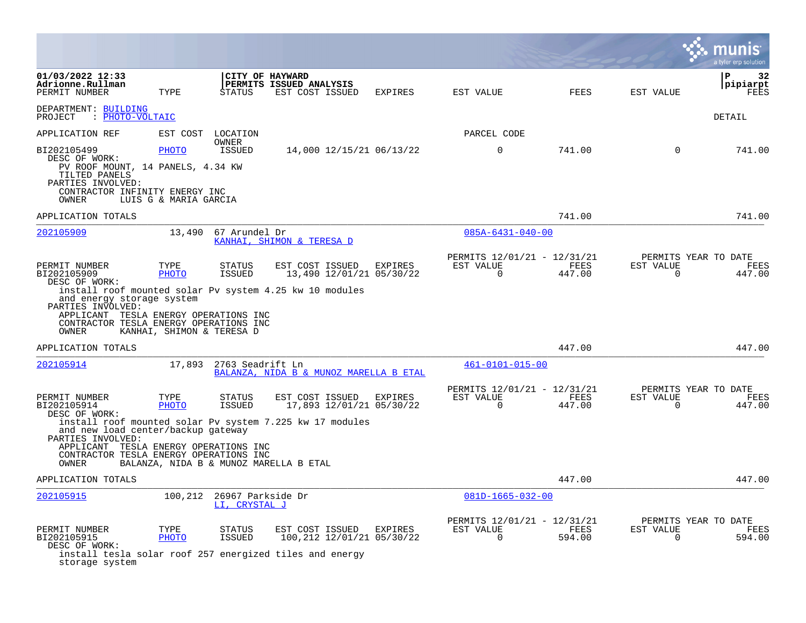|                                                                                                                                                    |                                |                                            |                                                                                                         |         |                                                         |                |                          | a tyler erp solution                   |
|----------------------------------------------------------------------------------------------------------------------------------------------------|--------------------------------|--------------------------------------------|---------------------------------------------------------------------------------------------------------|---------|---------------------------------------------------------|----------------|--------------------------|----------------------------------------|
| 01/03/2022 12:33<br>Adrionne.Rullman<br>PERMIT NUMBER                                                                                              | TYPE                           | CITY OF HAYWARD<br>STATUS                  | PERMITS ISSUED ANALYSIS<br>EST COST ISSUED                                                              | EXPIRES | EST VALUE                                               | FEES           | EST VALUE                | l P<br>32<br> pipiarpt<br>FEES         |
| DEPARTMENT: BUILDING<br>PROJECT : PHOTO-VOLTAIC                                                                                                    |                                |                                            |                                                                                                         |         |                                                         |                |                          | DETAIL                                 |
| APPLICATION REF                                                                                                                                    | EST COST LOCATION              | OWNER                                      |                                                                                                         |         | PARCEL CODE                                             |                |                          |                                        |
| BI202105499<br>DESC OF WORK:<br>PV ROOF MOUNT, 14 PANELS, 4.34 KW<br>TILTED PANELS<br>PARTIES INVOLVED:<br>CONTRACTOR INFINITY ENERGY INC<br>OWNER | PHOTO<br>LUIS G & MARIA GARCIA | ISSUED                                     | 14,000 12/15/21 06/13/22                                                                                |         | $\mathbf 0$                                             | 741.00         | $\overline{0}$           | 741.00                                 |
| APPLICATION TOTALS                                                                                                                                 |                                |                                            |                                                                                                         |         |                                                         | 741.00         |                          | 741.00                                 |
| 202105909                                                                                                                                          | 13,490                         | 67 Arundel Dr                              | KANHAI, SHIMON & TERESA D                                                                               |         | $085A - 6431 - 040 - 00$                                |                |                          |                                        |
| PERMIT NUMBER<br>BI202105909<br>DESC OF WORK:<br>and energy storage system                                                                         | TYPE<br>PHOTO                  | <b>STATUS</b><br><b>ISSUED</b>             | EST COST ISSUED<br>13,490 12/01/21 05/30/22<br>install roof mounted solar Pv system 4.25 kw 10 modules  | EXPIRES | PERMITS 12/01/21 - 12/31/21<br>EST VALUE<br>$\mathbf 0$ | FEES<br>447.00 | EST VALUE<br>$\mathbf 0$ | PERMITS YEAR TO DATE<br>FEES<br>447.00 |
| PARTIES INVOLVED:<br>APPLICANT TESLA ENERGY OPERATIONS INC<br>CONTRACTOR TESLA ENERGY OPERATIONS INC<br>OWNER                                      | KANHAI, SHIMON & TERESA D      |                                            |                                                                                                         |         |                                                         |                |                          |                                        |
| APPLICATION TOTALS                                                                                                                                 |                                |                                            |                                                                                                         |         |                                                         | 447.00         |                          | 447.00                                 |
| 202105914                                                                                                                                          | 17,893                         | 2763 Seadrift Ln                           | BALANZA, NIDA B & MUNOZ MARELLA B ETAL                                                                  |         | $461 - 0101 - 015 - 00$                                 |                |                          |                                        |
| PERMIT NUMBER<br>BI202105914<br>DESC OF WORK:                                                                                                      | TYPE<br>PHOTO                  | <b>STATUS</b><br>ISSUED                    | EST COST ISSUED EXPIRES<br>17,893 12/01/21 05/30/22                                                     |         | PERMITS 12/01/21 - 12/31/21<br>EST VALUE<br>$\mathbf 0$ | FEES<br>447.00 | EST VALUE<br>$\mathbf 0$ | PERMITS YEAR TO DATE<br>FEES<br>447.00 |
| and new load center/backup gateway<br>PARTIES INVOLVED:                                                                                            |                                |                                            | install roof mounted solar Pv system 7.225 kw 17 modules                                                |         |                                                         |                |                          |                                        |
| APPLICANT TESLA ENERGY OPERATIONS INC<br>CONTRACTOR TESLA ENERGY OPERATIONS INC<br>OWNER                                                           |                                |                                            | BALANZA, NIDA B & MUNOZ MARELLA B ETAL                                                                  |         |                                                         |                |                          |                                        |
| APPLICATION TOTALS                                                                                                                                 |                                |                                            |                                                                                                         |         |                                                         | 447.00         |                          | 447.00                                 |
| 202105915                                                                                                                                          |                                | 100,212 26967 Parkside Dr<br>LI, CRYSTAL J |                                                                                                         |         | $081D-1665-032-00$                                      |                |                          |                                        |
| PERMIT NUMBER<br>BI202105915<br>DESC OF WORK:<br>storage system                                                                                    | TYPE<br>PHOTO                  | STATUS<br><b>ISSUED</b>                    | EST COST ISSUED<br>100,212 12/01/21 05/30/22<br>install tesla solar roof 257 energized tiles and energy | EXPIRES | PERMITS 12/01/21 - 12/31/21<br>EST VALUE<br>$\mathbf 0$ | FEES<br>594.00 | EST VALUE<br>$\Omega$    | PERMITS YEAR TO DATE<br>FEES<br>594.00 |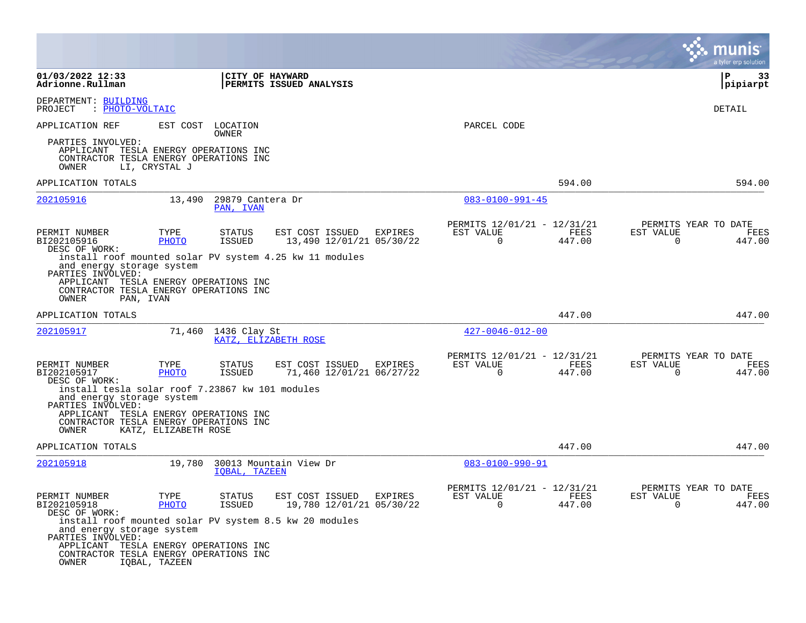|                                                                                                          |                      |                                |                                                         |         |                                                            |                |                          | a tyler erp solution                   |
|----------------------------------------------------------------------------------------------------------|----------------------|--------------------------------|---------------------------------------------------------|---------|------------------------------------------------------------|----------------|--------------------------|----------------------------------------|
| 01/03/2022 12:33<br>Adrionne.Rullman                                                                     |                      | CITY OF HAYWARD                | PERMITS ISSUED ANALYSIS                                 |         |                                                            |                |                          | l P<br>33<br> pipiarpt                 |
| DEPARTMENT: BUILDING<br>: PHOTO-VOLTAIC<br>PROJECT                                                       |                      |                                |                                                         |         |                                                            |                |                          | DETAIL                                 |
| APPLICATION REF                                                                                          | EST COST             | LOCATION<br>OWNER              |                                                         |         | PARCEL CODE                                                |                |                          |                                        |
| PARTIES INVOLVED:<br>APPLICANT<br>CONTRACTOR TESLA ENERGY OPERATIONS INC<br>OWNER                        | LI, CRYSTAL J        | TESLA ENERGY OPERATIONS INC    |                                                         |         |                                                            |                |                          |                                        |
| APPLICATION TOTALS                                                                                       |                      |                                |                                                         |         |                                                            | 594.00         |                          | 594.00                                 |
| 202105916                                                                                                | 13,490               | 29879 Cantera Dr<br>PAN, IVAN  |                                                         |         | $083 - 0100 - 991 - 45$                                    |                |                          |                                        |
| PERMIT NUMBER<br>BI202105916                                                                             | TYPE<br><b>PHOTO</b> | STATUS<br><b>ISSUED</b>        | EST COST ISSUED<br>13,490 12/01/21 05/30/22             | EXPIRES | PERMITS 12/01/21 - 12/31/21<br>EST VALUE<br>$\overline{0}$ | FEES<br>447.00 | EST VALUE<br>0           | PERMITS YEAR TO DATE<br>FEES<br>447.00 |
| DESC OF WORK:<br>and energy storage system<br>PARTIES INVOLVED:                                          |                      |                                | install roof mounted solar PV system 4.25 kw 11 modules |         |                                                            |                |                          |                                        |
| APPLICANT TESLA ENERGY OPERATIONS INC<br>CONTRACTOR TESLA ENERGY OPERATIONS INC<br>OWNER<br>PAN, IVAN    |                      |                                |                                                         |         |                                                            |                |                          |                                        |
| APPLICATION TOTALS                                                                                       |                      |                                |                                                         |         |                                                            | 447.00         |                          | 447.00                                 |
| 202105917                                                                                                |                      | 71,460 1436 Clay St            | KATZ, ELIZABETH ROSE                                    |         | $427 - 0046 - 012 - 00$                                    |                |                          |                                        |
| PERMIT NUMBER<br>BI202105917<br>DESC OF WORK:                                                            | TYPE<br>PHOTO        | <b>STATUS</b><br>ISSUED        | EST COST ISSUED<br>71,460 12/01/21 06/27/22             | EXPIRES | PERMITS 12/01/21 - 12/31/21<br>EST VALUE<br>$\Omega$       | FEES<br>447.00 | EST VALUE<br>$\mathbf 0$ | PERMITS YEAR TO DATE<br>FEES<br>447.00 |
| install tesla solar roof 7.23867 kw 101 modules<br>and energy storage system<br>PARTIES INVOLVED:        |                      |                                |                                                         |         |                                                            |                |                          |                                        |
| APPLICANT TESLA ENERGY OPERATIONS INC<br>CONTRACTOR TESLA ENERGY OPERATIONS INC<br>OWNER                 | KATZ, ELIZABETH ROSE |                                |                                                         |         |                                                            |                |                          |                                        |
| APPLICATION TOTALS                                                                                       |                      |                                |                                                         |         |                                                            | 447.00         |                          | 447.00                                 |
| 202105918                                                                                                | 19,780               | IOBAL, TAZEEN                  | 30013 Mountain View Dr                                  |         | $083 - 0100 - 990 - 91$                                    |                |                          |                                        |
| PERMIT NUMBER<br>BI202105918<br>DESC OF WORK:                                                            | TYPE<br>PHOTO        | <b>STATUS</b><br><b>ISSUED</b> | EST COST ISSUED EXPIRES<br>19,780 12/01/21 05/30/22     |         | PERMITS 12/01/21 - 12/31/21<br>EST VALUE<br>$\Omega$       | FEES<br>447.00 | EST VALUE<br>$\Omega$    | PERMITS YEAR TO DATE<br>FEES<br>447.00 |
| install roof mounted solar PV system 8.5 kw 20 modules<br>and energy storage system<br>PARTIES INVOLVED: |                      |                                |                                                         |         |                                                            |                |                          |                                        |
| APPLICANT TESLA ENERGY OPERATIONS INC<br>CONTRACTOR TESLA ENERGY OPERATIONS INC<br>OWNER                 | IQBAL, TAZEEN        |                                |                                                         |         |                                                            |                |                          |                                        |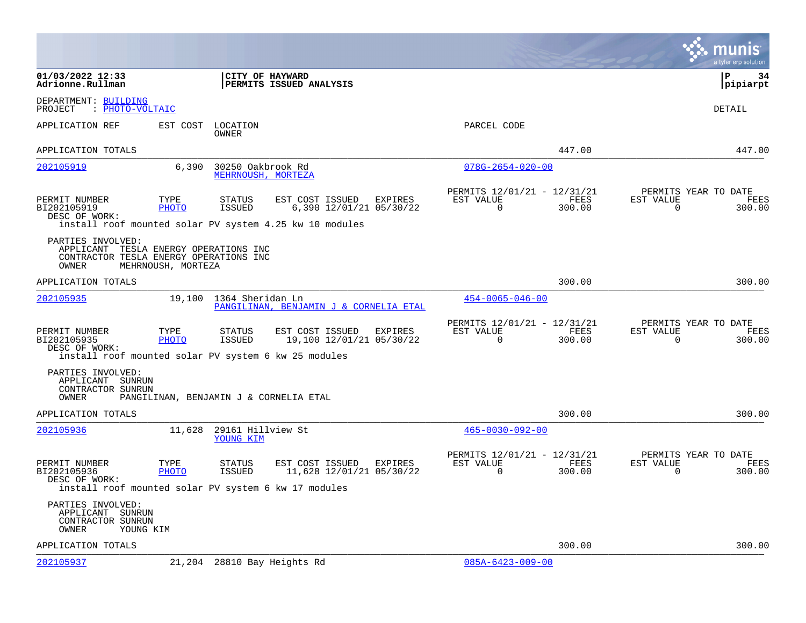|                                                                                                               |                      |                                         |                                                                                                       |         |                                                         |                |                       | munis<br>a tyler erp solution          |
|---------------------------------------------------------------------------------------------------------------|----------------------|-----------------------------------------|-------------------------------------------------------------------------------------------------------|---------|---------------------------------------------------------|----------------|-----------------------|----------------------------------------|
| 01/03/2022 12:33<br>Adrionne.Rullman                                                                          |                      | CITY OF HAYWARD                         | PERMITS ISSUED ANALYSIS                                                                               |         |                                                         |                |                       | l P<br>34<br> pipiarpt                 |
| DEPARTMENT: BUILDING<br>: PHOTO-VOLTAIC<br>PROJECT                                                            |                      |                                         |                                                                                                       |         |                                                         |                |                       | DETAIL                                 |
| APPLICATION REF                                                                                               | EST COST             | LOCATION<br>OWNER                       |                                                                                                       |         | PARCEL CODE                                             |                |                       |                                        |
| APPLICATION TOTALS                                                                                            |                      |                                         |                                                                                                       |         |                                                         | 447.00         |                       | 447.00                                 |
| 202105919                                                                                                     | 6,390                | 30250 Oakbrook Rd<br>MEHRNOUSH, MORTEZA |                                                                                                       |         | $078G - 2654 - 020 - 00$                                |                |                       |                                        |
| PERMIT NUMBER<br>BI202105919<br>DESC OF WORK:                                                                 | TYPE<br><b>PHOTO</b> | STATUS<br>ISSUED                        | EST COST ISSUED<br>6,390 12/01/21 05/30/22<br>install roof mounted solar PV system 4.25 kw 10 modules | EXPIRES | PERMITS 12/01/21 - 12/31/21<br>EST VALUE<br>$\Omega$    | FEES<br>300.00 | EST VALUE<br>$\Omega$ | PERMITS YEAR TO DATE<br>FEES<br>300.00 |
| PARTIES INVOLVED:<br>APPLICANT TESLA ENERGY OPERATIONS INC<br>CONTRACTOR TESLA ENERGY OPERATIONS INC<br>OWNER | MEHRNOUSH, MORTEZA   |                                         |                                                                                                       |         |                                                         |                |                       |                                        |
| APPLICATION TOTALS                                                                                            |                      |                                         |                                                                                                       |         |                                                         | 300.00         |                       | 300.00                                 |
| <u>202105935</u>                                                                                              |                      | 19,100 1364 Sheridan Ln                 | PANGILINAN, BENJAMIN J & CORNELIA ETAL                                                                |         | $454 - 0065 - 046 - 00$                                 |                |                       |                                        |
| PERMIT NUMBER<br>BI202105935<br>DESC OF WORK:<br>install roof mounted solar PV system 6 kw 25 modules         | TYPE<br>PHOTO        | STATUS<br>ISSUED                        | EST COST ISSUED<br>19,100 12/01/21 05/30/22                                                           | EXPIRES | PERMITS 12/01/21 - 12/31/21<br>EST VALUE<br>0           | FEES<br>300.00 | EST VALUE<br>0        | PERMITS YEAR TO DATE<br>FEES<br>300.00 |
| PARTIES INVOLVED:<br>APPLICANT SUNRUN<br>CONTRACTOR SUNRUN<br>OWNER                                           |                      |                                         | PANGILINAN, BENJAMIN J & CORNELIA ETAL                                                                |         |                                                         |                |                       |                                        |
| APPLICATION TOTALS                                                                                            |                      |                                         |                                                                                                       |         |                                                         | 300.00         |                       | 300.00                                 |
| 202105936                                                                                                     | 11,628               | 29161 Hillview St<br>YOUNG KIM          |                                                                                                       |         | $465 - 0030 - 092 - 00$                                 |                |                       |                                        |
| PERMIT NUMBER<br>BI202105936<br>DESC OF WORK:<br>install roof mounted solar PV system 6 kw 17 modules         | TYPE<br>PHOTO        | STATUS<br>ISSUED                        | EST COST ISSUED<br>11,628 12/01/21 05/30/22                                                           | EXPIRES | PERMITS 12/01/21 - 12/31/21<br>EST VALUE<br>$\mathbf 0$ | FEES<br>300.00 | EST VALUE<br>$\Omega$ | PERMITS YEAR TO DATE<br>FEES<br>300.00 |
| PARTIES INVOLVED:<br>APPLICANT<br>SUNRUN<br>CONTRACTOR SUNRUN<br>OWNER<br>YOUNG KIM                           |                      |                                         |                                                                                                       |         |                                                         |                |                       |                                        |
| APPLICATION TOTALS                                                                                            |                      |                                         |                                                                                                       |         |                                                         | 300.00         |                       | 300.00                                 |
| 202105937                                                                                                     | 21,204               |                                         | 28810 Bay Heights Rd                                                                                  |         | $085A - 6423 - 009 - 00$                                |                |                       |                                        |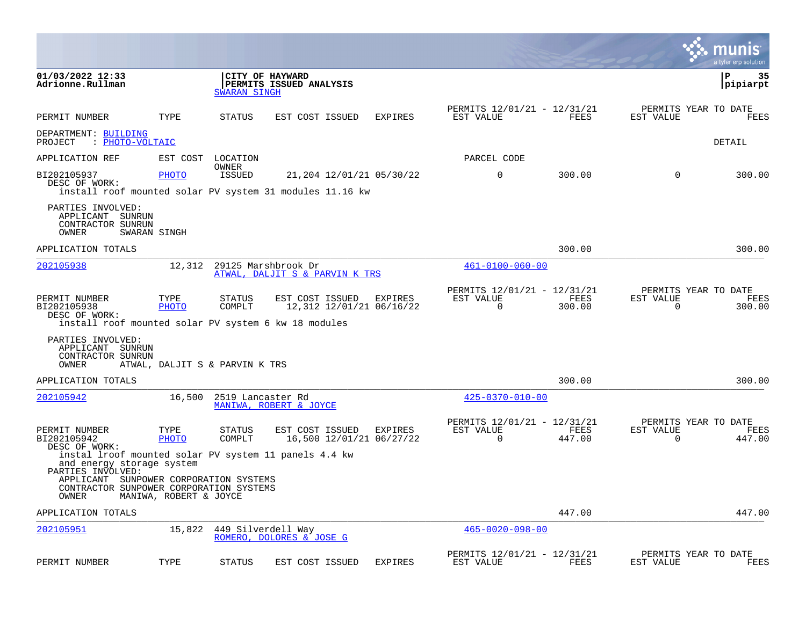|                                                                                                                                              |                                |                          |                                                                                                      |         |                                                      |                |                       | a tyler erp solution                   |
|----------------------------------------------------------------------------------------------------------------------------------------------|--------------------------------|--------------------------|------------------------------------------------------------------------------------------------------|---------|------------------------------------------------------|----------------|-----------------------|----------------------------------------|
| 01/03/2022 12:33<br>Adrionne.Rullman                                                                                                         |                                | <b>SWARAN SINGH</b>      | CITY OF HAYWARD<br>PERMITS ISSUED ANALYSIS                                                           |         |                                                      |                |                       | P<br>35<br> pipiarpt                   |
| PERMIT NUMBER                                                                                                                                | TYPE                           | STATUS                   | EST COST ISSUED                                                                                      | EXPIRES | PERMITS 12/01/21 - 12/31/21<br>EST VALUE             | FEES           | EST VALUE             | PERMITS YEAR TO DATE<br>FEES           |
| DEPARTMENT: BUILDING<br>PROJECT                                                                                                              | : PHOTO-VOLTAIC                |                          |                                                                                                      |         |                                                      |                |                       | DETAIL                                 |
| APPLICATION REF                                                                                                                              |                                | EST COST LOCATION        |                                                                                                      |         | PARCEL CODE                                          |                |                       |                                        |
| BI202105937<br>DESC OF WORK:                                                                                                                 | PHOTO                          | OWNER<br>ISSUED          | 21,204 12/01/21 05/30/22<br>install roof mounted solar PV system 31 modules 11.16 kw                 |         | $\mathbf 0$                                          | 300.00         | 0                     | 300.00                                 |
| PARTIES INVOLVED:<br>APPLICANT<br>SUNRUN<br>CONTRACTOR SUNRUN<br>OWNER                                                                       | SWARAN SINGH                   |                          |                                                                                                      |         |                                                      |                |                       |                                        |
| APPLICATION TOTALS                                                                                                                           |                                |                          |                                                                                                      |         |                                                      | 300.00         |                       | 300.00                                 |
| 202105938                                                                                                                                    | 12,312                         |                          | 29125 Marshbrook Dr<br>ATWAL, DALJIT S & PARVIN K TRS                                                |         | $461 - 0100 - 060 - 00$                              |                |                       |                                        |
| PERMIT NUMBER<br>BI202105938<br>DESC OF WORK:                                                                                                | TYPE<br>PHOTO                  | STATUS<br>COMPLT         | EST COST ISSUED<br>12,312 12/01/21 06/16/22<br>install roof mounted solar PV system 6 kw 18 modules  | EXPIRES | PERMITS 12/01/21 - 12/31/21<br>EST VALUE<br>$\Omega$ | FEES<br>300.00 | EST VALUE<br>$\Omega$ | PERMITS YEAR TO DATE<br>FEES<br>300.00 |
| PARTIES INVOLVED:<br>APPLICANT SUNRUN<br>CONTRACTOR SUNRUN<br>OWNER                                                                          | ATWAL, DALJIT S & PARVIN K TRS |                          |                                                                                                      |         |                                                      |                |                       |                                        |
| APPLICATION TOTALS                                                                                                                           |                                |                          |                                                                                                      |         |                                                      | 300.00         |                       | 300.00                                 |
| 202105942                                                                                                                                    |                                | 16,500 2519 Lancaster Rd | MANIWA, ROBERT & JOYCE                                                                               |         | $425 - 0370 - 010 - 00$                              |                |                       |                                        |
| PERMIT NUMBER<br>BI202105942<br>DESC OF WORK:                                                                                                | TYPE<br>PHOTO                  | STATUS<br>COMPLT         | EST COST ISSUED<br>16,500 12/01/21 06/27/22<br>instal lroof mounted solar PV system 11 panels 4.4 kw | EXPIRES | PERMITS 12/01/21 - 12/31/21<br>EST VALUE<br>$\Omega$ | FEES<br>447.00 | EST VALUE<br>$\Omega$ | PERMITS YEAR TO DATE<br>FEES<br>447.00 |
| and energy storage system<br>PARTIES INVOLVED:<br>APPLICANT SUNPOWER CORPORATION SYSTEMS<br>CONTRACTOR SUNPOWER CORPORATION SYSTEMS<br>OWNER | MANIWA, ROBERT & JOYCE         |                          |                                                                                                      |         |                                                      |                |                       |                                        |
| APPLICATION TOTALS                                                                                                                           |                                |                          |                                                                                                      |         |                                                      | 447.00         |                       | 447.00                                 |
| 202105951                                                                                                                                    | 15,822                         |                          | 449 Silverdell Way<br>ROMERO, DOLORES & JOSE G                                                       |         | $465 - 0020 - 098 - 00$                              |                |                       |                                        |
| PERMIT NUMBER                                                                                                                                | TYPE                           | STATUS                   | EST COST ISSUED                                                                                      | EXPIRES | PERMITS 12/01/21 - 12/31/21<br>EST VALUE             | FEES           | EST VALUE             | PERMITS YEAR TO DATE<br>FEES           |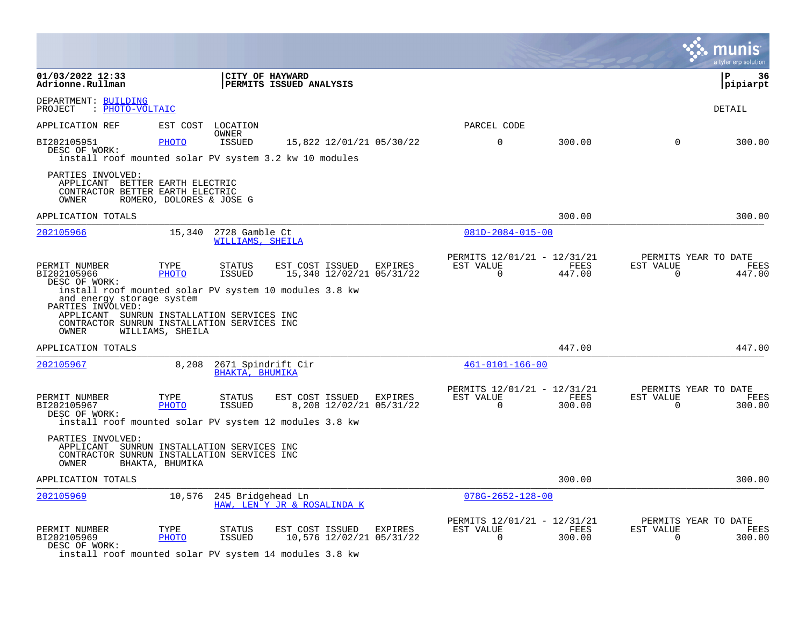|                                                                                                                                                                                                                |                          |                                    |                                                     |                                    |                                                         |                |                          | a tyler erp solution                   |
|----------------------------------------------------------------------------------------------------------------------------------------------------------------------------------------------------------------|--------------------------|------------------------------------|-----------------------------------------------------|------------------------------------|---------------------------------------------------------|----------------|--------------------------|----------------------------------------|
| 01/03/2022 12:33<br>Adrionne.Rullman                                                                                                                                                                           |                          |                                    | CITY OF HAYWARD<br>PERMITS ISSUED ANALYSIS          |                                    |                                                         |                |                          | ΙP<br>36<br> pipiarpt                  |
| DEPARTMENT: BUILDING<br>: PHOTO-VOLTAIC<br>PROJECT                                                                                                                                                             |                          |                                    |                                                     |                                    |                                                         |                |                          | DETAIL                                 |
| APPLICATION REF                                                                                                                                                                                                |                          | EST COST LOCATION                  |                                                     |                                    | PARCEL CODE                                             |                |                          |                                        |
| BI202105951<br>DESC OF WORK:<br>install roof mounted solar PV system 3.2 kw 10 modules                                                                                                                         | PHOTO                    | OWNER<br><b>ISSUED</b>             |                                                     | 15,822 12/01/21 05/30/22           | $\Omega$                                                | 300.00         | $\Omega$                 | 300.00                                 |
| PARTIES INVOLVED:<br>APPLICANT BETTER EARTH ELECTRIC<br>CONTRACTOR BETTER EARTH ELECTRIC<br>OWNER                                                                                                              | ROMERO, DOLORES & JOSE G |                                    |                                                     |                                    |                                                         |                |                          |                                        |
| APPLICATION TOTALS                                                                                                                                                                                             |                          |                                    |                                                     |                                    |                                                         | 300.00         |                          | 300.00                                 |
| 202105966                                                                                                                                                                                                      | 15,340                   | 2728 Gamble Ct<br>WILLIAMS, SHEILA |                                                     |                                    | $081D - 2084 - 015 - 00$                                |                |                          |                                        |
| PERMIT NUMBER<br>BI202105966<br>DESC OF WORK:                                                                                                                                                                  | TYPE<br><b>PHOTO</b>     | <b>STATUS</b><br><b>ISSUED</b>     | EST COST ISSUED EXPIRES<br>15,340 12/02/21 05/31/22 |                                    | PERMITS 12/01/21 - 12/31/21<br>EST VALUE<br>$\mathbf 0$ | FEES<br>447.00 | EST VALUE<br>$\mathbf 0$ | PERMITS YEAR TO DATE<br>FEES<br>447.00 |
| install roof mounted solar PV system 10 modules 3.8 kw<br>and energy storage system<br>PARTIES INVOLVED:<br>APPLICANT SUNRUN INSTALLATION SERVICES INC<br>CONTRACTOR SUNRUN INSTALLATION SERVICES INC<br>OWNER | WILLIAMS, SHEILA         |                                    |                                                     |                                    |                                                         |                |                          |                                        |
| APPLICATION TOTALS                                                                                                                                                                                             |                          |                                    |                                                     |                                    |                                                         | 447.00         |                          | 447.00                                 |
| 202105967                                                                                                                                                                                                      | 8,208                    | BHAKTA, BHUMIKA                    | 2671 Spindrift Cir                                  |                                    | $461 - 0101 - 166 - 00$                                 |                |                          |                                        |
| PERMIT NUMBER<br>BI202105967<br>DESC OF WORK:                                                                                                                                                                  | TYPE<br><b>PHOTO</b>     | STATUS<br>ISSUED                   | EST COST ISSUED                                     | EXPIRES<br>8,208 12/02/21 05/31/22 | PERMITS 12/01/21 - 12/31/21<br>EST VALUE<br>$\Omega$    | FEES<br>300.00 | EST VALUE<br>$\Omega$    | PERMITS YEAR TO DATE<br>FEES<br>300.00 |
| install roof mounted solar PV system 12 modules 3.8 kw                                                                                                                                                         |                          |                                    |                                                     |                                    |                                                         |                |                          |                                        |
| PARTIES INVOLVED:<br>APPLICANT SUNRUN INSTALLATION SERVICES INC<br>CONTRACTOR SUNRUN INSTALLATION SERVICES INC<br>OWNER                                                                                        | BHAKTA, BHUMIKA          |                                    |                                                     |                                    |                                                         |                |                          |                                        |
| APPLICATION TOTALS                                                                                                                                                                                             |                          |                                    |                                                     |                                    |                                                         | 300.00         |                          | 300.00                                 |
| 202105969                                                                                                                                                                                                      | 10,576                   | 245 Bridgehead Ln                  | HAW, LEN Y JR & ROSALINDA K                         |                                    | $078G - 2652 - 128 - 00$                                |                |                          |                                        |
| PERMIT NUMBER<br>BI202105969<br>DESC OF WORK:<br>install roof mounted solar PV system 14 modules 3.8 kw                                                                                                        | TYPE<br>PHOTO            | <b>STATUS</b><br><b>ISSUED</b>     | EST COST ISSUED<br>10,576 12/02/21 05/31/22         | EXPIRES                            | PERMITS 12/01/21 - 12/31/21<br>EST VALUE<br>$\Omega$    | FEES<br>300.00 | EST VALUE<br>$\Omega$    | PERMITS YEAR TO DATE<br>FEES<br>300.00 |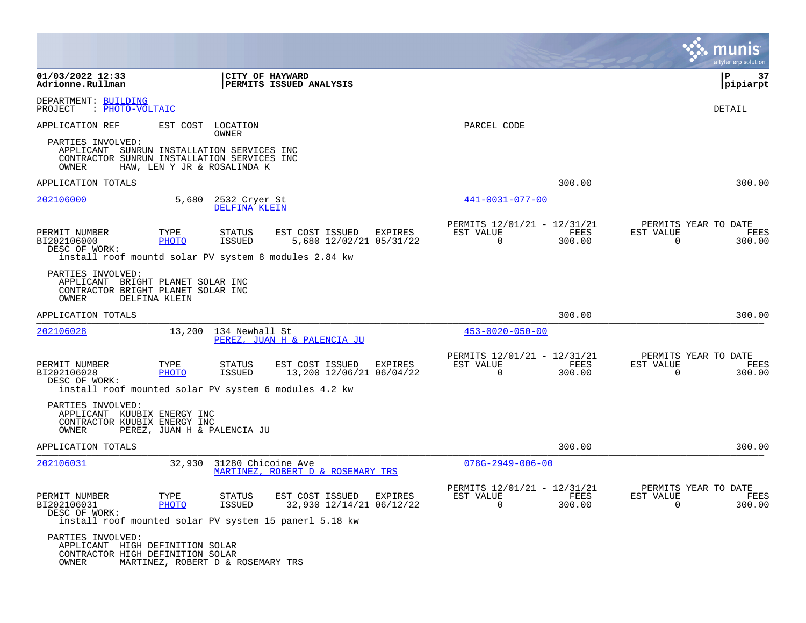|                                                                                                           |                      |                                                                                      |                                                     |                |                                                            |                |                          | a tyler erp solution                          |
|-----------------------------------------------------------------------------------------------------------|----------------------|--------------------------------------------------------------------------------------|-----------------------------------------------------|----------------|------------------------------------------------------------|----------------|--------------------------|-----------------------------------------------|
| 01/03/2022 12:33<br>Adrionne.Rullman                                                                      |                      | CITY OF HAYWARD                                                                      | PERMITS ISSUED ANALYSIS                             |                |                                                            |                |                          | l P<br>37<br> pipiarpt                        |
| DEPARTMENT: BUILDING<br>PROJECT<br>: PHOTO-VOLTAIC                                                        |                      |                                                                                      |                                                     |                |                                                            |                |                          | DETAIL                                        |
| APPLICATION REF<br>PARTIES INVOLVED:<br>APPLICANT<br>CONTRACTOR SUNRUN INSTALLATION SERVICES INC<br>OWNER | EST COST             | LOCATION<br>OWNER<br>SUNRUN INSTALLATION SERVICES INC<br>HAW, LEN Y JR & ROSALINDA K |                                                     |                | PARCEL CODE                                                |                |                          |                                               |
| APPLICATION TOTALS                                                                                        |                      |                                                                                      |                                                     |                |                                                            | 300.00         |                          | 300.00                                        |
| 202106000                                                                                                 | 5,680                | 2532 Cryer St<br>DELFINA KLEIN                                                       |                                                     |                | 441-0031-077-00                                            |                |                          |                                               |
| PERMIT NUMBER<br>BI202106000<br>DESC OF WORK:<br>install roof mountd solar PV system 8 modules 2.84 kw    | TYPE<br>PHOTO        | STATUS<br>ISSUED                                                                     | EST COST ISSUED<br>5,680 12/02/21 05/31/22          | EXPIRES        | PERMITS 12/01/21 - 12/31/21<br>EST VALUE<br>$\overline{0}$ | FEES<br>300.00 | EST VALUE<br>$\mathbf 0$ | PERMITS YEAR TO DATE<br>FEES<br>300.00        |
| PARTIES INVOLVED:<br>APPLICANT BRIGHT PLANET SOLAR INC<br>CONTRACTOR BRIGHT PLANET SOLAR INC<br>OWNER     | DELFINA KLEIN        |                                                                                      |                                                     |                |                                                            |                |                          |                                               |
| APPLICATION TOTALS                                                                                        |                      |                                                                                      |                                                     |                |                                                            | 300.00         |                          | 300.00                                        |
| 202106028                                                                                                 |                      | 13,200 134 Newhall St                                                                | PEREZ, JUAN H & PALENCIA JU                         |                | $453 - 0020 - 050 - 00$                                    |                |                          |                                               |
| PERMIT NUMBER<br>BI202106028<br>DESC OF WORK:<br>install roof mounted solar PV system 6 modules 4.2 kw    | TYPE<br>PHOTO        | STATUS<br>ISSUED                                                                     | EST COST ISSUED<br>13,200 12/06/21 06/04/22         | <b>EXPIRES</b> | PERMITS 12/01/21 - 12/31/21<br>EST VALUE<br>$\Omega$       | FEES<br>300.00 | EST VALUE<br>0           | PERMITS YEAR TO DATE<br><b>FEES</b><br>300.00 |
| PARTIES INVOLVED:<br>APPLICANT KUUBIX ENERGY INC<br>CONTRACTOR KUUBIX ENERGY INC<br>OWNER                 |                      | PEREZ, JUAN H & PALENCIA JU                                                          |                                                     |                |                                                            |                |                          |                                               |
| APPLICATION TOTALS                                                                                        |                      |                                                                                      |                                                     |                |                                                            | 300.00         |                          | 300.00                                        |
| 202106031                                                                                                 | 32,930               | 31280 Chicoine Ave                                                                   | MARTINEZ, ROBERT D & ROSEMARY TRS                   |                | $078G - 2949 - 006 - 00$                                   |                |                          |                                               |
| PERMIT NUMBER<br>BI202106031<br>DESC OF WORK:<br>install roof mounted solar PV system 15 panerl 5.18 kw   | TYPE<br><b>PHOTO</b> | STATUS<br><b>ISSUED</b>                                                              | EST COST ISSUED EXPIRES<br>32,930 12/14/21 06/12/22 |                | PERMITS 12/01/21 - 12/31/21<br>EST VALUE<br>$\Omega$       | FEES<br>300.00 | EST VALUE<br>0           | PERMITS YEAR TO DATE<br>FEES<br>300.00        |
| PARTIES INVOLVED:<br>APPLICANT HIGH DEFINITION SOLAR<br>CONTRACTOR HIGH DEFINITION SOLAR<br>OWNER         |                      | MARTINEZ, ROBERT D & ROSEMARY TRS                                                    |                                                     |                |                                                            |                |                          |                                               |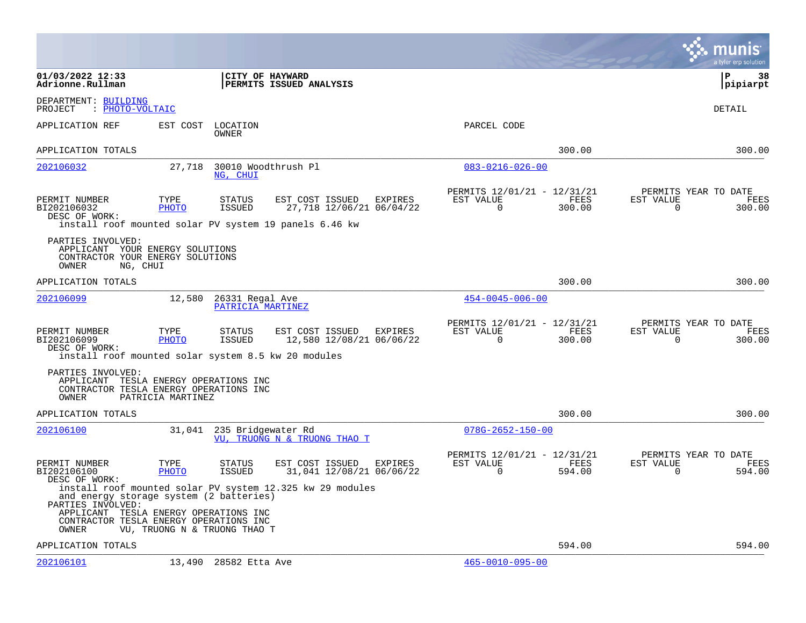|                                                                                                                                                          |                      |                                      |                                                                                                                  |                                                            |                |                          | munis<br>a tyler erp solution          |
|----------------------------------------------------------------------------------------------------------------------------------------------------------|----------------------|--------------------------------------|------------------------------------------------------------------------------------------------------------------|------------------------------------------------------------|----------------|--------------------------|----------------------------------------|
| 01/03/2022 12:33<br>Adrionne.Rullman                                                                                                                     |                      | CITY OF HAYWARD                      | PERMITS ISSUED ANALYSIS                                                                                          |                                                            |                |                          | l P<br>38<br> pipiarpt                 |
| DEPARTMENT: BUILDING<br>PROJECT<br>: PHOTO-VOLTAIC                                                                                                       |                      |                                      |                                                                                                                  |                                                            |                |                          | DETAIL                                 |
| APPLICATION REF                                                                                                                                          | EST COST             | LOCATION<br>OWNER                    |                                                                                                                  | PARCEL CODE                                                |                |                          |                                        |
| APPLICATION TOTALS                                                                                                                                       |                      |                                      |                                                                                                                  |                                                            | 300.00         |                          | 300.00                                 |
| 202106032                                                                                                                                                | 27,718               | 30010 Woodthrush Pl<br>NG, CHUI      |                                                                                                                  | $083 - 0216 - 026 - 00$                                    |                |                          |                                        |
| PERMIT NUMBER<br>BI202106032<br>DESC OF WORK:                                                                                                            | TYPE<br><b>PHOTO</b> | <b>STATUS</b><br><b>ISSUED</b>       | EST COST ISSUED<br>EXPIRES<br>27,718 12/06/21 06/04/22<br>install roof mounted solar PV system 19 panels 6.46 kw | PERMITS 12/01/21 - 12/31/21<br>EST VALUE<br>$\overline{0}$ | FEES<br>300.00 | EST VALUE<br>$\mathbf 0$ | PERMITS YEAR TO DATE<br>FEES<br>300.00 |
| PARTIES INVOLVED:<br>APPLICANT YOUR ENERGY SOLUTIONS<br>CONTRACTOR YOUR ENERGY SOLUTIONS<br>OWNER<br>NG, CHUI                                            |                      |                                      |                                                                                                                  |                                                            |                |                          |                                        |
| APPLICATION TOTALS                                                                                                                                       |                      |                                      |                                                                                                                  |                                                            | 300.00         |                          | 300.00                                 |
| 202106099                                                                                                                                                | 12,580               | 26331 Regal Ave<br>PATRICIA MARTINEZ |                                                                                                                  | $454 - 0045 - 006 - 00$                                    |                |                          |                                        |
| PERMIT NUMBER<br>BI202106099<br>DESC OF WORK:<br>install roof mounted solar system 8.5 kw 20 modules                                                     | TYPE<br>PHOTO        | <b>STATUS</b><br>ISSUED              | EST COST ISSUED<br>EXPIRES<br>12,580 12/08/21 06/06/22                                                           | PERMITS 12/01/21 - 12/31/21<br>EST VALUE<br>$\Omega$       | FEES<br>300.00 | EST VALUE<br>$\Omega$    | PERMITS YEAR TO DATE<br>FEES<br>300.00 |
| PARTIES INVOLVED:<br>APPLICANT TESLA ENERGY OPERATIONS INC<br>CONTRACTOR TESLA ENERGY OPERATIONS INC<br>OWNER                                            | PATRICIA MARTINEZ    |                                      |                                                                                                                  |                                                            |                |                          |                                        |
| APPLICATION TOTALS                                                                                                                                       |                      |                                      |                                                                                                                  |                                                            | 300.00         |                          | 300.00                                 |
| 202106100                                                                                                                                                | 31,041               | 235 Bridgewater Rd                   | VU, TRUONG N & TRUONG THAO T                                                                                     | $078G - 2652 - 150 - 00$                                   |                |                          |                                        |
| PERMIT NUMBER<br>BI202106100<br>DESC OF WORK:                                                                                                            | TYPE<br>PHOTO        | STATUS<br><b>ISSUED</b>              | EST COST ISSUED<br>EXPIRES<br>31,041 12/08/21 06/06/22                                                           | PERMITS 12/01/21 - 12/31/21<br>EST VALUE<br>$\overline{0}$ | FEES<br>594.00 | EST VALUE<br>$\mathbf 0$ | PERMITS YEAR TO DATE<br>FEES<br>594.00 |
| and energy storage system (2 batteries)<br>PARTIES INVOLVED:<br>APPLICANT TESLA ENERGY OPERATIONS INC<br>CONTRACTOR TESLA ENERGY OPERATIONS INC<br>OWNER |                      | VU, TRUONG N & TRUONG THAO T         | install roof mounted solar PV system 12.325 kw 29 modules                                                        |                                                            |                |                          |                                        |
| APPLICATION TOTALS                                                                                                                                       |                      |                                      |                                                                                                                  |                                                            | 594.00         |                          | 594.00                                 |
| 202106101                                                                                                                                                |                      | 13,490 28582 Etta Ave                |                                                                                                                  | $465 - 0010 - 095 - 00$                                    |                |                          |                                        |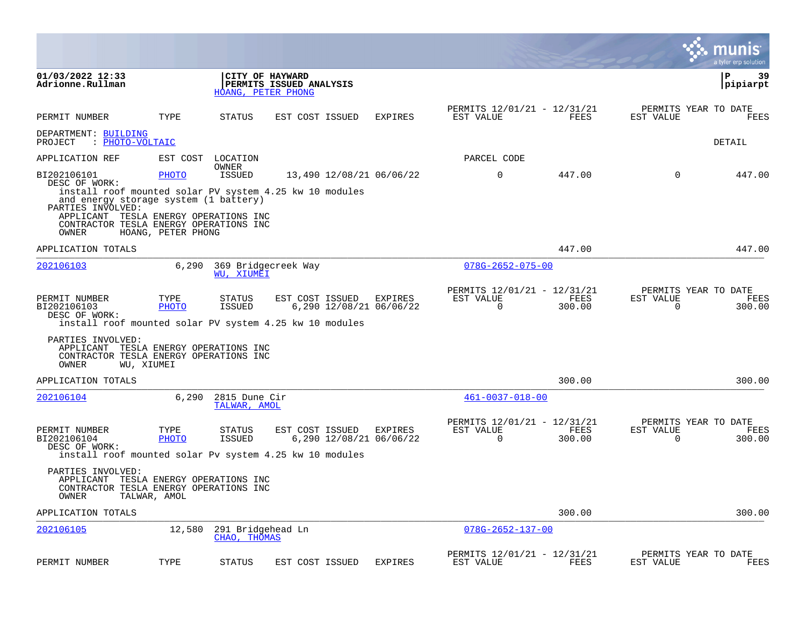|                                                                                                                                                                                                              |                                      |                                   |                                                                  |                                    |                                                      |                |                       | a tyler erp solution                   |
|--------------------------------------------------------------------------------------------------------------------------------------------------------------------------------------------------------------|--------------------------------------|-----------------------------------|------------------------------------------------------------------|------------------------------------|------------------------------------------------------|----------------|-----------------------|----------------------------------------|
| 01/03/2022 12:33<br>Adrionne.Rullman                                                                                                                                                                         |                                      |                                   | CITY OF HAYWARD<br>PERMITS ISSUED ANALYSIS<br>HOANG, PETER PHONG |                                    |                                                      |                |                       | P<br>39<br>pipiarpt                    |
| PERMIT NUMBER                                                                                                                                                                                                | TYPE                                 | STATUS                            | EST COST ISSUED                                                  | <b>EXPIRES</b>                     | PERMITS 12/01/21 - 12/31/21<br>EST VALUE             | FEES           | EST VALUE             | PERMITS YEAR TO DATE<br>FEES           |
| DEPARTMENT: BUILDING<br>: PHOTO-VOLTAIC<br>PROJECT                                                                                                                                                           |                                      |                                   |                                                                  |                                    |                                                      |                |                       | DETAIL                                 |
| APPLICATION REF                                                                                                                                                                                              | EST COST                             | LOCATION                          |                                                                  |                                    | PARCEL CODE                                          |                |                       |                                        |
| BI202106101<br>DESC OF WORK:<br>install roof mounted solar PV system 4.25 kw 10 modules<br>and energy storage system (1 battery)<br>PARTIES INVOLVED:<br>APPLICANT<br>CONTRACTOR TESLA ENERGY OPERATIONS INC | PHOTO<br>TESLA ENERGY OPERATIONS INC | OWNER<br><b>ISSUED</b>            |                                                                  | 13,490 12/08/21 06/06/22           | 0                                                    | 447.00         | $\mathbf 0$           | 447.00                                 |
| <b>OWNER</b>                                                                                                                                                                                                 | HOANG, PETER PHONG                   |                                   |                                                                  |                                    |                                                      |                |                       |                                        |
| APPLICATION TOTALS                                                                                                                                                                                           |                                      |                                   |                                                                  |                                    |                                                      | 447.00         |                       | 447.00                                 |
| 202106103                                                                                                                                                                                                    |                                      | WU, XIUMEI                        | 6,290 369 Bridgecreek Way                                        |                                    | $078G - 2652 - 075 - 00$                             |                |                       |                                        |
| PERMIT NUMBER<br>BI202106103<br>DESC OF WORK:<br>install roof mounted solar PV system 4.25 kw 10 modules                                                                                                     | TYPE<br>PHOTO                        | STATUS<br>ISSUED                  | EST COST ISSUED                                                  | EXPIRES<br>6,290 12/08/21 06/06/22 | PERMITS 12/01/21 - 12/31/21<br>EST VALUE<br>$\Omega$ | FEES<br>300.00 | EST VALUE<br>$\Omega$ | PERMITS YEAR TO DATE<br>FEES<br>300.00 |
| PARTIES INVOLVED:<br>APPLICANT TESLA ENERGY OPERATIONS INC<br>CONTRACTOR TESLA ENERGY OPERATIONS INC<br>OWNER                                                                                                | WU, XIUMEI                           |                                   |                                                                  |                                    |                                                      |                |                       |                                        |
| APPLICATION TOTALS                                                                                                                                                                                           |                                      |                                   |                                                                  |                                    |                                                      | 300.00         |                       | 300.00                                 |
| 202106104                                                                                                                                                                                                    | 6,290                                | 2815 Dune Cir<br>TALWAR, AMOL     |                                                                  |                                    | $461 - 0037 - 018 - 00$                              |                |                       |                                        |
| PERMIT NUMBER<br>BI202106104<br>DESC OF WORK:<br>install roof mounted solar Pv system 4.25 kw 10 modules                                                                                                     | TYPE<br><b>PHOTO</b>                 | STATUS<br>ISSUED                  | EST COST ISSUED                                                  | EXPIRES<br>6,290 12/08/21 06/06/22 | PERMITS 12/01/21 - 12/31/21<br>EST VALUE<br>$\Omega$ | FEES<br>300.00 | EST VALUE<br>$\Omega$ | PERMITS YEAR TO DATE<br>FEES<br>300.00 |
| PARTIES INVOLVED:<br>APPLICANT TESLA ENERGY OPERATIONS INC<br>CONTRACTOR TESLA ENERGY OPERATIONS INC<br>OWNER                                                                                                | TALWAR, AMOL                         |                                   |                                                                  |                                    |                                                      |                |                       |                                        |
| APPLICATION TOTALS                                                                                                                                                                                           |                                      |                                   |                                                                  |                                    |                                                      | 300.00         |                       | 300.00                                 |
| 202106105                                                                                                                                                                                                    | 12,580                               | 291 Bridgehead Ln<br>CHAO, THOMAS |                                                                  |                                    | $078G - 2652 - 137 - 00$                             |                |                       |                                        |
| PERMIT NUMBER                                                                                                                                                                                                | TYPE                                 | STATUS                            | EST COST ISSUED                                                  | <b>EXPIRES</b>                     | PERMITS 12/01/21 - 12/31/21<br>EST VALUE             | FEES           | EST VALUE             | PERMITS YEAR TO DATE<br>FEES           |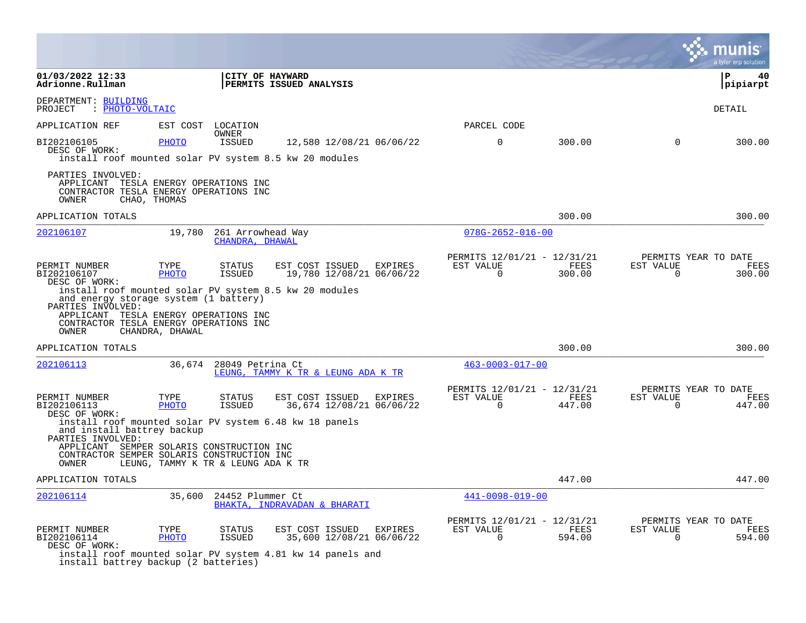|                                                                                                                                                                                                                  |                      |                                      |                                                                                                           |         |                                                      |                       |                       | a tyler erp solution                          |
|------------------------------------------------------------------------------------------------------------------------------------------------------------------------------------------------------------------|----------------------|--------------------------------------|-----------------------------------------------------------------------------------------------------------|---------|------------------------------------------------------|-----------------------|-----------------------|-----------------------------------------------|
| 01/03/2022 12:33<br>Adrionne.Rullman                                                                                                                                                                             |                      |                                      | CITY OF HAYWARD<br><b>PERMITS ISSUED ANALYSIS</b>                                                         |         |                                                      |                       |                       | l P<br>40<br> pipiarpt                        |
| DEPARTMENT: BUILDING<br>PROJECT<br>: PHOTO-VOLTAIC                                                                                                                                                               |                      |                                      |                                                                                                           |         |                                                      |                       |                       | <b>DETAIL</b>                                 |
| APPLICATION REF                                                                                                                                                                                                  |                      | EST COST LOCATION<br>OWNER           |                                                                                                           |         | PARCEL CODE                                          |                       |                       |                                               |
| BI202106105<br>DESC OF WORK:                                                                                                                                                                                     | <b>PHOTO</b>         | ISSUED                               | 12,580 12/08/21 06/06/22<br>install roof mounted solar PV system 8.5 kw 20 modules                        |         | $\mathbf 0$                                          | 300.00                | $\Omega$              | 300.00                                        |
| PARTIES INVOLVED:<br>APPLICANT TESLA ENERGY OPERATIONS INC<br>CONTRACTOR TESLA ENERGY OPERATIONS INC<br>OWNER                                                                                                    | CHAO, THOMAS         |                                      |                                                                                                           |         |                                                      |                       |                       |                                               |
| APPLICATION TOTALS                                                                                                                                                                                               |                      |                                      |                                                                                                           |         |                                                      | 300.00                |                       | 300.00                                        |
| 202106107                                                                                                                                                                                                        | 19,780               | 261 Arrowhead Way<br>CHANDRA, DHAWAL |                                                                                                           |         | $078G - 2652 - 016 - 00$                             |                       |                       |                                               |
| PERMIT NUMBER<br>BI202106107<br>DESC OF WORK:                                                                                                                                                                    | TYPE<br>PHOTO        | <b>STATUS</b><br><b>ISSUED</b>       | EST COST ISSUED<br>19,780 12/08/21 06/06/22                                                               | EXPIRES | PERMITS 12/01/21 - 12/31/21<br>EST VALUE<br>$\Omega$ | FEES<br>300.00        | EST VALUE<br>$\Omega$ | PERMITS YEAR TO DATE<br><b>FEES</b><br>300.00 |
| install roof mounted solar PV system 8.5 kw 20 modules<br>and energy storage system (1 battery)<br>PARTIES INVOLVED:<br>APPLICANT TESLA ENERGY OPERATIONS INC<br>CONTRACTOR TESLA ENERGY OPERATIONS INC<br>OWNER | CHANDRA, DHAWAL      |                                      |                                                                                                           |         |                                                      |                       |                       |                                               |
| APPLICATION TOTALS                                                                                                                                                                                               |                      |                                      |                                                                                                           |         |                                                      | 300.00                |                       | 300.00                                        |
| 202106113                                                                                                                                                                                                        | 36,674               | 28049 Petrina Ct                     | LEUNG, TAMMY K TR & LEUNG ADA K TR                                                                        |         | $463 - 0003 - 017 - 00$                              |                       |                       |                                               |
| PERMIT NUMBER<br>BI202106113<br>DESC OF WORK:                                                                                                                                                                    | TYPE<br><b>PHOTO</b> | STATUS<br><b>ISSUED</b>              | EST COST ISSUED EXPIRES<br>36,674 12/08/21 06/06/22                                                       |         | PERMITS 12/01/21 - 12/31/21<br>EST VALUE<br>$\Omega$ | <b>FEES</b><br>447.00 | EST VALUE<br>$\Omega$ | PERMITS YEAR TO DATE<br>FEES<br>447.00        |
| and install battrey backup<br>PARTIES INVOLVED:                                                                                                                                                                  |                      |                                      | install roof mounted solar PV system 6.48 kw 18 panels                                                    |         |                                                      |                       |                       |                                               |
| APPLICANT SEMPER SOLARIS CONSTRUCTION INC<br>CONTRACTOR SEMPER SOLARIS CONSTRUCTION INC<br>OWNER                                                                                                                 |                      | LEUNG, TAMMY K TR & LEUNG ADA K TR   |                                                                                                           |         |                                                      |                       |                       |                                               |
| APPLICATION TOTALS                                                                                                                                                                                               |                      |                                      |                                                                                                           |         |                                                      | 447.00                |                       | 447.00                                        |
| 202106114                                                                                                                                                                                                        | 35,600               | 24452 Plummer Ct                     | BHAKTA, INDRAVADAN & BHARATI                                                                              |         | $441 - 0098 - 019 - 00$                              |                       |                       |                                               |
| PERMIT NUMBER<br>BI202106114<br>DESC OF WORK:<br>install battrey backup (2 batteries)                                                                                                                            | TYPE<br>PHOTO        | <b>STATUS</b><br>ISSUED              | EST COST ISSUED<br>35,600 12/08/21 06/06/22<br>install roof mounted solar PV system 4.81 kw 14 panels and | EXPIRES | PERMITS 12/01/21 - 12/31/21<br>EST VALUE<br>$\Omega$ | FEES<br>594.00        | EST VALUE<br>$\Omega$ | PERMITS YEAR TO DATE<br>FEES<br>594.00        |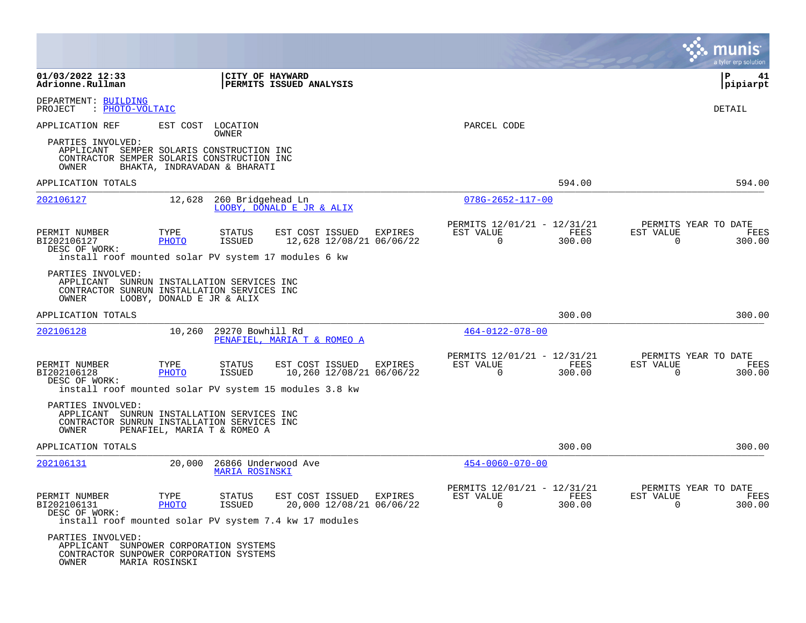|                                                                                                                                                                                 |                           |                                                                 |                                |                         |                                     |                                                        |                |                       | munis<br>a tyler erp solution          |
|---------------------------------------------------------------------------------------------------------------------------------------------------------------------------------|---------------------------|-----------------------------------------------------------------|--------------------------------|-------------------------|-------------------------------------|--------------------------------------------------------|----------------|-----------------------|----------------------------------------|
| 01/03/2022 12:33<br>Adrionne.Rullman                                                                                                                                            |                           | <b>CITY OF HAYWARD</b>                                          | <b>PERMITS ISSUED ANALYSIS</b> |                         |                                     |                                                        |                |                       | l P<br>41<br> pipiarpt                 |
| DEPARTMENT: BUILDING<br>PROJECT<br>: PHOTO-VOLTAIC                                                                                                                              |                           |                                                                 |                                |                         |                                     |                                                        |                |                       | DETAIL                                 |
| APPLICATION REF                                                                                                                                                                 |                           | EST COST LOCATION<br>OWNER                                      |                                |                         |                                     | PARCEL CODE                                            |                |                       |                                        |
| PARTIES INVOLVED:<br>APPLICANT SEMPER SOLARIS CONSTRUCTION INC<br>CONTRACTOR SEMPER SOLARIS CONSTRUCTION INC<br>OWNER                                                           |                           | BHAKTA, INDRAVADAN & BHARATI                                    |                                |                         |                                     |                                                        |                |                       |                                        |
| APPLICATION TOTALS                                                                                                                                                              |                           |                                                                 |                                |                         |                                     |                                                        | 594.00         |                       | 594.00                                 |
| 202106127                                                                                                                                                                       | 12,628                    | 260 Bridgehead Ln                                               | LOOBY, DONALD E JR & ALIX      |                         |                                     | $078G - 2652 - 117 - 00$                               |                |                       |                                        |
| PERMIT NUMBER<br>BI202106127<br>DESC OF WORK:                                                                                                                                   | TYPE<br>PHOTO             | STATUS<br>ISSUED                                                |                                | EST COST ISSUED EXPIRES | 12,628 12/08/21 06/06/22            | PERMITS 12/01/21 - 12/31/21<br>EST VALUE<br>$\Omega$   | FEES<br>300.00 | EST VALUE<br>$\Omega$ | PERMITS YEAR TO DATE<br>FEES<br>300.00 |
| install roof mounted solar PV system 17 modules 6 kw<br>PARTIES INVOLVED:<br>APPLICANT SUNRUN INSTALLATION SERVICES INC<br>CONTRACTOR SUNRUN INSTALLATION SERVICES INC<br>OWNER | LOOBY, DONALD E JR & ALIX |                                                                 |                                |                         |                                     |                                                        |                |                       |                                        |
| APPLICATION TOTALS                                                                                                                                                              |                           |                                                                 |                                |                         |                                     |                                                        | 300.00         |                       | 300.00                                 |
| 202106128                                                                                                                                                                       |                           | 10,260 29270 Bowhill Rd                                         | PENAFIEL, MARIA T & ROMEO A    |                         |                                     | $464 - 0122 - 078 - 00$                                |                |                       |                                        |
| PERMIT NUMBER<br>BI202106128<br>DESC OF WORK:                                                                                                                                   | TYPE<br>PHOTO             | STATUS<br>ISSUED                                                | EST COST ISSUED                |                         | EXPIRES<br>10,260 12/08/21 06/06/22 | PERMITS 12/01/21 - 12/31/21<br>EST VALUE<br>$\Omega$   | FEES<br>300.00 | EST VALUE<br>$\Omega$ | PERMITS YEAR TO DATE<br>FEES<br>300.00 |
| install roof mounted solar PV system 15 modules 3.8 kw                                                                                                                          |                           |                                                                 |                                |                         |                                     |                                                        |                |                       |                                        |
| PARTIES INVOLVED:<br>APPLICANT<br>CONTRACTOR SUNRUN INSTALLATION SERVICES INC<br>OWNER                                                                                          |                           | SUNRUN INSTALLATION SERVICES INC<br>PENAFIEL, MARIA T & ROMEO A |                                |                         |                                     |                                                        |                |                       |                                        |
| APPLICATION TOTALS                                                                                                                                                              |                           |                                                                 |                                |                         |                                     |                                                        | 300.00         |                       | 300.00                                 |
| 202106131                                                                                                                                                                       | 20,000                    | 26866 Underwood Ave<br><b>MARIA ROSINSKI</b>                    |                                |                         |                                     | $454 - 0060 - 070 - 00$                                |                |                       |                                        |
| PERMIT NUMBER<br>BI202106131<br>DESC OF WORK:                                                                                                                                   | TYPE<br><u>PHOTO</u>      | STATUS<br>ISSUED                                                | EST COST ISSUED EXPIRES        |                         | 20,000 12/08/21 06/06/22            | PERMITS 12/01/21 - 12/31/21<br>ES.I. AUTOE<br>$\Omega$ | FEES<br>300.00 | EST VALUE<br>$\Omega$ | PERMITS YEAR TO DATE<br>FEES<br>300.00 |
| install roof mounted solar PV system 7.4 kw 17 modules<br>PARTIES INVOLVED:<br>APPLICANT SUNPOWER CORPORATION SYSTEMS<br>CONTRACTOR SUNPOWER CORPORATION SYSTEMS<br>OWNER       | MARIA ROSINSKI            |                                                                 |                                |                         |                                     |                                                        |                |                       |                                        |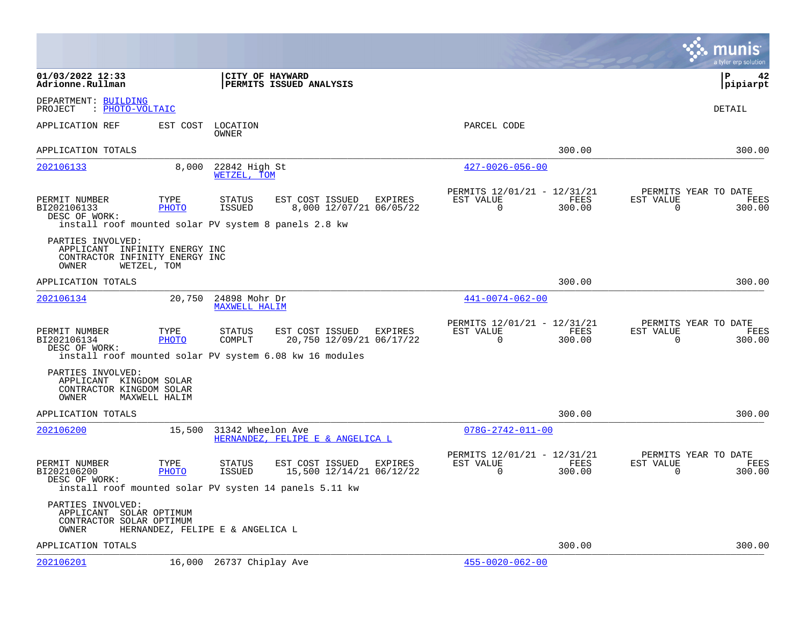|                                                                                                         |                      |                                       |                                                                                                                   |                                                         |                |                          | munis<br>a tyler erp solution          |
|---------------------------------------------------------------------------------------------------------|----------------------|---------------------------------------|-------------------------------------------------------------------------------------------------------------------|---------------------------------------------------------|----------------|--------------------------|----------------------------------------|
| 01/03/2022 12:33<br>Adrionne.Rullman                                                                    |                      | CITY OF HAYWARD                       | <b>PERMITS ISSUED ANALYSIS</b>                                                                                    |                                                         |                |                          | l P<br>42<br> pipiarpt                 |
| DEPARTMENT: BUILDING<br>: PHOTO-VOLTAIC<br>PROJECT                                                      |                      |                                       |                                                                                                                   |                                                         |                |                          | DETAIL                                 |
| APPLICATION REF                                                                                         | EST COST             | LOCATION<br>OWNER                     |                                                                                                                   | PARCEL CODE                                             |                |                          |                                        |
| APPLICATION TOTALS                                                                                      |                      |                                       |                                                                                                                   |                                                         | 300.00         |                          | 300.00                                 |
| 202106133                                                                                               | 8,000                | 22842 High St<br>WETZEL. TOM          |                                                                                                                   | $427 - 0026 - 056 - 00$                                 |                |                          |                                        |
| PERMIT NUMBER<br>BI202106133<br>DESC OF WORK:<br>install roof mounted solar PV system 8 panels 2.8 kw   | TYPE<br>PHOTO        | STATUS<br>ISSUED                      | EST COST ISSUED<br>EXPIRES<br>8,000 12/07/21 06/05/22                                                             | PERMITS 12/01/21 - 12/31/21<br>EST VALUE<br>$\mathbf 0$ | FEES<br>300.00 | EST VALUE<br>$\mathbf 0$ | PERMITS YEAR TO DATE<br>FEES<br>300.00 |
| PARTIES INVOLVED:<br>APPLICANT INFINITY ENERGY INC<br>CONTRACTOR INFINITY ENERGY INC<br>OWNER           | WETZEL, TOM          |                                       |                                                                                                                   |                                                         |                |                          |                                        |
| APPLICATION TOTALS                                                                                      |                      |                                       |                                                                                                                   |                                                         | 300.00         |                          | 300.00                                 |
| 202106134                                                                                               | 20,750               | 24898 Mohr Dr<br><b>MAXWELL HALIM</b> |                                                                                                                   | $441 - 0074 - 062 - 00$                                 |                |                          |                                        |
| PERMIT NUMBER<br>BI202106134<br>DESC OF WORK:                                                           | TYPE<br><b>PHOTO</b> | STATUS<br>COMPLT                      | EST COST ISSUED<br>EXPIRES<br>20,750 12/09/21 06/17/22<br>install roof mounted solar PV system 6.08 kw 16 modules | PERMITS 12/01/21 - 12/31/21<br>EST VALUE<br>0           | FEES<br>300.00 | EST VALUE<br>0           | PERMITS YEAR TO DATE<br>FEES<br>300.00 |
| PARTIES INVOLVED:<br>APPLICANT KINGDOM SOLAR<br>CONTRACTOR KINGDOM SOLAR<br>OWNER                       | MAXWELL HALIM        |                                       |                                                                                                                   |                                                         |                |                          |                                        |
| APPLICATION TOTALS                                                                                      |                      |                                       |                                                                                                                   |                                                         | 300.00         |                          | 300.00                                 |
| 202106200                                                                                               | 15,500               | 31342 Wheelon Ave                     | HERNANDEZ, FELIPE E & ANGELICA L                                                                                  | $078G - 2742 - 011 - 00$                                |                |                          |                                        |
| PERMIT NUMBER<br>BI202106200<br>DESC OF WORK:<br>install roof mounted solar PV systen 14 panels 5.11 kw | TYPE<br>PHOTO        | STATUS<br><b>ISSUED</b>               | EST COST ISSUED<br>EXPIRES<br>15,500 12/14/21 06/12/22                                                            | PERMITS 12/01/21 - 12/31/21<br>EST VALUE<br>$\Omega$    | FEES<br>300.00 | EST VALUE<br>0           | PERMITS YEAR TO DATE<br>FEES<br>300.00 |
| PARTIES INVOLVED:<br>APPLICANT<br>CONTRACTOR SOLAR OPTIMUM<br>OWNER                                     | SOLAR OPTIMUM        | HERNANDEZ, FELIPE E & ANGELICA L      |                                                                                                                   |                                                         |                |                          |                                        |
| APPLICATION TOTALS                                                                                      |                      |                                       |                                                                                                                   |                                                         | 300.00         |                          | 300.00                                 |
| <u> 202106201</u>                                                                                       | 16,000               | 26737 Chiplay Ave                     |                                                                                                                   | $455 - 0020 - 062 - 00$                                 |                |                          |                                        |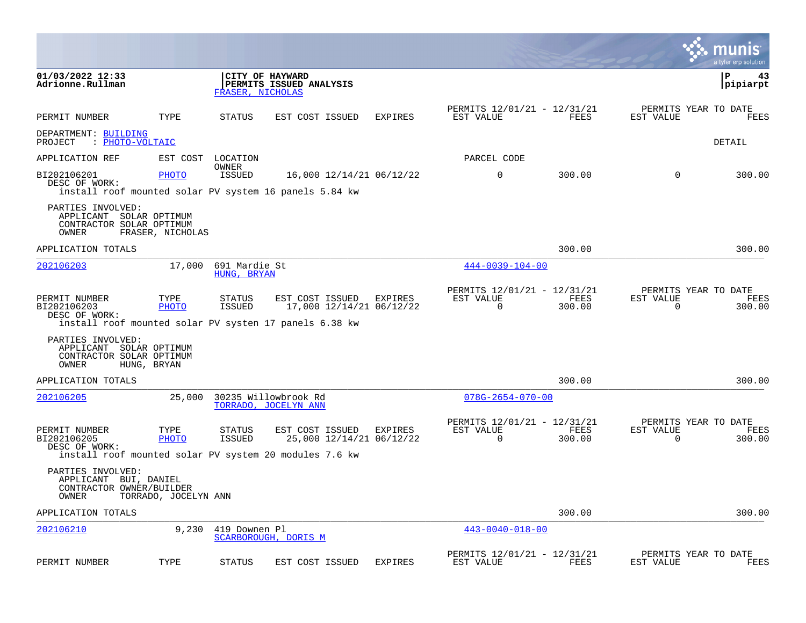|                                                                                   |                      |                              |                                                                                                       |                |                                                      |                |                       | munis<br>a tyler erp solutior          |
|-----------------------------------------------------------------------------------|----------------------|------------------------------|-------------------------------------------------------------------------------------------------------|----------------|------------------------------------------------------|----------------|-----------------------|----------------------------------------|
| 01/03/2022 12:33<br>Adrionne.Rullman                                              |                      | FRASER, NICHOLAS             | CITY OF HAYWARD<br>PERMITS ISSUED ANALYSIS                                                            |                |                                                      |                |                       | 43<br>lΡ<br> pipiarpt                  |
| PERMIT NUMBER                                                                     | TYPE                 | STATUS                       | EST COST ISSUED                                                                                       | <b>EXPIRES</b> | PERMITS 12/01/21 - 12/31/21<br>EST VALUE             | FEES           | EST VALUE             | PERMITS YEAR TO DATE<br>FEES           |
| DEPARTMENT: BUILDING<br>: PHOTO-VOLTAIC<br>PROJECT                                |                      |                              |                                                                                                       |                |                                                      |                |                       | DETAIL                                 |
| APPLICATION REF                                                                   | EST COST             | LOCATION                     |                                                                                                       |                | PARCEL CODE                                          |                |                       |                                        |
| BI202106201<br>DESC OF WORK:                                                      | PHOTO                | OWNER<br><b>ISSUED</b>       | 16,000 12/14/21 06/12/22<br>install roof mounted solar PV system 16 panels 5.84 kw                    |                | $\mathbf 0$                                          | 300.00         | $\mathbf 0$           | 300.00                                 |
| PARTIES INVOLVED:<br>APPLICANT SOLAR OPTIMUM<br>CONTRACTOR SOLAR OPTIMUM<br>OWNER | FRASER, NICHOLAS     |                              |                                                                                                       |                |                                                      |                |                       |                                        |
| APPLICATION TOTALS                                                                |                      |                              |                                                                                                       |                |                                                      | 300.00         |                       | 300.00                                 |
| 202106203                                                                         | 17,000               | 691 Mardie St<br>HUNG, BRYAN |                                                                                                       |                | $444 - 0039 - 104 - 00$                              |                |                       |                                        |
| PERMIT NUMBER<br>BI202106203<br>DESC OF WORK:                                     | TYPE<br>PHOTO        | STATUS<br><b>ISSUED</b>      | EST COST ISSUED<br>17,000 12/14/21 06/12/22<br>install roof mounted solar PV systen 17 panels 6.38 kw | EXPIRES        | PERMITS 12/01/21 - 12/31/21<br>EST VALUE<br>$\Omega$ | FEES<br>300.00 | EST VALUE<br>0        | PERMITS YEAR TO DATE<br>FEES<br>300.00 |
| PARTIES INVOLVED:<br>APPLICANT SOLAR OPTIMUM<br>CONTRACTOR SOLAR OPTIMUM<br>OWNER | HUNG, BRYAN          |                              |                                                                                                       |                |                                                      |                |                       |                                        |
| APPLICATION TOTALS                                                                |                      |                              |                                                                                                       |                |                                                      | 300.00         |                       | 300.00                                 |
| 202106205                                                                         | 25,000               |                              | 30235 Willowbrook Rd<br>TORRADO, JOCELYN ANN                                                          |                | $078G - 2654 - 070 - 00$                             |                |                       |                                        |
| PERMIT NUMBER<br>BI202106205<br>DESC OF WORK:                                     | TYPE<br><b>PHOTO</b> | STATUS<br><b>ISSUED</b>      | EST COST ISSUED<br>25,000 12/14/21 06/12/22<br>install roof mounted solar PV system 20 modules 7.6 kw | EXPIRES        | PERMITS 12/01/21 - 12/31/21<br>EST VALUE<br>$\Omega$ | FEES<br>300.00 | EST VALUE<br>$\Omega$ | PERMITS YEAR TO DATE<br>FEES<br>300.00 |
| PARTIES INVOLVED:<br>APPLICANT BUI, DANIEL<br>CONTRACTOR OWNER/BUILDER<br>OWNER   | TORRADO, JOCELYN ANN |                              |                                                                                                       |                |                                                      |                |                       |                                        |
| APPLICATION TOTALS                                                                |                      |                              |                                                                                                       |                |                                                      | 300.00         |                       | 300.00                                 |
| 202106210                                                                         | 9,230                | 419 Downen Pl                | SCARBOROUGH, DORIS M                                                                                  |                | $443 - 0040 - 018 - 00$                              |                |                       |                                        |
| PERMIT NUMBER                                                                     | TYPE                 | <b>STATUS</b>                | EST COST ISSUED                                                                                       | <b>EXPIRES</b> | PERMITS 12/01/21 - 12/31/21<br>EST VALUE             | FEES           | EST VALUE             | PERMITS YEAR TO DATE<br>FEES           |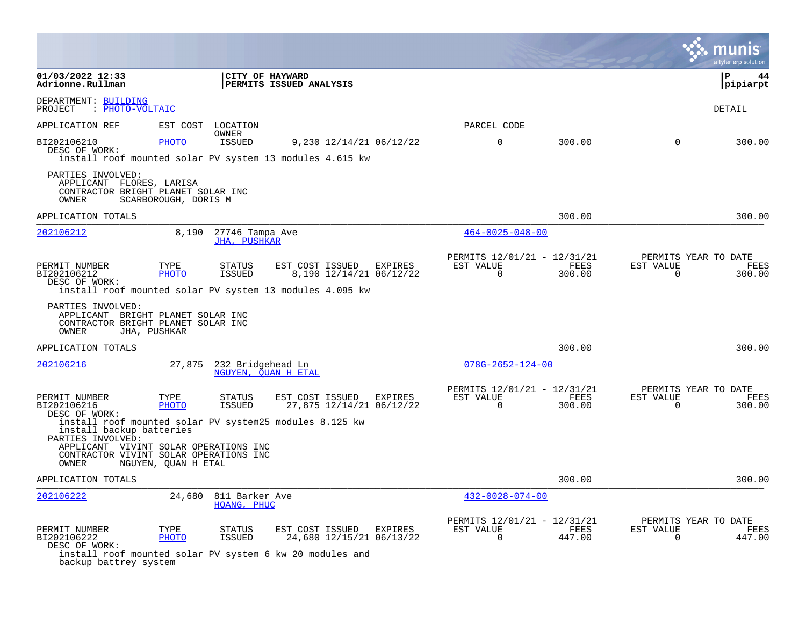|                                                                                                       |                      |                                 |                                                                                                         |         |                                                      |                |                       | a tyler erp solution                   |
|-------------------------------------------------------------------------------------------------------|----------------------|---------------------------------|---------------------------------------------------------------------------------------------------------|---------|------------------------------------------------------|----------------|-----------------------|----------------------------------------|
| 01/03/2022 12:33<br>Adrionne.Rullman                                                                  |                      | CITY OF HAYWARD                 | <b>PERMITS ISSUED ANALYSIS</b>                                                                          |         |                                                      |                |                       | l P<br>44<br> pipiarpt                 |
| DEPARTMENT: BUILDING<br>: PHOTO-VOLTAIC<br>PROJECT                                                    |                      |                                 |                                                                                                         |         |                                                      |                |                       | DETAIL                                 |
| APPLICATION REF                                                                                       |                      | EST COST LOCATION               |                                                                                                         |         | PARCEL CODE                                          |                |                       |                                        |
| BI202106210<br>DESC OF WORK:                                                                          | PHOTO                | OWNER<br><b>ISSUED</b>          | 9,230 12/14/21 06/12/22<br>install roof mounted solar PV system 13 modules 4.615 kw                     |         | $\Omega$                                             | 300.00         | $\Omega$              | 300.00                                 |
| PARTIES INVOLVED:<br>APPLICANT FLORES, LARISA<br>CONTRACTOR BRIGHT PLANET SOLAR INC<br>OWNER          | SCARBOROUGH, DORIS M |                                 |                                                                                                         |         |                                                      |                |                       |                                        |
| APPLICATION TOTALS                                                                                    |                      |                                 |                                                                                                         |         |                                                      | 300.00         |                       | 300.00                                 |
| 202106212                                                                                             | 8,190                | 27746 Tampa Ave<br>JHA, PUSHKAR |                                                                                                         |         | $464 - 0025 - 048 - 00$                              |                |                       |                                        |
| PERMIT NUMBER<br>BI202106212<br>DESC OF WORK:                                                         | TYPE<br>PHOTO        | <b>STATUS</b><br>ISSUED         | EST COST ISSUED<br>8,190 12/14/21 06/12/22<br>install roof mounted solar PV system 13 modules 4.095 kw  | EXPIRES | PERMITS 12/01/21 - 12/31/21<br>EST VALUE<br>$\Omega$ | FEES<br>300.00 | EST VALUE<br>$\Omega$ | PERMITS YEAR TO DATE<br>FEES<br>300.00 |
| PARTIES INVOLVED:<br>APPLICANT BRIGHT PLANET SOLAR INC<br>CONTRACTOR BRIGHT PLANET SOLAR INC<br>OWNER | JHA, PUSHKAR         |                                 |                                                                                                         |         |                                                      |                |                       |                                        |
| APPLICATION TOTALS                                                                                    |                      |                                 |                                                                                                         |         |                                                      | 300.00         |                       | 300.00                                 |
| 202106216                                                                                             | 27,875               | 232 Bridgehead Ln               | NGUYEN, OUAN H ETAL                                                                                     |         | $078G - 2652 - 124 - 00$                             |                |                       |                                        |
| PERMIT NUMBER<br>BI202106216<br>DESC OF WORK:                                                         | TYPE<br>PHOTO        | <b>STATUS</b><br><b>ISSUED</b>  | EST COST ISSUED EXPIRES<br>27,875 12/14/21 06/12/22                                                     |         | PERMITS 12/01/21 - 12/31/21<br>EST VALUE<br>$\Omega$ | FEES<br>300.00 | EST VALUE<br>$\Omega$ | PERMITS YEAR TO DATE<br>FEES<br>300.00 |
| install backup batteries<br>PARTIES INVOLVED:<br>APPLICANT VIVINT SOLAR OPERATIONS INC                |                      |                                 | install roof mounted solar PV system25 modules 8.125 kw                                                 |         |                                                      |                |                       |                                        |
| CONTRACTOR VIVINT SOLAR OPERATIONS INC<br>OWNER                                                       | NGUYEN, QUAN H ETAL  |                                 |                                                                                                         |         |                                                      |                |                       |                                        |
| APPLICATION TOTALS                                                                                    |                      |                                 |                                                                                                         |         |                                                      | 300.00         |                       | 300.00                                 |
| 202106222                                                                                             | 24,680               | 811 Barker Ave<br>HOANG, PHUC   |                                                                                                         |         | $432 - 0028 - 074 - 00$                              |                |                       |                                        |
| PERMIT NUMBER<br>BI202106222<br>DESC OF WORK:<br>backup battrey system                                | TYPE<br>PHOTO        | STATUS<br>ISSUED                | EST COST ISSUED<br>24,680 12/15/21 06/13/22<br>install roof mounted solar PV system 6 kw 20 modules and | EXPIRES | PERMITS 12/01/21 - 12/31/21<br>EST VALUE<br>$\Omega$ | FEES<br>447.00 | EST VALUE<br>$\Omega$ | PERMITS YEAR TO DATE<br>FEES<br>447.00 |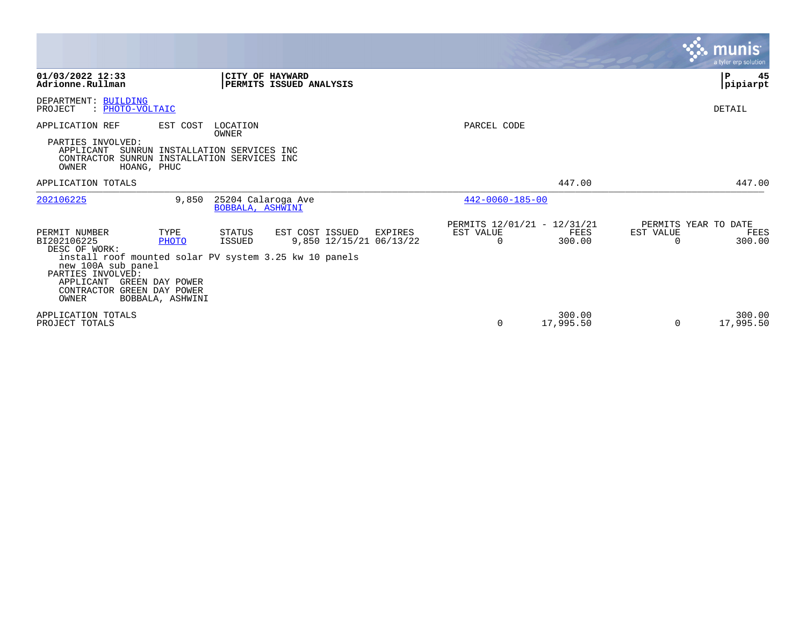|                                                                                                                                                                                                                                                                                                                                                    | <b>munis</b><br>a tyler erp solution                                                                                                   |
|----------------------------------------------------------------------------------------------------------------------------------------------------------------------------------------------------------------------------------------------------------------------------------------------------------------------------------------------------|----------------------------------------------------------------------------------------------------------------------------------------|
| CITY OF HAYWARD<br>01/03/2022 12:33<br>PERMITS ISSUED ANALYSIS<br>Adrionne.Rullman                                                                                                                                                                                                                                                                 | 45<br>P<br> pipiarpt                                                                                                                   |
| DEPARTMENT: BUILDING<br>: PHOTO-VOLTAIC<br>PROJECT                                                                                                                                                                                                                                                                                                 | DETAIL                                                                                                                                 |
| APPLICATION REF<br>EST COST<br>LOCATION                                                                                                                                                                                                                                                                                                            | PARCEL CODE                                                                                                                            |
| OWNER<br>PARTIES INVOLVED:<br>APPLICANT<br>SUNRUN INSTALLATION SERVICES INC<br>CONTRACTOR SUNRUN INSTALLATION SERVICES INC<br>OWNER<br>HOANG, PHUC                                                                                                                                                                                                 |                                                                                                                                        |
| APPLICATION TOTALS                                                                                                                                                                                                                                                                                                                                 | 447.00<br>447.00                                                                                                                       |
| 25204 Calaroga Ave<br>202106225<br>9,850<br>BOBBALA, ASHWINI                                                                                                                                                                                                                                                                                       | $442 - 0060 - 185 - 00$                                                                                                                |
| TYPE<br>STATUS<br>EST COST ISSUED<br>PERMIT NUMBER<br>EXPIRES<br>BI202106225<br><b>ISSUED</b><br>9,850 12/15/21 06/13/22<br>PHOTO<br>DESC OF WORK:<br>install roof mounted solar PV system 3.25 kw 10 panels<br>new 100A sub panel<br>PARTIES INVOLVED:<br>APPLICANT<br>GREEN DAY POWER<br>CONTRACTOR GREEN DAY POWER<br>OWNER<br>BOBBALA, ASHWINI | PERMITS 12/01/21 - 12/31/21<br>PERMITS YEAR TO DATE<br>EST VALUE<br>EST VALUE<br>FEES<br>FEES<br>300.00<br>300.00<br>0<br><sup>0</sup> |
| APPLICATION TOTALS<br>PROJECT TOTALS                                                                                                                                                                                                                                                                                                               | 300.00<br>300.00<br>17,995.50<br>17,995.50<br>0<br>0                                                                                   |

**Contract**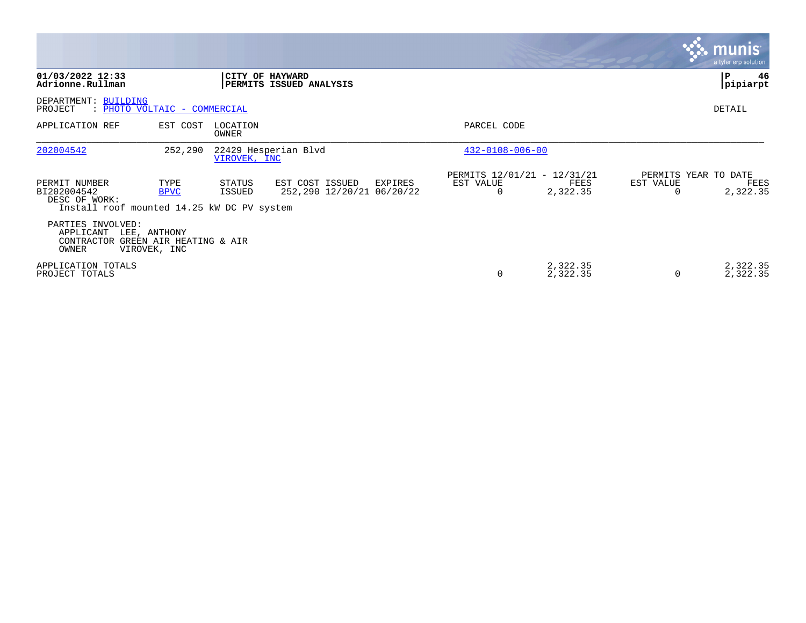|                                                                                             |                     |                   |                                                         |                                                      |                      |                       | munis'<br>a tyler erp solution           |
|---------------------------------------------------------------------------------------------|---------------------|-------------------|---------------------------------------------------------|------------------------------------------------------|----------------------|-----------------------|------------------------------------------|
| 01/03/2022 12:33<br>Adrionne.Rullman                                                        |                     |                   | CITY OF HAYWARD<br>PERMITS ISSUED ANALYSIS              |                                                      |                      |                       | 46<br>P<br> pipiarpt                     |
| DEPARTMENT: BUILDING<br>PROJECT<br>: PHOTO VOLTAIC - COMMERCIAL                             |                     |                   |                                                         |                                                      |                      |                       | DETAIL                                   |
| APPLICATION REF                                                                             | EST COST            | LOCATION<br>OWNER |                                                         | PARCEL CODE                                          |                      |                       |                                          |
| 202004542                                                                                   | 252,290             | VIROVEK, INC      | 22429 Hesperian Blvd                                    | $432 - 0108 - 006 - 00$                              |                      |                       |                                          |
| PERMIT NUMBER<br>BI202004542<br>DESC OF WORK:<br>Install roof mounted 14.25 kW DC PV system | TYPE<br><b>BPVC</b> | STATUS<br>ISSUED  | EST COST ISSUED<br>EXPIRES<br>252,290 12/20/21 06/20/22 | PERMITS 12/01/21 - 12/31/21<br>EST VALUE<br>$\Omega$ | FEES<br>2,322.35     | EST VALUE<br>$\Omega$ | PERMITS YEAR TO DATE<br>FEES<br>2,322.35 |
| PARTIES INVOLVED:<br>APPLICANT LEE, ANTHONY<br>CONTRACTOR GREEN AIR HEATING & AIR<br>OWNER  | VIROVEK, INC        |                   |                                                         |                                                      |                      |                       |                                          |
| APPLICATION TOTALS<br>PROJECT TOTALS                                                        |                     |                   |                                                         | $\Omega$                                             | 2,322.35<br>2,322.35 | 0                     | 2,322.35<br>2,322.35                     |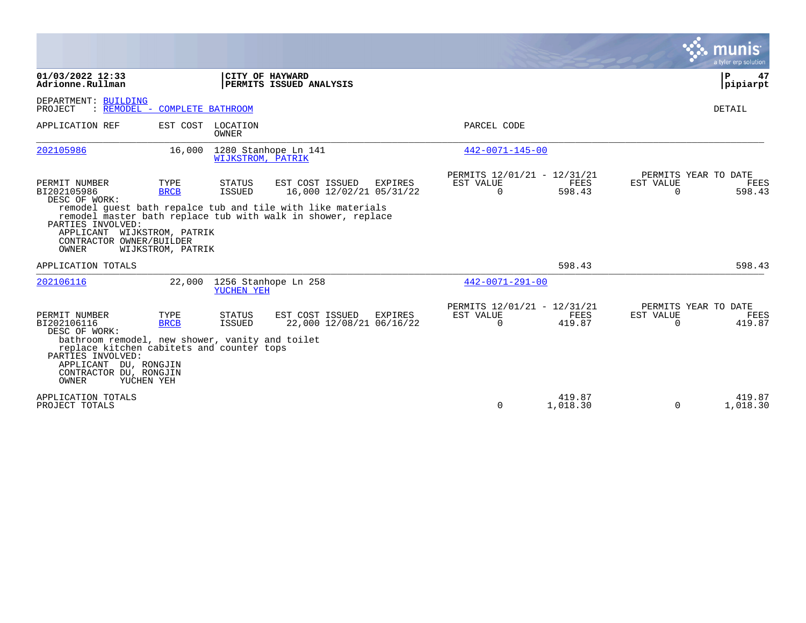|                                                                                                                                                                                                                                       |                                          |                          |                                                                                                                                                                                              |                                                      |                       |                       | munis<br>a tyler erp solution          |
|---------------------------------------------------------------------------------------------------------------------------------------------------------------------------------------------------------------------------------------|------------------------------------------|--------------------------|----------------------------------------------------------------------------------------------------------------------------------------------------------------------------------------------|------------------------------------------------------|-----------------------|-----------------------|----------------------------------------|
| 01/03/2022 12:33<br>Adrionne.Rullman                                                                                                                                                                                                  |                                          |                          | CITY OF HAYWARD<br>PERMITS ISSUED ANALYSIS                                                                                                                                                   |                                                      |                       |                       | 47<br>P<br>pipiarpt                    |
| DEPARTMENT: BUILDING<br>PROJECT                                                                                                                                                                                                       | : REMODEL - COMPLETE BATHROOM            |                          |                                                                                                                                                                                              |                                                      |                       |                       | DETAIL                                 |
| APPLICATION REF                                                                                                                                                                                                                       | EST COST                                 | LOCATION<br>OWNER        |                                                                                                                                                                                              | PARCEL CODE                                          |                       |                       |                                        |
| 202105986                                                                                                                                                                                                                             | 16,000                                   | <b>WIJKSTROM, PATRIK</b> | 1280 Stanhope Ln 141                                                                                                                                                                         | 442-0071-145-00                                      |                       |                       |                                        |
| PERMIT NUMBER<br>BI202105986<br>DESC OF WORK:<br>PARTIES INVOLVED:<br>APPLICANT WIJKSTROM, PATRIK<br>CONTRACTOR OWNER/BUILDER<br>OWNER                                                                                                | TYPE<br><b>BRCB</b><br>WIJKSTROM, PATRIK | STATUS<br><b>ISSUED</b>  | EST COST ISSUED<br><b>EXPIRES</b><br>16,000 12/02/21 05/31/22<br>remodel quest bath repalce tub and tile with like materials<br>remodel master bath replace tub with walk in shower, replace | PERMITS 12/01/21 - 12/31/21<br>EST VALUE<br>$\Omega$ | <b>FEES</b><br>598.43 | EST VALUE<br>$\Omega$ | PERMITS YEAR TO DATE<br>FEES<br>598.43 |
| APPLICATION TOTALS                                                                                                                                                                                                                    |                                          |                          |                                                                                                                                                                                              |                                                      | 598.43                |                       | 598.43                                 |
| 202106116                                                                                                                                                                                                                             | 22,000                                   | YUCHEN YEH               | 1256 Stanhope Ln 258                                                                                                                                                                         | $442 - 0071 - 291 - 00$                              |                       |                       |                                        |
| PERMIT NUMBER<br>BI202106116<br>DESC OF WORK:<br>bathroom remodel, new shower, vanity and toilet<br>replace kitchen cabitets and counter tops<br>PARTIES INVOLVED:<br>APPLICANT DU, RONGJIN<br>CONTRACTOR DU, RONGJIN<br><b>OWNER</b> | TYPE<br><b>BRCB</b><br>YUCHEN YEH        | STATUS<br>ISSUED         | EST COST ISSUED<br>EXPIRES<br>22,000 12/08/21 06/16/22                                                                                                                                       | PERMITS 12/01/21 - 12/31/21<br>EST VALUE<br>$\Omega$ | FEES<br>419.87        | EST VALUE<br>$\Omega$ | PERMITS YEAR TO DATE<br>FEES<br>419.87 |
| APPLICATION TOTALS<br>PROJECT TOTALS                                                                                                                                                                                                  |                                          |                          |                                                                                                                                                                                              | $\Omega$                                             | 419.87<br>1,018.30    | $\mathbf 0$           | 419.87<br>1,018.30                     |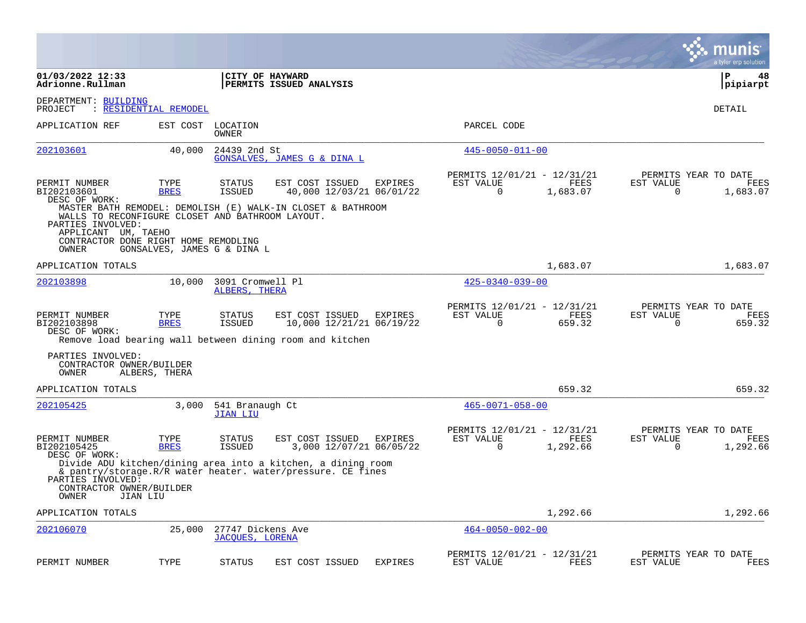|                                                                                                                                               |                             |                                             |                                                                                                                             |                |                                                      |                  | munis<br>a tyler erp solution                                     |
|-----------------------------------------------------------------------------------------------------------------------------------------------|-----------------------------|---------------------------------------------|-----------------------------------------------------------------------------------------------------------------------------|----------------|------------------------------------------------------|------------------|-------------------------------------------------------------------|
| 01/03/2022 12:33<br>Adrionne.Rullman                                                                                                          |                             |                                             | CITY OF HAYWARD<br><b>PERMITS ISSUED ANALYSIS</b>                                                                           |                |                                                      |                  | $\mathbf{P}$<br>48<br> pipiarpt                                   |
| DEPARTMENT: BUILDING<br>PROJECT                                                                                                               | : RESIDENTIAL REMODEL       |                                             |                                                                                                                             |                |                                                      |                  | DETAIL                                                            |
| APPLICATION REF                                                                                                                               | EST COST                    | LOCATION<br>OWNER                           |                                                                                                                             |                | PARCEL CODE                                          |                  |                                                                   |
| 202103601                                                                                                                                     | 40,000                      | 24439 2nd St                                | GONSALVES, JAMES G & DINA L                                                                                                 |                | $445 - 0050 - 011 - 00$                              |                  |                                                                   |
| PERMIT NUMBER<br>BI202103601<br>DESC OF WORK:                                                                                                 | TYPE<br><b>BRES</b>         | STATUS<br><b>ISSUED</b>                     | EST COST ISSUED<br>40,000 12/03/21 06/01/22                                                                                 | <b>EXPIRES</b> | PERMITS 12/01/21 - 12/31/21<br>EST VALUE<br>$\Omega$ | FEES<br>1,683.07 | PERMITS YEAR TO DATE<br>EST VALUE<br>FEES<br>$\Omega$<br>1,683.07 |
| WALLS TO RECONFIGURE CLOSET AND BATHROOM LAYOUT.<br>PARTIES INVOLVED:<br>APPLICANT UM, TAEHO<br>CONTRACTOR DONE RIGHT HOME REMODLING<br>OWNER | GONSALVES, JAMES G & DINA L |                                             | MASTER BATH REMODEL: DEMOLISH (E) WALK-IN CLOSET & BATHROOM                                                                 |                |                                                      |                  |                                                                   |
| APPLICATION TOTALS                                                                                                                            |                             |                                             |                                                                                                                             |                |                                                      | 1,683.07         | 1,683.07                                                          |
| 202103898                                                                                                                                     | 10,000                      | 3091 Cromwell Pl<br>ALBERS, THERA           |                                                                                                                             |                | $425 - 0340 - 039 - 00$                              |                  |                                                                   |
| PERMIT NUMBER<br>BI202103898<br>DESC OF WORK:                                                                                                 | TYPE<br><b>BRES</b>         | STATUS<br>ISSUED                            | EST COST ISSUED<br>10,000 12/21/21 06/19/22<br>Remove load bearing wall between dining room and kitchen                     | EXPIRES        | PERMITS 12/01/21 - 12/31/21<br>EST VALUE<br>$\Omega$ | FEES<br>659.32   | PERMITS YEAR TO DATE<br>EST VALUE<br>FEES<br>659.32<br>0          |
| PARTIES INVOLVED:<br>CONTRACTOR OWNER/BUILDER<br>OWNER                                                                                        | ALBERS, THERA               |                                             |                                                                                                                             |                |                                                      |                  |                                                                   |
| APPLICATION TOTALS                                                                                                                            |                             |                                             |                                                                                                                             |                |                                                      | 659.32           | 659.32                                                            |
| 202105425                                                                                                                                     | 3,000                       | 541 Branaugh Ct<br><b>JIAN LIU</b>          |                                                                                                                             |                | $465 - 0071 - 058 - 00$                              |                  |                                                                   |
| PERMIT NUMBER<br>BI202105425<br>DESC OF WORK:                                                                                                 | TYPE<br><b>BRES</b>         | STATUS<br><b>ISSUED</b>                     | EST COST ISSUED<br>3,000 12/07/21 06/05/22                                                                                  | EXPIRES        | PERMITS 12/01/21 - 12/31/21<br>EST VALUE<br>$\Omega$ | FEES<br>1,292.66 | PERMITS YEAR TO DATE<br>EST VALUE<br>FEES<br>$\Omega$<br>1,292.66 |
| PARTIES INVOLVED:<br>CONTRACTOR OWNER/BUILDER<br>OWNER                                                                                        | JIAN LIU                    |                                             | Divide ADU kitchen/dining area into a kitchen, a dining room<br>& pantry/storage.R/R water heater. water/pressure. CE fines |                |                                                      |                  |                                                                   |
| APPLICATION TOTALS                                                                                                                            |                             |                                             |                                                                                                                             |                |                                                      | 1,292.66         | 1,292.66                                                          |
| 202106070                                                                                                                                     | 25,000                      | 27747 Dickens Ave<br><b>JACOUES, LORENA</b> |                                                                                                                             |                | $464 - 0050 - 002 - 00$                              |                  |                                                                   |
| PERMIT NUMBER                                                                                                                                 | TYPE                        | <b>STATUS</b>                               | EST COST ISSUED                                                                                                             | <b>EXPIRES</b> | PERMITS 12/01/21 - 12/31/21<br>EST VALUE             | FEES             | PERMITS YEAR TO DATE<br>EST VALUE<br>FEES                         |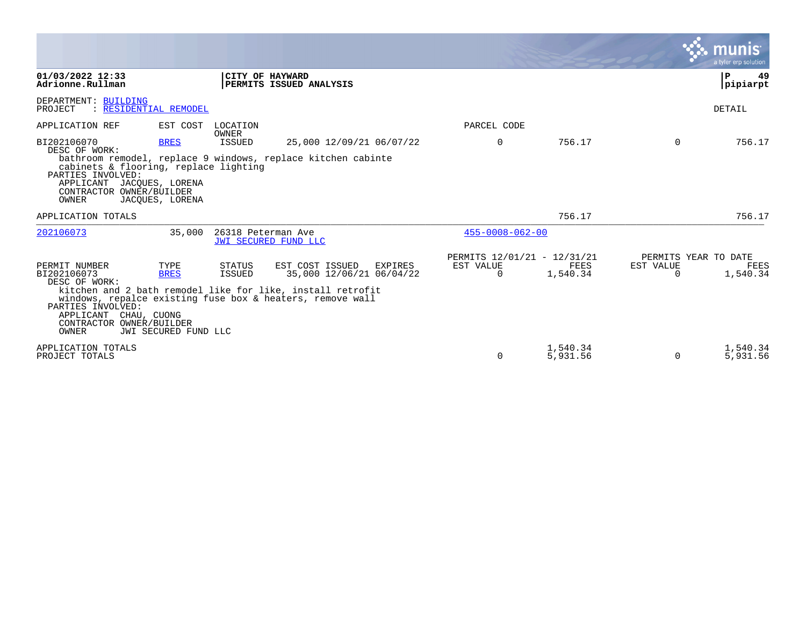|                                                                                                                                                              |                                             |                    |                                                                                                                                                                                   |                                               |                      |                                        | munis<br>a tyler erp solution |
|--------------------------------------------------------------------------------------------------------------------------------------------------------------|---------------------------------------------|--------------------|-----------------------------------------------------------------------------------------------------------------------------------------------------------------------------------|-----------------------------------------------|----------------------|----------------------------------------|-------------------------------|
| 01/03/2022 12:33<br>Adrionne.Rullman                                                                                                                         |                                             |                    | CITY OF HAYWARD<br>PERMITS ISSUED ANALYSIS                                                                                                                                        |                                               |                      |                                        | $\mathbf P$<br>49<br>pipiarpt |
| DEPARTMENT: BUILDING<br>: RESIDENTIAL REMODEL<br>PROJECT                                                                                                     |                                             |                    |                                                                                                                                                                                   |                                               |                      |                                        | DETAIL                        |
| APPLICATION REF                                                                                                                                              | EST COST                                    | LOCATION<br>OWNER  |                                                                                                                                                                                   | PARCEL CODE                                   |                      |                                        |                               |
| BI202106070<br>DESC OF WORK:<br>cabinets & flooring, replace lighting<br>PARTIES INVOLVED:<br>APPLICANT JACQUES, LORENA<br>CONTRACTOR OWNER/BUILDER<br>OWNER | <b>BRES</b><br>JACOUES, LORENA              | ISSUED             | 25,000 12/09/21 06/07/22<br>bathroom remodel, replace 9 windows, replace kitchen cabinte                                                                                          | 0                                             | 756.17               | 0                                      | 756.17                        |
| APPLICATION TOTALS                                                                                                                                           |                                             |                    |                                                                                                                                                                                   |                                               | 756.17               |                                        | 756.17                        |
| 202106073                                                                                                                                                    | 35,000                                      | 26318 Peterman Ave | JWI SECURED FUND LLC                                                                                                                                                              | $455 - 0008 - 062 - 00$                       |                      |                                        |                               |
| PERMIT NUMBER<br>BI202106073<br>DESC OF WORK:<br>PARTIES INVOLVED:<br>APPLICANT<br>CHAU, CUONG<br>CONTRACTOR OWNER/BUILDER<br>OWNER                          | TYPE<br><b>BRES</b><br>JWI SECURED FUND LLC | STATUS<br>ISSUED   | EST COST ISSUED<br>EXPIRES<br>35,000 12/06/21 06/04/22<br>kitchen and 2 bath remodel like for like, install retrofit<br>windows, repalce existing fuse box & heaters, remove wall | PERMITS 12/01/21 - 12/31/21<br>EST VALUE<br>0 | FEES<br>1,540.34     | PERMITS YEAR TO DATE<br>EST VALUE<br>0 | FEES<br>1,540.34              |
| APPLICATION TOTALS<br>PROJECT TOTALS                                                                                                                         |                                             |                    |                                                                                                                                                                                   | $\Omega$                                      | 1,540.34<br>5,931.56 | $\Omega$                               | 1,540.34<br>5,931.56          |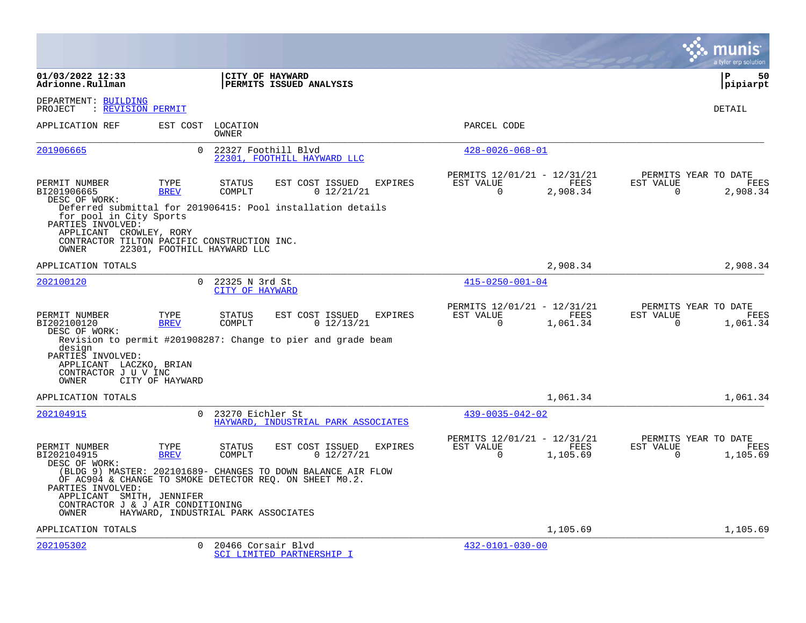|                                                                                                                                 |                     |                                                                                                                                                                |                                  |                |             |                         |                                                        |                       | a tyler erp solution                            |
|---------------------------------------------------------------------------------------------------------------------------------|---------------------|----------------------------------------------------------------------------------------------------------------------------------------------------------------|----------------------------------|----------------|-------------|-------------------------|--------------------------------------------------------|-----------------------|-------------------------------------------------|
| 01/03/2022 12:33<br>Adrionne.Rullman                                                                                            |                     | CITY OF HAYWARD<br>PERMITS ISSUED ANALYSIS                                                                                                                     |                                  |                |             |                         |                                                        |                       | l P<br>50<br> pipiarpt                          |
| DEPARTMENT: BUILDING<br>: REVISION PERMIT<br>PROJECT                                                                            |                     |                                                                                                                                                                |                                  |                |             |                         |                                                        |                       | DETAIL                                          |
| APPLICATION REF                                                                                                                 |                     | EST COST LOCATION<br>OWNER                                                                                                                                     |                                  |                | PARCEL CODE |                         |                                                        |                       |                                                 |
| 201906665                                                                                                                       | $\Omega$            | 22327 Foothill Blvd<br>22301, FOOTHILL HAYWARD LLC                                                                                                             |                                  |                |             | $428 - 0026 - 068 - 01$ |                                                        |                       |                                                 |
| PERMIT NUMBER<br>BI201906665<br>DESC OF WORK:<br>for pool in City Sports<br>PARTIES INVOLVED:                                   | TYPE<br><b>BREV</b> | <b>STATUS</b><br>COMPLT<br>Deferred submittal for 201906415: Pool installation details                                                                         | EST COST ISSUED<br>0 12/21/21    | <b>EXPIRES</b> | EST VALUE   | $\Omega$                | PERMITS 12/01/21 - 12/31/21<br>FEES<br>2,908.34        | EST VALUE<br>$\Omega$ | PERMITS YEAR TO DATE<br>FEES<br>2,908.34        |
| APPLICANT CROWLEY, RORY<br>CONTRACTOR TILTON PACIFIC CONSTRUCTION INC.<br>OWNER                                                 |                     | 22301, FOOTHILL HAYWARD LLC                                                                                                                                    |                                  |                |             |                         |                                                        |                       |                                                 |
| APPLICATION TOTALS                                                                                                              |                     |                                                                                                                                                                |                                  |                |             |                         | 2,908.34                                               |                       | 2,908.34                                        |
| 202100120                                                                                                                       | $\Omega$            | 22325 N 3rd St<br>CITY OF HAYWARD                                                                                                                              |                                  |                |             | $415 - 0250 - 001 - 04$ |                                                        |                       |                                                 |
| PERMIT NUMBER<br>BI202100120<br>DESC OF WORK:<br>design<br>PARTIES INVOLVED:<br>APPLICANT LACZKO, BRIAN<br>CONTRACTOR J U V INC | TYPE<br><b>BREV</b> | <b>STATUS</b><br>COMPLT<br>Revision to permit #201908287: Change to pier and grade beam                                                                        | EST COST ISSUED<br>$0\;12/13/21$ | <b>EXPIRES</b> | EST VALUE   | $\Omega$                | PERMITS 12/01/21 - 12/31/21<br><b>FEES</b><br>1,061.34 | EST VALUE<br>$\Omega$ | PERMITS YEAR TO DATE<br><b>FEES</b><br>1,061.34 |
| <b>OWNER</b>                                                                                                                    | CITY OF HAYWARD     |                                                                                                                                                                |                                  |                |             |                         |                                                        |                       |                                                 |
| APPLICATION TOTALS<br>202104915                                                                                                 | $\cap$              | 23270 Eichler St<br>HAYWARD, INDUSTRIAL PARK ASSOCIATES                                                                                                        |                                  |                |             | $439 - 0035 - 042 - 02$ | 1,061.34                                               |                       | 1,061.34                                        |
| PERMIT NUMBER<br>BI202104915<br>DESC OF WORK:                                                                                   | TYPE<br><b>BREV</b> | <b>STATUS</b><br>COMPLT                                                                                                                                        | EST COST ISSUED<br>0 12/27/21    | <b>EXPIRES</b> | EST VALUE   | $\Omega$                | PERMITS 12/01/21 - 12/31/21<br>FEES<br>1,105.69        | EST VALUE<br>$\Omega$ | PERMITS YEAR TO DATE<br>FEES<br>1,105.69        |
| PARTIES INVOLVED:<br>APPLICANT SMITH, JENNIFER<br>CONTRACTOR J & J AIR CONDITIONING<br>OWNER                                    |                     | (BLDG 9) MASTER: 202101689- CHANGES TO DOWN BALANCE AIR FLOW<br>OF AC904 & CHANGE TO SMOKE DETECTOR REO. ON SHEET M0.2.<br>HAYWARD, INDUSTRIAL PARK ASSOCIATES |                                  |                |             |                         |                                                        |                       |                                                 |
| APPLICATION TOTALS                                                                                                              |                     |                                                                                                                                                                |                                  |                |             |                         | 1,105.69                                               |                       | 1,105.69                                        |
| 202105302                                                                                                                       | $\Omega$            | 20466 Corsair Blvd<br>SCI LIMITED PARTNERSHIP I                                                                                                                |                                  |                |             | $432 - 0101 - 030 - 00$ |                                                        |                       |                                                 |

**College**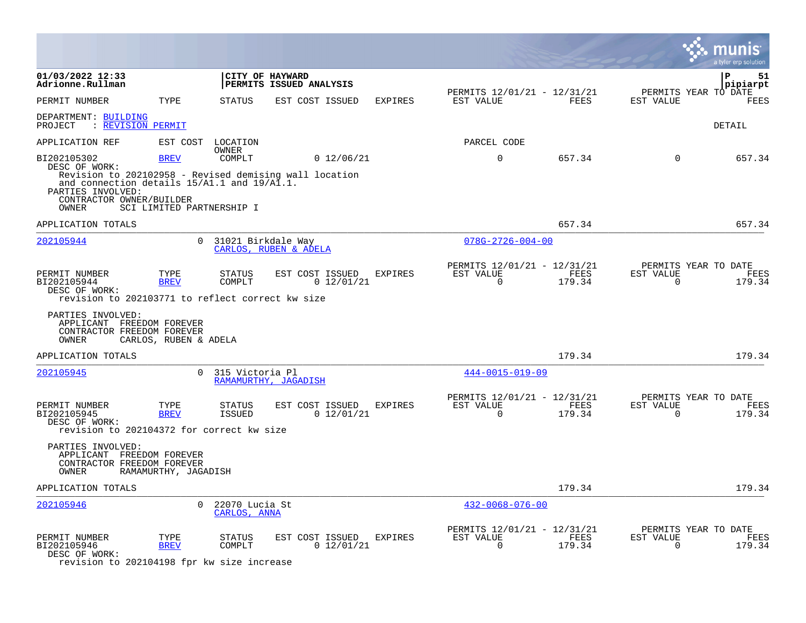|                                                                                                   |                           |                                    |                                                                      |                |                                                         |                |                          | a tyler erp solution                   |
|---------------------------------------------------------------------------------------------------|---------------------------|------------------------------------|----------------------------------------------------------------------|----------------|---------------------------------------------------------|----------------|--------------------------|----------------------------------------|
| 01/03/2022 12:33<br>Adrionne.Rullman                                                              |                           |                                    | CITY OF HAYWARD<br>PERMITS ISSUED ANALYSIS                           |                |                                                         |                |                          | $\mathbf{P}$<br>51<br> pipiarpt        |
| PERMIT NUMBER                                                                                     | TYPE                      | <b>STATUS</b>                      | EST COST ISSUED                                                      | EXPIRES        | PERMITS 12/01/21 - 12/31/21<br>EST VALUE                | FEES           | EST VALUE                | PERMITS YEAR TO DATE<br><b>FEES</b>    |
| DEPARTMENT: BUILDING<br>: <u>REVISION PERMIT</u><br>PROJECT                                       |                           |                                    |                                                                      |                |                                                         |                |                          | DETAIL                                 |
| APPLICATION REF                                                                                   |                           | EST COST LOCATION                  |                                                                      |                | PARCEL CODE                                             |                |                          |                                        |
| BI202105302<br>DESC OF WORK:<br>and connection details 15/A1.1 and 19/A1.1.                       | <b>BREV</b>               | <b>OWNER</b><br>COMPLT             | 0 12/06/21<br>Revision to 202102958 - Revised demising wall location |                | $\mathbf 0$                                             | 657.34         | $\Omega$                 | 657.34                                 |
| PARTIES INVOLVED:<br>CONTRACTOR OWNER/BUILDER<br>OWNER                                            | SCI LIMITED PARTNERSHIP I |                                    |                                                                      |                |                                                         |                |                          |                                        |
| APPLICATION TOTALS                                                                                |                           |                                    |                                                                      |                |                                                         | 657.34         |                          | 657.34                                 |
| 202105944                                                                                         | $\Omega$                  | 31021 Birkdale Way                 | CARLOS, RUBEN & ADELA                                                |                | $078G - 2726 - 004 - 00$                                |                |                          |                                        |
| PERMIT NUMBER<br>BI202105944<br>DESC OF WORK:<br>revision to 202103771 to reflect correct kw size | TYPE<br><b>BREV</b>       | STATUS<br>COMPLT                   | EST COST ISSUED<br>0 12/01/21                                        | EXPIRES        | PERMITS 12/01/21 - 12/31/21<br>EST VALUE<br>$\mathbf 0$ | FEES<br>179.34 | EST VALUE<br>$\mathbf 0$ | PERMITS YEAR TO DATE<br>FEES<br>179.34 |
| PARTIES INVOLVED:<br>APPLICANT FREEDOM FOREVER<br>CONTRACTOR FREEDOM FOREVER<br>OWNER             | CARLOS, RUBEN & ADELA     |                                    |                                                                      |                |                                                         |                |                          |                                        |
| APPLICATION TOTALS                                                                                |                           |                                    |                                                                      |                |                                                         | 179.34         |                          | 179.34                                 |
| 202105945                                                                                         |                           | 0 315 Victoria Pl                  | RAMAMURTHY, JAGADISH                                                 |                | $444 - 0015 - 019 - 09$                                 |                |                          |                                        |
| PERMIT NUMBER<br>BI202105945<br>DESC OF WORK:<br>revision to 202104372 for correct kw size        | TYPE<br><b>BREV</b>       | STATUS<br><b>ISSUED</b>            | EST COST ISSUED<br>0 12/01/21                                        | <b>EXPIRES</b> | PERMITS 12/01/21 - 12/31/21<br>EST VALUE<br>$\Omega$    | FEES<br>179.34 | EST VALUE<br>$\Omega$    | PERMITS YEAR TO DATE<br>FEES<br>179.34 |
| PARTIES INVOLVED:<br>APPLICANT FREEDOM FOREVER<br>CONTRACTOR FREEDOM FOREVER<br>OWNER             | RAMAMURTHY, JAGADISH      |                                    |                                                                      |                |                                                         |                |                          |                                        |
| APPLICATION TOTALS                                                                                |                           |                                    |                                                                      |                |                                                         | 179.34         |                          | 179.34                                 |
| 202105946                                                                                         |                           | $0$ 22070 Lucia St<br>CARLOS, ANNA |                                                                      |                | $432 - 0068 - 076 - 00$                                 |                |                          |                                        |
| PERMIT NUMBER<br>BI202105946<br>DESC OF WORK:<br>revision to 202104198 fpr kw size increase       | TYPE<br><b>BREV</b>       | STATUS<br>COMPLT                   | EST COST ISSUED<br>0 12/01/21                                        | EXPIRES        | PERMITS 12/01/21 - 12/31/21<br>EST VALUE<br>$\Omega$    | FEES<br>179.34 | EST VALUE<br>$\Omega$    | PERMITS YEAR TO DATE<br>FEES<br>179.34 |

**COL**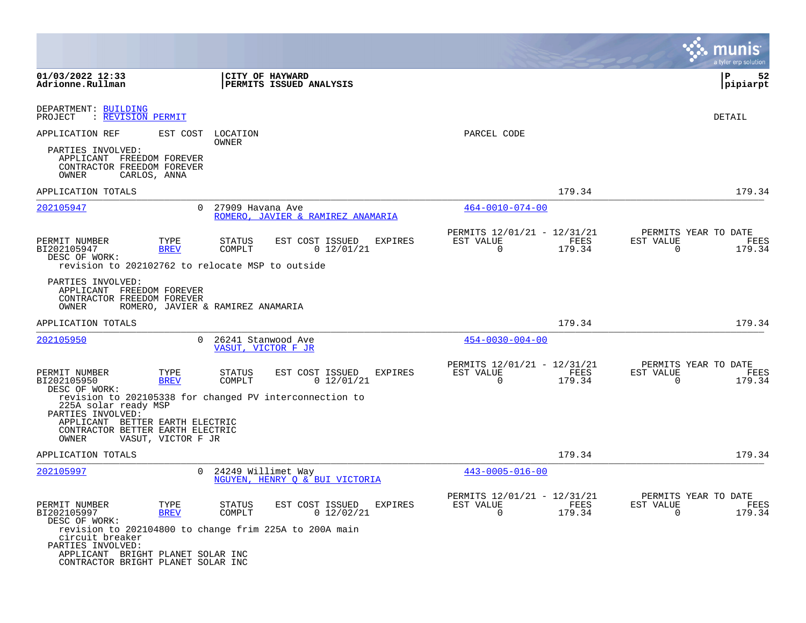|                                                                                                                  |                                                                                                                                                      | a tyler erp solution                                               |
|------------------------------------------------------------------------------------------------------------------|------------------------------------------------------------------------------------------------------------------------------------------------------|--------------------------------------------------------------------|
| CITY OF HAYWARD<br><b>PERMITS ISSUED ANALYSIS</b>                                                                |                                                                                                                                                      | P<br>52<br> pipiarpt                                               |
|                                                                                                                  |                                                                                                                                                      | DETAIL                                                             |
| LOCATION                                                                                                         | PARCEL CODE                                                                                                                                          |                                                                    |
|                                                                                                                  |                                                                                                                                                      |                                                                    |
|                                                                                                                  | 179.34                                                                                                                                               | 179.34                                                             |
| $\Omega$<br>27909 Havana Ave<br>ROMERO, JAVIER & RAMIREZ ANAMARIA                                                | $464 - 0010 - 074 - 00$                                                                                                                              |                                                                    |
| EST COST ISSUED<br>STATUS<br>EXPIRES<br>0 12/01/21<br>COMPLT<br>revision to 202102762 to relocate MSP to outside | PERMITS 12/01/21 - 12/31/21<br>EST VALUE<br>FEES<br>$\Omega$<br>179.34                                                                               | PERMITS YEAR TO DATE<br>EST VALUE<br>FEES<br>$\Omega$<br>179.34    |
| ROMERO, JAVIER & RAMIREZ ANAMARIA                                                                                |                                                                                                                                                      |                                                                    |
|                                                                                                                  | 179.34                                                                                                                                               | 179.34                                                             |
| $\Omega$<br>26241 Stanwood Ave<br>VASUT, VICTOR F JR                                                             | $454 - 0030 - 004 - 00$                                                                                                                              |                                                                    |
| EST COST ISSUED<br>STATUS<br>EXPIRES<br>COMPLT<br>0 12/01/21                                                     | PERMITS 12/01/21 - 12/31/21<br>FEES<br>EST VALUE<br>$\Omega$<br>179.34                                                                               | PERMITS YEAR TO DATE<br>EST VALUE<br>FEES<br>$\Omega$<br>179.34    |
| APPLICANT BETTER EARTH ELECTRIC<br>CONTRACTOR BETTER EARTH ELECTRIC                                              |                                                                                                                                                      |                                                                    |
|                                                                                                                  |                                                                                                                                                      | 179.34                                                             |
|                                                                                                                  |                                                                                                                                                      |                                                                    |
| NGUYEN, HENRY O & BUI VICTORIA                                                                                   |                                                                                                                                                      |                                                                    |
| EST COST ISSUED<br>EXPIRES<br>STATUS<br>0 12/02/21<br>COMPLT                                                     | PERMITS 12/01/21 - 12/31/21<br>FEES<br>EST VALUE<br>0<br>179.34                                                                                      | PERMITS YEAR TO DATE<br>FEES<br>EST VALUE<br>$\mathbf 0$<br>179.34 |
| revision to 202104800 to change frim 225A to 200A main<br>APPLICANT BRIGHT PLANET SOLAR INC                      |                                                                                                                                                      |                                                                    |
|                                                                                                                  | OWNER<br>revision to 202105338 for changed PV interconnection to<br>VASUT, VICTOR F JR<br>0 24249 Willimet Way<br>CONTRACTOR BRIGHT PLANET SOLAR INC | 179.34<br>$443 - 0005 - 016 - 00$                                  |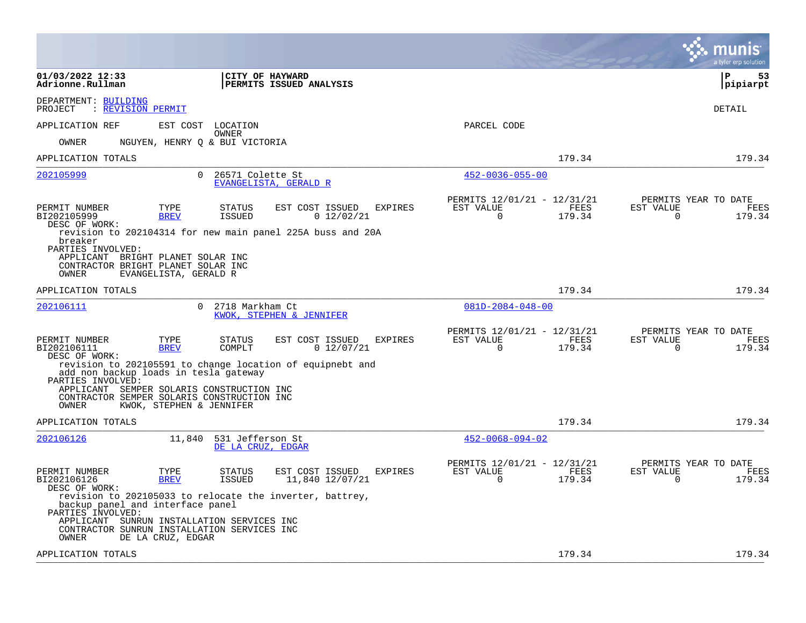|                                                                                                                                                                                                                                              |                                                                   | a tyler erp solution                                                                  |
|----------------------------------------------------------------------------------------------------------------------------------------------------------------------------------------------------------------------------------------------|-------------------------------------------------------------------|---------------------------------------------------------------------------------------|
| 01/03/2022 12:33<br>CITY OF HAYWARD<br>Adrionne.Rullman<br>PERMITS ISSUED ANALYSIS                                                                                                                                                           |                                                                   | l P<br>53<br> pipiarpt                                                                |
| DEPARTMENT: BUILDING<br>PROJECT<br><b>REVISION PERMIT</b>                                                                                                                                                                                    |                                                                   | DETAIL                                                                                |
| APPLICATION REF<br>EST COST LOCATION<br><b>OWNER</b>                                                                                                                                                                                         | PARCEL CODE                                                       |                                                                                       |
| NGUYEN, HENRY O & BUI VICTORIA<br>OWNER                                                                                                                                                                                                      |                                                                   |                                                                                       |
| APPLICATION TOTALS                                                                                                                                                                                                                           | 179.34                                                            | 179.34                                                                                |
| 202105999<br>$\Omega$<br>26571 Colette St<br>EVANGELISTA, GERALD R                                                                                                                                                                           | $452 - 0036 - 055 - 00$                                           |                                                                                       |
| PERMIT NUMBER<br>TYPE<br><b>STATUS</b><br>EST COST ISSUED<br>EXPIRES<br>BI202105999<br><b>ISSUED</b><br>0 12/02/21<br><b>BREV</b><br>DESC OF WORK:<br>revision to 202104314 for new main panel 225A buss and 20A<br>breaker                  | PERMITS 12/01/21 - 12/31/21<br>EST VALUE<br>$\mathbf 0$<br>179.34 | PERMITS YEAR TO DATE<br>FEES<br>EST VALUE<br><b>FEES</b><br>$\mathbf 0$<br>179.34     |
| PARTIES INVOLVED:<br>APPLICANT BRIGHT PLANET SOLAR INC<br>CONTRACTOR BRIGHT PLANET SOLAR INC<br>OWNER<br>EVANGELISTA, GERALD R                                                                                                               |                                                                   |                                                                                       |
| APPLICATION TOTALS                                                                                                                                                                                                                           | 179.34                                                            | 179.34                                                                                |
| $\Omega$<br>202106111<br>2718 Markham Ct<br>KWOK, STEPHEN & JENNIFER                                                                                                                                                                         | $081D - 2084 - 048 - 00$                                          |                                                                                       |
| PERMIT NUMBER<br>EST COST ISSUED<br>TYPE<br>STATUS<br>EXPIRES<br>BI202106111<br><b>BREV</b><br>COMPLT<br>0 12/07/21<br>DESC OF WORK:<br>revision to 202105591 to change location of equipnebt and                                            | PERMITS 12/01/21 - 12/31/21<br>EST VALUE<br>$\Omega$<br>179.34    | PERMITS YEAR TO DATE<br><b>FEES</b><br>EST VALUE<br><b>FEES</b><br>$\Omega$<br>179.34 |
| add non backup loads in tesla gateway<br>PARTIES INVOLVED:<br>APPLICANT SEMPER SOLARIS CONSTRUCTION INC<br>CONTRACTOR SEMPER SOLARIS CONSTRUCTION INC<br>KWOK, STEPHEN & JENNIFER<br>OWNER                                                   |                                                                   |                                                                                       |
| APPLICATION TOTALS                                                                                                                                                                                                                           | 179.34                                                            | 179.34                                                                                |
| 531 Jefferson St<br>202106126<br>11,840<br>DE LA CRUZ, EDGAR                                                                                                                                                                                 | $452 - 0068 - 094 - 02$                                           |                                                                                       |
| PERMIT NUMBER<br>TYPE<br><b>STATUS</b><br>EST COST ISSUED<br>EXPIRES<br>BI202106126<br><b>BREV</b><br>ISSUED<br>11,840 12/07/21<br>DESC OF WORK:                                                                                             | PERMITS 12/01/21 - 12/31/21<br>EST VALUE<br>179.34<br>$\Omega$    | PERMITS YEAR TO DATE<br>FEES<br>EST VALUE<br>FEES<br>179.34<br>$\Omega$               |
| revision to 202105033 to relocate the inverter, battrey,<br>backup panel and interface panel<br>PARTIES INVOLVED:<br>APPLICANT SUNRUN INSTALLATION SERVICES INC<br>CONTRACTOR SUNRUN INSTALLATION SERVICES INC<br>DE LA CRUZ, EDGAR<br>OWNER |                                                                   |                                                                                       |
| APPLICATION TOTALS                                                                                                                                                                                                                           | 179.34                                                            | 179.34                                                                                |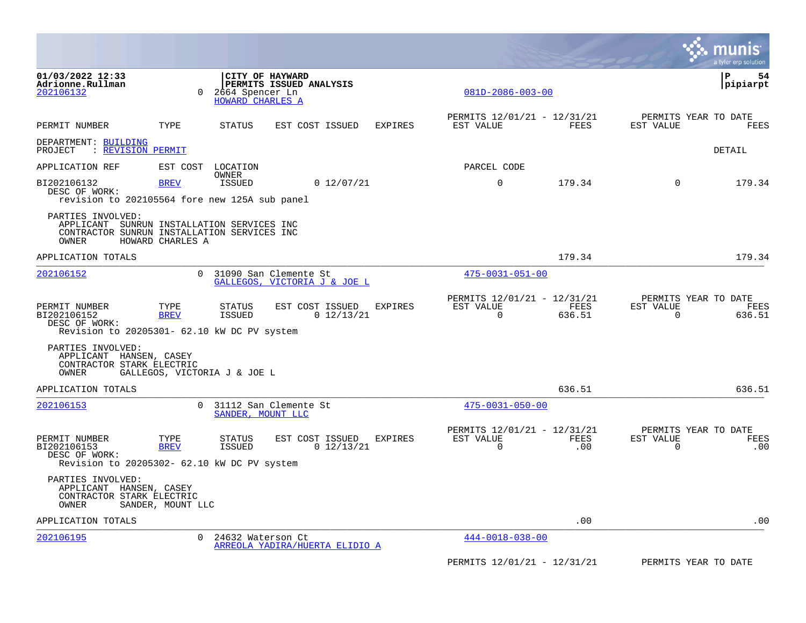|                                                                                              |                     |                                                                                       |                |                                                      |                    |                       | a tyler erp solution                       |
|----------------------------------------------------------------------------------------------|---------------------|---------------------------------------------------------------------------------------|----------------|------------------------------------------------------|--------------------|-----------------------|--------------------------------------------|
| 01/03/2022 12:33<br>Adrionne.Rullman<br>202106132                                            | $\Omega$            | CITY OF HAYWARD<br>PERMITS ISSUED ANALYSIS<br>2664 Spencer Ln<br>HOWARD CHARLES A     |                | $081D - 2086 - 003 - 00$                             |                    |                       | l P<br>54<br> pipiarpt                     |
| PERMIT NUMBER                                                                                | TYPE                | STATUS<br>EST COST ISSUED                                                             | <b>EXPIRES</b> | PERMITS 12/01/21 - 12/31/21<br>EST VALUE             | FEES               | EST VALUE             | PERMITS YEAR TO DATE<br>FEES               |
| DEPARTMENT: BUILDING<br>: REVISION PERMIT<br>PROJECT                                         |                     |                                                                                       |                |                                                      |                    |                       | DETAIL                                     |
| APPLICATION REF                                                                              | EST COST            | LOCATION                                                                              |                | PARCEL CODE                                          |                    |                       |                                            |
| BI202106132<br>DESC OF WORK:                                                                 | <b>BREV</b>         | OWNER<br><b>ISSUED</b><br>0 12/07/21<br>revision to 202105564 fore new 125A sub panel |                | $\mathbf 0$                                          | 179.34             | $\Omega$              | 179.34                                     |
| PARTIES INVOLVED:<br>APPLICANT SUNRUN INSTALLATION SERVICES INC<br>OWNER                     | HOWARD CHARLES A    | CONTRACTOR SUNRUN INSTALLATION SERVICES INC                                           |                |                                                      |                    |                       |                                            |
| APPLICATION TOTALS                                                                           |                     |                                                                                       |                |                                                      | 179.34             |                       | 179.34                                     |
| 202106152                                                                                    | $\Omega$            | 31090 San Clemente St<br>GALLEGOS, VICTORIA J & JOE L                                 |                | $475 - 0031 - 051 - 00$                              |                    |                       |                                            |
| PERMIT NUMBER<br>BI202106152<br>DESC OF WORK:<br>Revision to 20205301- 62.10 kW DC PV system | TYPE<br><b>BREV</b> | <b>STATUS</b><br>EST COST ISSUED<br>0 12/13/21<br><b>ISSUED</b>                       | <b>EXPIRES</b> | PERMITS 12/01/21 - 12/31/21<br>EST VALUE<br>$\Omega$ | FEES<br>636.51     | EST VALUE<br>$\Omega$ | PERMITS YEAR TO DATE<br>FEES<br>636.51     |
| PARTIES INVOLVED:<br>APPLICANT HANSEN, CASEY<br>CONTRACTOR STARK ELECTRIC<br>OWNER           |                     | GALLEGOS, VICTORIA J & JOE L                                                          |                |                                                      |                    |                       |                                            |
| APPLICATION TOTALS                                                                           |                     |                                                                                       |                |                                                      | 636.51             |                       | 636.51                                     |
| 202106153                                                                                    | $\Omega$            | 31112 San Clemente St<br>SANDER, MOUNT LLC                                            |                | $475 - 0031 - 050 - 00$                              |                    |                       |                                            |
| PERMIT NUMBER<br>BI202106153<br>DESC OF WORK:<br>Revision to 20205302- 62.10 kW DC PV system | TYPE<br><b>BREV</b> | EST COST ISSUED<br><b>STATUS</b><br><b>ISSUED</b><br>0 12/13/21                       | <b>EXPIRES</b> | PERMITS 12/01/21 - 12/31/21<br>EST VALUE<br>0        | <b>FEES</b><br>.00 | EST VALUE<br>0        | PERMITS YEAR TO DATE<br><b>FEES</b><br>.00 |
| PARTIES INVOLVED:<br>APPLICANT HANSEN, CASEY<br>CONTRACTOR STARK ELECTRIC<br>OWNER           | SANDER, MOUNT LLC   |                                                                                       |                |                                                      |                    |                       |                                            |
| APPLICATION TOTALS                                                                           |                     |                                                                                       |                |                                                      | .00                |                       | .00                                        |
| 202106195                                                                                    | $\Omega$            | 24632 Waterson Ct<br>ARREOLA YADIRA/HUERTA ELIDIO A                                   |                | $444 - 0018 - 038 - 00$                              |                    |                       |                                            |
|                                                                                              |                     |                                                                                       |                | PERMITS 12/01/21 - 12/31/21                          |                    |                       | PERMITS YEAR TO DATE                       |

**The Co**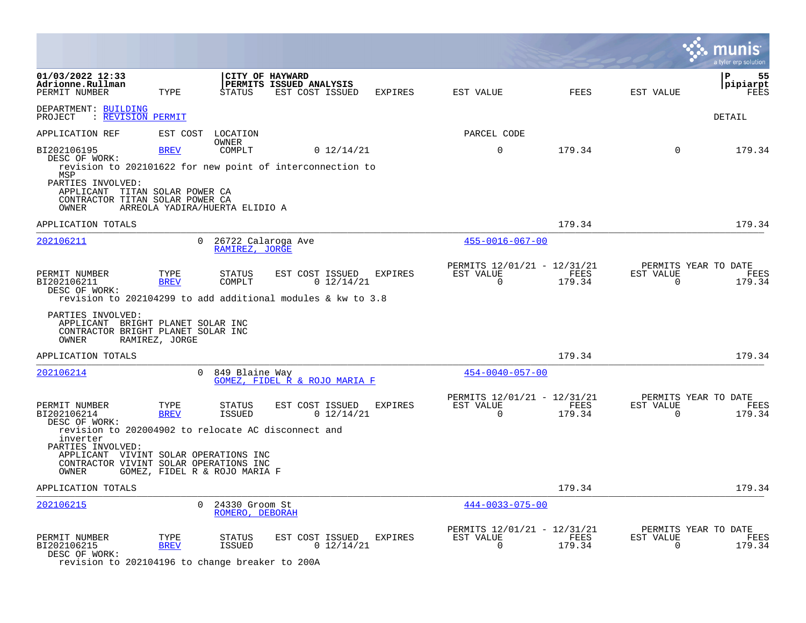|                                                                                                                                                                                  |                     |                                      |                                                               |                |                                                         |                |                          | a tyler erp solution                   |
|----------------------------------------------------------------------------------------------------------------------------------------------------------------------------------|---------------------|--------------------------------------|---------------------------------------------------------------|----------------|---------------------------------------------------------|----------------|--------------------------|----------------------------------------|
| 01/03/2022 12:33<br>Adrionne.Rullman<br>PERMIT NUMBER                                                                                                                            | TYPE                | STATUS                               | CITY OF HAYWARD<br>PERMITS ISSUED ANALYSIS<br>EST COST ISSUED | EXPIRES        | EST VALUE                                               | <b>FEES</b>    | EST VALUE                | $\mathbf{P}$<br>55<br>pipiarpt<br>FEES |
| DEPARTMENT: BUILDING<br>PROJECT : REVISION PERMIT                                                                                                                                |                     |                                      |                                                               |                |                                                         |                |                          | DETAIL                                 |
| APPLICATION REF                                                                                                                                                                  |                     | EST COST LOCATION                    |                                                               |                | PARCEL CODE                                             |                |                          |                                        |
| BI202106195<br>DESC OF WORK:<br>revision to 202101622 for new point of interconnection to<br>MSP<br>PARTIES INVOLVED:<br>APPLICANT TITAN SOLAR POWER CA                          | <b>BREV</b>         | <b>OWNER</b><br>COMPLT               | 0 12/14/21                                                    |                | $\Omega$                                                | 179.34         | $\Omega$                 | 179.34                                 |
| CONTRACTOR TITAN SOLAR POWER CA<br><b>OWNER</b>                                                                                                                                  |                     | ARREOLA YADIRA/HUERTA ELIDIO A       |                                                               |                |                                                         |                |                          |                                        |
| APPLICATION TOTALS                                                                                                                                                               |                     |                                      |                                                               |                |                                                         | 179.34         |                          | 179.34                                 |
| 202106211                                                                                                                                                                        | $\Omega$            | 26722 Calaroga Ave<br>RAMIREZ, JORGE |                                                               |                | $455 - 0016 - 067 - 00$                                 |                |                          |                                        |
| PERMIT NUMBER<br>BI202106211<br>DESC OF WORK:<br>revision to 202104299 to add additional modules & kw to 3.8                                                                     | TYPE<br><b>BREV</b> | STATUS<br>COMPLT                     | EST COST ISSUED<br>$0$ 12/14/21                               | EXPIRES        | PERMITS 12/01/21 - 12/31/21<br>EST VALUE<br>$\Omega$    | FEES<br>179.34 | EST VALUE<br>$\Omega$    | PERMITS YEAR TO DATE<br>FEES<br>179.34 |
| PARTIES INVOLVED:<br>APPLICANT BRIGHT PLANET SOLAR INC<br>CONTRACTOR BRIGHT PLANET SOLAR INC<br>OWNER                                                                            | RAMIREZ, JORGE      |                                      |                                                               |                |                                                         |                |                          |                                        |
| APPLICATION TOTALS                                                                                                                                                               |                     |                                      |                                                               |                |                                                         | 179.34         |                          | 179.34                                 |
| 202106214                                                                                                                                                                        | $\Omega$            | 849 Blaine Way                       | GOMEZ, FIDEL R & ROJO MARIA F                                 |                | $454 - 0040 - 057 - 00$                                 |                |                          |                                        |
| PERMIT NUMBER<br>BI202106214<br>DESC OF WORK:                                                                                                                                    | TYPE<br><b>BREV</b> | STATUS<br>ISSUED                     | EST COST ISSUED<br>0 12/14/21                                 | <b>EXPIRES</b> | PERMITS 12/01/21 - 12/31/21<br>EST VALUE<br>$\mathbf 0$ | FEES<br>179.34 | EST VALUE<br>$\mathbf 0$ | PERMITS YEAR TO DATE<br>FEES<br>179.34 |
| revision to 202004902 to relocate AC disconnect and<br>inverter<br>PARTIES INVOLVED:<br>APPLICANT VIVINT SOLAR OPERATIONS INC<br>CONTRACTOR VIVINT SOLAR OPERATIONS INC<br>OWNER |                     | GOMEZ, FIDEL R & ROJO MARIA F        |                                                               |                |                                                         |                |                          |                                        |
| APPLICATION TOTALS                                                                                                                                                               |                     |                                      |                                                               |                |                                                         | 179.34         |                          | 179.34                                 |
| 202106215                                                                                                                                                                        | $\Omega$            | 24330 Groom St<br>ROMERO, DEBORAH    |                                                               |                | $444 - 0033 - 075 - 00$                                 |                |                          |                                        |
| PERMIT NUMBER<br>BI202106215<br>DESC OF WORK:                                                                                                                                    | TYPE<br><b>BREV</b> | <b>STATUS</b><br><b>ISSUED</b>       | EST COST ISSUED<br>0 12/14/21                                 | <b>EXPIRES</b> | PERMITS 12/01/21 - 12/31/21<br>EST VALUE<br>$\mathbf 0$ | FEES<br>179.34 | EST VALUE<br>$\Omega$    | PERMITS YEAR TO DATE<br>FEES<br>179.34 |

revision to 202104196 to change breaker to 200A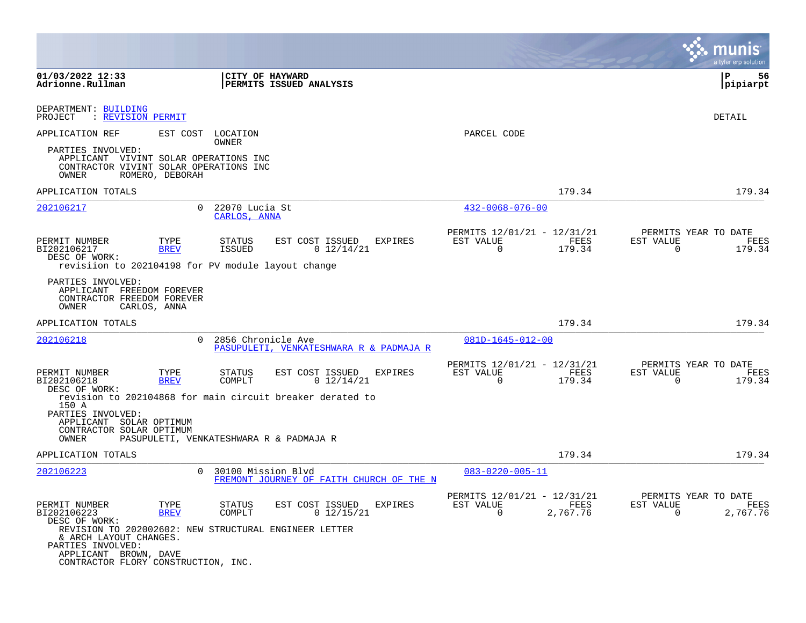|                                                                                                                                                                      |                     |                                |                                                                                                              |                                                         |                  |                       | a tyler erp solution                     |
|----------------------------------------------------------------------------------------------------------------------------------------------------------------------|---------------------|--------------------------------|--------------------------------------------------------------------------------------------------------------|---------------------------------------------------------|------------------|-----------------------|------------------------------------------|
| 01/03/2022 12:33<br>Adrionne.Rullman                                                                                                                                 |                     | CITY OF HAYWARD                | <b>PERMITS ISSUED ANALYSIS</b>                                                                               |                                                         |                  |                       | ΙP<br>56<br> pipiarpt                    |
| DEPARTMENT: BUILDING<br>: REVISION PERMIT<br>PROJECT                                                                                                                 |                     |                                |                                                                                                              |                                                         |                  |                       | DETAIL                                   |
| APPLICATION REF                                                                                                                                                      | EST COST            | LOCATION<br>OWNER              |                                                                                                              | PARCEL CODE                                             |                  |                       |                                          |
| PARTIES INVOLVED:<br>APPLICANT VIVINT SOLAR OPERATIONS INC<br>CONTRACTOR VIVINT SOLAR OPERATIONS INC<br>ROMERO, DEBORAH<br><b>OWNER</b>                              |                     |                                |                                                                                                              |                                                         |                  |                       |                                          |
| APPLICATION TOTALS                                                                                                                                                   |                     |                                |                                                                                                              |                                                         | 179.34           |                       | 179.34                                   |
| 202106217                                                                                                                                                            | $\Omega$            | 22070 Lucia St<br>CARLOS, ANNA |                                                                                                              | $432 - 0068 - 076 - 00$                                 |                  |                       |                                          |
| PERMIT NUMBER<br>BI202106217<br>DESC OF WORK:<br>revisiion to 202104198 for PV module layout change                                                                  | TYPE<br><b>BREV</b> | STATUS<br><b>ISSUED</b>        | EST COST ISSUED<br><b>EXPIRES</b><br>0 12/14/21                                                              | PERMITS 12/01/21 - 12/31/21<br>EST VALUE<br>$\Omega$    | FEES<br>179.34   | EST VALUE<br>$\Omega$ | PERMITS YEAR TO DATE<br>FEES<br>179.34   |
| PARTIES INVOLVED:<br>APPLICANT FREEDOM FOREVER<br>CONTRACTOR FREEDOM FOREVER<br>OWNER<br>CARLOS, ANNA                                                                |                     |                                |                                                                                                              |                                                         |                  |                       |                                          |
| APPLICATION TOTALS                                                                                                                                                   |                     |                                |                                                                                                              |                                                         | 179.34           |                       | 179.34                                   |
| 202106218                                                                                                                                                            | $\Omega$            | 2856 Chronicle Ave             | PASUPULETI, VENKATESHWARA R & PADMAJA R                                                                      | 081D-1645-012-00                                        |                  |                       |                                          |
| PERMIT NUMBER<br>BI202106218<br>DESC OF WORK:                                                                                                                        | TYPE<br><b>BREV</b> | STATUS<br>COMPLT               | EST COST ISSUED<br><b>EXPIRES</b><br>0 12/14/21<br>revision to 202104868 for main circuit breaker derated to | PERMITS 12/01/21 - 12/31/21<br>EST VALUE<br>$\mathbf 0$ | FEES<br>179.34   | EST VALUE<br>0        | PERMITS YEAR TO DATE<br>FEES<br>179.34   |
| 150 A<br>PARTIES INVOLVED:<br>APPLICANT SOLAR OPTIMUM<br>CONTRACTOR SOLAR OPTIMUM<br><b>OWNER</b>                                                                    |                     |                                | PASUPULETI, VENKATESHWARA R & PADMAJA R                                                                      |                                                         |                  |                       |                                          |
| APPLICATION TOTALS                                                                                                                                                   |                     |                                |                                                                                                              |                                                         | 179.34           |                       | 179.34                                   |
| 202106223                                                                                                                                                            | $\Omega$            | 30100 Mission Blvd             | FREMONT JOURNEY OF FAITH CHURCH OF THE N                                                                     | $083 - 0220 - 005 - 11$                                 |                  |                       |                                          |
| PERMIT NUMBER<br>BI202106223<br>DESC OF WORK:                                                                                                                        | TYPE<br><b>BREV</b> | STATUS<br>COMPLT               | EST COST ISSUED<br><b>EXPIRES</b><br>$0$ 12/15/21                                                            | PERMITS 12/01/21 - 12/31/21<br>EST VALUE<br>0           | FEES<br>2,767.76 | EST VALUE<br>$\Omega$ | PERMITS YEAR TO DATE<br>FEES<br>2,767.76 |
| REVISION TO 202002602: NEW STRUCTURAL ENGINEER LETTER<br>& ARCH LAYOUT CHANGES.<br>PARTIES INVOLVED:<br>APPLICANT BROWN, DAVE<br>CONTRACTOR FLORY CONSTRUCTION, INC. |                     |                                |                                                                                                              |                                                         |                  |                       |                                          |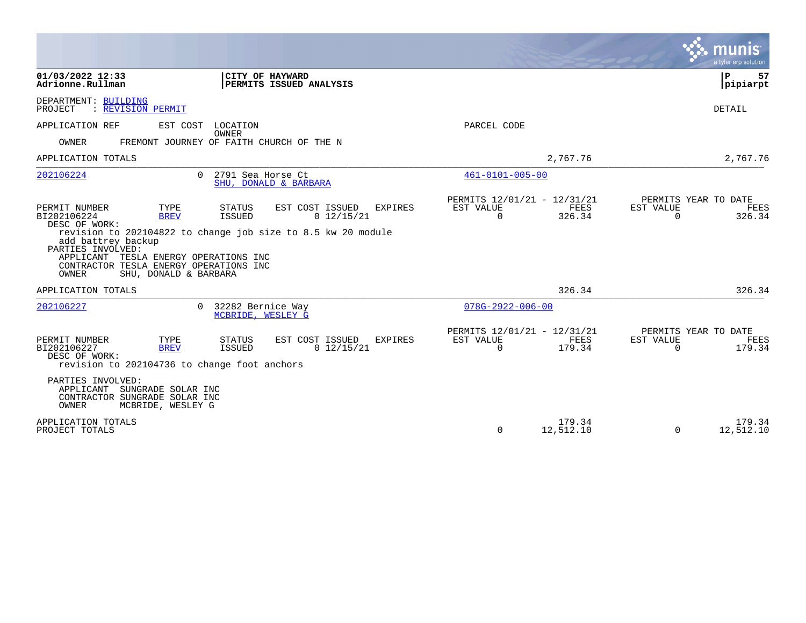|                                                                                                                                                                                                                                                |                                                                                                                                     |                                                                        | munis<br>a tyler erp solution                                      |
|------------------------------------------------------------------------------------------------------------------------------------------------------------------------------------------------------------------------------------------------|-------------------------------------------------------------------------------------------------------------------------------------|------------------------------------------------------------------------|--------------------------------------------------------------------|
| 01/03/2022 12:33<br>Adrionne.Rullman                                                                                                                                                                                                           | CITY OF HAYWARD<br>PERMITS ISSUED ANALYSIS                                                                                          |                                                                        | ΙP<br>57<br> pipiarpt                                              |
| DEPARTMENT: BUILDING<br>PROJECT<br>: REVISION PERMIT                                                                                                                                                                                           |                                                                                                                                     |                                                                        | DETAIL                                                             |
| APPLICATION REF<br>EST COST                                                                                                                                                                                                                    | LOCATION<br><b>OWNER</b>                                                                                                            | PARCEL CODE                                                            |                                                                    |
| OWNER                                                                                                                                                                                                                                          | FREMONT JOURNEY OF FAITH CHURCH OF THE N                                                                                            |                                                                        |                                                                    |
| APPLICATION TOTALS                                                                                                                                                                                                                             |                                                                                                                                     | 2,767.76                                                               | 2,767.76                                                           |
| 202106224<br>$\Omega$                                                                                                                                                                                                                          | 2791 Sea Horse Ct<br>SHU, DONALD & BARBARA                                                                                          | $461 - 0101 - 005 - 00$                                                |                                                                    |
| PERMIT NUMBER<br>TYPE<br>BI202106224<br><b>BREV</b><br>DESC OF WORK:<br>add battrey backup<br>PARTIES INVOLVED:<br>APPLICANT<br>TESLA ENERGY OPERATIONS INC<br>CONTRACTOR TESLA ENERGY OPERATIONS INC<br><b>OWNER</b><br>SHU, DONALD & BARBARA | EST COST ISSUED<br>STATUS<br>EXPIRES<br><b>ISSUED</b><br>0 12/15/21<br>revision to 202104822 to change job size to 8.5 kw 20 module | PERMITS 12/01/21 - 12/31/21<br>EST VALUE<br>FEES<br>$\Omega$<br>326.34 | PERMITS YEAR TO DATE<br>EST VALUE<br>FEES<br>$\Omega$<br>326.34    |
| APPLICATION TOTALS                                                                                                                                                                                                                             |                                                                                                                                     | 326.34                                                                 | 326.34                                                             |
| 202106227                                                                                                                                                                                                                                      | 0 32282 Bernice Way<br>MCBRIDE, WESLEY G                                                                                            | $078G - 2922 - 006 - 00$                                               |                                                                    |
| PERMIT NUMBER<br>TYPE<br>BI202106227<br><b>BREV</b><br>DESC OF WORK:<br>revision to 202104736 to change foot anchors<br>PARTIES INVOLVED:                                                                                                      | STATUS<br>EST COST ISSUED<br>EXPIRES<br>0 12/15/21<br>ISSUED                                                                        | PERMITS 12/01/21 - 12/31/21<br>EST VALUE<br>FEES<br>$\Omega$<br>179.34 | PERMITS YEAR TO DATE<br>EST VALUE<br>FEES<br>$\mathbf 0$<br>179.34 |
| APPLICANT SUNGRADE SOLAR INC<br>CONTRACTOR SUNGRADE SOLAR INC<br>OWNER<br>MCBRIDE, WESLEY G                                                                                                                                                    |                                                                                                                                     |                                                                        |                                                                    |
| APPLICATION TOTALS<br>PROJECT TOTALS                                                                                                                                                                                                           |                                                                                                                                     | 179.34<br>12,512.10<br>$\Omega$                                        | 179.34<br>12,512.10<br>$\Omega$                                    |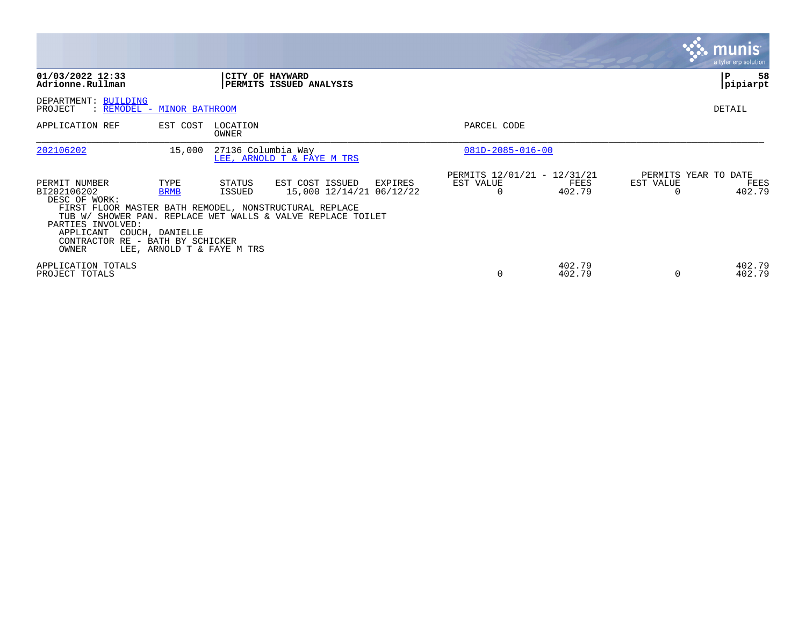|                                                                                                                                                                                        |                                        |                                                |                                                                                                                       |                                                      |                  |                       | <b>munis</b><br>a tyler erp solution   |
|----------------------------------------------------------------------------------------------------------------------------------------------------------------------------------------|----------------------------------------|------------------------------------------------|-----------------------------------------------------------------------------------------------------------------------|------------------------------------------------------|------------------|-----------------------|----------------------------------------|
| 01/03/2022 12:33<br>Adrionne.Rullman                                                                                                                                                   |                                        |                                                | CITY OF HAYWARD<br>PERMITS ISSUED ANALYSIS                                                                            |                                                      |                  |                       | 58<br>P<br>pipiarpt                    |
| DEPARTMENT: BUILDING<br>PROJECT<br>: REMODEL - MINOR BATHROOM                                                                                                                          |                                        |                                                |                                                                                                                       |                                                      |                  |                       | DETAIL                                 |
| APPLICATION REF                                                                                                                                                                        | EST COST                               | LOCATION<br>OWNER                              |                                                                                                                       | PARCEL CODE                                          |                  |                       |                                        |
| 202106202                                                                                                                                                                              | 15,000                                 | 27136 Columbia Way                             | LEE, ARNOLD T & FAYE M TRS                                                                                            | $081D - 2085 - 016 - 00$                             |                  |                       |                                        |
| PERMIT NUMBER<br>BI202106202<br>DESC OF WORK:<br>FIRST FLOOR MASTER BATH REMODEL, NONSTRUCTURAL REPLACE<br>PARTIES INVOLVED:<br>APPLICANT<br>CONTRACTOR RE - BATH BY SCHICKER<br>OWNER | TYPE<br><b>BRMB</b><br>COUCH, DANIELLE | STATUS<br>ISSUED<br>LEE, ARNOLD T & FAYE M TRS | EST COST ISSUED<br>EXPIRES<br>15,000 12/14/21 06/12/22<br>TUB W/ SHOWER PAN. REPLACE WET WALLS & VALVE REPLACE TOILET | PERMITS 12/01/21 - 12/31/21<br>EST VALUE<br>$\Omega$ | FEES<br>402.79   | EST VALUE<br>$\Omega$ | PERMITS YEAR TO DATE<br>FEES<br>402.79 |
| APPLICATION TOTALS<br>PROJECT TOTALS                                                                                                                                                   |                                        |                                                |                                                                                                                       | $\Omega$                                             | 402.79<br>402.79 | 0                     | 402.79<br>402.79                       |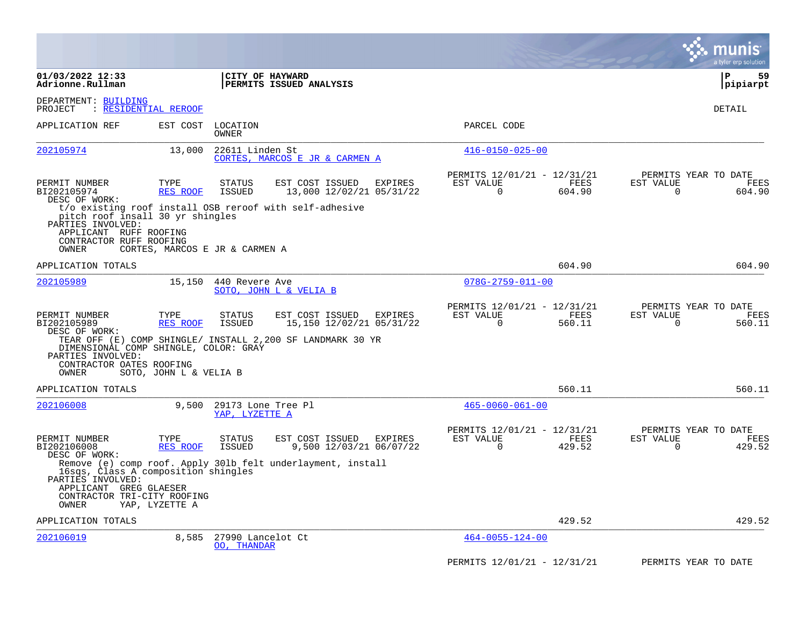|                                                                                                                            |                                |                                      |                                                             |                                                         |                | a tyler erp solution                                                   |
|----------------------------------------------------------------------------------------------------------------------------|--------------------------------|--------------------------------------|-------------------------------------------------------------|---------------------------------------------------------|----------------|------------------------------------------------------------------------|
| 01/03/2022 12:33<br>Adrionne.Rullman                                                                                       |                                | CITY OF HAYWARD                      | PERMITS ISSUED ANALYSIS                                     |                                                         |                | l P<br>59<br> pipiarpt                                                 |
| DEPARTMENT: BUILDING<br>: RESIDENTIAL REROOF<br>PROJECT                                                                    |                                |                                      |                                                             |                                                         |                | DETAIL                                                                 |
| APPLICATION REF                                                                                                            | EST COST                       | LOCATION<br><b>OWNER</b>             |                                                             | PARCEL CODE                                             |                |                                                                        |
| 202105974                                                                                                                  | 13,000                         | 22611 Linden St                      | CORTES, MARCOS E JR & CARMEN A                              | $416 - 0150 - 025 - 00$                                 |                |                                                                        |
| PERMIT NUMBER<br>BI202105974<br>DESC OF WORK:                                                                              | TYPE<br>RES ROOF               | <b>STATUS</b><br><b>ISSUED</b>       | EST COST ISSUED<br>EXPIRES<br>13,000 12/02/21 05/31/22      | PERMITS 12/01/21 - 12/31/21<br>EST VALUE<br>$\mathbf 0$ | FEES<br>604.90 | PERMITS YEAR TO DATE<br>EST VALUE<br><b>FEES</b><br>604.90<br>$\Omega$ |
| pitch roof insall 30 yr shingles<br>PARTIES INVOLVED:<br>APPLICANT RUFF ROOFING<br>CONTRACTOR RUFF ROOFING<br>OWNER        | CORTES, MARCOS E JR & CARMEN A |                                      | t/o existing roof install OSB reroof with self-adhesive     |                                                         |                |                                                                        |
| APPLICATION TOTALS                                                                                                         |                                |                                      |                                                             |                                                         | 604.90         | 604.90                                                                 |
| 202105989                                                                                                                  | 15,150                         | 440 Revere Ave                       | SOTO, JOHN L & VELIA B                                      | $078G - 2759 - 011 - 00$                                |                |                                                                        |
| PERMIT NUMBER<br>BI202105989                                                                                               | TYPE<br><b>RES ROOF</b>        | STATUS<br><b>ISSUED</b>              | EST COST ISSUED<br>EXPIRES<br>15,150 12/02/21 05/31/22      | PERMITS 12/01/21 - 12/31/21<br>EST VALUE<br>0           | FEES<br>560.11 | PERMITS YEAR TO DATE<br>EST VALUE<br>FEES<br>0<br>560.11               |
| DESC OF WORK:<br>DIMENSIONAL COMP SHINGLE, COLOR: GRAY<br>PARTIES INVOLVED:<br>CONTRACTOR OATES ROOFING<br>OWNER           | SOTO, JOHN L & VELIA B         |                                      | TEAR OFF (E) COMP SHINGLE/ INSTALL 2,200 SF LANDMARK 30 YR  |                                                         |                |                                                                        |
| APPLICATION TOTALS                                                                                                         |                                |                                      |                                                             |                                                         | 560.11         | 560.11                                                                 |
| 202106008                                                                                                                  | 9,500                          | 29173 Lone Tree Pl<br>YAP, LYZETTE A |                                                             | $465 - 0060 - 061 - 00$                                 |                |                                                                        |
| PERMIT NUMBER<br>BI202106008<br>DESC OF WORK:                                                                              | TYPE<br><b>RES ROOF</b>        | STATUS<br><b>ISSUED</b>              | EST COST ISSUED<br>EXPIRES<br>9,500 12/03/21 06/07/22       | PERMITS 12/01/21 - 12/31/21<br>EST VALUE<br>$\Omega$    | FEES<br>429.52 | PERMITS YEAR TO DATE<br>EST VALUE<br>FEES<br>429.52<br>$\Omega$        |
| 16sqs, Class A composition shingles<br>PARTIES INVOLVED:<br>APPLICANT GREG GLAESER<br>CONTRACTOR TRI-CITY ROOFING<br>OWNER | YAP, LYZETTE A                 |                                      | Remove (e) comp roof. Apply 301b felt underlayment, install |                                                         |                |                                                                        |
| APPLICATION TOTALS                                                                                                         |                                |                                      |                                                             |                                                         | 429.52         | 429.52                                                                 |
| 202106019                                                                                                                  | 8,585                          | 27990 Lancelot Ct<br>00, THANDAR     |                                                             | $464 - 0055 - 124 - 00$                                 |                |                                                                        |
|                                                                                                                            |                                |                                      |                                                             | PERMITS 12/01/21 - 12/31/21                             |                | PERMITS YEAR TO DATE                                                   |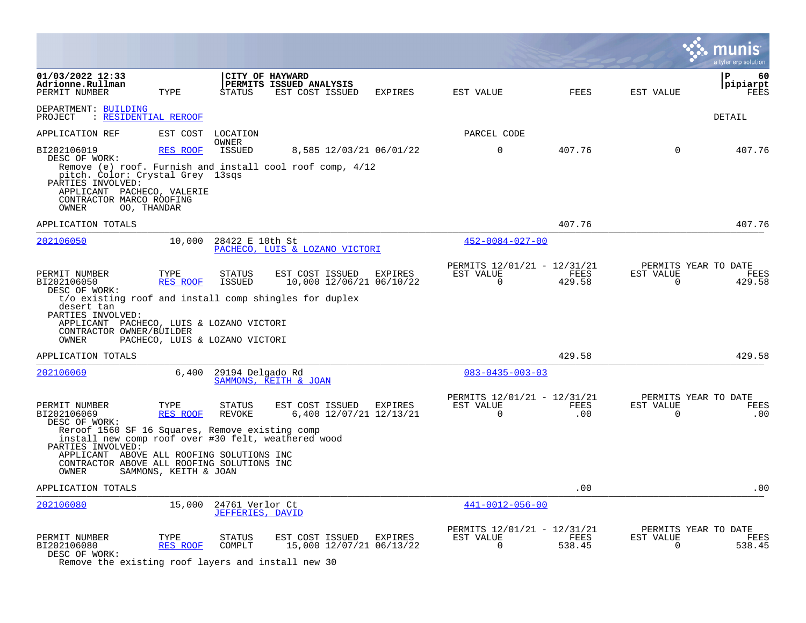|                                                                                                                                                                              |                                                    |                                            |                                                                                                       |         |                                                         |                |                          | a tyler erp solution                   |
|------------------------------------------------------------------------------------------------------------------------------------------------------------------------------|----------------------------------------------------|--------------------------------------------|-------------------------------------------------------------------------------------------------------|---------|---------------------------------------------------------|----------------|--------------------------|----------------------------------------|
| 01/03/2022 12:33<br>Adrionne.Rullman<br>PERMIT NUMBER                                                                                                                        | TYPE                                               | <b>STATUS</b>                              | CITY OF HAYWARD<br>PERMITS ISSUED ANALYSIS<br>EST COST ISSUED                                         | EXPIRES | EST VALUE                                               | <b>FEES</b>    | EST VALUE                | ΙP<br>60<br> pipiarpt<br>FEES          |
| DEPARTMENT: BUILDING<br>: RESIDENTIAL REROOF<br>PROJECT                                                                                                                      |                                                    |                                            |                                                                                                       |         |                                                         |                |                          | DETAIL                                 |
| APPLICATION REF                                                                                                                                                              |                                                    | EST COST LOCATION                          |                                                                                                       |         | PARCEL CODE                                             |                |                          |                                        |
| BI202106019<br>DESC OF WORK:<br>pitch. Color: Crystal Grey 13sqs<br>PARTIES INVOLVED:<br>APPLICANT PACHECO, VALERIE<br>CONTRACTOR MARCO ROOFING<br>OWNER                     | RES ROOF<br>00, THANDAR                            | OWNER<br>ISSUED                            | 8,585 12/03/21 06/01/22<br>Remove (e) roof. Furnish and install cool roof comp, 4/12                  |         | $\mathbf 0$                                             | 407.76         | $\mathbf 0$              | 407.76                                 |
| APPLICATION TOTALS                                                                                                                                                           |                                                    |                                            |                                                                                                       |         |                                                         | 407.76         |                          | 407.76                                 |
| 202106050                                                                                                                                                                    |                                                    | 10,000 28422 E 10th St                     | PACHECO, LUIS & LOZANO VICTORI                                                                        |         | $452 - 0084 - 027 - 00$                                 |                |                          |                                        |
| PERMIT NUMBER<br>BI202106050<br>DESC OF WORK:<br>desert tan<br>PARTIES INVOLVED:<br>APPLICANT PACHECO, LUIS & LOZANO VICTORI<br>CONTRACTOR OWNER/BUILDER<br>OWNER            | TYPE<br>RES ROOF<br>PACHECO, LUIS & LOZANO VICTORI | STATUS<br>ISSUED                           | EST COST ISSUED<br>10,000 12/06/21 06/10/22<br>t/o existing roof and install comp shingles for duplex | EXPIRES | PERMITS 12/01/21 - 12/31/21<br>EST VALUE<br>$\Omega$    | FEES<br>429.58 | EST VALUE<br>$\Omega$    | PERMITS YEAR TO DATE<br>FEES<br>429.58 |
| APPLICATION TOTALS                                                                                                                                                           |                                                    |                                            |                                                                                                       |         |                                                         | 429.58         |                          | 429.58                                 |
| 202106069                                                                                                                                                                    | 6,400                                              | 29194 Delgado Rd                           | SAMMONS, KEITH & JOAN                                                                                 |         | $083 - 0435 - 003 - 03$                                 |                |                          |                                        |
| PERMIT NUMBER<br>BI202106069<br>DESC OF WORK:<br>Reroof 1560 SF 16 Squares, Remove existing comp<br>install new comp roof over #30 felt, weathered wood<br>PARTIES INVOLVED: | TYPE<br>RES ROOF                                   | <b>STATUS</b><br>REVOKE                    | EST COST ISSUED<br>6,400 12/07/21 12/13/21                                                            | EXPIRES | PERMITS 12/01/21 - 12/31/21<br>EST VALUE<br>$\mathbf 0$ | FEES<br>.00    | EST VALUE<br>$\mathbf 0$ | PERMITS YEAR TO DATE<br>FEES<br>.00    |
| APPLICANT ABOVE ALL ROOFING SOLUTIONS INC<br>CONTRACTOR ABOVE ALL ROOFING SOLUTIONS INC<br>OWNER                                                                             | SAMMONS, KEITH & JOAN                              |                                            |                                                                                                       |         |                                                         |                |                          |                                        |
| APPLICATION TOTALS                                                                                                                                                           |                                                    |                                            |                                                                                                       |         |                                                         | .00            |                          | .00                                    |
| 202106080                                                                                                                                                                    | 15,000                                             | 24761 Verlor Ct<br><b>JEFFERIES, DAVID</b> |                                                                                                       |         | $441 - 0012 - 056 - 00$                                 |                |                          |                                        |
| PERMIT NUMBER<br>BI202106080<br>DESC OF WORK:<br>Remove the existing roof layers and install new 30                                                                          | TYPE<br>RES ROOF                                   | STATUS<br>COMPLT                           | EST COST ISSUED EXPIRES<br>15,000 12/07/21 06/13/22                                                   |         | PERMITS 12/01/21 - 12/31/21<br>EST VALUE<br>0           | FEES<br>538.45 | EST VALUE<br>0           | PERMITS YEAR TO DATE<br>FEES<br>538.45 |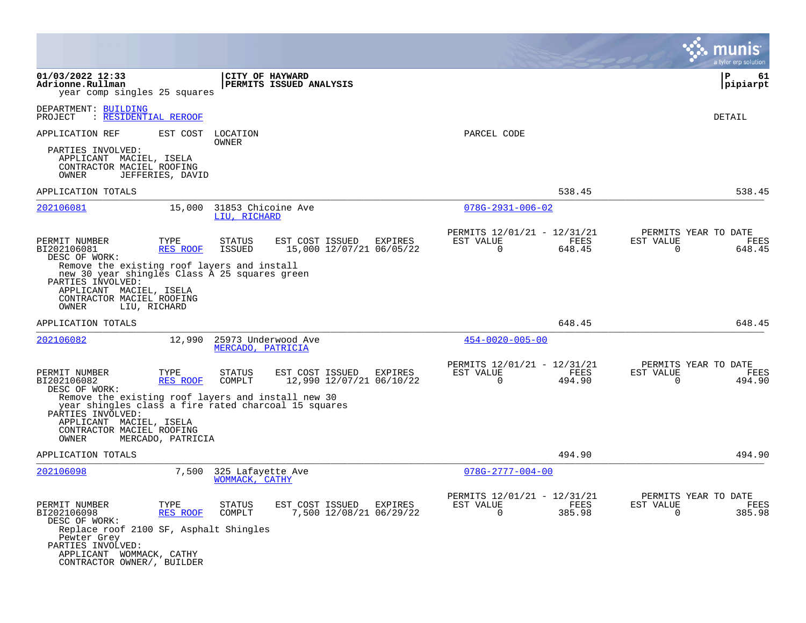|                                                                                                                                                                                                                                                                                                                                               | mu<br>a tyler erp solution                                                                                                                              |
|-----------------------------------------------------------------------------------------------------------------------------------------------------------------------------------------------------------------------------------------------------------------------------------------------------------------------------------------------|---------------------------------------------------------------------------------------------------------------------------------------------------------|
| 01/03/2022 12:33<br>CITY OF HAYWARD<br>PERMITS ISSUED ANALYSIS<br>Adrionne.Rullman<br>year comp singles 25 squares                                                                                                                                                                                                                            | ΙP<br>61<br> pipiarpt                                                                                                                                   |
| DEPARTMENT: BUILDING<br>: RESIDENTIAL REROOF<br>PROJECT                                                                                                                                                                                                                                                                                       | DETAIL                                                                                                                                                  |
| EST COST<br>APPLICATION REF<br>LOCATION<br>OWNER                                                                                                                                                                                                                                                                                              | PARCEL CODE                                                                                                                                             |
| PARTIES INVOLVED:<br>APPLICANT MACIEL, ISELA<br>CONTRACTOR MACIEL ROOFING<br>OWNER<br>JEFFERIES, DAVID                                                                                                                                                                                                                                        |                                                                                                                                                         |
| APPLICATION TOTALS                                                                                                                                                                                                                                                                                                                            | 538.45<br>538.45                                                                                                                                        |
| 15,000<br>202106081<br>31853 Chicoine Ave<br>LIU, RICHARD                                                                                                                                                                                                                                                                                     | $078G - 2931 - 006 - 02$                                                                                                                                |
| EST COST ISSUED<br>PERMIT NUMBER<br>TYPE<br>STATUS<br>BI202106081<br>15,000 12/07/21 06/05/22<br>RES ROOF<br>ISSUED<br>DESC OF WORK:<br>Remove the existing roof layers and install<br>new 30 year shingles Class A 25 squares green<br>PARTIES INVOLVED:<br>APPLICANT MACIEL, ISELA<br>CONTRACTOR MACIEL ROOFING<br>OWNER<br>LIU, RICHARD    | PERMITS 12/01/21 - 12/31/21<br>PERMITS YEAR TO DATE<br>EST VALUE<br>FEES<br>EST VALUE<br>FEES<br>EXPIRES<br>$\Omega$<br>648.45<br>648.45<br>$\Omega$    |
| APPLICATION TOTALS                                                                                                                                                                                                                                                                                                                            | 648.45<br>648.45                                                                                                                                        |
| 25973 Underwood Ave<br>202106082<br>12,990<br>MERCADO, PATRICIA                                                                                                                                                                                                                                                                               | $454 - 0020 - 005 - 00$                                                                                                                                 |
| PERMIT NUMBER<br>TYPE<br><b>STATUS</b><br>EST COST ISSUED<br><b>RES ROOF</b><br>12,990 12/07/21 06/10/22<br>BI202106082<br>COMPLT<br>DESC OF WORK:<br>Remove the existing roof layers and install new 30<br>year shingles class a fire rated charcoal 15 squares<br>PARTIES INVOLVED:<br>APPLICANT MACIEL, ISELA<br>CONTRACTOR MACIEL ROOFING | PERMITS 12/01/21 - 12/31/21<br>PERMITS YEAR TO DATE<br>EXPIRES<br>EST VALUE<br>FEES<br>EST VALUE<br>FEES<br>$\Omega$<br>494.90<br>$\mathbf 0$<br>494.90 |
| OWNER<br>MERCADO, PATRICIA<br>APPLICATION TOTALS                                                                                                                                                                                                                                                                                              | 494.90<br>494.90                                                                                                                                        |
| 202106098<br>7,500<br>325 Lafayette Ave<br>WOMMACK, CATHY                                                                                                                                                                                                                                                                                     | $078G - 2777 - 004 - 00$                                                                                                                                |
| PERMIT NUMBER<br>TYPE<br><b>STATUS</b><br>EST COST ISSUED<br>BI202106098<br><b>RES ROOF</b><br>7,500 12/08/21 06/29/22<br>COMPLT<br>DESC OF WORK:<br>Replace roof 2100 SF, Asphalt Shingles<br>Pewter Grey<br>PARTIES INVOLVED:<br>APPLICANT WOMMACK, CATHY<br>CONTRACTOR OWNER/, BUILDER                                                     | PERMITS 12/01/21 -<br>12/31/21<br>PERMITS YEAR TO DATE<br>EXPIRES<br>EST VALUE<br>FEES<br>EST VALUE<br>FEES<br>385.98<br>385.98<br>0<br>$\Omega$        |

 $\mathcal{L}^{\text{max}}$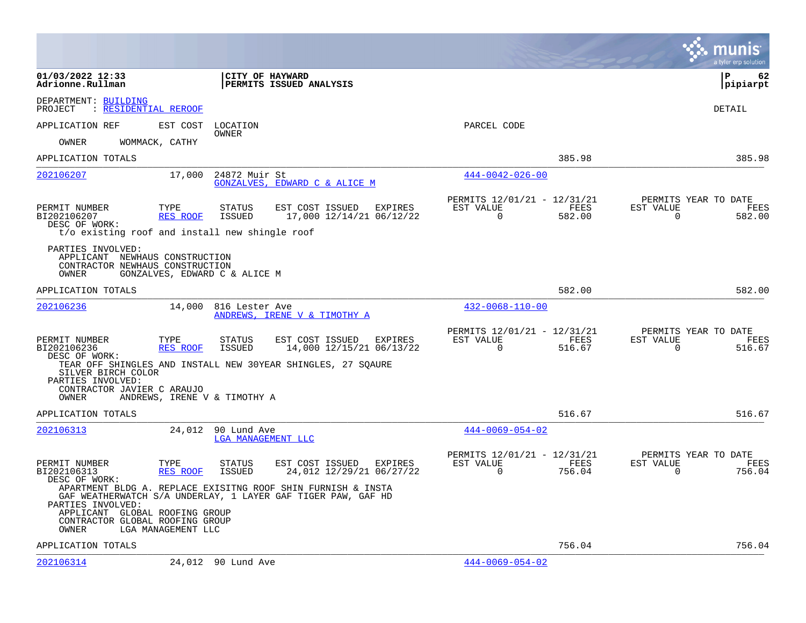|                                                                                                                                                                                                                                                       |                                                                                   |                                                         |                | munis<br>a tyler erp solution                                         |
|-------------------------------------------------------------------------------------------------------------------------------------------------------------------------------------------------------------------------------------------------------|-----------------------------------------------------------------------------------|---------------------------------------------------------|----------------|-----------------------------------------------------------------------|
| 01/03/2022 12:33<br>Adrionne.Rullman                                                                                                                                                                                                                  | CITY OF HAYWARD<br>PERMITS ISSUED ANALYSIS                                        |                                                         |                | l P<br>62<br> pipiarpt                                                |
| DEPARTMENT: BUILDING<br>: RESIDENTIAL REROOF<br>PROJECT                                                                                                                                                                                               |                                                                                   |                                                         |                | DETAIL                                                                |
| APPLICATION REF<br>EST COST                                                                                                                                                                                                                           | LOCATION                                                                          | PARCEL CODE                                             |                |                                                                       |
| OWNER<br>WOMMACK, CATHY<br>OWNER                                                                                                                                                                                                                      |                                                                                   |                                                         |                |                                                                       |
| APPLICATION TOTALS                                                                                                                                                                                                                                    |                                                                                   |                                                         | 385.98         | 385.98                                                                |
| 202106207<br>17,000                                                                                                                                                                                                                                   | 24872 Muir St<br>GONZALVES, EDWARD C & ALICE M                                    | $444 - 0042 - 026 - 00$                                 |                |                                                                       |
| TYPE<br>PERMIT NUMBER<br>RES ROOF<br>BI202106207<br>DESC OF WORK:<br>t/o existing roof and install new shingle roof                                                                                                                                   | EST COST ISSUED<br>STATUS<br>EXPIRES<br>ISSUED<br>17,000 12/14/21 06/12/22        | PERMITS 12/01/21 - 12/31/21<br>EST VALUE<br>$\mathbf 0$ | FEES<br>582.00 | PERMITS YEAR TO DATE<br>EST VALUE<br>FEES<br>$\overline{0}$<br>582.00 |
| PARTIES INVOLVED:<br>APPLICANT NEWHAUS CONSTRUCTION<br>CONTRACTOR NEWHAUS CONSTRUCTION<br>OWNER<br>GONZALVES, EDWARD C & ALICE M                                                                                                                      |                                                                                   |                                                         |                |                                                                       |
| APPLICATION TOTALS                                                                                                                                                                                                                                    |                                                                                   |                                                         | 582.00         | 582.00                                                                |
| 202106236<br>14,000                                                                                                                                                                                                                                   | 816 Lester Ave<br>ANDREWS, IRENE V & TIMOTHY A                                    | $432 - 0068 - 110 - 00$                                 |                |                                                                       |
| PERMIT NUMBER<br>TYPE<br>BI202106236<br>RES ROOF<br>DESC OF WORK:                                                                                                                                                                                     | EST COST ISSUED<br><b>STATUS</b><br>EXPIRES<br>ISSUED<br>14,000 12/15/21 06/13/22 | PERMITS 12/01/21 - 12/31/21<br>EST VALUE<br>$\mathbf 0$ | FEES<br>516.67 | PERMITS YEAR TO DATE<br>EST VALUE<br>FEES<br>$\mathbf 0$<br>516.67    |
| TEAR OFF SHINGLES AND INSTALL NEW 30YEAR SHINGLES, 27 SQAURE<br>SILVER BIRCH COLOR<br>PARTIES INVOLVED:                                                                                                                                               |                                                                                   |                                                         |                |                                                                       |
| CONTRACTOR JAVIER C ARAUJO<br>OWNER<br>ANDREWS, IRENE V & TIMOTHY A                                                                                                                                                                                   |                                                                                   |                                                         |                |                                                                       |
| APPLICATION TOTALS                                                                                                                                                                                                                                    |                                                                                   |                                                         | 516.67         | 516.67                                                                |
| 202106313<br>24,012 90 Lund Ave                                                                                                                                                                                                                       | LGA MANAGEMENT LLC                                                                | $444 - 0069 - 054 - 02$                                 |                |                                                                       |
| PERMIT NUMBER<br>TYPE<br>BI202106313<br>RES ROOF<br>DESC OF WORK:                                                                                                                                                                                     | EST COST ISSUED<br>EXPIRES<br>STATUS<br>ISSUED<br>24,012 12/29/21 06/27/22        | PERMITS 12/01/21 - 12/31/21<br>EST VALUE<br>$\Omega$    | FEES<br>756.04 | PERMITS YEAR TO DATE<br>EST VALUE<br>FEES<br>0<br>756.04              |
| APARTMENT BLDG A. REPLACE EXISITNG ROOF SHIN FURNISH & INSTA<br>GAF WEATHERWATCH S/A UNDERLAY, 1 LAYER GAF TIGER PAW, GAF HD<br>PARTIES INVOLVED:<br>APPLICANT GLOBAL ROOFING GROUP<br>CONTRACTOR GLOBAL ROOFING GROUP<br>LGA MANAGEMENT LLC<br>OWNER |                                                                                   |                                                         |                |                                                                       |
| APPLICATION TOTALS                                                                                                                                                                                                                                    |                                                                                   |                                                         | 756.04         | 756.04                                                                |
| 202106314<br>24,012 90 Lund Ave                                                                                                                                                                                                                       |                                                                                   | $444 - 0069 - 054 - 02$                                 |                |                                                                       |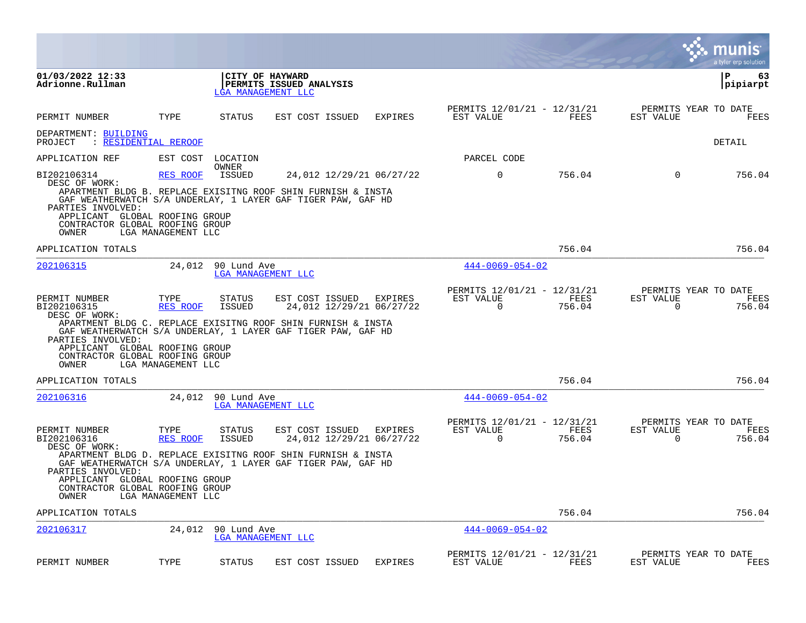|                                                                                                                                                  |                                               |                                       |                                                                                                                                                                             |                |                                                         |                |                             | munis<br>a tyler erp solution          |
|--------------------------------------------------------------------------------------------------------------------------------------------------|-----------------------------------------------|---------------------------------------|-----------------------------------------------------------------------------------------------------------------------------------------------------------------------------|----------------|---------------------------------------------------------|----------------|-----------------------------|----------------------------------------|
| 01/03/2022 12:33<br>Adrionne.Rullman                                                                                                             |                                               | CITY OF HAYWARD<br>LGA MANAGEMENT LLC | PERMITS ISSUED ANALYSIS                                                                                                                                                     |                |                                                         |                |                             | l P<br>63<br> pipiarpt                 |
| PERMIT NUMBER                                                                                                                                    | TYPE                                          | STATUS                                | EST COST ISSUED                                                                                                                                                             | <b>EXPIRES</b> | PERMITS 12/01/21 - 12/31/21<br>EST VALUE                | FEES           | EST VALUE                   | PERMITS YEAR TO DATE<br>FEES           |
| DEPARTMENT: BUILDING                                                                                                                             |                                               |                                       |                                                                                                                                                                             |                |                                                         |                |                             |                                        |
| PROJECT<br>: RESIDENTIAL REROOF                                                                                                                  |                                               |                                       |                                                                                                                                                                             |                |                                                         |                |                             | DETAIL                                 |
| APPLICATION REF                                                                                                                                  | EST COST                                      | LOCATION<br>OWNER                     |                                                                                                                                                                             |                | PARCEL CODE                                             |                |                             |                                        |
| BI202106314<br>DESC OF WORK:                                                                                                                     | <b>RES ROOF</b>                               | <b>ISSUED</b>                         | 24,012 12/29/21 06/27/22                                                                                                                                                    |                | $\mathbf 0$                                             | 756.04         | $\Omega$                    | 756.04                                 |
| PARTIES INVOLVED:<br>APPLICANT GLOBAL ROOFING GROUP                                                                                              |                                               |                                       | APARTMENT BLDG B. REPLACE EXISITNG ROOF SHIN FURNISH & INSTA<br>GAF WEATHERWATCH S/A UNDERLAY, 1 LAYER GAF TIGER PAW, GAF HD                                                |                |                                                         |                |                             |                                        |
| CONTRACTOR GLOBAL ROOFING GROUP<br>OWNER                                                                                                         | LGA MANAGEMENT LLC                            |                                       |                                                                                                                                                                             |                |                                                         |                |                             |                                        |
| APPLICATION TOTALS                                                                                                                               |                                               |                                       |                                                                                                                                                                             |                |                                                         | 756.04         |                             | 756.04                                 |
| 202106315                                                                                                                                        | 24,012                                        | 90 Lund Ave<br>LGA MANAGEMENT LLC     |                                                                                                                                                                             |                | $444 - 0069 - 054 - 02$                                 |                |                             |                                        |
| PERMIT NUMBER<br>BI202106315<br>DESC OF WORK:<br>PARTIES INVOLVED:<br>APPLICANT GLOBAL ROOFING GROUP<br>CONTRACTOR GLOBAL ROOFING GROUP<br>OWNER | TYPE<br><b>RES ROOF</b><br>LGA MANAGEMENT LLC | STATUS<br><b>ISSUED</b>               | EST COST ISSUED<br>24,012 12/29/21 06/27/22<br>APARTMENT BLDG C. REPLACE EXISITNG ROOF SHIN FURNISH & INSTA<br>GAF WEATHERWATCH S/A UNDERLAY, 1 LAYER GAF TIGER PAW, GAF HD | EXPIRES        | PERMITS 12/01/21 - 12/31/21<br>EST VALUE<br>$\mathbf 0$ | FEES<br>756.04 | EST VALUE<br>$\mathbf 0$    | PERMITS YEAR TO DATE<br>FEES<br>756.04 |
| APPLICATION TOTALS                                                                                                                               |                                               |                                       |                                                                                                                                                                             |                |                                                         | 756.04         |                             | 756.04                                 |
| 202106316                                                                                                                                        | 24,012                                        | 90 Lund Ave<br>LGA MANAGEMENT LLC     |                                                                                                                                                                             |                | $444 - 0069 - 054 - 02$                                 |                |                             |                                        |
| PERMIT NUMBER<br>BI202106316<br>DESC OF WORK:                                                                                                    | TYPE<br><b>RES ROOF</b>                       | <b>STATUS</b><br>ISSUED               | EST COST ISSUED<br>24,012 12/29/21 06/27/22                                                                                                                                 | <b>EXPIRES</b> | PERMITS 12/01/21 - 12/31/21<br>EST VALUE<br>0           | FEES<br>756.04 | EST VALUE<br>$\overline{0}$ | PERMITS YEAR TO DATE<br>FEES<br>756.04 |
| PARTIES INVOLVED:<br>APPLICANT GLOBAL ROOFING GROUP<br>CONTRACTOR GLOBAL ROOFING GROUP<br>OWNER                                                  | LGA MANAGEMENT LLC                            |                                       | APARTMENT BLDG D. REPLACE EXISITNG ROOF SHIN FURNISH & INSTA<br>GAF WEATHERWATCH S/A UNDERLAY, 1 LAYER GAF TIGER PAW, GAF HD                                                |                |                                                         |                |                             |                                        |
| APPLICATION TOTALS                                                                                                                               |                                               |                                       |                                                                                                                                                                             |                |                                                         | 756.04         |                             | 756.04                                 |
| 202106317                                                                                                                                        | 24,012                                        | 90 Lund Ave<br>LGA MANAGEMENT LLC     |                                                                                                                                                                             |                | $444 - 0069 - 054 - 02$                                 |                |                             |                                        |
| PERMIT NUMBER                                                                                                                                    | TYPE                                          | STATUS                                | EST COST ISSUED                                                                                                                                                             | EXPIRES        | PERMITS 12/01/21 - 12/31/21<br>EST VALUE                | FEES           | EST VALUE                   | PERMITS YEAR TO DATE<br>FEES           |

 $\mathcal{L}^{\text{c}}$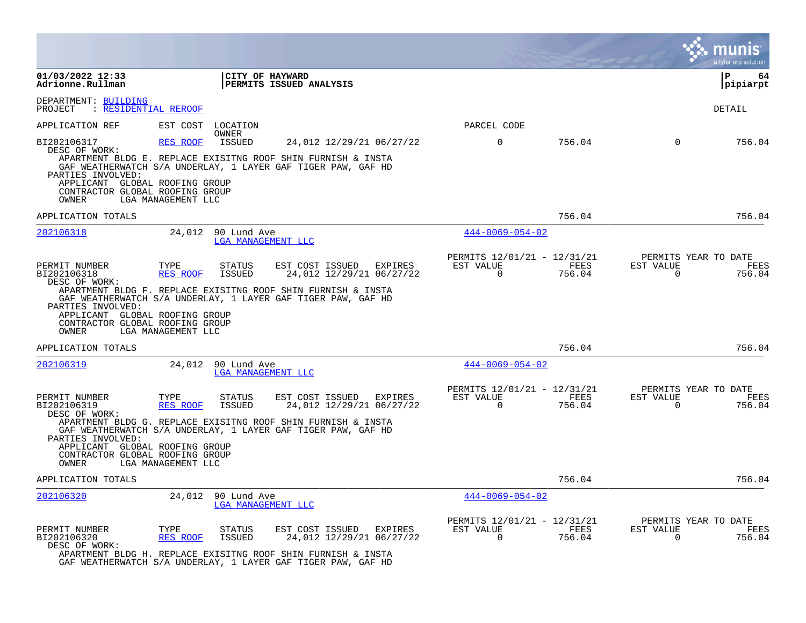|                                                                                                                                                                                                                                                                                                                                                                                                                     | a tyler erp solution                                                                                                                                       |
|---------------------------------------------------------------------------------------------------------------------------------------------------------------------------------------------------------------------------------------------------------------------------------------------------------------------------------------------------------------------------------------------------------------------|------------------------------------------------------------------------------------------------------------------------------------------------------------|
| 01/03/2022 12:33<br><b>CITY OF HAYWARD</b><br>Adrionne.Rullman<br><b>PERMITS ISSUED ANALYSIS</b>                                                                                                                                                                                                                                                                                                                    | ΙP<br>64<br> pipiarpt                                                                                                                                      |
| DEPARTMENT: BUILDING<br>: RESIDENTIAL REROOF<br>PROJECT                                                                                                                                                                                                                                                                                                                                                             | DETAIL                                                                                                                                                     |
| EST COST<br>APPLICATION REF<br>LOCATION<br>OWNER                                                                                                                                                                                                                                                                                                                                                                    | PARCEL CODE                                                                                                                                                |
| BI202106317<br>RES ROOF<br>ISSUED<br>24,012 12/29/21 06/27/22<br>DESC OF WORK:<br>APARTMENT BLDG E. REPLACE EXISITNG ROOF SHIN FURNISH & INSTA<br>GAF WEATHERWATCH S/A UNDERLAY, 1 LAYER GAF TIGER PAW, GAF HD<br>PARTIES INVOLVED:<br>APPLICANT GLOBAL ROOFING GROUP<br>CONTRACTOR GLOBAL ROOFING GROUP<br>OWNER<br>LGA MANAGEMENT LLC                                                                             | $\mathbf 0$<br>$\Omega$<br>756.04<br>756.04                                                                                                                |
| APPLICATION TOTALS                                                                                                                                                                                                                                                                                                                                                                                                  | 756.04<br>756.04                                                                                                                                           |
| 202106318<br>24,012<br>90 Lund Ave<br>LGA MANAGEMENT LLC                                                                                                                                                                                                                                                                                                                                                            | $444 - 0069 - 054 - 02$                                                                                                                                    |
| TYPE<br>EST COST ISSUED<br>PERMIT NUMBER<br>STATUS<br>BI202106318<br>RES ROOF<br>ISSUED<br>24,012 12/29/21 06/27/22<br>DESC OF WORK:<br>APARTMENT BLDG F. REPLACE EXISITNG ROOF SHIN FURNISH & INSTA<br>GAF WEATHERWATCH S/A UNDERLAY, 1 LAYER GAF TIGER PAW, GAF HD<br>PARTIES INVOLVED:<br>APPLICANT GLOBAL ROOFING GROUP<br>CONTRACTOR GLOBAL ROOFING GROUP<br>OWNER<br>LGA MANAGEMENT LLC                       | PERMITS 12/01/21 - 12/31/21<br>PERMITS YEAR TO DATE<br>EXPIRES<br>EST VALUE<br>FEES<br>EST VALUE<br>FEES<br>$\Omega$<br>$\mathbf 0$<br>756.04<br>756.04    |
| APPLICATION TOTALS                                                                                                                                                                                                                                                                                                                                                                                                  | 756.04<br>756.04                                                                                                                                           |
| 202106319<br>24,012<br>90 Lund Ave<br>LGA MANAGEMENT LLC                                                                                                                                                                                                                                                                                                                                                            | $444 - 0069 - 054 - 02$                                                                                                                                    |
| PERMIT NUMBER<br>TYPE<br><b>STATUS</b><br>EST COST ISSUED EXPIRES<br>24,012 12/29/21 06/27/22<br>BI202106319<br>RES ROOF<br><b>ISSUED</b><br>DESC OF WORK:<br>APARTMENT BLDG G. REPLACE EXISITNG ROOF SHIN FURNISH & INSTA<br>GAF WEATHERWATCH S/A UNDERLAY, 1 LAYER GAF TIGER PAW, GAF HD<br>PARTIES INVOLVED:<br>APPLICANT GLOBAL ROOFING GROUP<br>CONTRACTOR GLOBAL ROOFING GROUP<br>OWNER<br>LGA MANAGEMENT LLC | PERMITS 12/01/21 - 12/31/21<br>PERMITS YEAR TO DATE<br>EST VALUE<br>EST VALUE<br>FEES<br>FEES<br>$\Omega$<br>$\mathbf 0$<br>756.04<br>756.04               |
| APPLICATION TOTALS                                                                                                                                                                                                                                                                                                                                                                                                  | 756.04<br>756.04                                                                                                                                           |
| 202106320<br>24,012<br>90 Lund Ave<br>LGA MANAGEMENT LLC                                                                                                                                                                                                                                                                                                                                                            | $444 - 0069 - 054 - 02$                                                                                                                                    |
| PERMIT NUMBER<br>EST COST ISSUED<br>TYPE<br><b>STATUS</b><br>BI202106320<br>24,012 12/29/21 06/27/22<br>RES ROOF<br>ISSUED<br>DESC OF WORK:<br>APARTMENT BLDG H. REPLACE EXISITNG ROOF SHIN FURNISH & INSTA<br>GAF WEATHERWATCH S/A UNDERLAY, 1 LAYER GAF TIGER PAW, GAF HD                                                                                                                                         | PERMITS 12/01/21 - 12/31/21<br>PERMITS YEAR TO DATE<br>FEES<br>EST VALUE<br>EXPIRES<br>EST VALUE<br>FEES<br>$\mathbf 0$<br>$\mathbf 0$<br>756.04<br>756.04 |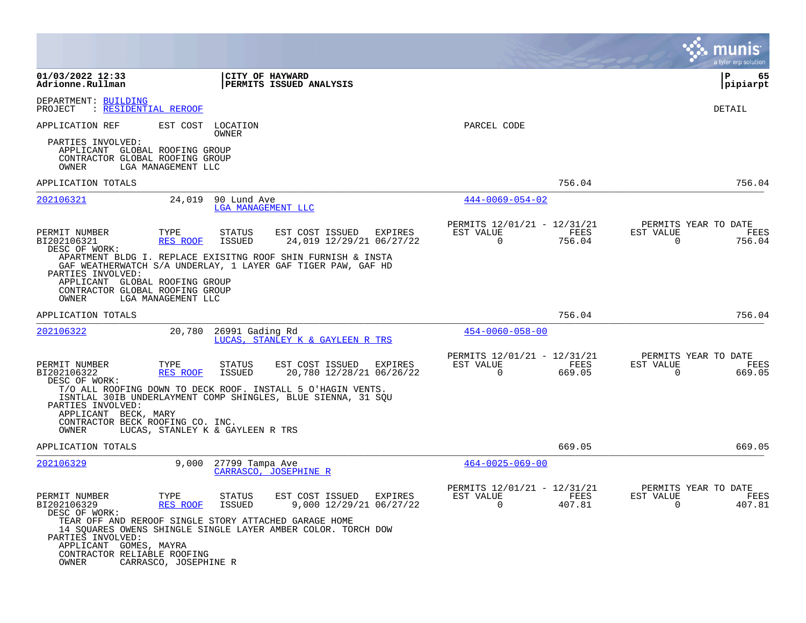|                                                                                                                                              |                       |                                   |                                                                                                                              |                |                                                         |                |                          | munis<br>a tyler erp solution          |
|----------------------------------------------------------------------------------------------------------------------------------------------|-----------------------|-----------------------------------|------------------------------------------------------------------------------------------------------------------------------|----------------|---------------------------------------------------------|----------------|--------------------------|----------------------------------------|
| 01/03/2022 12:33<br>Adrionne.Rullman                                                                                                         |                       | CITY OF HAYWARD                   | PERMITS ISSUED ANALYSIS                                                                                                      |                |                                                         |                |                          | ΙP<br>65<br> pipiarpt                  |
| DEPARTMENT: BUILDING<br>: RESIDENTIAL REROOF<br>PROJECT                                                                                      |                       |                                   |                                                                                                                              |                |                                                         |                |                          | <b>DETAIL</b>                          |
| APPLICATION REF                                                                                                                              | EST COST              | LOCATION<br>OWNER                 |                                                                                                                              |                | PARCEL CODE                                             |                |                          |                                        |
| PARTIES INVOLVED:<br>APPLICANT GLOBAL ROOFING GROUP<br>CONTRACTOR GLOBAL ROOFING GROUP<br>OWNER                                              | LGA MANAGEMENT LLC    |                                   |                                                                                                                              |                |                                                         |                |                          |                                        |
| APPLICATION TOTALS                                                                                                                           |                       |                                   |                                                                                                                              |                |                                                         | 756.04         |                          | 756.04                                 |
| 202106321                                                                                                                                    | 24,019                | 90 Lund Ave<br>LGA MANAGEMENT LLC |                                                                                                                              |                | $444 - 0069 - 054 - 02$                                 |                |                          |                                        |
| PERMIT NUMBER<br>BI202106321<br>DESC OF WORK:                                                                                                | TYPE<br>RES ROOF      | STATUS<br><b>ISSUED</b>           | EST COST ISSUED<br>24,019 12/29/21 06/27/22                                                                                  | EXPIRES        | PERMITS 12/01/21 - 12/31/21<br>EST VALUE<br>$\mathbf 0$ | FEES<br>756.04 | EST VALUE<br>$\Omega$    | PERMITS YEAR TO DATE<br>FEES<br>756.04 |
| PARTIES INVOLVED:                                                                                                                            |                       |                                   | APARTMENT BLDG I. REPLACE EXISITNG ROOF SHIN FURNISH & INSTA<br>GAF WEATHERWATCH S/A UNDERLAY, 1 LAYER GAF TIGER PAW, GAF HD |                |                                                         |                |                          |                                        |
| APPLICANT GLOBAL ROOFING GROUP<br>CONTRACTOR GLOBAL ROOFING GROUP<br>OWNER                                                                   | LGA MANAGEMENT LLC    |                                   |                                                                                                                              |                |                                                         |                |                          |                                        |
| APPLICATION TOTALS                                                                                                                           |                       |                                   |                                                                                                                              |                |                                                         | 756.04         |                          | 756.04                                 |
| 202106322                                                                                                                                    | 20,780                | 26991 Gading Rd                   | LUCAS, STANLEY K & GAYLEEN R TRS                                                                                             |                | $454 - 0060 - 058 - 00$                                 |                |                          |                                        |
| PERMIT NUMBER<br>BI202106322<br>DESC OF WORK:                                                                                                | TYPE<br>RES ROOF      | STATUS<br><b>ISSUED</b>           | EST COST ISSUED<br>20,780 12/28/21 06/26/22                                                                                  | <b>EXPIRES</b> | PERMITS 12/01/21 - 12/31/21<br>EST VALUE<br>$\mathbf 0$ | FEES<br>669.05 | EST VALUE<br>$\mathbf 0$ | PERMITS YEAR TO DATE<br>FEES<br>669.05 |
| PARTIES INVOLVED:                                                                                                                            |                       |                                   | T/O ALL ROOFING DOWN TO DECK ROOF. INSTALL 5 O'HAGIN VENTS.<br>ISNTLAL 30IB UNDERLAYMENT COMP SHINGLES, BLUE SIENNA, 31 SQU  |                |                                                         |                |                          |                                        |
| APPLICANT BECK, MARY<br>CONTRACTOR BECK ROOFING CO. INC.<br>OWNER                                                                            |                       | LUCAS, STANLEY K & GAYLEEN R TRS  |                                                                                                                              |                |                                                         |                |                          |                                        |
| APPLICATION TOTALS                                                                                                                           |                       |                                   |                                                                                                                              |                |                                                         | 669.05         |                          | 669.05                                 |
| 202106329                                                                                                                                    | 9,000                 | 27799 Tampa Ave                   | CARRASCO, JOSEPHINE R                                                                                                        |                | $464 - 0025 - 069 - 00$                                 |                |                          |                                        |
| PERMIT NUMBER<br>BI202106329<br>DESC OF WORK:                                                                                                | TYPE<br>RES ROOF      | <b>STATUS</b><br><b>ISSUED</b>    | EST COST ISSUED<br>9,000 12/29/21 06/27/22                                                                                   | EXPIRES        | PERMITS 12/01/21 - 12/31/21<br>EST VALUE<br>0           | FEES<br>407.81 | EST VALUE<br>$\mathbf 0$ | PERMITS YEAR TO DATE<br>FEES<br>407.81 |
| TEAR OFF AND REROOF SINGLE STORY ATTACHED GARAGE HOME<br>PARTIES INVOLVED:<br>APPLICANT GOMES, MAYRA<br>CONTRACTOR RELIABLE ROOFING<br>OWNER | CARRASCO, JOSEPHINE R |                                   | 14 SQUARES OWENS SHINGLE SINGLE LAYER AMBER COLOR. TORCH DOW                                                                 |                |                                                         |                |                          |                                        |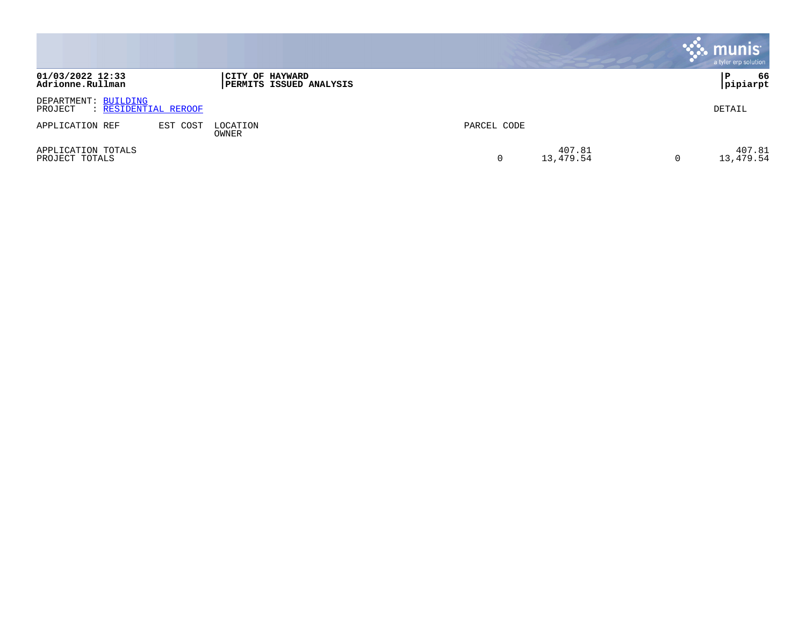|                                      |                      |                                                   |             |                     | $\sim$ munis<br>a tyler erp solution |
|--------------------------------------|----------------------|---------------------------------------------------|-------------|---------------------|--------------------------------------|
| 01/03/2022 12:33<br>Adrionne.Rullman |                      | CITY OF HAYWARD<br><b>PERMITS ISSUED ANALYSIS</b> |             |                     | 66<br> pipiarpt                      |
| DEPARTMENT: BUILDING<br>PROJECT      | : RESIDENTIAL REROOF |                                                   |             |                     | DETAIL                               |
| APPLICATION REF                      | EST COST             | LOCATION<br>OWNER                                 | PARCEL CODE |                     |                                      |
| APPLICATION TOTALS<br>PROJECT TOTALS |                      |                                                   |             | 407.81<br>13,479.54 | 407.81<br>13,479.54                  |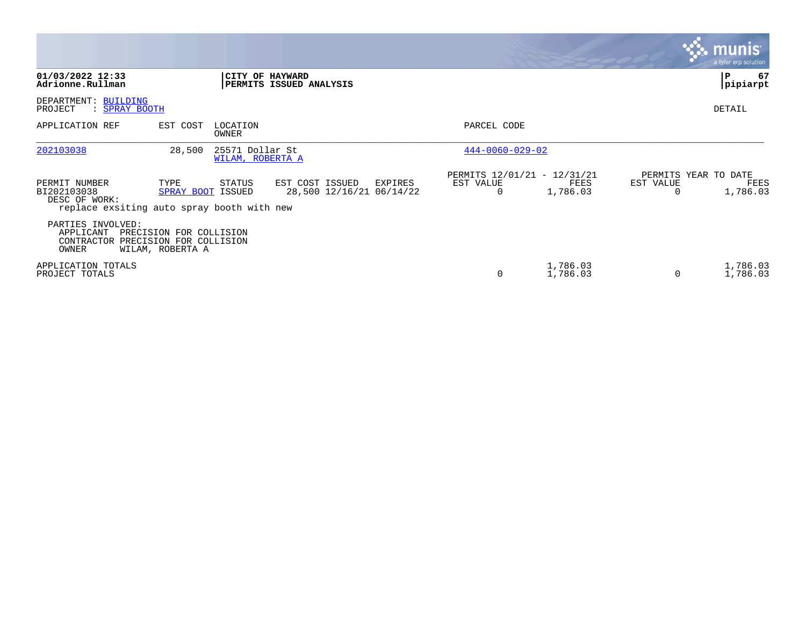|                                                                                             |                                                                        |                                     |                                                        |                                                      |                      |                | <b>munis</b><br>a tyler erp solution     |
|---------------------------------------------------------------------------------------------|------------------------------------------------------------------------|-------------------------------------|--------------------------------------------------------|------------------------------------------------------|----------------------|----------------|------------------------------------------|
| 01/03/2022 12:33<br>Adrionne.Rullman                                                        |                                                                        |                                     | CITY OF HAYWARD<br>PERMITS ISSUED ANALYSIS             |                                                      |                      |                | P<br>67<br>pipiarpt                      |
| DEPARTMENT: BUILDING<br>PROJECT<br>: SPRAY BOOTH                                            |                                                                        |                                     |                                                        |                                                      |                      |                | DETAIL                                   |
| APPLICATION REF                                                                             | EST COST                                                               | LOCATION<br>OWNER                   |                                                        | PARCEL CODE                                          |                      |                |                                          |
| 202103038                                                                                   | 28,500                                                                 | 25571 Dollar St<br>WILAM, ROBERTA A |                                                        | $444 - 0060 - 029 - 02$                              |                      |                |                                          |
| PERMIT NUMBER<br>BI202103038<br>DESC OF WORK:<br>replace exsiting auto spray booth with new | TYPE<br><b>SPRAY BOOT ISSUED</b>                                       | STATUS                              | EST COST ISSUED<br>EXPIRES<br>28,500 12/16/21 06/14/22 | PERMITS 12/01/21 - 12/31/21<br>EST VALUE<br>$\Omega$ | FEES<br>1,786.03     | EST VALUE<br>O | PERMITS YEAR TO DATE<br>FEES<br>1,786.03 |
| PARTIES INVOLVED:<br>APPLICANT<br>CONTRACTOR<br>OWNER                                       | PRECISION FOR COLLISION<br>PRECISION FOR COLLISION<br>WILAM, ROBERTA A |                                     |                                                        |                                                      |                      |                |                                          |
| APPLICATION TOTALS<br>PROJECT TOTALS                                                        |                                                                        |                                     |                                                        | 0                                                    | 1,786.03<br>1,786.03 | $\Omega$       | 1,786.03<br>1,786.03                     |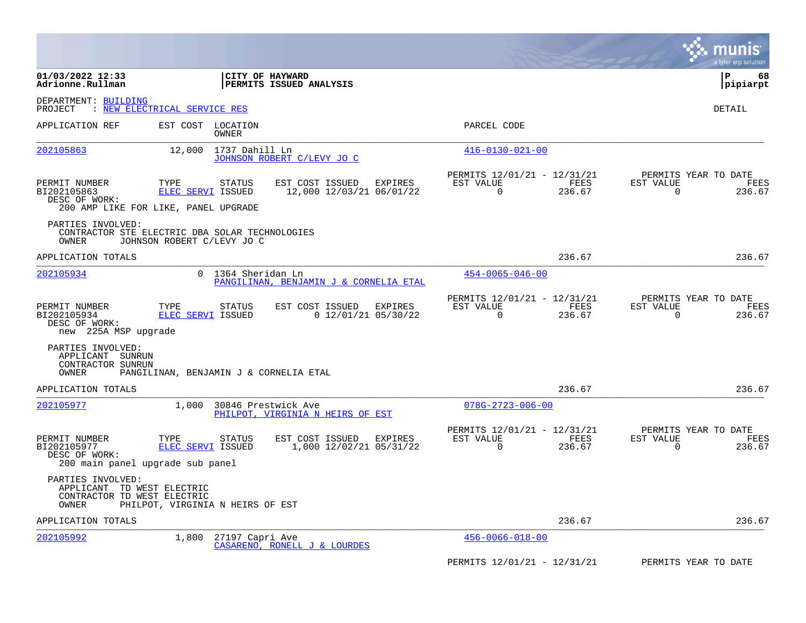|                                                                                         |                                            |                                                              |                                                         |                | a tyler erp solution                                               |
|-----------------------------------------------------------------------------------------|--------------------------------------------|--------------------------------------------------------------|---------------------------------------------------------|----------------|--------------------------------------------------------------------|
| 01/03/2022 12:33<br>Adrionne.Rullman                                                    | CITY OF HAYWARD                            | PERMITS ISSUED ANALYSIS                                      |                                                         |                | l P<br>68<br> pipiarpt                                             |
| DEPARTMENT: BUILDING<br>PROJECT                                                         | : NEW ELECTRICAL SERVICE RES               |                                                              |                                                         |                | <b>DETAIL</b>                                                      |
| APPLICATION REF                                                                         | EST COST LOCATION<br>OWNER                 |                                                              | PARCEL CODE                                             |                |                                                                    |
| 202105863                                                                               | 12,000<br>1737 Dahill Ln                   | JOHNSON ROBERT C/LEVY JO C                                   | $416 - 0130 - 021 - 00$                                 |                |                                                                    |
| PERMIT NUMBER<br>BI202105863<br>DESC OF WORK:<br>200 AMP LIKE FOR LIKE, PANEL UPGRADE   | TYPE<br><b>STATUS</b><br>ELEC SERVI ISSUED | EST COST ISSUED<br>EXPIRES<br>12,000 12/03/21 06/01/22       | PERMITS 12/01/21 - 12/31/21<br>EST VALUE<br>$\Omega$    | FEES<br>236.67 | PERMITS YEAR TO DATE<br>EST VALUE<br>FEES<br>$\Omega$<br>236.67    |
| PARTIES INVOLVED:<br>CONTRACTOR STE ELECTRIC DBA SOLAR TECHNOLOGIES<br>OWNER            | JOHNSON ROBERT C/LEVY JO C                 |                                                              |                                                         |                |                                                                    |
| APPLICATION TOTALS                                                                      |                                            |                                                              |                                                         | 236.67         | 236.67                                                             |
| 202105934                                                                               | 0 1364 Sheridan Ln                         | PANGILINAN, BENJAMIN J & CORNELIA ETAL                       | $454 - 0065 - 046 - 00$                                 |                |                                                                    |
| PERMIT NUMBER<br>BI202105934<br>DESC OF WORK:<br>new 225A MSP upgrade                   | TYPE<br><b>STATUS</b><br>ELEC SERVI ISSUED | EST COST ISSUED<br><b>EXPIRES</b><br>$0$ 12/01/21 05/30/22   | PERMITS 12/01/21 - 12/31/21<br>EST VALUE<br>$\mathbf 0$ | FEES<br>236.67 | PERMITS YEAR TO DATE<br>EST VALUE<br>FEES<br>$\mathbf 0$<br>236.67 |
| PARTIES INVOLVED:<br>APPLICANT SUNRUN<br>CONTRACTOR SUNRUN<br>OWNER                     | PANGILINAN, BENJAMIN J & CORNELIA ETAL     |                                                              |                                                         |                |                                                                    |
| APPLICATION TOTALS                                                                      |                                            |                                                              |                                                         | 236.67         | 236.67                                                             |
| 202105977                                                                               | 1,000<br>30846 Prestwick Ave               | PHILPOT, VIRGINIA N HEIRS OF EST                             | $078G - 2723 - 006 - 00$                                |                |                                                                    |
| PERMIT NUMBER<br>BI202105977<br>DESC OF WORK:<br>200 main panel upgrade sub panel       | TYPE<br><b>STATUS</b><br>ELEC SERVI ISSUED | EST COST ISSUED<br><b>EXPIRES</b><br>1,000 12/02/21 05/31/22 | PERMITS 12/01/21 - 12/31/21<br>EST VALUE<br>$\Omega$    | FEES<br>236.67 | PERMITS YEAR TO DATE<br>EST VALUE<br>FEES<br>0<br>236.67           |
| PARTIES INVOLVED:<br>APPLICANT TD WEST ELECTRIC<br>CONTRACTOR TD WEST ELECTRIC<br>OWNER | PHILPOT, VIRGINIA N HEIRS OF EST           |                                                              |                                                         |                |                                                                    |
| APPLICATION TOTALS                                                                      |                                            |                                                              |                                                         | 236.67         | 236.67                                                             |
| 202105992                                                                               | 1,800<br>27197 Capri Ave                   | CASARENO, RONELL J & LOURDES                                 | $456 - 0066 - 018 - 00$                                 |                |                                                                    |
|                                                                                         |                                            |                                                              | PERMITS 12/01/21 - 12/31/21                             |                | PERMITS YEAR TO DATE                                               |

 $\mathcal{L}^{\text{max}}$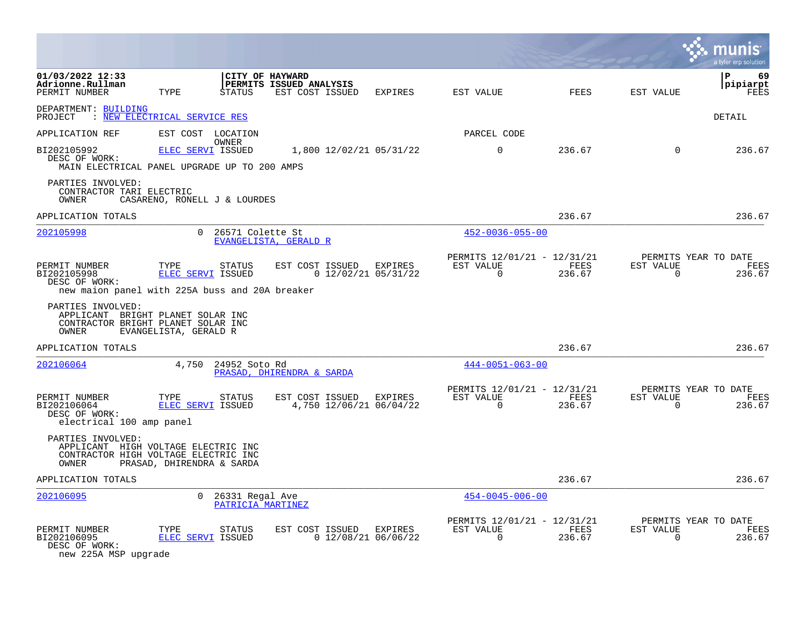|                                                                                                           |                              |                                      |                                            |                         |                                                            |                |                          | a tyler erp solution                   |
|-----------------------------------------------------------------------------------------------------------|------------------------------|--------------------------------------|--------------------------------------------|-------------------------|------------------------------------------------------------|----------------|--------------------------|----------------------------------------|
| 01/03/2022 12:33<br>Adrionne.Rullman<br>PERMIT NUMBER                                                     | TYPE                         | CITY OF HAYWARD<br>STATUS            | PERMITS ISSUED ANALYSIS<br>EST COST ISSUED | EXPIRES                 | EST VALUE                                                  | <b>FEES</b>    | EST VALUE                | 69<br>l P<br> pipiarpt<br>FEES         |
| DEPARTMENT: BUILDING<br>: NEW ELECTRICAL SERVICE RES<br>PROJECT                                           |                              |                                      |                                            |                         |                                                            |                |                          | DETAIL                                 |
| APPLICATION REF                                                                                           | EST COST LOCATION            |                                      |                                            |                         | PARCEL CODE                                                |                |                          |                                        |
| BI202105992<br>DESC OF WORK:<br>MAIN ELECTRICAL PANEL UPGRADE UP TO 200 AMPS                              | <b>ELEC SERVI ISSUED</b>     | OWNER                                |                                            | 1,800 12/02/21 05/31/22 | $\Omega$                                                   | 236.67         | $\Omega$                 | 236.67                                 |
| PARTIES INVOLVED:<br>CONTRACTOR TARI ELECTRIC<br>OWNER                                                    | CASARENO, RONELL J & LOURDES |                                      |                                            |                         |                                                            |                |                          |                                        |
| APPLICATION TOTALS                                                                                        |                              |                                      |                                            |                         |                                                            | 236.67         |                          | 236.67                                 |
| 202105998                                                                                                 | $\Omega$                     | 26571 Colette St                     | EVANGELISTA, GERALD R                      |                         | $452 - 0036 - 055 - 00$                                    |                |                          |                                        |
| PERMIT NUMBER<br>BI202105998<br>DESC OF WORK:<br>new maion panel with 225A buss and 20A breaker           | TYPE<br>ELEC SERVI ISSUED    | <b>STATUS</b>                        | EST COST ISSUED EXPIRES                    | $0$ 12/02/21 05/31/22   | PERMITS 12/01/21 - 12/31/21<br>EST VALUE<br>$\overline{0}$ | FEES<br>236.67 | EST VALUE<br>$\Omega$    | PERMITS YEAR TO DATE<br>FEES<br>236.67 |
| PARTIES INVOLVED:<br>APPLICANT BRIGHT PLANET SOLAR INC<br>CONTRACTOR BRIGHT PLANET SOLAR INC<br>OWNER     | EVANGELISTA, GERALD R        |                                      |                                            |                         |                                                            |                |                          |                                        |
| APPLICATION TOTALS                                                                                        |                              |                                      |                                            |                         |                                                            | 236.67         |                          | 236.67                                 |
| 202106064                                                                                                 | 4,750                        | 24952 Soto Rd                        | PRASAD, DHIRENDRA & SARDA                  |                         | $444 - 0051 - 063 - 00$                                    |                |                          |                                        |
| PERMIT NUMBER<br>BI202106064<br>DESC OF WORK:<br>electrical 100 amp panel                                 | TYPE<br>ELEC SERVI ISSUED    | <b>STATUS</b>                        | EST COST ISSUED EXPIRES                    | 4,750 12/06/21 06/04/22 | PERMITS 12/01/21 - 12/31/21<br>EST VALUE<br>$\Omega$       | FEES<br>236.67 | EST VALUE<br>$\Omega$    | PERMITS YEAR TO DATE<br>FEES<br>236.67 |
| PARTIES INVOLVED:<br>APPLICANT HIGH VOLTAGE ELECTRIC INC<br>CONTRACTOR HIGH VOLTAGE ELECTRIC INC<br>OWNER | PRASAD, DHIRENDRA & SARDA    |                                      |                                            |                         |                                                            |                |                          |                                        |
| APPLICATION TOTALS                                                                                        |                              |                                      |                                            |                         |                                                            | 236.67         |                          | 236.67                                 |
| 202106095                                                                                                 | $\overline{0}$               | 26331 Regal Ave<br>PATRICIA MARTINEZ |                                            |                         | $454 - 0045 - 006 - 00$                                    |                |                          |                                        |
| PERMIT NUMBER<br>BI202106095<br>DESC OF WORK:                                                             | TYPE<br>ELEC SERVI ISSUED    | <b>STATUS</b>                        | EST COST ISSUED EXPIRES                    | $0$ 12/08/21 06/06/22   | PERMITS 12/01/21 - 12/31/21<br>EST VALUE<br>$\mathbf 0$    | FEES<br>236.67 | EST VALUE<br>$\mathbf 0$ | PERMITS YEAR TO DATE<br>FEES<br>236.67 |

new 225A MSP upgrade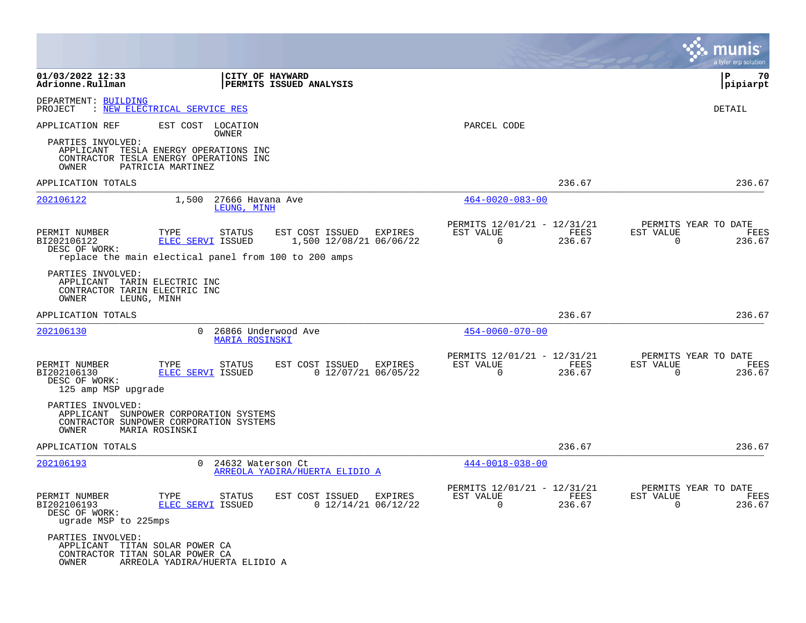|                                                                                                    |                                                                                                                                    |                                                       |                                                            |                |                          | a tyler erp solution                   |
|----------------------------------------------------------------------------------------------------|------------------------------------------------------------------------------------------------------------------------------------|-------------------------------------------------------|------------------------------------------------------------|----------------|--------------------------|----------------------------------------|
| 01/03/2022 12:33<br>Adrionne.Rullman                                                               |                                                                                                                                    | CITY OF HAYWARD<br>PERMITS ISSUED ANALYSIS            |                                                            |                |                          | ΙP<br>70<br> pipiarpt                  |
| DEPARTMENT: BUILDING<br>PROJECT                                                                    | : NEW ELECTRICAL SERVICE RES                                                                                                       |                                                       |                                                            |                |                          | DETAIL                                 |
| APPLICATION REF<br>PARTIES INVOLVED:<br>OWNER                                                      | EST COST LOCATION<br>OWNER<br>APPLICANT TESLA ENERGY OPERATIONS INC<br>CONTRACTOR TESLA ENERGY OPERATIONS INC<br>PATRICIA MARTINEZ |                                                       | PARCEL CODE                                                |                |                          |                                        |
| APPLICATION TOTALS                                                                                 |                                                                                                                                    |                                                       |                                                            | 236.67         |                          | 236.67                                 |
| 202106122                                                                                          | 27666 Havana Ave<br>1,500<br>LEUNG, MINH                                                                                           |                                                       | $464 - 0020 - 083 - 00$                                    |                |                          |                                        |
| PERMIT NUMBER<br>BI202106122<br>DESC OF WORK:                                                      | TYPE<br>STATUS<br>ELEC SERVI ISSUED<br>replace the main electical panel from 100 to 200 amps                                       | EST COST ISSUED<br>EXPIRES<br>1,500 12/08/21 06/06/22 | PERMITS 12/01/21 - 12/31/21<br>EST VALUE<br>$\overline{0}$ | FEES<br>236.67 | EST VALUE<br>$\mathbf 0$ | PERMITS YEAR TO DATE<br>FEES<br>236.67 |
| PARTIES INVOLVED:<br>APPLICANT TARIN ELECTRIC INC<br>CONTRACTOR TARIN ELECTRIC INC<br><b>OWNER</b> | LEUNG, MINH                                                                                                                        |                                                       |                                                            |                |                          |                                        |
| APPLICATION TOTALS                                                                                 |                                                                                                                                    |                                                       |                                                            | 236.67         |                          | 236.67                                 |
| 202106130                                                                                          | $\Omega$<br>26866 Underwood Ave<br>MARIA ROSINSKI                                                                                  |                                                       | $454 - 0060 - 070 - 00$                                    |                |                          |                                        |
| PERMIT NUMBER<br>BI202106130<br>DESC OF WORK:<br>125 amp MSP upgrade                               | TYPE<br><b>STATUS</b><br>ELEC SERVI ISSUED                                                                                         | EST COST ISSUED EXPIRES<br>$0$ 12/07/21 06/05/22      | PERMITS 12/01/21 - 12/31/21<br>EST VALUE<br>$\mathbf 0$    | FEES<br>236.67 | EST VALUE<br>$\mathbf 0$ | PERMITS YEAR TO DATE<br>FEES<br>236.67 |
| PARTIES INVOLVED:<br>OWNER                                                                         | APPLICANT SUNPOWER CORPORATION SYSTEMS<br>CONTRACTOR SUNPOWER CORPORATION SYSTEMS<br>MARIA ROSINSKI                                |                                                       |                                                            |                |                          |                                        |
| APPLICATION TOTALS                                                                                 |                                                                                                                                    |                                                       |                                                            | 236.67         |                          | 236.67                                 |
| 202106193                                                                                          | $\Omega$<br>24632 Waterson Ct                                                                                                      | ARREOLA YADIRA/HUERTA ELIDIO A                        | $444 - 0018 - 038 - 00$                                    |                |                          |                                        |
| PERMIT NUMBER<br>BI202106193<br>DESC OF WORK:<br>ugrade MSP to 225mps                              | TYPE<br>STATUS<br>ELEC SERVI ISSUED                                                                                                | EST COST ISSUED<br>EXPIRES<br>$0$ 12/14/21 06/12/22   | PERMITS 12/01/21 - 12/31/21<br>EST VALUE<br>$\Omega$       | FEES<br>236.67 | EST VALUE<br>$\Omega$    | PERMITS YEAR TO DATE<br>FEES<br>236.67 |
| PARTIES INVOLVED:<br>APPLICANT TITAN SOLAR POWER CA<br>CONTRACTOR TITAN SOLAR POWER CA<br>OWNER    | ARREOLA YADIRA/HUERTA ELIDIO A                                                                                                     |                                                       |                                                            |                |                          |                                        |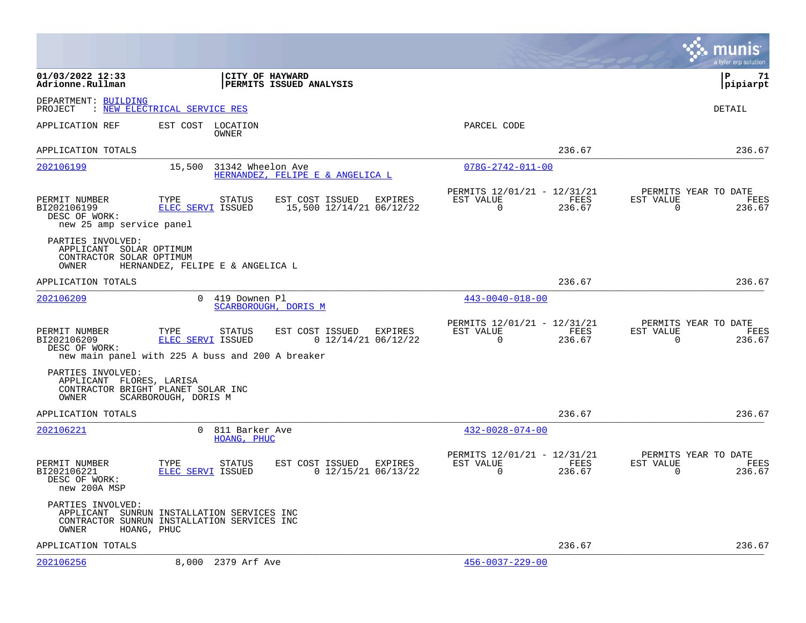|                                                                                   |                                                                                                          |                                                     |                                                      |                |                       | a tyler erp solution                   |
|-----------------------------------------------------------------------------------|----------------------------------------------------------------------------------------------------------|-----------------------------------------------------|------------------------------------------------------|----------------|-----------------------|----------------------------------------|
| 01/03/2022 12:33<br>Adrionne.Rullman                                              | <b>CITY OF HAYWARD</b>                                                                                   | PERMITS ISSUED ANALYSIS                             |                                                      |                |                       | l P<br>71<br>pipiarpt                  |
| DEPARTMENT: BUILDING<br>PROJECT                                                   | : NEW ELECTRICAL SERVICE RES                                                                             |                                                     |                                                      |                |                       | DETAIL                                 |
| APPLICATION REF                                                                   | EST COST LOCATION<br>OWNER                                                                               |                                                     | PARCEL CODE                                          |                |                       |                                        |
| APPLICATION TOTALS                                                                |                                                                                                          |                                                     |                                                      | 236.67         |                       | 236.67                                 |
| 202106199                                                                         | 15,500<br>31342 Wheelon Ave                                                                              | HERNANDEZ, FELIPE E & ANGELICA L                    | $078G - 2742 - 011 - 00$                             |                |                       |                                        |
| PERMIT NUMBER<br>BI202106199<br>DESC OF WORK:<br>new 25 amp service panel         | TYPE<br>STATUS<br>ELEC SERVI ISSUED                                                                      | EST COST ISSUED EXPIRES<br>15,500 12/14/21 06/12/22 | PERMITS 12/01/21 - 12/31/21<br>EST VALUE<br>$\Omega$ | FEES<br>236.67 | EST VALUE<br>$\Omega$ | PERMITS YEAR TO DATE<br>FEES<br>236.67 |
| PARTIES INVOLVED:<br>APPLICANT SOLAR OPTIMUM<br>CONTRACTOR SOLAR OPTIMUM<br>OWNER | HERNANDEZ, FELIPE E & ANGELICA L                                                                         |                                                     |                                                      |                |                       |                                        |
| APPLICATION TOTALS                                                                |                                                                                                          |                                                     |                                                      | 236.67         |                       | 236.67                                 |
| 202106209                                                                         | $\Omega$<br>419 Downen Pl                                                                                | SCARBOROUGH, DORIS M                                | $443 - 0040 - 018 - 00$                              |                |                       |                                        |
| PERMIT NUMBER<br>BI202106209<br>DESC OF WORK:                                     | TYPE<br>STATUS<br>ELEC SERVI ISSUED<br>new main panel with 225 A buss and 200 A breaker                  | EST COST ISSUED<br>EXPIRES<br>$0$ 12/14/21 06/12/22 | PERMITS 12/01/21 - 12/31/21<br>EST VALUE<br>$\Omega$ | FEES<br>236.67 | EST VALUE<br>$\Omega$ | PERMITS YEAR TO DATE<br>FEES<br>236.67 |
| PARTIES INVOLVED:<br>APPLICANT FLORES, LARISA<br>OWNER                            | CONTRACTOR BRIGHT PLANET SOLAR INC<br>SCARBOROUGH, DORIS M                                               |                                                     |                                                      |                |                       |                                        |
| APPLICATION TOTALS                                                                |                                                                                                          |                                                     |                                                      | 236.67         |                       | 236.67                                 |
| 202106221                                                                         | $\Omega$<br>811 Barker Ave<br>HOANG, PHUC                                                                |                                                     | $432 - 0028 - 074 - 00$                              |                |                       |                                        |
| PERMIT NUMBER<br>BI202106221<br>DESC OF WORK:<br>new 200A MSP                     | TYPE<br>STATUS<br>ELEC SERVI ISSUED                                                                      | EST COST ISSUED EXPIRES<br>$0$ 12/15/21 06/13/22    | PERMITS 12/01/21 - 12/31/21<br>EST VALUE<br>0        | FEES<br>236.67 | EST VALUE<br>0        | PERMITS YEAR TO DATE<br>FEES<br>236.67 |
| PARTIES INVOLVED:<br>OWNER                                                        | APPLICANT SUNRUN INSTALLATION SERVICES INC<br>CONTRACTOR SUNRUN INSTALLATION SERVICES INC<br>HOANG, PHUC |                                                     |                                                      |                |                       |                                        |
| APPLICATION TOTALS                                                                |                                                                                                          |                                                     |                                                      | 236.67         |                       | 236.67                                 |
| 202106256                                                                         | 8,000 2379 Arf Ave                                                                                       |                                                     | $456 - 0037 - 229 - 00$                              |                |                       |                                        |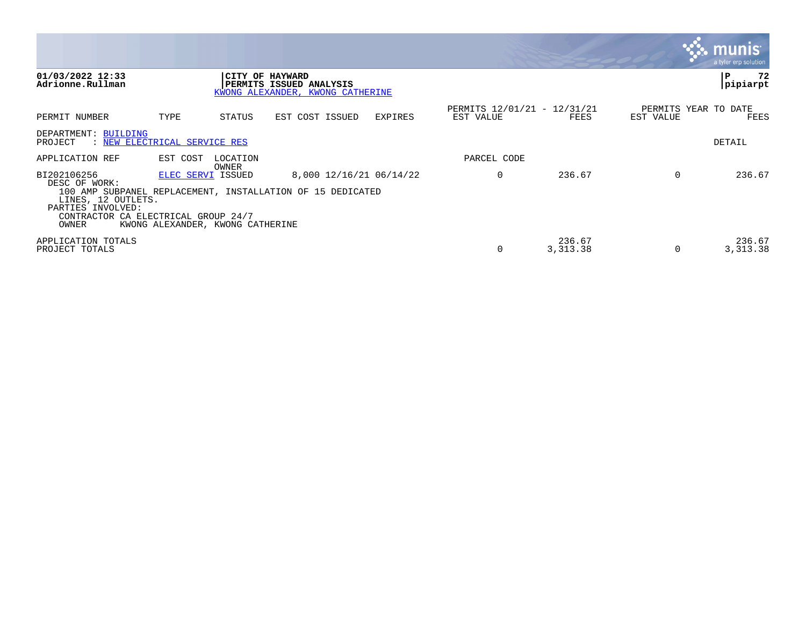|                                                                                                                         |                                                       |                   |                                                                                       |         |                                          |                     |                                   | munis<br>a tyler erp solution, |
|-------------------------------------------------------------------------------------------------------------------------|-------------------------------------------------------|-------------------|---------------------------------------------------------------------------------------|---------|------------------------------------------|---------------------|-----------------------------------|--------------------------------|
| 01/03/2022 12:33<br>Adrionne.Rullman                                                                                    |                                                       |                   | CITY OF HAYWARD<br>PERMITS ISSUED ANALYSIS<br>KWONG ALEXANDER, KWONG CATHERINE        |         |                                          |                     |                                   | 72<br>P<br> pipiarpt           |
| PERMIT NUMBER                                                                                                           | TYPE                                                  | STATUS            | EST COST ISSUED                                                                       | EXPIRES | PERMITS 12/01/21 - 12/31/21<br>EST VALUE | FEES                | PERMITS YEAR TO DATE<br>EST VALUE | FEES                           |
| DEPARTMENT: BUILDING<br>: NEW ELECTRICAL SERVICE RES<br>PROJECT                                                         |                                                       |                   |                                                                                       |         |                                          |                     |                                   | DETAIL                         |
| APPLICATION REF                                                                                                         | EST COST                                              | LOCATION<br>OWNER |                                                                                       |         | PARCEL CODE                              |                     |                                   |                                |
| BI202106256<br>DESC OF WORK:<br>LINES, 12 OUTLETS.<br>PARTIES INVOLVED:<br>CONTRACTOR CA ELECTRICAL GROUP 24/7<br>OWNER | ELEC SERVI ISSUED<br>KWONG ALEXANDER, KWONG CATHERINE |                   | 8,000 12/16/21 06/14/22<br>100 AMP SUBPANEL REPLACEMENT, INSTALLATION OF 15 DEDICATED |         | 0                                        | 236.67              | $\Omega$                          | 236.67                         |
| APPLICATION TOTALS<br>PROJECT TOTALS                                                                                    |                                                       |                   |                                                                                       |         |                                          | 236.67<br>3, 313.38 |                                   | 236.67<br>3, 313.38            |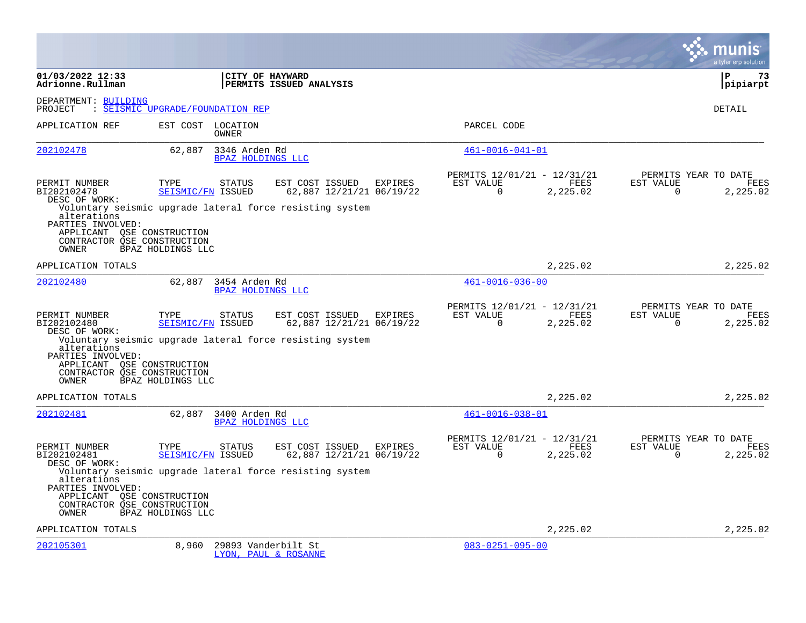|                                                                                                        |                                                                               |                                                     |                                                      |                                           | a tyler erp solution                            |
|--------------------------------------------------------------------------------------------------------|-------------------------------------------------------------------------------|-----------------------------------------------------|------------------------------------------------------|-------------------------------------------|-------------------------------------------------|
| 01/03/2022 12:33<br>Adrionne.Rullman                                                                   | CITY OF HAYWARD                                                               | PERMITS ISSUED ANALYSIS                             |                                                      |                                           | ΙP<br>73<br> pipiarpt                           |
| DEPARTMENT: BUILDING<br>PROJECT                                                                        | : SEISMIC UPGRADE/FOUNDATION REP                                              |                                                     |                                                      |                                           | <b>DETAIL</b>                                   |
| APPLICATION REF                                                                                        | EST COST LOCATION<br><b>OWNER</b>                                             |                                                     | PARCEL CODE                                          |                                           |                                                 |
| 202102478                                                                                              | 62,887<br>3346 Arden Rd<br>BPAZ HOLDINGS LLC                                  |                                                     | $461 - 0016 - 041 - 01$                              |                                           |                                                 |
| PERMIT NUMBER<br>BI202102478<br>DESC OF WORK:                                                          | TYPE<br><b>STATUS</b><br>SEISMIC/FN ISSUED                                    | EST COST ISSUED EXPIRES<br>62,887 12/21/21 06/19/22 | PERMITS 12/01/21 - 12/31/21<br>EST VALUE<br>$\Omega$ | FEES<br>EST VALUE<br>$\Omega$<br>2,225.02 | PERMITS YEAR TO DATE<br>FEES<br>2,225.02        |
| alterations<br>PARTIES INVOLVED:<br>APPLICANT OSE CONSTRUCTION<br>CONTRACTOR OSE CONSTRUCTION<br>OWNER | Voluntary seismic upgrade lateral force resisting system<br>BPAZ HOLDINGS LLC |                                                     |                                                      |                                           |                                                 |
| APPLICATION TOTALS                                                                                     |                                                                               |                                                     |                                                      | 2,225.02                                  | 2,225.02                                        |
| 202102480                                                                                              | 62,887 3454 Arden Rd<br>BPAZ HOLDINGS LLC                                     |                                                     | $461 - 0016 - 036 - 00$                              |                                           |                                                 |
| PERMIT NUMBER<br>BI202102480<br>DESC OF WORK:                                                          | TYPE<br><b>STATUS</b><br>SEISMIC/FN ISSUED                                    | EST COST ISSUED EXPIRES<br>62,887 12/21/21 06/19/22 | PERMITS 12/01/21 - 12/31/21<br>EST VALUE<br>$\Omega$ | FEES<br>EST VALUE<br>2,225.02<br>$\Omega$ | PERMITS YEAR TO DATE<br><b>FEES</b><br>2,225.02 |
| alterations<br>PARTIES INVOLVED:<br>APPLICANT QSE CONSTRUCTION<br>CONTRACTOR OSE CONSTRUCTION<br>OWNER | Voluntary seismic upgrade lateral force resisting system<br>BPAZ HOLDINGS LLC |                                                     |                                                      |                                           |                                                 |
| APPLICATION TOTALS                                                                                     |                                                                               |                                                     |                                                      | 2,225.02                                  | 2,225.02                                        |
| 202102481                                                                                              | 62,887 3400 Arden Rd<br>BPAZ HOLDINGS LLC                                     |                                                     | $461 - 0016 - 038 - 01$                              |                                           |                                                 |
| PERMIT NUMBER<br>BI202102481<br>DESC OF WORK:                                                          | TYPE<br><b>STATUS</b><br>SEISMIC/FN ISSUED                                    | EST COST ISSUED EXPIRES<br>62,887 12/21/21 06/19/22 | PERMITS 12/01/21 - 12/31/21<br>EST VALUE<br>$\Omega$ | FEES<br>EST VALUE<br>2,225.02<br>$\Omega$ | PERMITS YEAR TO DATE<br>FEES<br>2,225.02        |
| alterations<br>PARTIES INVOLVED:<br>APPLICANT QSE CONSTRUCTION<br>CONTRACTOR OSE CONSTRUCTION<br>OWNER | Voluntary seismic upgrade lateral force resisting system<br>BPAZ HOLDINGS LLC |                                                     |                                                      |                                           |                                                 |
| APPLICATION TOTALS                                                                                     |                                                                               |                                                     |                                                      | 2,225.02                                  | 2,225.02                                        |
| 202105301                                                                                              | 8,960<br>29893 Vanderbilt St                                                  | LYON, PAUL & ROSANNE                                | $083 - 0251 - 095 - 00$                              |                                           |                                                 |

**Contract**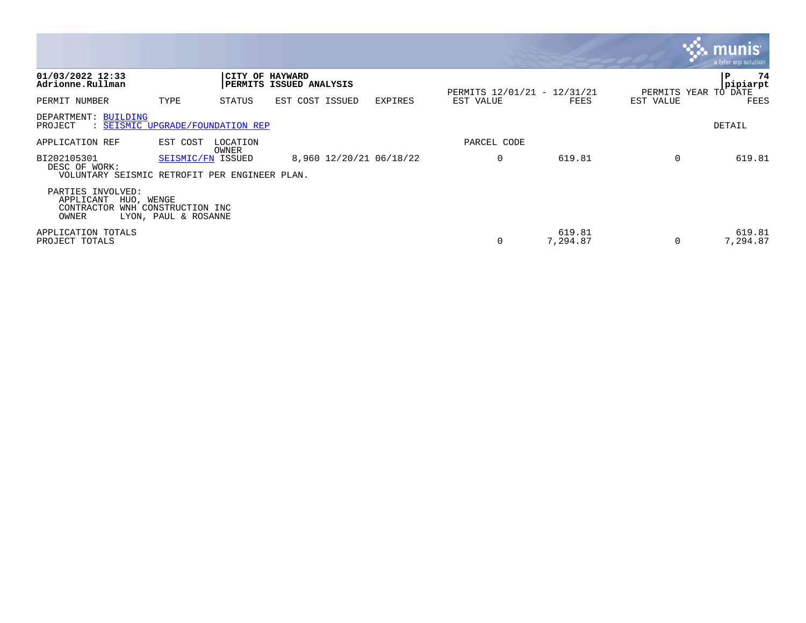|                                                                               |                                              |                   |                                            |                         |                                          |                    |           | <b>R.M. munist</b><br>a tyler erp solution |
|-------------------------------------------------------------------------------|----------------------------------------------|-------------------|--------------------------------------------|-------------------------|------------------------------------------|--------------------|-----------|--------------------------------------------|
| 01/03/2022 12:33<br>Adrionne.Rullman                                          |                                              |                   | CITY OF HAYWARD<br>PERMITS ISSUED ANALYSIS |                         |                                          |                    |           | 74<br>P<br>pipiarpt                        |
| PERMIT NUMBER                                                                 | TYPE                                         | STATUS            | EST COST ISSUED                            | <b>EXPIRES</b>          | PERMITS 12/01/21 - 12/31/21<br>EST VALUE | FEES               | EST VALUE | PERMITS YEAR TO DATE<br>FEES               |
| DEPARTMENT: BUILDING<br>: SEISMIC UPGRADE/FOUNDATION REP<br>PROJECT           |                                              |                   |                                            |                         |                                          |                    |           | DETAIL                                     |
| APPLICATION REF                                                               | EST COST                                     | LOCATION<br>OWNER |                                            |                         | PARCEL CODE                              |                    |           |                                            |
| BI202105301<br>DESC OF WORK:<br>VOLUNTARY SEISMIC RETROFIT PER ENGINEER PLAN. | SEISMIC/FN ISSUED                            |                   |                                            | 8,960 12/20/21 06/18/22 | 0                                        | 619.81             | $\Omega$  | 619.81                                     |
| PARTIES INVOLVED:<br>APPLICANT<br>HUO, WENGE<br>CONTRACTOR<br>OWNER           | WNH CONSTRUCTION INC<br>LYON, PAUL & ROSANNE |                   |                                            |                         |                                          |                    |           |                                            |
| APPLICATION TOTALS<br>PROJECT TOTALS                                          |                                              |                   |                                            |                         | 0                                        | 619.81<br>7,294.87 |           | 619.81<br>7,294.87                         |

the contract of the contract of the contract of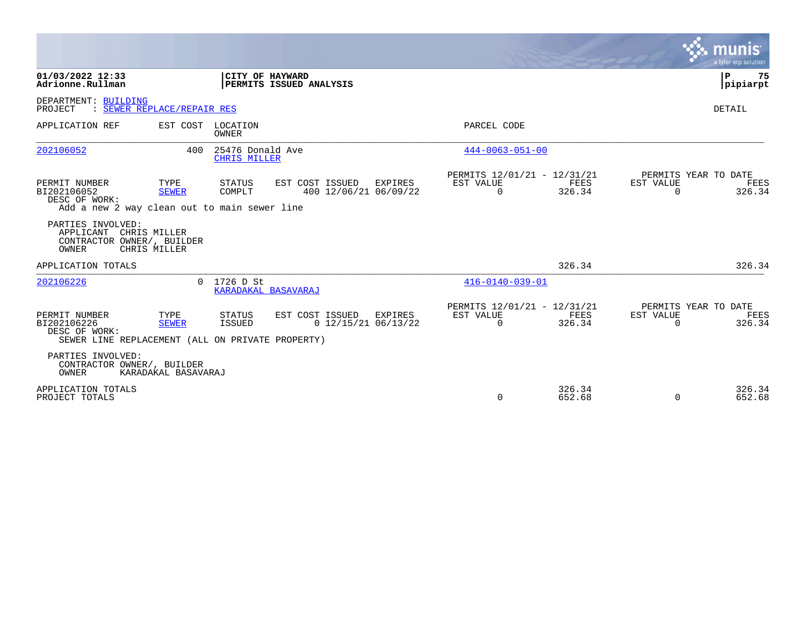|                                                                                                   |                            |                                         |                                                     |                                                      |                  |                       | munis<br>a tyler erp solution          |
|---------------------------------------------------------------------------------------------------|----------------------------|-----------------------------------------|-----------------------------------------------------|------------------------------------------------------|------------------|-----------------------|----------------------------------------|
| 01/03/2022 12:33<br>Adrionne.Rullman                                                              |                            | CITY OF HAYWARD                         | PERMITS ISSUED ANALYSIS                             |                                                      |                  |                       | l P<br>75<br> pipiarpt                 |
| DEPARTMENT: BUILDING<br>PROJECT                                                                   | : SEWER REPLACE/REPAIR RES |                                         |                                                     |                                                      |                  |                       | DETAIL                                 |
| APPLICATION REF                                                                                   | EST COST LOCATION          | <b>OWNER</b>                            |                                                     | PARCEL CODE                                          |                  |                       |                                        |
| 202106052                                                                                         | 400                        | 25476 Donald Ave<br><b>CHRIS MILLER</b> |                                                     | $444 - 0063 - 051 - 00$                              |                  |                       |                                        |
| PERMIT NUMBER<br>BI202106052<br>DESC OF WORK:<br>Add a new 2 way clean out to main sewer line     | TYPE<br><b>SEWER</b>       | STATUS<br>COMPLT                        | EST COST ISSUED EXPIRES<br>400 12/06/21 06/09/22    | PERMITS 12/01/21 - 12/31/21<br>EST VALUE<br>$\Omega$ | FEES<br>326.34   | EST VALUE<br>$\Omega$ | PERMITS YEAR TO DATE<br>FEES<br>326.34 |
| PARTIES INVOLVED:<br>APPLICANT CHRIS MILLER<br>CONTRACTOR OWNER/, BUILDER<br>OWNER                | CHRIS MILLER               |                                         |                                                     |                                                      |                  |                       |                                        |
| APPLICATION TOTALS                                                                                |                            |                                         |                                                     |                                                      | 326.34           |                       | 326.34                                 |
| 202106226                                                                                         |                            | $0$ 1726 D St<br>KARADAKAL BASAVARAJ    |                                                     | $416 - 0140 - 039 - 01$                              |                  |                       |                                        |
| PERMIT NUMBER<br>BI202106226<br>DESC OF WORK:<br>SEWER LINE REPLACEMENT (ALL ON PRIVATE PROPERTY) | TYPE<br><b>SEWER</b>       | STATUS<br><b>ISSUED</b>                 | EST COST ISSUED<br>EXPIRES<br>$0$ 12/15/21 06/13/22 | PERMITS 12/01/21 - 12/31/21<br>EST VALUE<br>$\Omega$ | FEES<br>326.34   | EST VALUE<br>$\Omega$ | PERMITS YEAR TO DATE<br>FEES<br>326.34 |
| PARTIES INVOLVED:<br>CONTRACTOR OWNER/, BUILDER<br>OWNER                                          | KARADAKAL BASAVARAJ        |                                         |                                                     |                                                      |                  |                       |                                        |
| APPLICATION TOTALS<br>PROJECT TOTALS                                                              |                            |                                         |                                                     | $\Omega$                                             | 326.34<br>652.68 | $\mathbf 0$           | 326.34<br>652.68                       |

 $\mathcal{L}^{\text{max}}$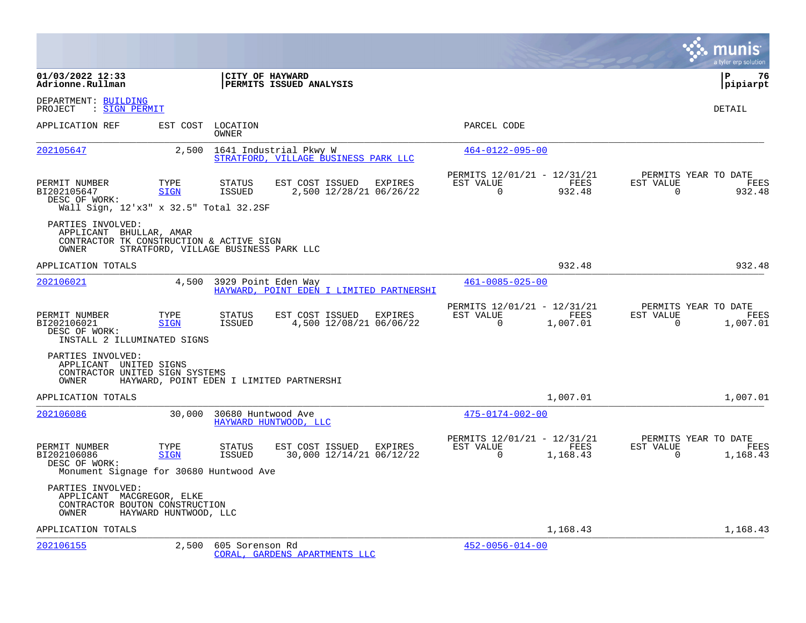|                                                                                                   |                                      |                            |                                                                |         |                                                      |                  |                       | a tyler erp solution                     |
|---------------------------------------------------------------------------------------------------|--------------------------------------|----------------------------|----------------------------------------------------------------|---------|------------------------------------------------------|------------------|-----------------------|------------------------------------------|
| 01/03/2022 12:33<br>Adrionne.Rullman                                                              |                                      | CITY OF HAYWARD            | PERMITS ISSUED ANALYSIS                                        |         |                                                      |                  |                       | l P<br>76<br> pipiarpt                   |
| DEPARTMENT: BUILDING<br>PROJECT<br>: SIGN PERMIT                                                  |                                      |                            |                                                                |         |                                                      |                  |                       | DETAIL                                   |
| APPLICATION REF                                                                                   |                                      | EST COST LOCATION<br>OWNER |                                                                |         | PARCEL CODE                                          |                  |                       |                                          |
| 202105647                                                                                         | 2,500                                |                            | 1641 Industrial Pkwy W<br>STRATFORD, VILLAGE BUSINESS PARK LLC |         | $464 - 0122 - 095 - 00$                              |                  |                       |                                          |
| PERMIT NUMBER<br>BI202105647<br>DESC OF WORK:<br>Wall Sign, 12'x3" x 32.5" Total 32.2SF           | TYPE<br><b>SIGN</b>                  | STATUS<br>ISSUED           | EST COST ISSUED<br>2,500 12/28/21 06/26/22                     | EXPIRES | PERMITS 12/01/21 - 12/31/21<br>EST VALUE<br>$\Omega$ | FEES<br>932.48   | EST VALUE<br>$\Omega$ | PERMITS YEAR TO DATE<br>FEES<br>932.48   |
| PARTIES INVOLVED:<br>APPLICANT BHULLAR, AMAR<br>CONTRACTOR TK CONSTRUCTION & ACTIVE SIGN<br>OWNER | STRATFORD, VILLAGE BUSINESS PARK LLC |                            |                                                                |         |                                                      |                  |                       |                                          |
| APPLICATION TOTALS                                                                                |                                      |                            |                                                                |         |                                                      | 932.48           |                       | 932.48                                   |
| 202106021                                                                                         | 4,500                                | 3929 Point Eden Way        | HAYWARD, POINT EDEN I LIMITED PARTNERSHI                       |         | $461 - 0085 - 025 - 00$                              |                  |                       |                                          |
| PERMIT NUMBER<br>BI202106021<br>DESC OF WORK:<br>INSTALL 2 ILLUMINATED SIGNS                      | TYPE<br><b>SIGN</b>                  | STATUS<br>ISSUED           | EST COST ISSUED EXPIRES<br>4,500 12/08/21 06/06/22             |         | PERMITS 12/01/21 - 12/31/21<br>EST VALUE<br>$\Omega$ | FEES<br>1,007.01 | EST VALUE<br>$\Omega$ | PERMITS YEAR TO DATE<br>FEES<br>1,007.01 |
| PARTIES INVOLVED:<br>APPLICANT UNITED SIGNS<br>CONTRACTOR UNITED SIGN SYSTEMS<br>OWNER            |                                      |                            | HAYWARD, POINT EDEN I LIMITED PARTNERSHI                       |         |                                                      |                  |                       |                                          |
| APPLICATION TOTALS                                                                                |                                      |                            |                                                                |         |                                                      | 1,007.01         |                       | 1,007.01                                 |
| 202106086                                                                                         | 30,000                               | 30680 Huntwood Ave         | HAYWARD HUNTWOOD, LLC                                          |         | $475 - 0174 - 002 - 00$                              |                  |                       |                                          |
| PERMIT NUMBER<br>BI202106086<br>DESC OF WORK:<br>Monument Signage for 30680 Huntwood Ave          | TYPE<br><b>SIGN</b>                  | <b>STATUS</b><br>ISSUED    | EST COST ISSUED EXPIRES<br>30,000 12/14/21 06/12/22            |         | PERMITS 12/01/21 - 12/31/21<br>EST VALUE<br>$\Omega$ | FEES<br>1,168.43 | EST VALUE<br>$\Omega$ | PERMITS YEAR TO DATE<br>FEES<br>1,168.43 |
| PARTIES INVOLVED:<br>APPLICANT MACGREGOR, ELKE<br>CONTRACTOR BOUTON CONSTRUCTION<br>OWNER         | HAYWARD HUNTWOOD, LLC                |                            |                                                                |         |                                                      |                  |                       |                                          |
| APPLICATION TOTALS                                                                                |                                      |                            |                                                                |         |                                                      | 1,168.43         |                       | 1,168.43                                 |
| 202106155                                                                                         | 2,500                                | 605 Sorenson Rd            | CORAL, GARDENS APARTMENTS LLC                                  |         | $452 - 0056 - 014 - 00$                              |                  |                       |                                          |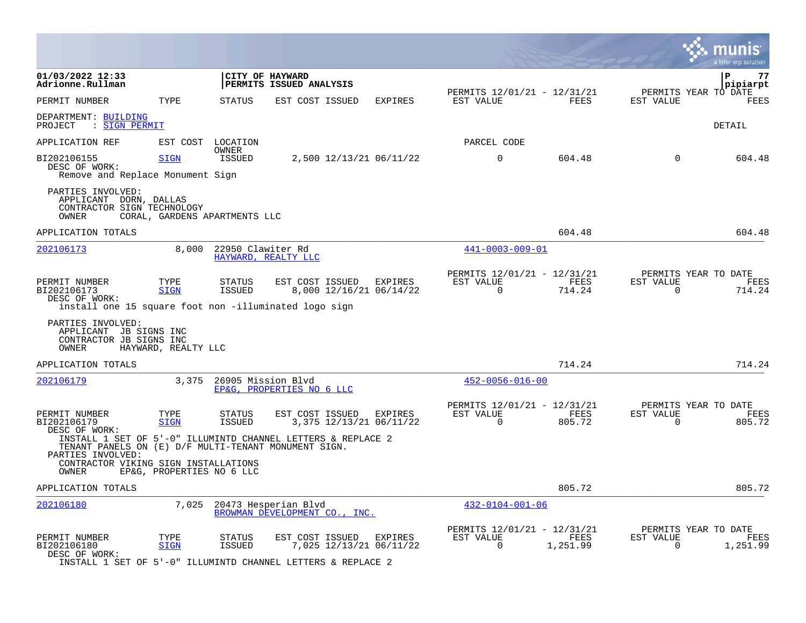|                                                                                                        |                           |                                |                                                                                                                    |         |                                                      |                  |                       | a tyler erp solution                     |
|--------------------------------------------------------------------------------------------------------|---------------------------|--------------------------------|--------------------------------------------------------------------------------------------------------------------|---------|------------------------------------------------------|------------------|-----------------------|------------------------------------------|
| 01/03/2022 12:33<br>Adrionne.Rullman                                                                   |                           |                                | CITY OF HAYWARD<br>PERMITS ISSUED ANALYSIS                                                                         |         |                                                      |                  |                       | ΙP<br>77<br>pipiarpt                     |
| PERMIT NUMBER                                                                                          | TYPE                      | <b>STATUS</b>                  | EST COST ISSUED                                                                                                    | EXPIRES | PERMITS 12/01/21 - 12/31/21<br>EST VALUE             | FEES             | EST VALUE             | PERMITS YEAR TO DATE<br><b>FEES</b>      |
| DEPARTMENT: BUILDING<br>: SIGN PERMIT<br>PROJECT                                                       |                           |                                |                                                                                                                    |         |                                                      |                  |                       | DETAIL                                   |
| APPLICATION REF                                                                                        | EST COST                  | LOCATION                       |                                                                                                                    |         | PARCEL CODE                                          |                  |                       |                                          |
| BI202106155<br>DESC OF WORK:<br>Remove and Replace Monument Sign                                       | SIGN                      | OWNER<br>ISSUED                | 2,500 12/13/21 06/11/22                                                                                            |         | $\mathbf 0$                                          | 604.48           | $\mathbf 0$           | 604.48                                   |
| PARTIES INVOLVED:<br>APPLICANT DORN, DALLAS<br>CONTRACTOR SIGN TECHNOLOGY<br>OWNER                     |                           | CORAL, GARDENS APARTMENTS LLC  |                                                                                                                    |         |                                                      |                  |                       |                                          |
| APPLICATION TOTALS                                                                                     |                           |                                |                                                                                                                    |         |                                                      | 604.48           |                       | 604.48                                   |
| 202106173                                                                                              | 8,000                     | 22950 Clawiter Rd              | HAYWARD, REALTY LLC                                                                                                |         | 441-0003-009-01                                      |                  |                       |                                          |
| PERMIT NUMBER<br>BI202106173<br>DESC OF WORK:<br>install one 15 square foot non -illuminated logo sign | TYPE<br><b>SIGN</b>       | <b>STATUS</b><br><b>ISSUED</b> | EST COST ISSUED<br>8,000 12/16/21 06/14/22                                                                         | EXPIRES | PERMITS 12/01/21 - 12/31/21<br>EST VALUE<br>$\Omega$ | FEES<br>714.24   | EST VALUE<br>$\Omega$ | PERMITS YEAR TO DATE<br>FEES<br>714.24   |
| PARTIES INVOLVED:<br>APPLICANT JB SIGNS INC<br>CONTRACTOR JB SIGNS INC<br>OWNER                        | HAYWARD, REALTY LLC       |                                |                                                                                                                    |         |                                                      |                  |                       |                                          |
| APPLICATION TOTALS                                                                                     |                           |                                |                                                                                                                    |         |                                                      | 714.24           |                       | 714.24                                   |
| 202106179                                                                                              | 3,375                     | 26905 Mission Blvd             | EP&G, PROPERTIES NO 6 LLC                                                                                          |         | $452 - 0056 - 016 - 00$                              |                  |                       |                                          |
| PERMIT NUMBER<br>BI202106179<br>DESC OF WORK:                                                          | TYPE<br><b>SIGN</b>       | <b>STATUS</b><br><b>ISSUED</b> | EST COST ISSUED<br>3,375 12/13/21 06/11/22                                                                         | EXPIRES | PERMITS 12/01/21 - 12/31/21<br>EST VALUE<br>$\Omega$ | FEES<br>805.72   | EST VALUE<br>$\Omega$ | PERMITS YEAR TO DATE<br>FEES<br>805.72   |
| TENANT PANELS ON (E) D/F MULTI-TENANT MONUMENT SIGN.<br>PARTIES INVOLVED:                              |                           |                                | INSTALL 1 SET OF 5'-0" ILLUMINTD CHANNEL LETTERS & REPLACE 2                                                       |         |                                                      |                  |                       |                                          |
| CONTRACTOR VIKING SIGN INSTALLATIONS<br>OWNER                                                          | EP&G, PROPERTIES NO 6 LLC |                                |                                                                                                                    |         |                                                      |                  |                       |                                          |
| APPLICATION TOTALS                                                                                     |                           |                                |                                                                                                                    |         |                                                      | 805.72           |                       | 805.72                                   |
| 202106180                                                                                              | 7,025                     |                                | 20473 Hesperian Blvd<br>BROWMAN DEVELOPMENT CO., INC.                                                              |         | $432 - 0104 - 001 - 06$                              |                  |                       |                                          |
| PERMIT NUMBER<br>BI202106180<br>DESC OF WORK:                                                          | TYPE<br><b>SIGN</b>       | <b>STATUS</b><br>ISSUED        | EST COST ISSUED EXPIRES<br>7,025 12/13/21 06/11/22<br>INSTALL 1 SET OF 5'-0" ILLUMINTD CHANNEL LETTERS & REPLACE 2 |         | PERMITS 12/01/21 - 12/31/21<br>EST VALUE<br>0        | FEES<br>1,251.99 | EST VALUE<br>0        | PERMITS YEAR TO DATE<br>FEES<br>1,251.99 |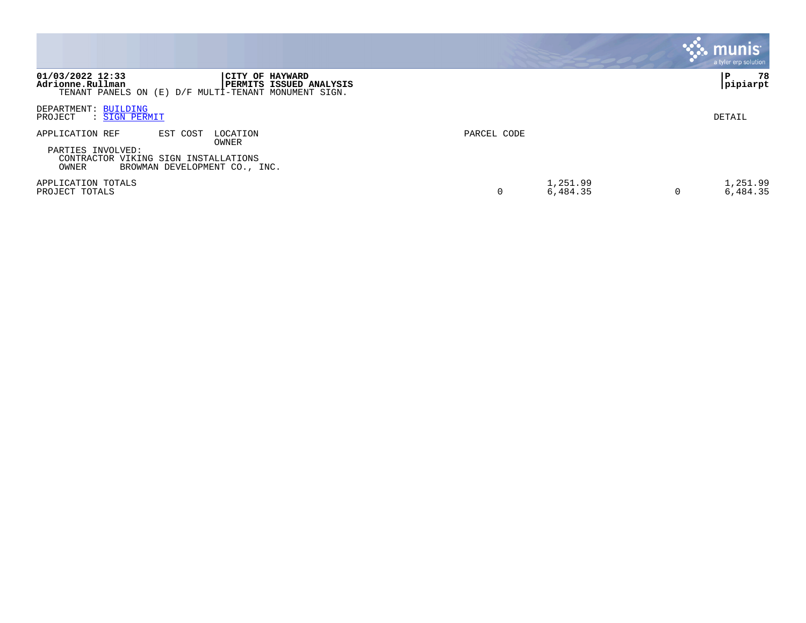|                                                                                                                                                         |                      | <b>munis</b><br>a tyler erp solution |
|---------------------------------------------------------------------------------------------------------------------------------------------------------|----------------------|--------------------------------------|
| 01/03/2022 12:33<br>CITY OF HAYWARD<br>Adrionne.Rullman<br><b>PERMITS ISSUED ANALYSIS</b><br>TENANT PANELS ON (E) D/F MULTI-TENANT MONUMENT SIGN.       |                      | 78<br>pipiarpt                       |
| DEPARTMENT: BUILDING<br>PROJECT<br>: SIGN PERMIT                                                                                                        |                      | DETAIL                               |
| APPLICATION REF<br>EST COST<br>LOCATION<br>OWNER<br>PARTIES INVOLVED:<br>CONTRACTOR VIKING SIGN INSTALLATIONS<br>OWNER<br>BROWMAN DEVELOPMENT CO., INC. | PARCEL CODE          |                                      |
| APPLICATION TOTALS<br>PROJECT TOTALS                                                                                                                    | 1,251.99<br>6,484.35 | 1,251.99<br>6,484.35                 |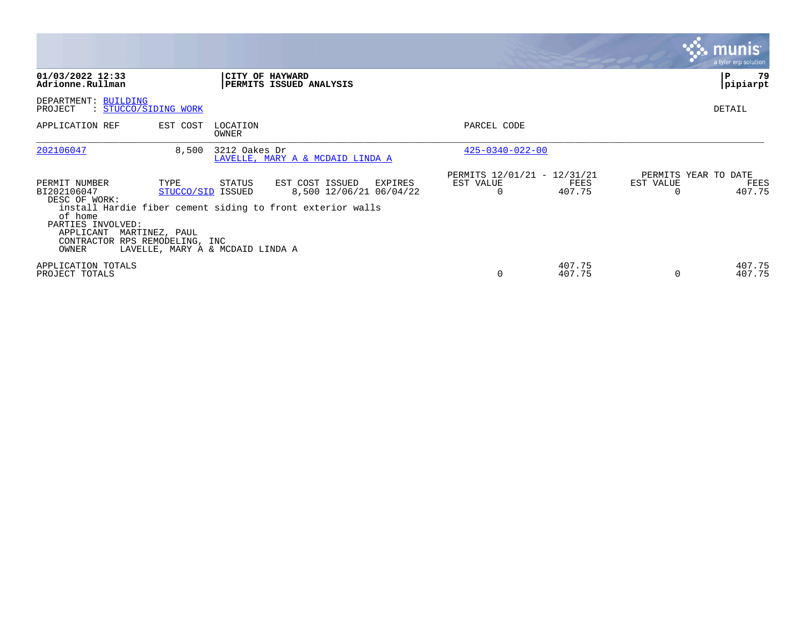|                                                                                                                                       |                                                                                 |                   |                                                                                                                     |                                                      |                  |           | <b>munis</b><br>a tyler erp solution   |
|---------------------------------------------------------------------------------------------------------------------------------------|---------------------------------------------------------------------------------|-------------------|---------------------------------------------------------------------------------------------------------------------|------------------------------------------------------|------------------|-----------|----------------------------------------|
| 01/03/2022 12:33<br>Adrionne.Rullman                                                                                                  |                                                                                 |                   | CITY OF HAYWARD<br>PERMITS ISSUED ANALYSIS                                                                          |                                                      |                  |           | 79<br>P<br>pipiarpt                    |
| DEPARTMENT: BUILDING<br>PROJECT                                                                                                       | : STUCCO/SIDING WORK                                                            |                   |                                                                                                                     |                                                      |                  |           | DETAIL                                 |
| APPLICATION REF                                                                                                                       | EST COST                                                                        | LOCATION<br>OWNER |                                                                                                                     | PARCEL CODE                                          |                  |           |                                        |
| 202106047                                                                                                                             | 8,500                                                                           | 3212 Oakes Dr     | LAVELLE, MARY A & MCDAID LINDA A                                                                                    | $425 - 0340 - 022 - 00$                              |                  |           |                                        |
| PERMIT NUMBER<br>BI202106047<br>DESC OF WORK:<br>of home<br>PARTIES INVOLVED:<br>APPLICANT<br>CONTRACTOR RPS REMODELING, INC<br>OWNER | TYPE<br>STUCCO/SID ISSUED<br>MARTINEZ, PAUL<br>LAVELLE, MARY A & MCDAID LINDA A | STATUS            | EST COST ISSUED<br>EXPIRES<br>8,500 12/06/21 06/04/22<br>install Hardie fiber cement siding to front exterior walls | PERMITS 12/01/21 - 12/31/21<br>EST VALUE<br>$\Omega$ | FEES<br>407.75   | EST VALUE | PERMITS YEAR TO DATE<br>FEES<br>407.75 |
| APPLICATION TOTALS<br>PROJECT TOTALS                                                                                                  |                                                                                 |                   |                                                                                                                     | $\Omega$                                             | 407.75<br>407.75 | $\Omega$  | 407.75<br>407.75                       |

 $\mathcal{L}^{\text{max}}$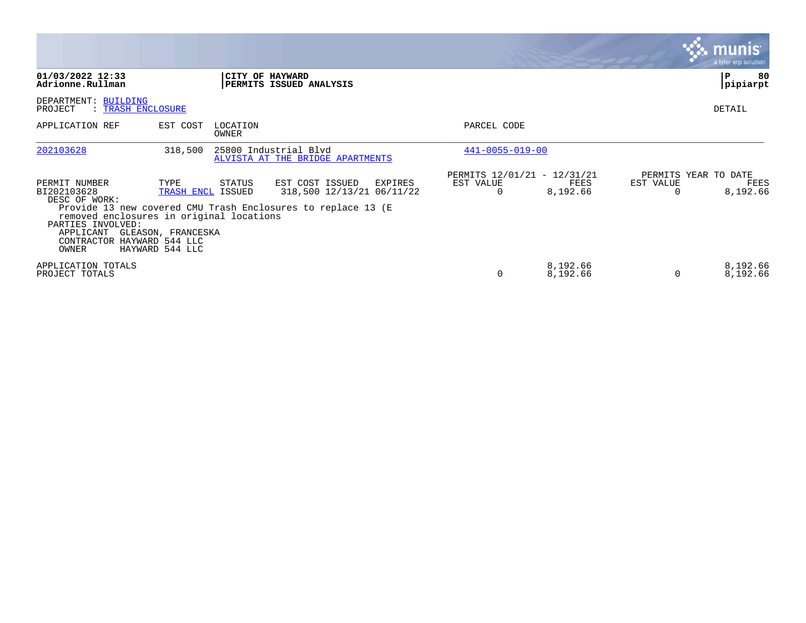|                                                                                                                                                                    |                                                                    |                   |                                                                                                                         |                                                      |                      |           | <b>munis</b><br>a tyler erp solution     |
|--------------------------------------------------------------------------------------------------------------------------------------------------------------------|--------------------------------------------------------------------|-------------------|-------------------------------------------------------------------------------------------------------------------------|------------------------------------------------------|----------------------|-----------|------------------------------------------|
| 01/03/2022 12:33<br>Adrionne.Rullman                                                                                                                               |                                                                    |                   | CITY OF HAYWARD<br>PERMITS ISSUED ANALYSIS                                                                              |                                                      |                      |           | 80<br>P<br>pipiarpt                      |
| DEPARTMENT: BUILDING<br>PROJECT<br>: TRASH ENCLOSURE                                                                                                               |                                                                    |                   |                                                                                                                         |                                                      |                      |           | <b>DETAIL</b>                            |
| APPLICATION REF                                                                                                                                                    | EST COST                                                           | LOCATION<br>OWNER |                                                                                                                         | PARCEL CODE                                          |                      |           |                                          |
| 202103628                                                                                                                                                          | 318,500                                                            |                   | 25800 Industrial Blvd<br>ALVISTA AT THE BRIDGE APARTMENTS                                                               | $441 - 0055 - 019 - 00$                              |                      |           |                                          |
| PERMIT NUMBER<br>BI202103628<br>DESC OF WORK:<br>removed enclosures in original locations<br>PARTIES INVOLVED:<br>APPLICANT<br>CONTRACTOR HAYWARD 544 LLC<br>OWNER | TYPE<br>TRASH ENCL ISSUED<br>GLEASON, FRANCESKA<br>HAYWARD 544 LLC | STATUS            | EST COST ISSUED<br>EXPIRES<br>318,500 12/13/21 06/11/22<br>Provide 13 new covered CMU Trash Enclosures to replace 13 (E | PERMITS 12/01/21 - 12/31/21<br>EST VALUE<br>$\Omega$ | FEES<br>8,192.66     | EST VALUE | PERMITS YEAR TO DATE<br>FEES<br>8,192.66 |
| APPLICATION TOTALS<br>PROJECT TOTALS                                                                                                                               |                                                                    |                   |                                                                                                                         | $\Omega$                                             | 8,192.66<br>8,192.66 | 0         | 8,192.66<br>8,192.66                     |

the contract of the contract of

and the contract of the contract of the contract of the contract of the contract of the contract of the contract of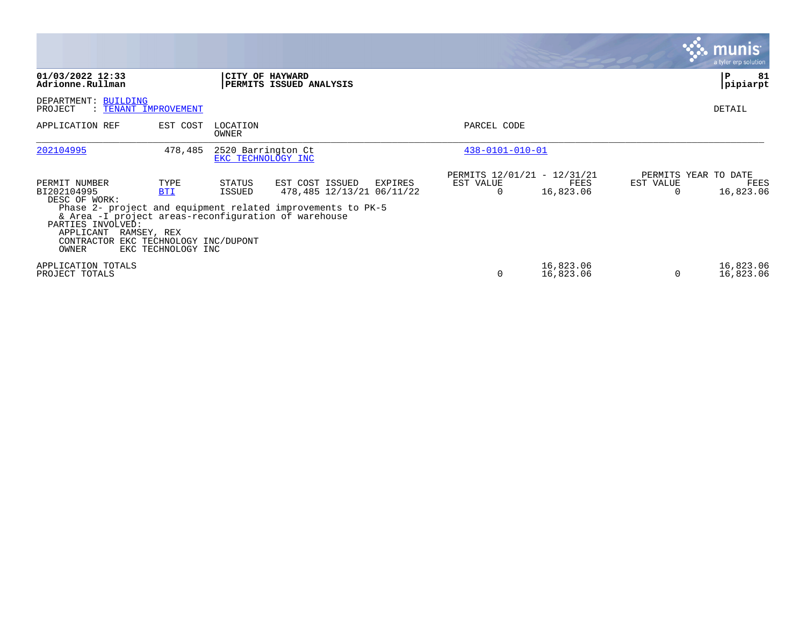|                                                                                                                                                                |                                                                                      |                                          |                                                                                                                        |                                          |                        |                                   | <b>munis</b><br>a tyler erp solution |
|----------------------------------------------------------------------------------------------------------------------------------------------------------------|--------------------------------------------------------------------------------------|------------------------------------------|------------------------------------------------------------------------------------------------------------------------|------------------------------------------|------------------------|-----------------------------------|--------------------------------------|
| 01/03/2022 12:33<br>Adrionne.Rullman                                                                                                                           |                                                                                      |                                          | CITY OF HAYWARD<br>PERMITS ISSUED ANALYSIS                                                                             |                                          |                        |                                   | 81<br>P<br> pipiarpt                 |
| DEPARTMENT: BUILDING<br>PROJECT                                                                                                                                | : TENANT IMPROVEMENT                                                                 |                                          |                                                                                                                        |                                          |                        |                                   | DETAIL                               |
| APPLICATION REF                                                                                                                                                | EST COST                                                                             | LOCATION<br>OWNER                        |                                                                                                                        | PARCEL CODE                              |                        |                                   |                                      |
| 202104995                                                                                                                                                      | 478,485                                                                              | 2520 Barrington Ct<br>EKC TECHNOLOGY INC |                                                                                                                        | $438 - 0101 - 010 - 01$                  |                        |                                   |                                      |
| PERMIT NUMBER<br>BI202104995<br>DESC OF WORK:<br>& Area -I project areas-reconfiguration of warehouse<br>PARTIES INVOLVED:<br>APPLICANT<br>CONTRACTOR<br>OWNER | TYPE<br><b>BTI</b><br>RAMSEY, REX<br>EKC TECHNOLOGY INC/DUPONT<br>EKC TECHNOLOGY INC | STATUS<br>ISSUED                         | EST COST ISSUED<br>EXPIRES<br>478,485 12/13/21 06/11/22<br>Phase 2- project and equipment related improvements to PK-5 | PERMITS 12/01/21 - 12/31/21<br>EST VALUE | FEES<br>16,823.06      | PERMITS YEAR TO DATE<br>EST VALUE | FEES<br>16,823.06                    |
| APPLICATION TOTALS<br>PROJECT TOTALS                                                                                                                           |                                                                                      |                                          |                                                                                                                        |                                          | 16,823.06<br>16,823.06 | $\Omega$                          | 16,823.06<br>16,823.06               |

the contract of the contract of

and the contract of the contract of the contract of the contract of the contract of the contract of the contract of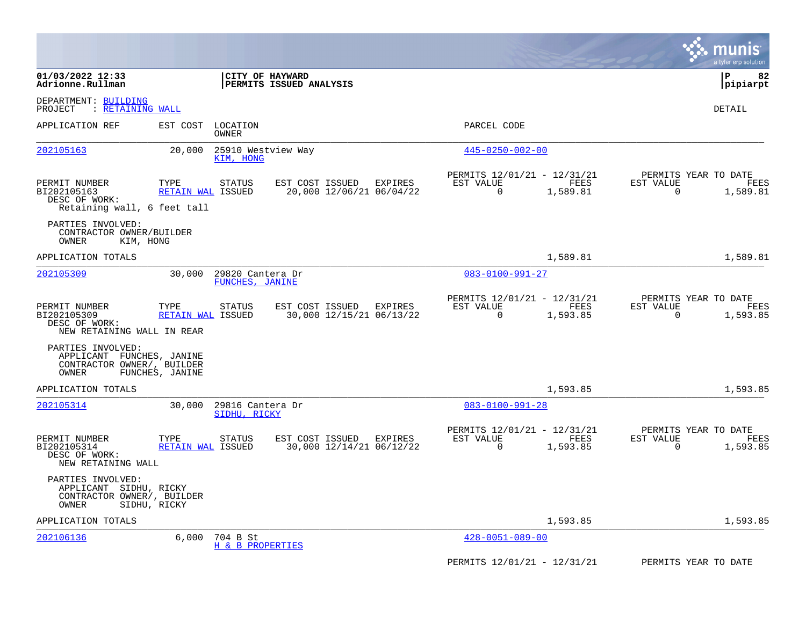|                                                                                       |                                  |                                     |                                             |         |                                                         |                  |                          | munis<br>a tyler erp solution            |
|---------------------------------------------------------------------------------------|----------------------------------|-------------------------------------|---------------------------------------------|---------|---------------------------------------------------------|------------------|--------------------------|------------------------------------------|
| 01/03/2022 12:33<br>Adrionne.Rullman                                                  |                                  |                                     | CITY OF HAYWARD<br>PERMITS ISSUED ANALYSIS  |         |                                                         |                  |                          | l P<br>82<br> pipiarpt                   |
| DEPARTMENT: BUILDING<br><u>: RETAINING WALL</u><br>PROJECT                            |                                  |                                     |                                             |         |                                                         |                  |                          | DETAIL                                   |
| APPLICATION REF                                                                       | EST COST                         | LOCATION<br>OWNER                   |                                             |         | PARCEL CODE                                             |                  |                          |                                          |
| 202105163                                                                             | 20,000                           | 25910 Westview Way<br>KIM, HONG     |                                             |         | $445 - 0250 - 002 - 00$                                 |                  |                          |                                          |
| PERMIT NUMBER<br>BI202105163<br>DESC OF WORK:<br>Retaining wall, 6 feet tall          | TYPE<br><b>RETAIN WAL ISSUED</b> | <b>STATUS</b>                       | EST COST ISSUED<br>20,000 12/06/21 06/04/22 | EXPIRES | PERMITS 12/01/21 - 12/31/21<br>EST VALUE<br>$\mathbf 0$ | FEES<br>1,589.81 | EST VALUE<br>$\mathbf 0$ | PERMITS YEAR TO DATE<br>FEES<br>1,589.81 |
| PARTIES INVOLVED:<br>CONTRACTOR OWNER/BUILDER<br>KIM, HONG<br>OWNER                   |                                  |                                     |                                             |         |                                                         |                  |                          |                                          |
| APPLICATION TOTALS                                                                    |                                  |                                     |                                             |         |                                                         | 1,589.81         |                          | 1,589.81                                 |
| 202105309                                                                             | 30,000                           | 29820 Cantera Dr<br>FUNCHES, JANINE |                                             |         | $083 - 0100 - 991 - 27$                                 |                  |                          |                                          |
| PERMIT NUMBER<br>BI202105309<br>DESC OF WORK:<br>NEW RETAINING WALL IN REAR           | TYPE<br>RETAIN WAL ISSUED        | <b>STATUS</b>                       | EST COST ISSUED<br>30,000 12/15/21 06/13/22 | EXPIRES | PERMITS 12/01/21 - 12/31/21<br>EST VALUE<br>$\Omega$    | FEES<br>1,593.85 | EST VALUE<br>$\Omega$    | PERMITS YEAR TO DATE<br>FEES<br>1,593.85 |
| PARTIES INVOLVED:<br>APPLICANT FUNCHES, JANINE<br>CONTRACTOR OWNER/, BUILDER<br>OWNER | FUNCHES, JANINE                  |                                     |                                             |         |                                                         |                  |                          |                                          |
| APPLICATION TOTALS                                                                    |                                  |                                     |                                             |         |                                                         | 1,593.85         |                          | 1,593.85                                 |
| 202105314                                                                             | 30,000                           | 29816 Cantera Dr<br>SIDHU, RICKY    |                                             |         | $083 - 0100 - 991 - 28$                                 |                  |                          |                                          |
| PERMIT NUMBER<br>BI202105314<br>DESC OF WORK:<br>NEW RETAINING WALL                   | TYPE<br>RETAIN WAL ISSUED        | <b>STATUS</b>                       | EST COST ISSUED<br>30,000 12/14/21 06/12/22 | EXPIRES | PERMITS 12/01/21 - 12/31/21<br>EST VALUE<br>0           | FEES<br>1,593.85 | EST VALUE<br>$\mathbf 0$ | PERMITS YEAR TO DATE<br>FEES<br>1,593.85 |
| PARTIES INVOLVED:<br>APPLICANT SIDHU, RICKY<br>CONTRACTOR OWNER/, BUILDER<br>OWNER    | SIDHU, RICKY                     |                                     |                                             |         |                                                         |                  |                          |                                          |
| APPLICATION TOTALS                                                                    |                                  |                                     |                                             |         |                                                         | 1,593.85         |                          | 1,593.85                                 |
| 202106136                                                                             | 6,000                            | 704 B St<br>H & B PROPERTIES        |                                             |         | $428 - 0051 - 089 - 00$                                 |                  |                          |                                          |
|                                                                                       |                                  |                                     |                                             |         | PERMITS 12/01/21 - 12/31/21                             |                  |                          | PERMITS YEAR TO DATE                     |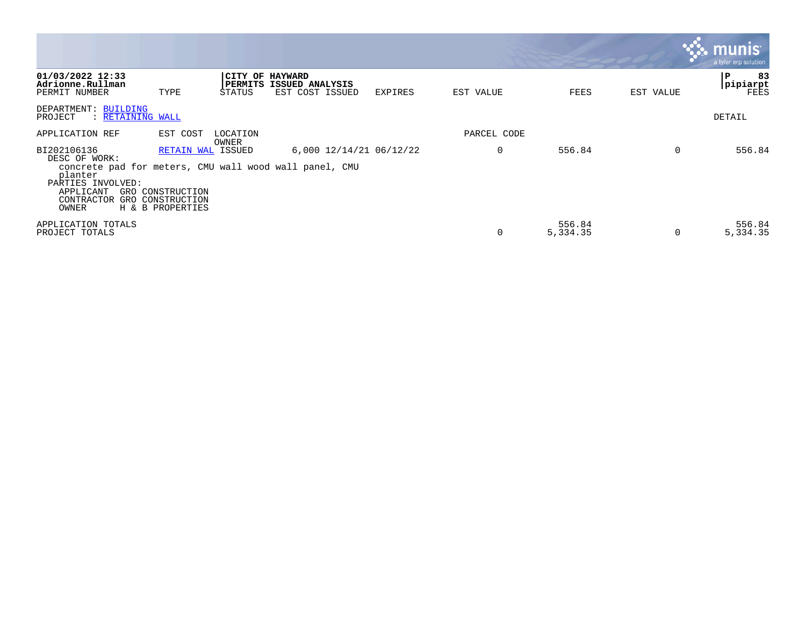|                                                                                                                                                                           |                                                                       |                                        |                                    |         |             |                    |           | munis<br>a tyler erp solution        |
|---------------------------------------------------------------------------------------------------------------------------------------------------------------------------|-----------------------------------------------------------------------|----------------------------------------|------------------------------------|---------|-------------|--------------------|-----------|--------------------------------------|
| 01/03/2022 12:33<br>Adrionne.Rullman<br>PERMIT NUMBER                                                                                                                     | TYPE                                                                  | CITY OF HAYWARD<br>  PERMITS<br>STATUS | ISSUED ANALYSIS<br>EST COST ISSUED | EXPIRES | EST VALUE   | FEES               | EST VALUE | 83<br>۱P.<br>pipiarpt<br><b>FEES</b> |
| DEPARTMENT: BUILDING<br>: RETAINING WALL<br>PROJECT                                                                                                                       |                                                                       |                                        |                                    |         |             |                    |           | DETAIL                               |
| APPLICATION REF                                                                                                                                                           | EST COST                                                              | LOCATION<br>OWNER                      |                                    |         | PARCEL CODE |                    |           |                                      |
| BI202106136<br>DESC OF WORK:<br>concrete pad for meters, CMU wall wood wall panel, CMU<br>planter<br>PARTIES INVOLVED:<br>APPLICANT<br>GRO.<br>CONTRACTOR<br>GRO<br>OWNER | RETAIN WAL ISSUED<br>CONSTRUCTION<br>CONSTRUCTION<br>H & B PROPERTIES |                                        | 6,000 12/14/21 06/12/22            |         | 0           | 556.84             | 0         | 556.84                               |
| APPLICATION TOTALS<br>PROJECT TOTALS                                                                                                                                      |                                                                       |                                        |                                    |         | 0           | 556.84<br>5,334.35 | 0         | 556.84<br>5,334.35                   |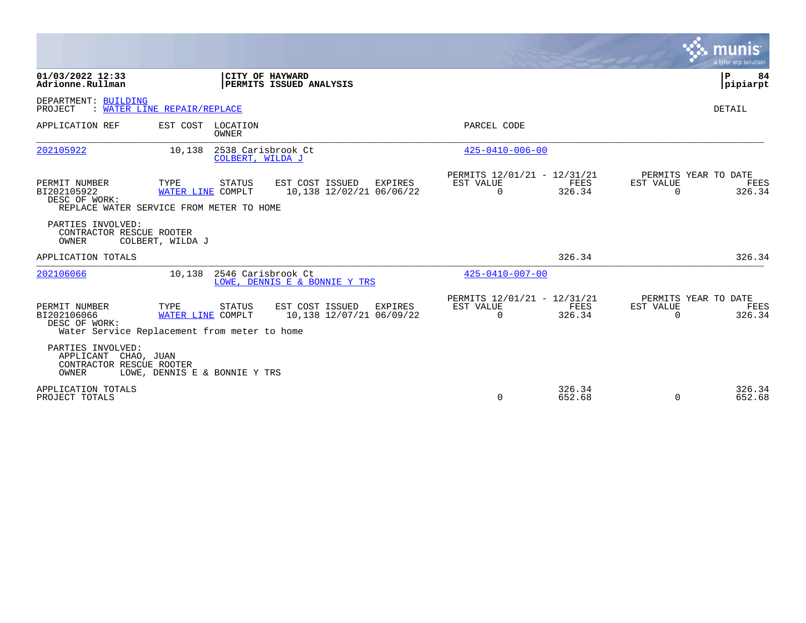|                                                                                       |                                                                                     |                                                        |                                                      |                  |                       | munis<br>a tyler erp solution          |
|---------------------------------------------------------------------------------------|-------------------------------------------------------------------------------------|--------------------------------------------------------|------------------------------------------------------|------------------|-----------------------|----------------------------------------|
| 01/03/2022 12:33<br>Adrionne.Rullman                                                  | CITY OF HAYWARD                                                                     | PERMITS ISSUED ANALYSIS                                |                                                      |                  |                       | l P<br>84<br>pipiarpt                  |
| DEPARTMENT: BUILDING<br>PROJECT                                                       | : WATER LINE REPAIR/REPLACE                                                         |                                                        |                                                      |                  |                       | <b>DETAIL</b>                          |
| APPLICATION REF                                                                       | EST COST LOCATION<br>OWNER                                                          |                                                        | PARCEL CODE                                          |                  |                       |                                        |
| 202105922                                                                             | 2538 Carisbrook Ct<br>10,138<br>COLBERT, WILDA J                                    |                                                        | $425 - 0410 - 006 - 00$                              |                  |                       |                                        |
| PERMIT NUMBER<br>BI202105922<br>DESC OF WORK:                                         | TYPE<br>STATUS<br>WATER LINE COMPLT<br>REPLACE WATER SERVICE FROM METER TO HOME     | EST COST ISSUED<br>EXPIRES<br>10,138 12/02/21 06/06/22 | PERMITS 12/01/21 - 12/31/21<br>EST VALUE<br>$\Omega$ | FEES<br>326.34   | EST VALUE<br>$\Omega$ | PERMITS YEAR TO DATE<br>FEES<br>326.34 |
| PARTIES INVOLVED:<br>CONTRACTOR RESCUE ROOTER<br><b>OWNER</b>                         | COLBERT, WILDA J                                                                    |                                                        |                                                      |                  |                       |                                        |
| APPLICATION TOTALS                                                                    |                                                                                     |                                                        |                                                      | 326.34           |                       | 326.34                                 |
| 202106066                                                                             | 2546 Carisbrook Ct<br>10,138                                                        | LOWE, DENNIS E & BONNIE Y TRS                          | $425 - 0410 - 007 - 00$                              |                  |                       |                                        |
| PERMIT NUMBER<br>BI202106066<br>DESC OF WORK:                                         | TYPE<br>STATUS<br>WATER LINE COMPLT<br>Water Service Replacement from meter to home | EST COST ISSUED<br>EXPIRES<br>10,138 12/07/21 06/09/22 | PERMITS 12/01/21 - 12/31/21<br>EST VALUE<br>$\Omega$ | FEES<br>326.34   | EST VALUE<br>$\Omega$ | PERMITS YEAR TO DATE<br>FEES<br>326.34 |
| PARTIES INVOLVED:<br>APPLICANT CHAO, JUAN<br>CONTRACTOR RESCUE ROOTER<br><b>OWNER</b> | LOWE, DENNIS E & BONNIE Y TRS                                                       |                                                        |                                                      |                  |                       |                                        |
| APPLICATION TOTALS<br>PROJECT TOTALS                                                  |                                                                                     |                                                        | $\Omega$                                             | 326.34<br>652.68 | $\mathbf 0$           | 326.34<br>652.68                       |

the contract of the contract of

and the contract of the contract of the contract of the contract of the contract of the contract of the contract of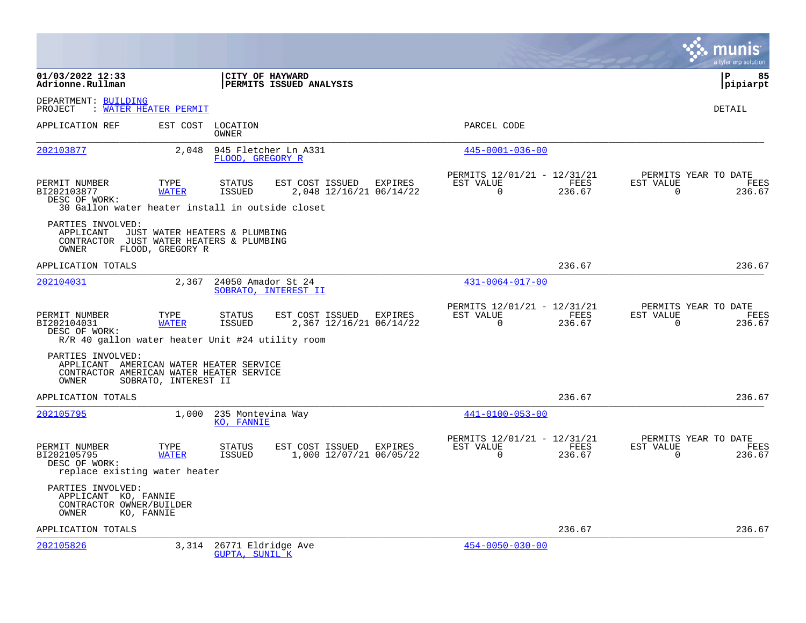|                                                                                                                   |                                                   |                                                   |                                                    |                                                      |                |                       | a tyler erp solution                   |
|-------------------------------------------------------------------------------------------------------------------|---------------------------------------------------|---------------------------------------------------|----------------------------------------------------|------------------------------------------------------|----------------|-----------------------|----------------------------------------|
| 01/03/2022 12:33<br>Adrionne.Rullman                                                                              |                                                   |                                                   | CITY OF HAYWARD<br>PERMITS ISSUED ANALYSIS         |                                                      |                |                       | l P<br>85<br> pipiarpt                 |
| DEPARTMENT: BUILDING<br>PROJECT                                                                                   | : WATER HEATER PERMIT                             |                                                   |                                                    |                                                      |                |                       | DETAIL                                 |
| APPLICATION REF                                                                                                   | EST COST                                          | LOCATION<br>OWNER                                 |                                                    | PARCEL CODE                                          |                |                       |                                        |
| 202103877                                                                                                         | 2,048                                             | FLOOD, GREGORY R                                  | 945 Fletcher Ln A331                               | $445 - 0001 - 036 - 00$                              |                |                       |                                        |
| PERMIT NUMBER<br>BI202103877<br>DESC OF WORK:<br>30 Gallon water heater install in outside closet                 | TYPE<br><b>WATER</b>                              | STATUS<br>ISSUED                                  | EST COST ISSUED EXPIRES<br>2,048 12/16/21 06/14/22 | PERMITS 12/01/21 - 12/31/21<br>EST VALUE<br>$\Omega$ | FEES<br>236.67 | EST VALUE<br>$\Omega$ | PERMITS YEAR TO DATE<br>FEES<br>236.67 |
| PARTIES INVOLVED:<br>APPLICANT<br>CONTRACTOR JUST WATER HEATERS & PLUMBING<br>OWNER                               | JUST WATER HEATERS & PLUMBING<br>FLOOD, GREGORY R |                                                   |                                                    |                                                      |                |                       |                                        |
| APPLICATION TOTALS                                                                                                |                                                   |                                                   |                                                    |                                                      | 236.67         |                       | 236.67                                 |
| 202104031                                                                                                         | 2,367                                             | 24050 Amador St 24                                | SOBRATO, INTEREST II                               | $431 - 0064 - 017 - 00$                              |                |                       |                                        |
| PERMIT NUMBER<br>BI202104031<br>DESC OF WORK:<br>R/R 40 gallon water heater Unit #24 utility room                 | TYPE<br><b>WATER</b>                              | <b>STATUS</b><br>ISSUED                           | EST COST ISSUED EXPIRES<br>2,367 12/16/21 06/14/22 | PERMITS 12/01/21 - 12/31/21<br>EST VALUE<br>$\Omega$ | FEES<br>236.67 | EST VALUE<br>$\Omega$ | PERMITS YEAR TO DATE<br>FEES<br>236.67 |
| PARTIES INVOLVED:<br>APPLICANT AMERICAN WATER HEATER SERVICE<br>CONTRACTOR AMERICAN WATER HEATER SERVICE<br>OWNER | SOBRATO, INTEREST II                              |                                                   |                                                    |                                                      |                |                       |                                        |
| APPLICATION TOTALS                                                                                                |                                                   |                                                   |                                                    |                                                      | 236.67         |                       | 236.67                                 |
| 202105795                                                                                                         | 1,000                                             | 235 Montevina Way<br>KO, FANNIE                   |                                                    | $441 - 0100 - 053 - 00$                              |                |                       |                                        |
| PERMIT NUMBER<br>BI202105795<br>DESC OF WORK:<br>replace existing water heater                                    | TYPE<br><b>WATER</b>                              | STATUS<br>ISSUED                                  | EST COST ISSUED EXPIRES<br>1,000 12/07/21 06/05/22 | PERMITS 12/01/21 - 12/31/21<br>EST VALUE<br>$\Omega$ | FEES<br>236.67 | EST VALUE<br>$\Omega$ | PERMITS YEAR TO DATE<br>FEES<br>236.67 |
| PARTIES INVOLVED:<br>APPLICANT KO, FANNIE<br>CONTRACTOR OWNER/BUILDER<br>OWNER                                    | KO, FANNIE                                        |                                                   |                                                    |                                                      |                |                       |                                        |
| APPLICATION TOTALS                                                                                                |                                                   |                                                   |                                                    |                                                      | 236.67         |                       | 236.67                                 |
| 202105826                                                                                                         |                                                   | 3,314 26771 Eldridge Ave<br><b>GUPTA, SUNIL K</b> |                                                    | $454 - 0050 - 030 - 00$                              |                |                       |                                        |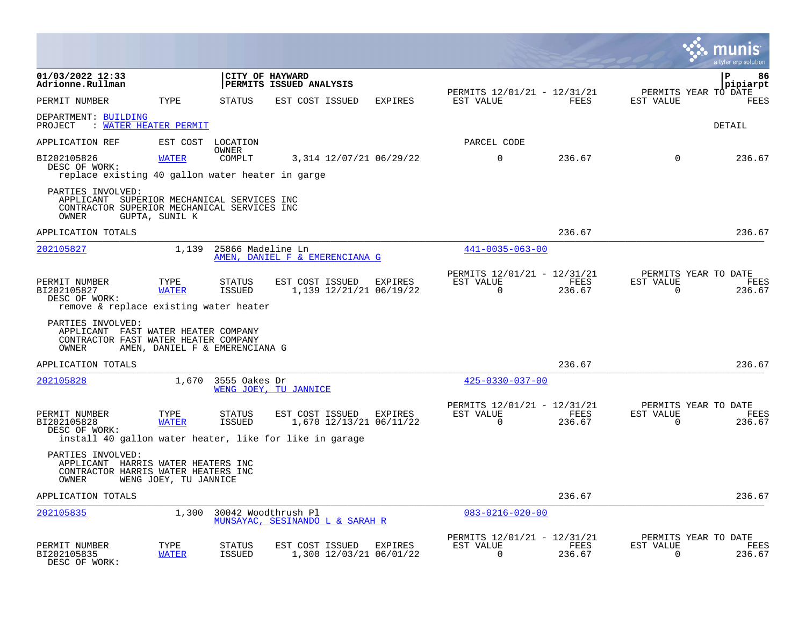|                                                                                                                         |                       |                                |                                                                                                       |         |                                                      |                |                          | a tyler erp solution                   |
|-------------------------------------------------------------------------------------------------------------------------|-----------------------|--------------------------------|-------------------------------------------------------------------------------------------------------|---------|------------------------------------------------------|----------------|--------------------------|----------------------------------------|
| 01/03/2022 12:33<br>Adrionne.Rullman                                                                                    |                       |                                | CITY OF HAYWARD<br>PERMITS ISSUED ANALYSIS                                                            |         |                                                      |                |                          | 86<br>P<br>pipiarpt                    |
| PERMIT NUMBER                                                                                                           | TYPE                  | <b>STATUS</b>                  | EST COST ISSUED                                                                                       | EXPIRES | PERMITS 12/01/21 - 12/31/21<br>EST VALUE             | FEES           | EST VALUE                | PERMITS YEAR TO DATE<br><b>FEES</b>    |
| DEPARTMENT: BUILDING<br>PROJECT<br>: WATER HEATER PERMIT                                                                |                       |                                |                                                                                                       |         |                                                      |                |                          | DETAIL                                 |
| APPLICATION REF                                                                                                         |                       | EST COST LOCATION              |                                                                                                       |         | PARCEL CODE                                          |                |                          |                                        |
| BI202105826<br>DESC OF WORK:<br>replace existing 40 gallon water heater in garge                                        | <b>WATER</b>          | OWNER<br>COMPLT                | 3,314 12/07/21 06/29/22                                                                               |         | $\mathbf 0$                                          | 236.67         | $\Omega$                 | 236.67                                 |
| PARTIES INVOLVED:<br>APPLICANT SUPERIOR MECHANICAL SERVICES INC<br>CONTRACTOR SUPERIOR MECHANICAL SERVICES INC<br>OWNER | GUPTA, SUNIL K        |                                |                                                                                                       |         |                                                      |                |                          |                                        |
| APPLICATION TOTALS                                                                                                      |                       |                                |                                                                                                       |         |                                                      | 236.67         |                          | 236.67                                 |
| 202105827                                                                                                               | 1,139                 | 25866 Madeline Ln              | AMEN, DANIEL F & EMERENCIANA G                                                                        |         | $441 - 0035 - 063 - 00$                              |                |                          |                                        |
| PERMIT NUMBER<br>BI202105827<br>DESC OF WORK:<br>remove & replace existing water heater                                 | TYPE<br><b>WATER</b>  | <b>STATUS</b><br>ISSUED        | EST COST ISSUED<br>1,139 12/21/21 06/19/22                                                            | EXPIRES | PERMITS 12/01/21 - 12/31/21<br>EST VALUE<br>$\Omega$ | FEES<br>236.67 | EST VALUE<br>$\Omega$    | PERMITS YEAR TO DATE<br>FEES<br>236.67 |
| PARTIES INVOLVED:<br>APPLICANT FAST WATER HEATER COMPANY<br>CONTRACTOR FAST WATER HEATER COMPANY<br>OWNER               |                       | AMEN, DANIEL F & EMERENCIANA G |                                                                                                       |         |                                                      |                |                          |                                        |
| APPLICATION TOTALS                                                                                                      |                       |                                |                                                                                                       |         |                                                      | 236.67         |                          | 236.67                                 |
| 202105828                                                                                                               | 1,670                 | 3555 Oakes Dr                  | WENG JOEY, TU JANNICE                                                                                 |         | $425 - 0330 - 037 - 00$                              |                |                          |                                        |
| PERMIT NUMBER<br>BI202105828<br>DESC OF WORK:                                                                           | TYPE<br><b>WATER</b>  | STATUS<br>ISSUED               | EST COST ISSUED<br>1,670 12/13/21 06/11/22<br>install 40 gallon water heater, like for like in garage | EXPIRES | PERMITS 12/01/21 - 12/31/21<br>EST VALUE<br>$\Omega$ | FEES<br>236.67 | EST VALUE<br>$\mathbf 0$ | PERMITS YEAR TO DATE<br>FEES<br>236.67 |
| PARTIES INVOLVED:<br>APPLICANT HARRIS WATER HEATERS INC<br>CONTRACTOR HARRIS WATER HEATERS INC<br>OWNER                 | WENG JOEY, TU JANNICE |                                |                                                                                                       |         |                                                      |                |                          |                                        |
| APPLICATION TOTALS                                                                                                      |                       |                                |                                                                                                       |         |                                                      | 236.67         |                          | 236.67                                 |
| 202105835                                                                                                               | 1,300                 |                                | 30042 Woodthrush Pl<br>MUNSAYAC, SESINANDO L & SARAH R                                                |         | $083 - 0216 - 020 - 00$                              |                |                          |                                        |
| PERMIT NUMBER<br>BI202105835<br>DESC OF WORK:                                                                           | TYPE<br><b>WATER</b>  | STATUS<br><b>ISSUED</b>        | EST COST ISSUED EXPIRES<br>1,300 12/03/21 06/01/22                                                    |         | PERMITS 12/01/21 - 12/31/21<br>EST VALUE<br>$\Omega$ | FEES<br>236.67 | EST VALUE<br>$\Omega$    | PERMITS YEAR TO DATE<br>FEES<br>236.67 |

 $\bullet$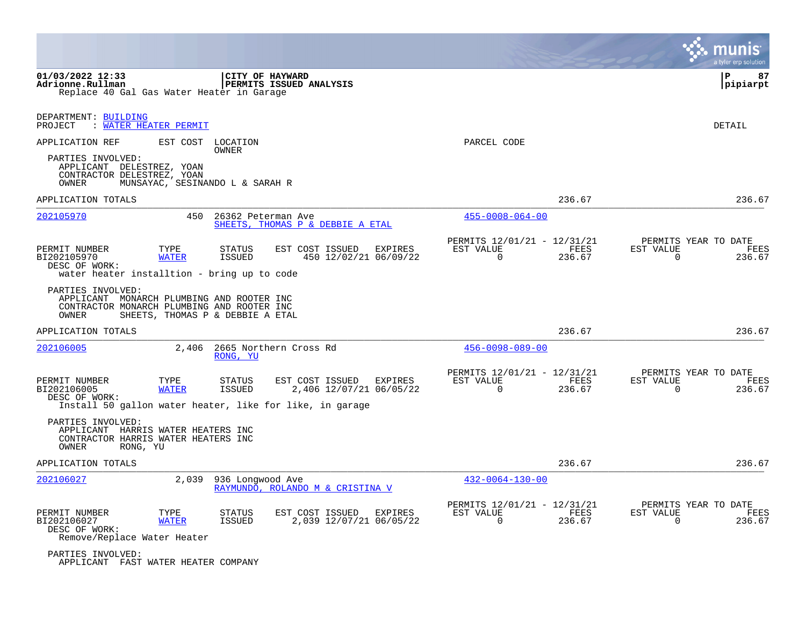|                                                                                                                                                                                                                       |                                                                           | munis<br>a tyler erp solutior                                   |
|-----------------------------------------------------------------------------------------------------------------------------------------------------------------------------------------------------------------------|---------------------------------------------------------------------------|-----------------------------------------------------------------|
| 01/03/2022 12:33<br>CITY OF HAYWARD<br>Adrionne.Rullman<br><b>PERMITS ISSUED ANALYSIS</b><br>Replace 40 Gal Gas Water Heater in Garage                                                                                |                                                                           | ΙP<br>87<br> pipiarpt                                           |
| DEPARTMENT: BUILDING<br><u>WATER HEATER PERMIT</u><br>PROJECT                                                                                                                                                         |                                                                           | DETAIL                                                          |
| APPLICATION REF<br>EST COST LOCATION<br>OWNER                                                                                                                                                                         | PARCEL CODE                                                               |                                                                 |
| PARTIES INVOLVED:<br>APPLICANT DELESTREZ, YOAN<br>CONTRACTOR DELESTREZ, YOAN<br>OWNER<br>MUNSAYAC, SESINANDO L & SARAH R                                                                                              |                                                                           |                                                                 |
| APPLICATION TOTALS                                                                                                                                                                                                    | 236.67                                                                    | 236.67                                                          |
| 202105970<br>450<br>26362 Peterman Ave<br>SHEETS, THOMAS P & DEBBIE A ETAL                                                                                                                                            | $455 - 0008 - 064 - 00$                                                   |                                                                 |
| PERMIT NUMBER<br>TYPE<br>EST COST ISSUED<br>EXPIRES<br>STATUS<br>BI202105970<br>450 12/02/21 06/09/22<br><b>WATER</b><br><b>ISSUED</b><br>DESC OF WORK:<br>water heater installtion - bring up to code                | PERMITS 12/01/21 - 12/31/21<br>EST VALUE<br>FEES<br>$\mathbf 0$<br>236.67 | PERMITS YEAR TO DATE<br>EST VALUE<br>FEES<br>236.67<br>0        |
| PARTIES INVOLVED:<br>APPLICANT MONARCH PLUMBING AND ROOTER INC<br>CONTRACTOR MONARCH PLUMBING AND ROOTER INC<br>SHEETS, THOMAS P & DEBBIE A ETAL<br>OWNER                                                             |                                                                           |                                                                 |
| APPLICATION TOTALS                                                                                                                                                                                                    | 236.67                                                                    | 236.67                                                          |
| 2,406<br>2665 Northern Cross Rd<br>202106005<br>RONG, YU                                                                                                                                                              | $456 - 0098 - 089 - 00$                                                   |                                                                 |
| PERMIT NUMBER<br>TYPE<br>EST COST ISSUED<br>EXPIRES<br>STATUS<br>BI202106005<br><b>ISSUED</b><br>2,406 12/07/21 06/05/22<br><b>WATER</b><br>DESC OF WORK:<br>Install 50 gallon water heater, like for like, in garage | PERMITS 12/01/21 - 12/31/21<br>EST VALUE<br>FEES<br>$\Omega$<br>236.67    | PERMITS YEAR TO DATE<br>EST VALUE<br>FEES<br>$\Omega$<br>236.67 |
| PARTIES INVOLVED:<br>APPLICANT HARRIS WATER HEATERS INC<br>CONTRACTOR HARRIS WATER HEATERS INC<br>OWNER<br>RONG, YU                                                                                                   |                                                                           |                                                                 |
| APPLICATION TOTALS                                                                                                                                                                                                    | 236.67                                                                    | 236.67                                                          |
| 202106027<br>2,039<br>936 Longwood Ave<br>RAYMUNDO, ROLANDO M & CRISTINA V                                                                                                                                            | $432 - 0064 - 130 - 00$                                                   |                                                                 |
| PERMIT NUMBER<br>TYPE<br>STATUS<br>EST COST ISSUED<br>EXPIRES<br>2,039 12/07/21 06/05/22<br>BI202106027<br><b>WATER</b><br>ISSUED<br>DESC OF WORK:<br>Remove/Replace Water Heater                                     | PERMITS 12/01/21 - 12/31/21<br>EST VALUE<br>FEES<br>$\mathbf 0$<br>236.67 | PERMITS YEAR TO DATE<br>EST VALUE<br>FEES<br>0<br>236.67        |
| PARTIES INVOLVED:<br>APPLICANT FAST WATER HEATER COMPANY                                                                                                                                                              |                                                                           |                                                                 |

 $\mathcal{L}^{\text{max}}$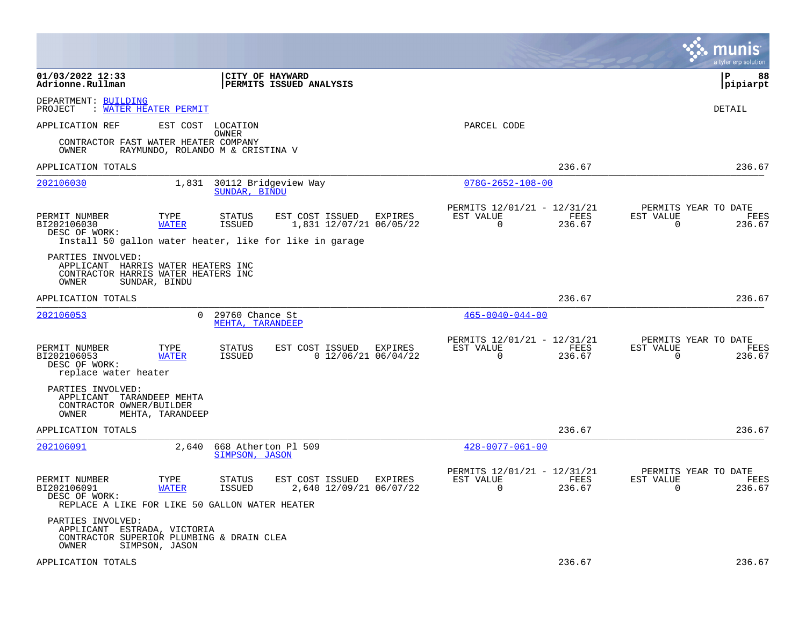|                                                                                                         |                                  |                                     |                                                                                                       |                       |                                                         |                |                          | munis<br>a tyler erp solution          |
|---------------------------------------------------------------------------------------------------------|----------------------------------|-------------------------------------|-------------------------------------------------------------------------------------------------------|-----------------------|---------------------------------------------------------|----------------|--------------------------|----------------------------------------|
| 01/03/2022 12:33<br>Adrionne.Rullman                                                                    |                                  |                                     | <b>CITY OF HAYWARD</b><br><b>PERMITS ISSUED ANALYSIS</b>                                              |                       |                                                         |                |                          | l P<br>88<br> pipiarpt                 |
| DEPARTMENT: BUILDING<br>PROJECT                                                                         | <u>WATER HEATER PERMIT</u>       |                                     |                                                                                                       |                       |                                                         |                |                          | DETAIL                                 |
| APPLICATION REF                                                                                         | EST COST                         | LOCATION                            |                                                                                                       |                       | PARCEL CODE                                             |                |                          |                                        |
| CONTRACTOR FAST WATER HEATER COMPANY<br>OWNER                                                           | RAYMUNDO, ROLANDO M & CRISTINA V | OWNER                               |                                                                                                       |                       |                                                         |                |                          |                                        |
| APPLICATION TOTALS                                                                                      |                                  |                                     |                                                                                                       |                       |                                                         | 236.67         |                          | 236.67                                 |
| 202106030                                                                                               | 1,831                            | SUNDAR, BINDU                       | 30112 Bridgeview Way                                                                                  |                       | $078G - 2652 - 108 - 00$                                |                |                          |                                        |
| PERMIT NUMBER<br>BI202106030<br>DESC OF WORK:                                                           | TYPE<br><b>WATER</b>             | <b>STATUS</b><br>ISSUED             | EST COST ISSUED<br>1,831 12/07/21 06/05/22<br>Install 50 gallon water heater, like for like in garage | EXPIRES               | PERMITS 12/01/21 - 12/31/21<br>EST VALUE<br>$\Omega$    | FEES<br>236.67 | EST VALUE<br>$\Omega$    | PERMITS YEAR TO DATE<br>FEES<br>236.67 |
| PARTIES INVOLVED:<br>APPLICANT HARRIS WATER HEATERS INC<br>CONTRACTOR HARRIS WATER HEATERS INC<br>OWNER | SUNDAR, BINDU                    |                                     |                                                                                                       |                       |                                                         |                |                          |                                        |
| APPLICATION TOTALS                                                                                      |                                  |                                     |                                                                                                       |                       |                                                         | 236.67         |                          | 236.67                                 |
| 202106053                                                                                               | 0                                | 29760 Chance St<br>MEHTA, TARANDEEP |                                                                                                       |                       | $465 - 0040 - 044 - 00$                                 |                |                          |                                        |
| PERMIT NUMBER<br>BI202106053<br>DESC OF WORK:<br>replace water heater                                   | TYPE<br><b>WATER</b>             | STATUS<br>ISSUED                    | EST COST ISSUED EXPIRES                                                                               | $0$ 12/06/21 06/04/22 | PERMITS 12/01/21 - 12/31/21<br>EST VALUE<br>$\mathbf 0$ | FEES<br>236.67 | EST VALUE<br>$\mathbf 0$ | PERMITS YEAR TO DATE<br>FEES<br>236.67 |
| PARTIES INVOLVED:<br>APPLICANT TARANDEEP MEHTA<br>CONTRACTOR OWNER/BUILDER<br>OWNER                     | MEHTA, TARANDEEP                 |                                     |                                                                                                       |                       |                                                         |                |                          |                                        |
| APPLICATION TOTALS                                                                                      |                                  |                                     |                                                                                                       |                       |                                                         | 236.67         |                          | 236.67                                 |
| 202106091                                                                                               | 2,640                            | SIMPSON, JASON                      | 668 Atherton Pl 509                                                                                   |                       | $428 - 0077 - 061 - 00$                                 |                |                          |                                        |
| PERMIT NUMBER<br>BI202106091<br>DESC OF WORK:<br>REPLACE A LIKE FOR LIKE 50 GALLON WATER HEATER         | TYPE<br><b>WATER</b>             | STATUS<br>ISSUED                    | EST COST ISSUED<br>2,640 12/09/21 06/07/22                                                            | EXPIRES               | PERMITS 12/01/21 - 12/31/21<br>EST VALUE<br>$\Omega$    | FEES<br>236.67 | EST VALUE<br>$\Omega$    | PERMITS YEAR TO DATE<br>FEES<br>236.67 |
| PARTIES INVOLVED:<br>APPLICANT ESTRADA, VICTORIA<br>CONTRACTOR SUPERIOR PLUMBING & DRAIN CLEA<br>OWNER  | SIMPSON, JASON                   |                                     |                                                                                                       |                       |                                                         |                |                          |                                        |
| APPLICATION TOTALS                                                                                      |                                  |                                     |                                                                                                       |                       |                                                         | 236.67         |                          | 236.67                                 |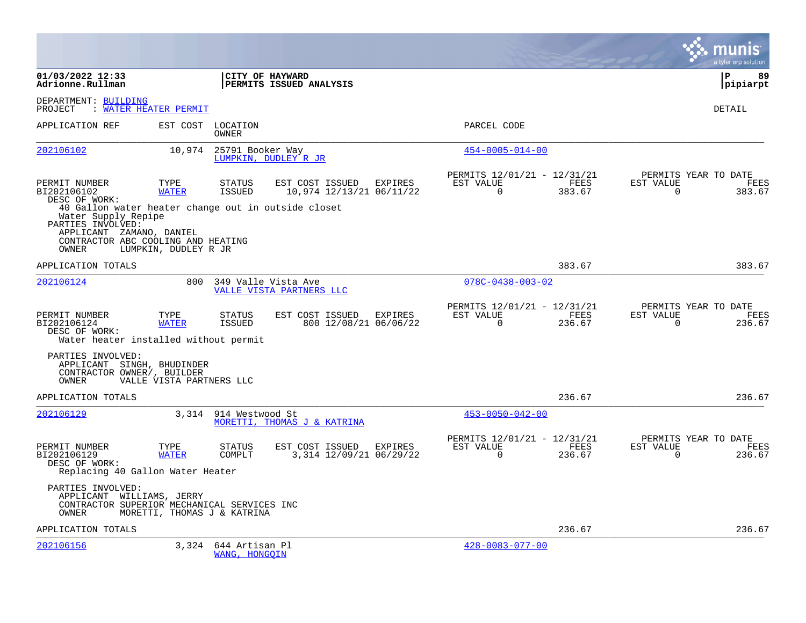|                                                                                                                                                  |                             |                                 |                                                 |                |                                                         |                |                          | a tyler erp solution                          |
|--------------------------------------------------------------------------------------------------------------------------------------------------|-----------------------------|---------------------------------|-------------------------------------------------|----------------|---------------------------------------------------------|----------------|--------------------------|-----------------------------------------------|
| 01/03/2022 12:33<br>Adrionne.Rullman                                                                                                             |                             |                                 | CITY OF HAYWARD<br>PERMITS ISSUED ANALYSIS      |                |                                                         |                |                          | l P<br>89<br> pipiarpt                        |
| DEPARTMENT: BUILDING<br>PROJECT                                                                                                                  | : WATER HEATER PERMIT       |                                 |                                                 |                |                                                         |                |                          | DETAIL                                        |
| APPLICATION REF                                                                                                                                  | EST COST                    | LOCATION<br>OWNER               |                                                 |                | PARCEL CODE                                             |                |                          |                                               |
| 202106102                                                                                                                                        | 10,974                      | 25791 Booker Way                | LUMPKIN, DUDLEY R JR                            |                | $454 - 0005 - 014 - 00$                                 |                |                          |                                               |
| PERMIT NUMBER<br>BI202106102<br>DESC OF WORK:<br>40 Gallon water heater change out in outside closet<br>Water Supply Repipe<br>PARTIES INVOLVED: | TYPE<br><b>WATER</b>        | <b>STATUS</b><br><b>ISSUED</b>  | EST COST ISSUED<br>10,974 12/13/21 06/11/22     | EXPIRES        | PERMITS 12/01/21 - 12/31/21<br>EST VALUE<br>$\Omega$    | FEES<br>383.67 | EST VALUE<br>$\Omega$    | PERMITS YEAR TO DATE<br>FEES<br>383.67        |
| APPLICANT ZAMANO, DANIEL<br>CONTRACTOR ABC COOLING AND HEATING<br>OWNER                                                                          | LUMPKIN, DUDLEY R JR        |                                 |                                                 |                |                                                         |                |                          |                                               |
| APPLICATION TOTALS                                                                                                                               |                             |                                 |                                                 |                |                                                         | 383.67         |                          | 383.67                                        |
| 202106124                                                                                                                                        | 800                         |                                 | 349 Valle Vista Ave<br>VALLE VISTA PARTNERS LLC |                | $078C - 0438 - 003 - 02$                                |                |                          |                                               |
| PERMIT NUMBER<br>BI202106124<br>DESC OF WORK:<br>Water heater installed without permit                                                           | TYPE<br><b>WATER</b>        | <b>STATUS</b><br><b>ISSUED</b>  | EST COST ISSUED<br>800 12/08/21 06/06/22        | <b>EXPIRES</b> | PERMITS 12/01/21 - 12/31/21<br>EST VALUE<br>$\Omega$    | FEES<br>236.67 | EST VALUE<br>$\Omega$    | PERMITS YEAR TO DATE<br><b>FEES</b><br>236.67 |
| PARTIES INVOLVED:<br>APPLICANT SINGH, BHUDINDER<br>CONTRACTOR OWNER/, BUILDER<br>OWNER                                                           | VALLE VISTA PARTNERS LLC    |                                 |                                                 |                |                                                         |                |                          |                                               |
| APPLICATION TOTALS                                                                                                                               |                             |                                 |                                                 |                |                                                         | 236.67         |                          | 236.67                                        |
| 202106129                                                                                                                                        |                             | 3,314 914 Westwood St           | MORETTI, THOMAS J & KATRINA                     |                | $453 - 0050 - 042 - 00$                                 |                |                          |                                               |
| PERMIT NUMBER<br>BI202106129<br>DESC OF WORK:<br>Replacing 40 Gallon Water Heater                                                                | TYPE<br><b>WATER</b>        | <b>STATUS</b><br>COMPLT         | EST COST ISSUED<br>3,314 12/09/21 06/29/22      | EXPIRES        | PERMITS 12/01/21 - 12/31/21<br>EST VALUE<br>$\mathbf 0$ | FEES<br>236.67 | EST VALUE<br>$\mathbf 0$ | PERMITS YEAR TO DATE<br>FEES<br>236.67        |
| PARTIES INVOLVED:<br>APPLICANT WILLIAMS, JERRY<br>CONTRACTOR SUPERIOR MECHANICAL SERVICES INC<br>OWNER                                           | MORETTI, THOMAS J & KATRINA |                                 |                                                 |                |                                                         |                |                          |                                               |
| APPLICATION TOTALS                                                                                                                               |                             |                                 |                                                 |                |                                                         | 236.67         |                          | 236.67                                        |
| 202106156                                                                                                                                        | 3,324                       | 644 Artisan Pl<br>WANG, HONGQIN |                                                 |                | $428 - 0083 - 077 - 00$                                 |                |                          |                                               |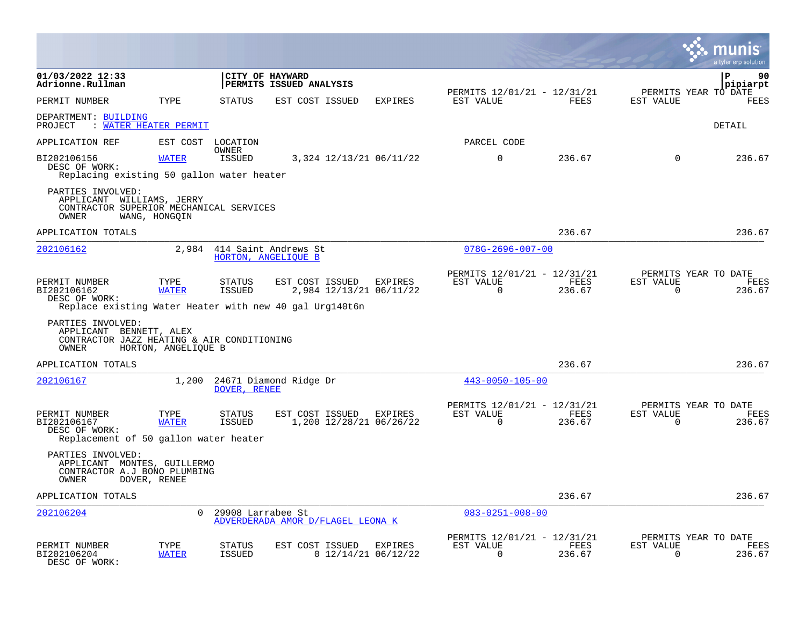|                                                                                                          |                      |                                |                                            |                         |                                    |                                                            |                |                                                  | a tyler erp solutior           |
|----------------------------------------------------------------------------------------------------------|----------------------|--------------------------------|--------------------------------------------|-------------------------|------------------------------------|------------------------------------------------------------|----------------|--------------------------------------------------|--------------------------------|
| 01/03/2022 12:33<br>Adrionne.Rullman                                                                     |                      |                                | CITY OF HAYWARD<br>PERMITS ISSUED ANALYSIS |                         |                                    |                                                            |                |                                                  | $\mathbf{P}$<br>90<br>pipiarpt |
| PERMIT NUMBER                                                                                            | TYPE                 | <b>STATUS</b>                  | EST COST ISSUED                            |                         | EXPIRES                            | PERMITS 12/01/21 - 12/31/21<br>EST VALUE                   | FEES           | PERMITS YEAR TO DATE<br>EST VALUE                | <b>FEES</b>                    |
| DEPARTMENT: BUILDING<br>PROJECT<br>: WATER HEATER PERMIT                                                 |                      |                                |                                            |                         |                                    |                                                            |                |                                                  | DETAIL                         |
| APPLICATION REF                                                                                          | EST COST LOCATION    | OWNER                          |                                            |                         |                                    | PARCEL CODE                                                |                |                                                  |                                |
| BI202106156<br>DESC OF WORK:<br>Replacing existing 50 gallon water heater                                | <b>WATER</b>         | <b>ISSUED</b>                  |                                            |                         | 3,324 12/13/21 06/11/22            | $\mathbf 0$                                                | 236.67         | $\Omega$                                         | 236.67                         |
| PARTIES INVOLVED:<br>APPLICANT WILLIAMS, JERRY<br>CONTRACTOR SUPERIOR MECHANICAL SERVICES<br>OWNER       | WANG, HONGQIN        |                                |                                            |                         |                                    |                                                            |                |                                                  |                                |
| APPLICATION TOTALS                                                                                       |                      |                                |                                            |                         |                                    |                                                            | 236.67         |                                                  | 236.67                         |
| 202106162                                                                                                | 2,984                | 414 Saint Andrews St           | HORTON, ANGELIOUE B                        |                         |                                    | $078G - 2696 - 007 - 00$                                   |                |                                                  |                                |
| PERMIT NUMBER<br>BI202106162<br>DESC OF WORK:<br>Replace existing Water Heater with new 40 gal Urg140t6n | TYPE<br><b>WATER</b> | <b>STATUS</b><br><b>ISSUED</b> | EST COST ISSUED                            |                         | EXPIRES<br>2,984 12/13/21 06/11/22 | PERMITS 12/01/21 - 12/31/21<br>EST VALUE<br>$\Omega$       | FEES<br>236.67 | PERMITS YEAR TO DATE<br>EST VALUE<br>$\Omega$    | FEES<br>236.67                 |
| PARTIES INVOLVED:<br>APPLICANT BENNETT, ALEX<br>CONTRACTOR JAZZ HEATING & AIR CONDITIONING<br>OWNER      | HORTON, ANGELIQUE B  |                                |                                            |                         |                                    |                                                            |                |                                                  |                                |
| APPLICATION TOTALS                                                                                       |                      |                                |                                            |                         |                                    |                                                            | 236.67         |                                                  | 236.67                         |
| 202106167                                                                                                | 1,200                | DOVER, RENEE                   | 24671 Diamond Ridge Dr                     |                         |                                    | $443 - 0050 - 105 - 00$                                    |                |                                                  |                                |
| PERMIT NUMBER<br>BI202106167<br>DESC OF WORK:<br>Replacement of 50 gallon water heater                   | TYPE<br><b>WATER</b> | STATUS<br>ISSUED               |                                            | EST COST ISSUED EXPIRES | 1,200 12/28/21 06/26/22            | PERMITS 12/01/21 - 12/31/21<br>EST VALUE<br>$\overline{0}$ | FEES<br>236.67 | PERMITS YEAR TO DATE<br>EST VALUE<br>$\mathbf 0$ | <b>FEES</b><br>236.67          |
| PARTIES INVOLVED:<br>APPLICANT MONTES, GUILLERMO<br>CONTRACTOR A.J BONO PLUMBING<br>OWNER                | DOVER, RENEE         |                                |                                            |                         |                                    |                                                            |                |                                                  |                                |
| APPLICATION TOTALS                                                                                       |                      |                                |                                            |                         |                                    |                                                            | 236.67         |                                                  | 236.67                         |
| 202106204                                                                                                | $\Omega$             | 29908 Larrabee St              | ADVERDERADA AMOR D/FLAGEL LEONA K          |                         |                                    | $083 - 0251 - 008 - 00$                                    |                |                                                  |                                |
| PERMIT NUMBER<br>BI202106204<br>DESC OF WORK:                                                            | TYPE<br><b>WATER</b> | STATUS<br><b>ISSUED</b>        | EST COST ISSUED                            |                         | EXPIRES<br>$0$ 12/14/21 06/12/22   | PERMITS 12/01/21 - 12/31/21<br>EST VALUE<br>$\Omega$       | FEES<br>236.67 | PERMITS YEAR TO DATE<br>EST VALUE<br>$\Omega$    | FEES<br>236.67                 |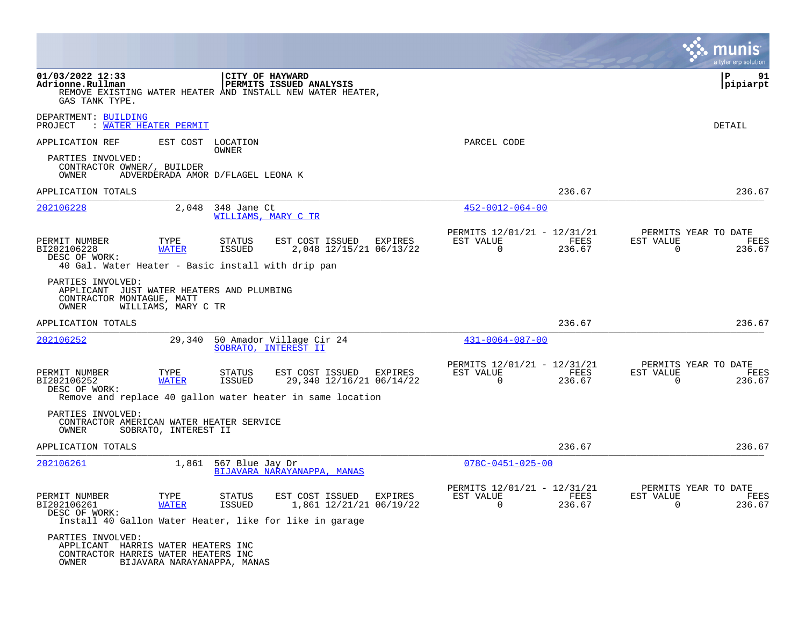|                                                                                                         |                                   |                                |                                                                                                                         |                                                            |                | nıs<br>a tyler erp solution                                        |
|---------------------------------------------------------------------------------------------------------|-----------------------------------|--------------------------------|-------------------------------------------------------------------------------------------------------------------------|------------------------------------------------------------|----------------|--------------------------------------------------------------------|
| 01/03/2022 12:33<br>Adrionne.Rullman<br>GAS TANK TYPE.                                                  |                                   |                                | CITY OF HAYWARD<br>PERMITS ISSUED ANALYSIS<br>REMOVE EXISTING WATER HEATER AND INSTALL NEW WATER HEATER,                |                                                            |                | ΙP<br>91<br> pipiarpt                                              |
| DEPARTMENT: BUILDING<br>PROJECT                                                                         | : <u>WATER HEATER PERMIT</u>      |                                |                                                                                                                         |                                                            |                | DETAIL                                                             |
| APPLICATION REF                                                                                         |                                   | EST COST LOCATION<br>OWNER     |                                                                                                                         | PARCEL CODE                                                |                |                                                                    |
| PARTIES INVOLVED:<br>CONTRACTOR OWNER/, BUILDER<br>OWNER                                                | ADVERDERADA AMOR D/FLAGEL LEONA K |                                |                                                                                                                         |                                                            |                |                                                                    |
| APPLICATION TOTALS                                                                                      |                                   |                                |                                                                                                                         |                                                            | 236.67         | 236.67                                                             |
| 202106228                                                                                               | 2,048                             | 348 Jane Ct                    | WILLIAMS, MARY C TR                                                                                                     | $452 - 0012 - 064 - 00$                                    |                |                                                                    |
| PERMIT NUMBER<br>BI202106228<br>DESC OF WORK:                                                           | TYPE<br><b>WATER</b>              | STATUS<br><b>ISSUED</b>        | EST COST ISSUED<br>EXPIRES<br>2,048 12/15/21 06/13/22                                                                   | PERMITS 12/01/21 - 12/31/21<br>EST VALUE<br>$\overline{0}$ | FEES<br>236.67 | PERMITS YEAR TO DATE<br>EST VALUE<br>FEES<br>$\mathbf 0$<br>236.67 |
| PARTIES INVOLVED:<br>APPLICANT JUST WATER HEATERS AND PLUMBING<br>CONTRACTOR MONTAGUE, MATT<br>OWNER    | WILLIAMS, MARY C TR               |                                |                                                                                                                         |                                                            |                |                                                                    |
| APPLICATION TOTALS                                                                                      |                                   |                                |                                                                                                                         |                                                            | 236.67         | 236.67                                                             |
| 202106252                                                                                               | 29,340                            |                                | 50 Amador Village Cir 24<br>SOBRATO, INTEREST II                                                                        | $431 - 0064 - 087 - 00$                                    |                |                                                                    |
| PERMIT NUMBER<br>BI202106252<br>DESC OF WORK:                                                           | TYPE<br><b>WATER</b>              | STATUS<br><b>ISSUED</b>        | EST COST ISSUED<br>EXPIRES<br>29,340 12/16/21 06/14/22                                                                  | PERMITS 12/01/21 - 12/31/21<br>EST VALUE<br>$\Omega$       | FEES<br>236.67 | PERMITS YEAR TO DATE<br>EST VALUE<br>FEES<br>$\Omega$<br>236.67    |
| PARTIES INVOLVED:<br>CONTRACTOR AMERICAN WATER HEATER SERVICE<br>OWNER                                  | SOBRATO, INTEREST II              |                                | Remove and replace 40 gallon water heater in same location                                                              |                                                            |                |                                                                    |
| APPLICATION TOTALS                                                                                      |                                   |                                |                                                                                                                         |                                                            | 236.67         | 236.67                                                             |
| 202106261                                                                                               | 1,861                             | 567 Blue Jay Dr                | BIJAVARA NARAYANAPPA, MANAS                                                                                             | $078C - 0451 - 025 - 00$                                   |                |                                                                    |
| PERMIT NUMBER<br>BI202106261<br>DESC OF WORK:                                                           | TYPE<br><b>WATER</b>              | <b>STATUS</b><br><b>ISSUED</b> | EST COST ISSUED<br><b>EXPIRES</b><br>1,861 12/21/21 06/19/22<br>Install 40 Gallon Water Heater, like for like in garage | PERMITS 12/01/21 - 12/31/21<br>EST VALUE<br>$\Omega$       | FEES<br>236.67 | PERMITS YEAR TO DATE<br>EST VALUE<br>FEES<br>$\Omega$<br>236.67    |
| PARTIES INVOLVED:<br>APPLICANT HARRIS WATER HEATERS INC<br>CONTRACTOR HARRIS WATER HEATERS INC<br>OWNER | BIJAVARA NARAYANAPPA, MANAS       |                                |                                                                                                                         |                                                            |                |                                                                    |

**The State**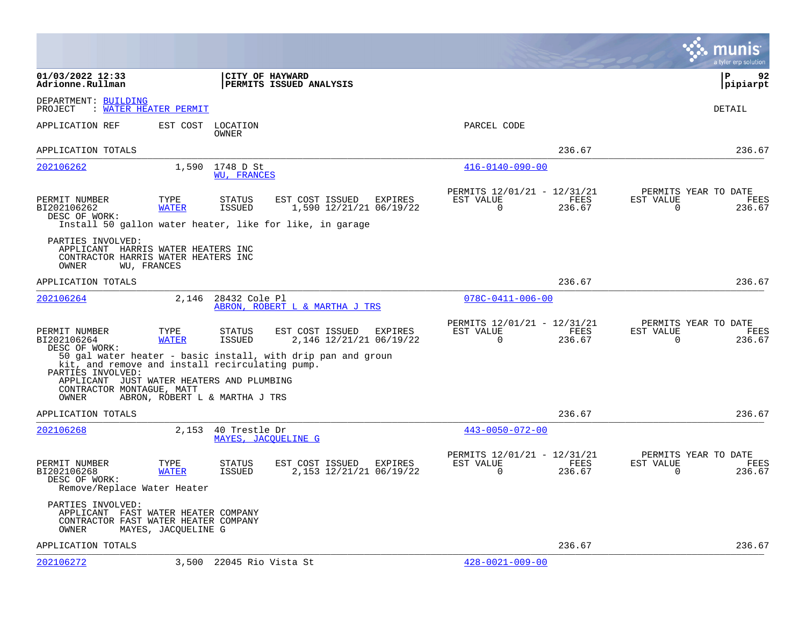|                                                                                                                                                         |                      |                                |                                                                                                        |         |                                                            |                |                | munis<br>a tyler erp solution          |
|---------------------------------------------------------------------------------------------------------------------------------------------------------|----------------------|--------------------------------|--------------------------------------------------------------------------------------------------------|---------|------------------------------------------------------------|----------------|----------------|----------------------------------------|
| 01/03/2022 12:33<br>Adrionne.Rullman                                                                                                                    |                      |                                | CITY OF HAYWARD<br>PERMITS ISSUED ANALYSIS                                                             |         |                                                            |                |                | l P<br>92<br> pipiarpt                 |
| DEPARTMENT: BUILDING<br><b>WATER HEATER PERMIT</b><br>PROJECT                                                                                           |                      |                                |                                                                                                        |         |                                                            |                |                | DETAIL                                 |
| APPLICATION REF                                                                                                                                         | EST COST             | LOCATION<br>OWNER              |                                                                                                        |         | PARCEL CODE                                                |                |                |                                        |
| APPLICATION TOTALS                                                                                                                                      |                      |                                |                                                                                                        |         |                                                            | 236.67         |                | 236.67                                 |
| 202106262                                                                                                                                               |                      | 1,590 1748 D St<br>WU, FRANCES |                                                                                                        |         | $416 - 0140 - 090 - 00$                                    |                |                |                                        |
| PERMIT NUMBER<br>BI202106262<br>DESC OF WORK:                                                                                                           | TYPE<br><b>WATER</b> | <b>STATUS</b><br>ISSUED        | EST COST ISSUED<br>1,590 12/21/21 06/19/22<br>Install 50 gallon water heater, like for like, in garage | EXPIRES | PERMITS 12/01/21 - 12/31/21<br>EST VALUE<br>$\overline{0}$ | FEES<br>236.67 | EST VALUE<br>0 | PERMITS YEAR TO DATE<br>FEES<br>236.67 |
| PARTIES INVOLVED:<br>APPLICANT HARRIS WATER HEATERS INC<br>CONTRACTOR HARRIS WATER HEATERS INC<br>OWNER                                                 | WU, FRANCES          |                                |                                                                                                        |         |                                                            |                |                |                                        |
| APPLICATION TOTALS                                                                                                                                      |                      |                                |                                                                                                        |         |                                                            | 236.67         |                | 236.67                                 |
| 202106264                                                                                                                                               |                      | 2,146 28432 Cole Pl            | ABRON, ROBERT L & MARTHA J TRS                                                                         |         | $078C - 0411 - 006 - 00$                                   |                |                |                                        |
| PERMIT NUMBER<br>BI202106264<br>DESC OF WORK:                                                                                                           | TYPE<br><b>WATER</b> | STATUS<br>ISSUED               | EST COST ISSUED<br>2,146 12/21/21 06/19/22                                                             | EXPIRES | PERMITS 12/01/21 - 12/31/21<br>EST VALUE<br>0              | FEES<br>236.67 | EST VALUE<br>0 | PERMITS YEAR TO DATE<br>FEES<br>236.67 |
| kit, and remove and install recirculating pump.<br>PARTIES INVOLVED:<br>APPLICANT JUST WATER HEATERS AND PLUMBING<br>CONTRACTOR MONTAGUE, MATT<br>OWNER |                      | ABRON, ROBERT L & MARTHA J TRS | 50 gal water heater - basic install, with drip pan and groun                                           |         |                                                            |                |                |                                        |
| APPLICATION TOTALS                                                                                                                                      |                      |                                |                                                                                                        |         |                                                            | 236.67         |                | 236.67                                 |
| 202106268                                                                                                                                               | 2,153                | 40 Trestle Dr                  | MAYES, JACOUELINE G                                                                                    |         | $443 - 0050 - 072 - 00$                                    |                |                |                                        |
| PERMIT NUMBER<br>BI202106268<br>DESC OF WORK:<br>Remove/Replace Water Heater                                                                            | TYPE<br><b>WATER</b> | STATUS<br>ISSUED               | EST COST ISSUED<br>2,153 12/21/21 06/19/22                                                             | EXPIRES | PERMITS 12/01/21 - 12/31/21<br>EST VALUE<br>0              | FEES<br>236.67 | EST VALUE<br>0 | PERMITS YEAR TO DATE<br>FEES<br>236.67 |
| PARTIES INVOLVED:<br>APPLICANT FAST WATER HEATER COMPANY<br>CONTRACTOR FAST WATER HEATER COMPANY<br>OWNER                                               | MAYES, JACQUELINE G  |                                |                                                                                                        |         |                                                            |                |                |                                        |
| APPLICATION TOTALS                                                                                                                                      |                      |                                |                                                                                                        |         |                                                            | 236.67         |                | 236.67                                 |
| 202106272                                                                                                                                               |                      | 3,500 22045 Rio Vista St       |                                                                                                        |         | $428 - 0021 - 009 - 00$                                    |                |                |                                        |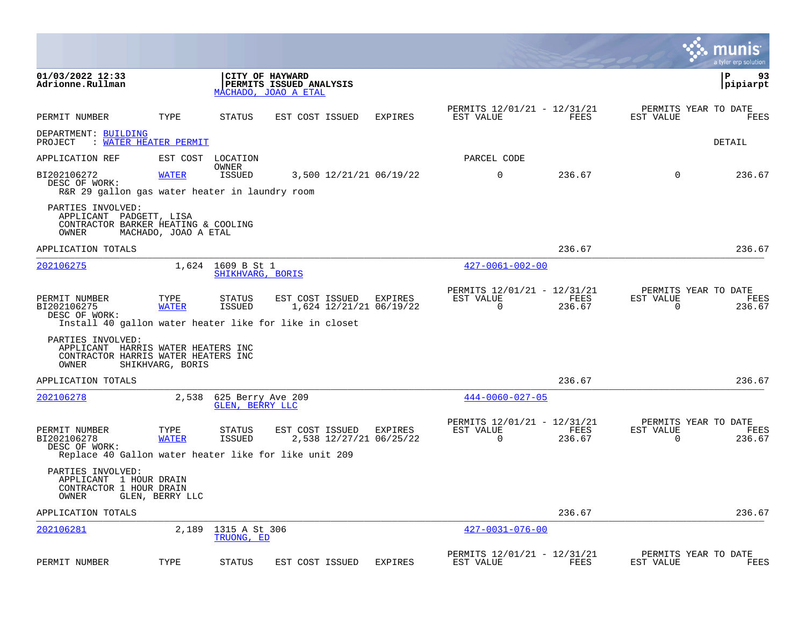|                                                                                                         |                       |                                       |                                                                    |                                    |                                                         |                |                          | munis<br>a tyler erp solution          |
|---------------------------------------------------------------------------------------------------------|-----------------------|---------------------------------------|--------------------------------------------------------------------|------------------------------------|---------------------------------------------------------|----------------|--------------------------|----------------------------------------|
| 01/03/2022 12:33<br>Adrionne.Rullman                                                                    |                       |                                       | CITY OF HAYWARD<br>PERMITS ISSUED ANALYSIS<br>MACHADO, JOAO A ETAL |                                    |                                                         |                |                          | $\mathbf{P}$<br>93<br> pipiarpt        |
| PERMIT NUMBER                                                                                           | TYPE                  | <b>STATUS</b>                         | EST COST ISSUED                                                    | <b>EXPIRES</b>                     | PERMITS 12/01/21 - 12/31/21<br>EST VALUE                | FEES           | EST VALUE                | PERMITS YEAR TO DATE<br>FEES           |
| DEPARTMENT: BUILDING<br>PROJECT                                                                         | : WATER HEATER PERMIT |                                       |                                                                    |                                    |                                                         |                |                          | <b>DETAIL</b>                          |
| APPLICATION REF                                                                                         |                       | EST COST LOCATION                     |                                                                    |                                    | PARCEL CODE                                             |                |                          |                                        |
| BI202106272<br>DESC OF WORK:<br>R&R 29 gallon gas water heater in laundry room                          | <b>WATER</b>          | OWNER<br>ISSUED                       |                                                                    | 3,500 12/21/21 06/19/22            | $\Omega$                                                | 236.67         | $\Omega$                 | 236.67                                 |
| PARTIES INVOLVED:<br>APPLICANT PADGETT, LISA<br>CONTRACTOR BARKER HEATING & COOLING<br>OWNER            | MACHADO, JOAO A ETAL  |                                       |                                                                    |                                    |                                                         |                |                          |                                        |
| APPLICATION TOTALS                                                                                      |                       |                                       |                                                                    |                                    |                                                         | 236.67         |                          | 236.67                                 |
| 202106275                                                                                               |                       | 1,624 1609 B St 1<br>SHIKHVARG, BORIS |                                                                    |                                    | $427 - 0061 - 002 - 00$                                 |                |                          |                                        |
| PERMIT NUMBER<br>BI202106275<br>DESC OF WORK:<br>Install 40 gallon water heater like for like in closet | TYPE<br><b>WATER</b>  | STATUS<br>ISSUED                      | EST COST ISSUED EXPIRES                                            | 1,624 12/21/21 06/19/22            | PERMITS 12/01/21 - 12/31/21<br>EST VALUE<br>$\Omega$    | FEES<br>236.67 | EST VALUE<br>0           | PERMITS YEAR TO DATE<br>FEES<br>236.67 |
| PARTIES INVOLVED:<br>APPLICANT HARRIS WATER HEATERS INC<br>CONTRACTOR HARRIS WATER HEATERS INC<br>OWNER | SHIKHVARG, BORIS      |                                       |                                                                    |                                    |                                                         |                |                          |                                        |
| APPLICATION TOTALS                                                                                      |                       |                                       |                                                                    |                                    |                                                         | 236.67         |                          | 236.67                                 |
| 202106278                                                                                               | 2,538                 | 625 Berry Ave 209<br>GLEN, BERRY LLC  |                                                                    |                                    | $444 - 0060 - 027 - 05$                                 |                |                          |                                        |
| PERMIT NUMBER<br>BI202106278<br>DESC OF WORK:<br>Replace 40 Gallon water heater like for like unit 209  | TYPE<br><b>WATER</b>  | STATUS<br>ISSUED                      | EST COST ISSUED                                                    | EXPIRES<br>2,538 12/27/21 06/25/22 | PERMITS 12/01/21 - 12/31/21<br>EST VALUE<br>$\mathbf 0$ | FEES<br>236.67 | EST VALUE<br>$\mathbf 0$ | PERMITS YEAR TO DATE<br>FEES<br>236.67 |
| PARTIES INVOLVED:<br>APPLICANT 1 HOUR DRAIN<br>CONTRACTOR 1 HOUR DRAIN<br>OWNER                         | GLEN, BERRY LLC       |                                       |                                                                    |                                    |                                                         |                |                          |                                        |
| APPLICATION TOTALS                                                                                      |                       |                                       |                                                                    |                                    |                                                         | 236.67         |                          | 236.67                                 |
| 202106281                                                                                               | 2,189                 | 1315 A St 306<br>TRUONG, ED           |                                                                    |                                    | $427 - 0031 - 076 - 00$                                 |                |                          |                                        |
| PERMIT NUMBER                                                                                           | TYPE                  | <b>STATUS</b>                         | EST COST ISSUED                                                    | <b>EXPIRES</b>                     | PERMITS 12/01/21 - 12/31/21<br>EST VALUE                | FEES           | EST VALUE                | PERMITS YEAR TO DATE<br>FEES           |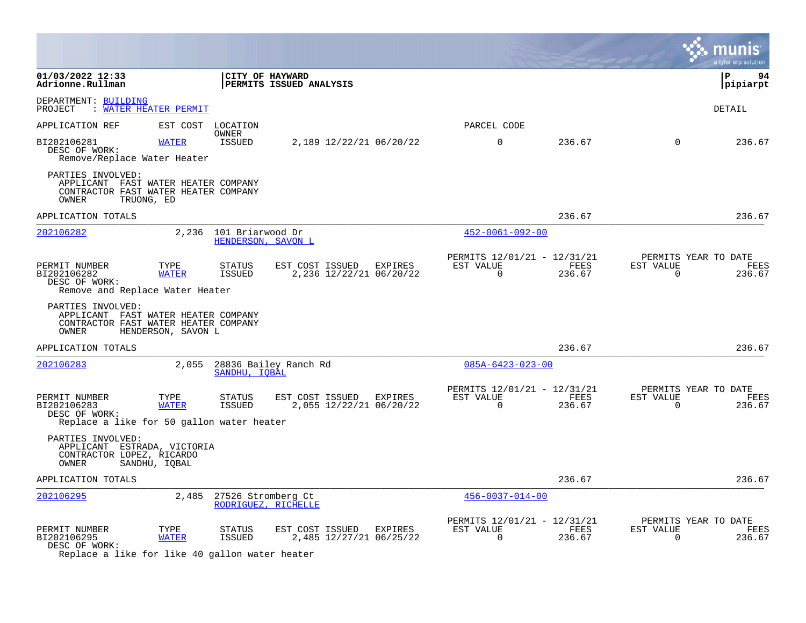|                                                                                                           |                              |                                              |                                                    |                                                      |                |                       | a tyler erp solution                   |
|-----------------------------------------------------------------------------------------------------------|------------------------------|----------------------------------------------|----------------------------------------------------|------------------------------------------------------|----------------|-----------------------|----------------------------------------|
| 01/03/2022 12:33<br>Adrionne.Rullman                                                                      |                              |                                              | CITY OF HAYWARD<br>PERMITS ISSUED ANALYSIS         |                                                      |                |                       | ∣ P<br>94<br>pipiarpt                  |
| DEPARTMENT: BUILDING<br>PROJECT                                                                           | : <u>WATER HEATER PERMIT</u> |                                              |                                                    |                                                      |                |                       | <b>DETAIL</b>                          |
| APPLICATION REF                                                                                           | EST COST                     | LOCATION                                     |                                                    | PARCEL CODE                                          |                |                       |                                        |
| BI202106281<br>DESC OF WORK:<br>Remove/Replace Water Heater                                               | <b>WATER</b>                 | OWNER<br>ISSUED                              | 2,189 12/22/21 06/20/22                            | $\Omega$                                             | 236.67         | $\Omega$              | 236.67                                 |
| PARTIES INVOLVED:<br>APPLICANT FAST WATER HEATER COMPANY<br>CONTRACTOR FAST WATER HEATER COMPANY<br>OWNER | TRUONG, ED                   |                                              |                                                    |                                                      |                |                       |                                        |
| APPLICATION TOTALS                                                                                        |                              |                                              |                                                    |                                                      | 236.67         |                       | 236.67                                 |
| 202106282                                                                                                 |                              | 2,236 101 Briarwood Dr<br>HENDERSON, SAVON L |                                                    | $452 - 0061 - 092 - 00$                              |                |                       |                                        |
| PERMIT NUMBER<br>BI202106282<br>DESC OF WORK:<br>Remove and Replace Water Heater                          | TYPE<br><b>WATER</b>         | STATUS<br>ISSUED                             | EST COST ISSUED EXPIRES<br>2,236 12/22/21 06/20/22 | PERMITS 12/01/21 - 12/31/21<br>EST VALUE<br>$\Omega$ | FEES<br>236.67 | EST VALUE<br>$\Omega$ | PERMITS YEAR TO DATE<br>FEES<br>236.67 |
| PARTIES INVOLVED:<br>APPLICANT FAST WATER HEATER COMPANY<br>CONTRACTOR FAST WATER HEATER COMPANY<br>OWNER | HENDERSON, SAVON L           |                                              |                                                    |                                                      |                |                       |                                        |
| APPLICATION TOTALS                                                                                        |                              |                                              |                                                    |                                                      | 236.67         |                       | 236.67                                 |
| 202106283                                                                                                 | 2,055                        | SANDHU, IOBAL                                | 28836 Bailey Ranch Rd                              | $085A - 6423 - 023 - 00$                             |                |                       |                                        |
| PERMIT NUMBER<br>BI202106283<br>DESC OF WORK:<br>Replace a like for 50 gallon water heater                | TYPE<br><b>WATER</b>         | STATUS<br>ISSUED                             | EST COST ISSUED EXPIRES<br>2,055 12/22/21 06/20/22 | PERMITS 12/01/21 - 12/31/21<br>EST VALUE<br>$\Omega$ | FEES<br>236.67 | EST VALUE<br>$\Omega$ | PERMITS YEAR TO DATE<br>FEES<br>236.67 |
| PARTIES INVOLVED:<br>APPLICANT ESTRADA, VICTORIA<br>CONTRACTOR LOPEZ, RICARDO<br>OWNER                    | SANDHU, IQBAL                |                                              |                                                    |                                                      |                |                       |                                        |
| APPLICATION TOTALS                                                                                        |                              |                                              |                                                    |                                                      | 236.67         |                       | 236.67                                 |
| 202106295                                                                                                 | 2,485                        | 27526 Stromberg Ct                           | RODRIGUEZ, RICHELLE                                | $456 - 0037 - 014 - 00$                              |                |                       |                                        |
| PERMIT NUMBER<br>BI202106295<br>DESC OF WORK:<br>Replace a like for like 40 gallon water heater           | TYPE<br><b>WATER</b>         | STATUS<br>ISSUED                             | EST COST ISSUED EXPIRES<br>2,485 12/27/21 06/25/22 | PERMITS 12/01/21 - 12/31/21<br>EST VALUE<br>$\Omega$ | FEES<br>236.67 | EST VALUE<br>$\Omega$ | PERMITS YEAR TO DATE<br>FEES<br>236.67 |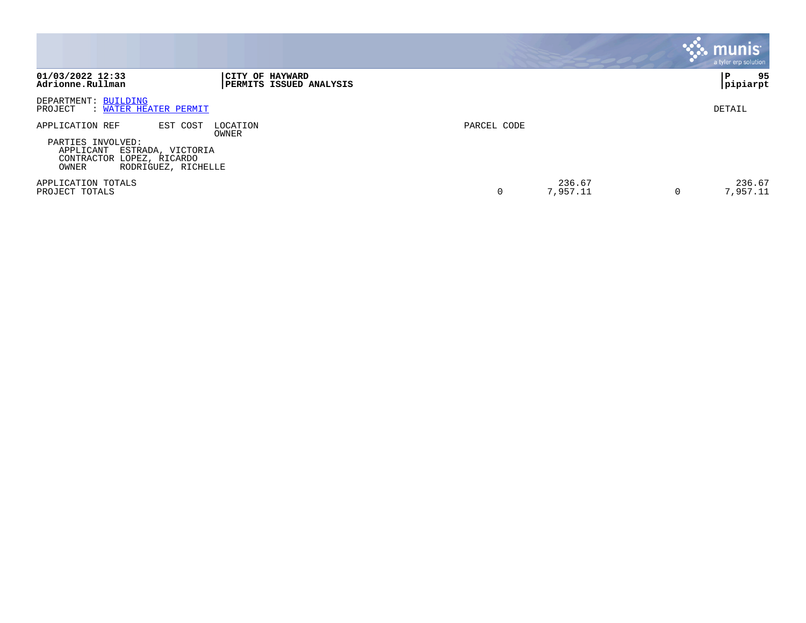|                                                                                                                                                 |                                                          |             |                    |   | $\boldsymbol{\ddot{\cdot}}$ . munis<br>a tyler erp solution |
|-------------------------------------------------------------------------------------------------------------------------------------------------|----------------------------------------------------------|-------------|--------------------|---|-------------------------------------------------------------|
| 01/03/2022 12:33<br>Adrionne.Rullman                                                                                                            | <b>CITY OF HAYWARD</b><br><b>PERMITS ISSUED ANALYSIS</b> |             |                    |   | 95<br>P<br> pipiarpt                                        |
| DEPARTMENT: BUILDING<br>: WATER HEATER PERMIT<br>PROJECT                                                                                        |                                                          |             |                    |   | DETAIL                                                      |
| APPLICATION REF<br>EST COST<br>PARTIES INVOLVED:<br>APPLICANT<br>ESTRADA, VICTORIA<br>CONTRACTOR LOPEZ, RICARDO<br>OWNER<br>RODRIGUEZ, RICHELLE | LOCATION<br>OWNER                                        | PARCEL CODE |                    |   |                                                             |
| APPLICATION TOTALS<br>PROJECT TOTALS                                                                                                            |                                                          |             | 236.67<br>7,957.11 | 0 | 236.67<br>7,957.11                                          |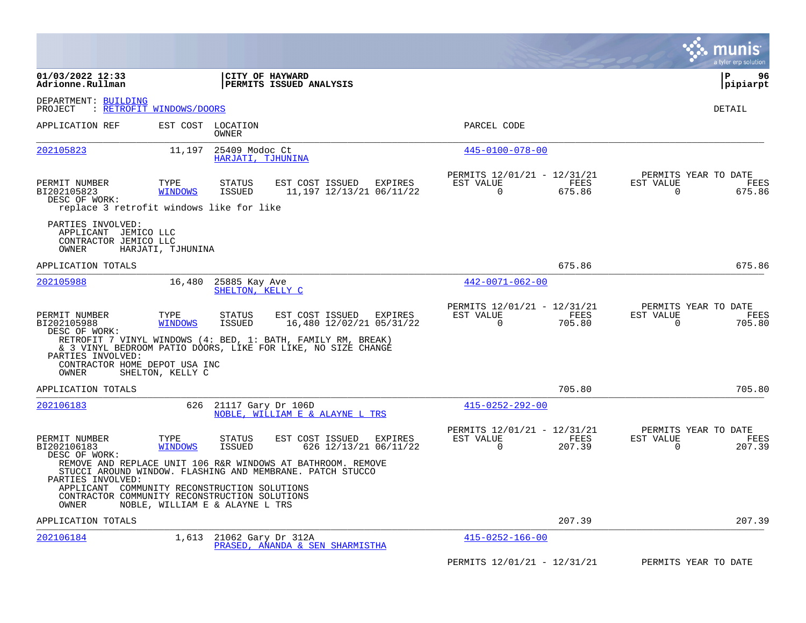|                                                                                                                    |                                 |                                     |                                                                                                                              |                                                      |                |                       | munis<br>a tyler erp solut <u>ion</u>  |
|--------------------------------------------------------------------------------------------------------------------|---------------------------------|-------------------------------------|------------------------------------------------------------------------------------------------------------------------------|------------------------------------------------------|----------------|-----------------------|----------------------------------------|
| 01/03/2022 12:33<br>Adrionne.Rullman                                                                               |                                 | CITY OF HAYWARD                     | <b>PERMITS ISSUED ANALYSIS</b>                                                                                               |                                                      |                |                       | P<br>96<br> pipiarpt                   |
| DEPARTMENT: BUILDING<br>PROJECT                                                                                    | : RETROFIT WINDOWS/DOORS        |                                     |                                                                                                                              |                                                      |                |                       | DETAIL                                 |
| APPLICATION REF                                                                                                    | EST COST                        | LOCATION<br>OWNER                   |                                                                                                                              | PARCEL CODE                                          |                |                       |                                        |
| 202105823                                                                                                          | 11,197                          | 25409 Modoc Ct<br>HARJATI, TJHUNINA |                                                                                                                              | $445 - 0100 - 078 - 00$                              |                |                       |                                        |
| PERMIT NUMBER<br>BI202105823<br>DESC OF WORK:<br>replace 3 retrofit windows like for like                          | TYPE<br><b>WINDOWS</b>          | STATUS<br><b>ISSUED</b>             | EST COST ISSUED<br>EXPIRES<br>11,197 12/13/21 06/11/22                                                                       | PERMITS 12/01/21 - 12/31/21<br>EST VALUE<br>$\Omega$ | FEES<br>675.86 | EST VALUE<br>$\Omega$ | PERMITS YEAR TO DATE<br>FEES<br>675.86 |
| PARTIES INVOLVED:<br>APPLICANT JEMICO LLC<br>CONTRACTOR JEMICO LLC<br>OWNER                                        | HARJATI, TJHUNINA               |                                     |                                                                                                                              |                                                      |                |                       |                                        |
| APPLICATION TOTALS                                                                                                 |                                 |                                     |                                                                                                                              |                                                      | 675.86         |                       | 675.86                                 |
| 202105988                                                                                                          | 16,480                          | 25885 Kay Ave<br>SHELTON, KELLY C   |                                                                                                                              | $442 - 0071 - 062 - 00$                              |                |                       |                                        |
| PERMIT NUMBER<br>BI202105988<br>DESC OF WORK:                                                                      | TYPE<br><b>WINDOWS</b>          | STATUS<br><b>ISSUED</b>             | EST COST ISSUED<br>EXPIRES<br>16,480 12/02/21 05/31/22                                                                       | PERMITS 12/01/21 - 12/31/21<br>EST VALUE<br>0        | FEES<br>705.80 | EST VALUE<br>0        | PERMITS YEAR TO DATE<br>FEES<br>705.80 |
| PARTIES INVOLVED:<br>CONTRACTOR HOME DEPOT USA INC<br>OWNER                                                        | SHELTON, KELLY C                |                                     | RETROFIT 7 VINYL WINDOWS (4: BED, 1: BATH, FAMILY RM, BREAK)<br>& 3 VINYL BEDROOM PATIO DOORS, LIKE FOR LIKE, NO SIZE CHANGE |                                                      |                |                       |                                        |
| APPLICATION TOTALS                                                                                                 |                                 |                                     |                                                                                                                              |                                                      | 705.80         |                       | 705.80                                 |
| 202106183                                                                                                          | 626                             | 21117 Gary Dr 106D                  | NOBLE, WILLIAM E & ALAYNE L TRS                                                                                              | $415 - 0252 - 292 - 00$                              |                |                       |                                        |
| PERMIT NUMBER<br>BI202106183<br>DESC OF WORK:                                                                      | TYPE<br><b>WINDOWS</b>          | STATUS<br><b>ISSUED</b>             | EST COST ISSUED<br>EXPIRES<br>626 12/13/21 06/11/22                                                                          | PERMITS 12/01/21 - 12/31/21<br>EST VALUE<br>$\Omega$ | FEES<br>207.39 | EST VALUE<br>$\Omega$ | PERMITS YEAR TO DATE<br>FEES<br>207.39 |
| PARTIES INVOLVED:<br>APPLICANT COMMUNITY RECONSTRUCTION SOLUTIONS<br>CONTRACTOR COMMUNITY RECONSTRUCTION SOLUTIONS |                                 |                                     | REMOVE AND REPLACE UNIT 106 R&R WINDOWS AT BATHROOM. REMOVE<br>STUCCI AROUND WINDOW. FLASHING AND MEMBRANE. PATCH STUCCO     |                                                      |                |                       |                                        |
| OWNER                                                                                                              | NOBLE, WILLIAM E & ALAYNE L TRS |                                     |                                                                                                                              |                                                      |                |                       |                                        |
| APPLICATION TOTALS                                                                                                 |                                 |                                     |                                                                                                                              |                                                      | 207.39         |                       | 207.39                                 |
| 202106184                                                                                                          | 1,613                           | 21062 Gary Dr 312A                  | PRASED, ANANDA & SEN SHARMISTHA                                                                                              | $415 - 0252 - 166 - 00$                              |                |                       |                                        |
|                                                                                                                    |                                 |                                     |                                                                                                                              | PERMITS 12/01/21 - 12/31/21                          |                |                       | PERMITS YEAR TO DATE                   |